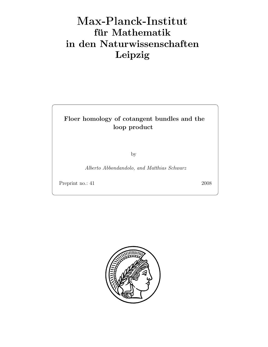# Max-Plan
k-Institut für Mathematik in den Naturwissenschaften Leipzig

## Floer homology of cotangent bundles and the loop product

by

Alberto Abbondandolo, and Matthias Schwarz

Preprint no.: 41 2008

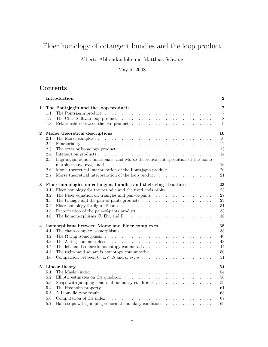## Floer homology of cotangent bundles and the loop product

## Alberto Abbondandolo and Matthias Schwarz

## May 5, 2008

## Contents

|          | Introduction                                                                                                                                                                                                                                                                                                                                                                                                        | $\bf{2}$                                     |
|----------|---------------------------------------------------------------------------------------------------------------------------------------------------------------------------------------------------------------------------------------------------------------------------------------------------------------------------------------------------------------------------------------------------------------------|----------------------------------------------|
| 1        | The Pontrjagin and the loop products<br>The Pontrjagin product $\dots \dots \dots \dots \dots \dots \dots \dots \dots \dots \dots \dots \dots \dots$<br>1.1<br>1.2<br>Relationship between the two products $\dots \dots \dots \dots \dots \dots \dots \dots \dots \dots$<br>1.3                                                                                                                                    | 7<br>$\overline{7}$<br>$8\,$<br>9            |
| $\bf{2}$ | Morse theoretical descriptions<br>The Morse complex $\ldots \ldots \ldots \ldots \ldots \ldots \ldots \ldots \ldots \ldots \ldots \ldots \ldots$<br>2.1<br>2.2<br>2.3<br>The exterior homology product $\dots \dots \dots \dots \dots \dots \dots \dots \dots \dots \dots \dots$<br>2.4<br>Lagrangian action functionals, and Morse theoretical interpretation of the homo-<br>2.5                                  | 10<br>10<br>$12\,$<br>13<br>14               |
|          | morphisms $\mathbf{c}_*, \mathbf{e} \mathbf{v}_*,$ and $\mathbf{i}_! \dots \dots \dots \dots \dots \dots \dots \dots \dots \dots \dots \dots$<br>Morse theoretical interpretation of the Pontrjagin product $\dots \dots \dots \dots \dots$<br>2.6<br>Morse theoretical interpretation of the loop product $\dots \dots \dots \dots \dots \dots$<br>2.7                                                             | 16<br>20<br>21                               |
| 3        | Floer homologies on cotangent bundles and their ring structures<br>Floer homology for the periodic and the fixed ends orbits $\dots \dots \dots \dots$<br>3.1<br>3.2<br>The triangle and the pair-of-pants products $\dots \dots \dots \dots \dots \dots \dots \dots$<br>3.3<br>3.4<br>3.5<br>3.6<br>The homomorphisms $C$ , $Ev$ , and $I_! \ldots \ldots \ldots \ldots \ldots \ldots \ldots \ldots \ldots \ldots$ | 23<br>23<br>27<br>29<br>31<br>33<br>36       |
| 4        | Isomorphisms between Morse and Floer complexes<br>4.1<br>4.2<br>4.3<br>The $\Lambda$ ring homomorphism $\ldots \ldots \ldots \ldots \ldots \ldots \ldots \ldots \ldots \ldots$<br>The left-hand square is homotopy commutative $\dots \dots \dots \dots \dots \dots \dots$<br>4.4<br>The right-hand square is homotopy commutative $\dots \dots \dots \dots \dots \dots \dots$<br>4.5<br>4.6                        | 38<br>38<br>40<br>43<br>44<br>50<br>$51\,$   |
| 5        | Linear theory<br>5.1<br>5.2<br>5.3<br>Strips with jumping conormal boundary conditions $\dots \dots \dots \dots \dots \dots$<br>5.4<br>5.5<br>5.6<br>5.7<br>Half-strips with jumping conormal boundary conditions                                                                                                                                                                                                   | 54<br>54<br>56<br>59<br>61<br>63<br>67<br>69 |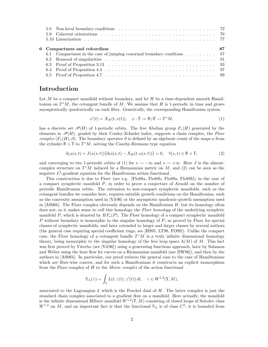|  | 6 Compactness and cobordism                                                                | 87 |
|--|--------------------------------------------------------------------------------------------|----|
|  | 6.1 Compactness in the case of jumping conormal boundary conditions $\dots \dots \dots$ 87 |    |
|  |                                                                                            |    |
|  |                                                                                            |    |
|  |                                                                                            |    |
|  |                                                                                            |    |

## Introduction

Let  $M$  be a compact manifold without boundary, and let  $H$  be a time-dependent smooth Hamiltonian on  $T^*M$ , the cotangent bundle of M. We assume that H is 1-periodic in time and grows asymptotically quadratically on each fiber. Generically, the corresponding Hamiltonian system

$$
x'(t) = X_H(t, x(t)), \quad x: \mathbb{T} := \mathbb{R}/\mathbb{Z} \to T^*M,
$$
 (1)

has a discrete set  $\mathcal{P}(H)$  of 1-periodic orbits. The free Abelian group  $F_*(H)$  generated by the elements in  $\mathscr{P}(H)$ , graded by their Conley-Zehnder index, supports a chain complex, the Floer complex  $(F_*(H), \partial)$ . The boundary operator  $\partial$  is defined by an algebraic count of the maps u from the cylinder  $\mathbb{R} \times \mathbb{T}$  to  $T^*M$ , solving the Cauchy-Riemann type equation

$$
\partial_s u(s,t) + J(u(s,t)) \big(\partial_t u(s,t) - X_H(t,u(s,t))\big) = 0, \quad \forall (s,t) \in \mathbb{R} \times \mathbb{T},\tag{2}
$$

and converging to two 1-periodic orbits of (1) for  $s \to -\infty$  and  $s \to +\infty$ . Here J is the almostcomplex structure on  $T^*M$  induced by a Riemannian metric on M, and (2) can be seen as the negative  $L^2$ -gradient equation for the Hamiltonian action functional.

This construction is due to Floer (see e.g. [Flo88a, Flo88b, Flo89a, Flo89b]) in the case of a compact symplectic manifold  $P$ , in order to prove a conjecture of Arnold on the number of periodic Hamiltonian orbits. The extension to non-compact symplectic manifolds, such as the cotangent bundles we consider here, requires suitable growth conditions on the Hamiltonian, such as the convexity assumption used in [Vit96] or the asymptotic quadratic-growth assumption used in  $[AS06b]$ . The Floer complex obviously depends on the Hamiltonian  $H$ , but its homology often does not, so it makes sense to call this homology the Floer homology of the underlying sympletic manifold P, which is denoted by  $HF_*(P)$ . The Floer homology of a compact symplectic manifold P without boundary is isomorphic to the singular homology of  $P$ , as proved by Floer for special classes of symplectic manifolds, and later extended to larger and larger classes by several authors (the general case requiring special coefficient rings, see [HS95, LT98, FO99]). Unlike the compact case, the Floer homology of a cotangent bundle  $T^*M$  is a truly infinite dimensional homology theory, being isomorphic to the singular homology of the free loop space  $\Lambda(M)$  of M. This fact was first proved by Viterbo (see [Vit96]) using a generating functions approach, later by Salamon and Weber using the heat flow for curves on a Riemannian manifold (see [SW06]), and then by the authors in [AS06b]. In particular, our proof reduces the general case to the case of Hamiltonians which are fiber-wise convex, and for such a Hamiltonians it constructs an explicit isomorphism from the Floer complex of  $H$  to the Morse complex of the action functional

$$
\mathcal{S}_L(\gamma) = \int_{\mathbb{T}} L(t, \gamma(t), \gamma'(t)) dt, \quad \gamma \in W^{1,2}(\mathbb{T}, M),
$$

associated to the Lagrangian  $L$  which is the Fenchel dual of  $H$ . The latter complex is just the standard chain complex associated to a gradient flow on a manifold. Here actually, the manifold is the infinite dimensional Hilbert manifold  $W^{1,2}(\mathbb{T},M)$  consisting of closed loops of Sobolev class  $W^{1,2}$  on M, and an important fact is that the functional  $\mathcal{S}_L$  is of class  $C^2$ , it is bounded from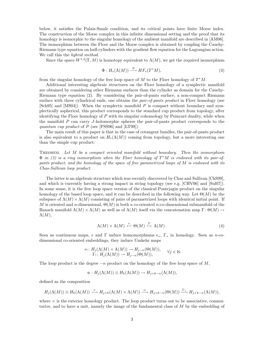below, it satisfies the Palais-Smale condition, and its critical points have finite Morse index. The construction of the Morse complex in this infinite dimensional setting and the proof that its homology is isomorphic to the singular homology of the ambient manifold are described in [AM06]. The isomorphism between the Floer and the Morse complex is obtained by coupling the Cauchy-Riemann type equation on half-cylinders with the gradient flow equation for the Lagrangian action. We call this the *hybrid method*.

Since the space  $W^{1,2}(\mathbb{T},M)$  is homotopy equivalent to  $\Lambda(M)$ , we get the required isomorphism

$$
\Phi: H_*(\Lambda(M)) \xrightarrow{\cong} HF_*(T^*M), \tag{3}
$$

from the singular homology of the free loop space of M to the Floer homology of  $T^*M$ .

Additional interesting algebraic structures on the Floer homology of a symplectic manifold are obtained by considering other Riemann surfaces than the cylinder as domain for the Cauchy-Riemann type equation (2). By considering the pair-of-pants surface, a non-compact Riemann surface with three cylindrical ends, one obtains the *pair-of-pants product* in Floer homology (see  $[Sch95]$  and  $[MS04]$ ). When the symplectic manifold P is compact without boundary and symplectically aspherical, this product corresponds to the standard cup product from topology, after identifying the Floer homology of  $P$  with its singular cohomology by Poincaré duality, while when the manifold P can carry J-holomorphic spheres the pair-of-pants product corresponds to the quantum cup product of P (see [PSS96] and [LT99]).

The main result of this paper is that in the case of cotangent bundles, the pair-of-pants product is also equivalent to a product on  $H_*(\Lambda(M))$  coming from topology, but a more interesting one than the simple cup product:

Theorem. Let M be a compact oriented manifold without boundary. Then the isomorphism  $\Phi$  in (3) is a ring isomorphism when the Floer homology of  $T^*M$  is endowed with its pair-ofpants product, and the homology of the space of free parametrized loops of M is endowed with its Chas-Sullivan loop product.

The latter is an algebraic structure which was recently discovered by Chas and Sullivan [ChS99], and which is currently having a strong impact in string topology (see e.g. [CHV06] and [Sul07]). In some sense, it is the free loop space version of the classical Pontrjagin product on the singular homology of the based loop space, and it can be described in the following way. Let  $\Theta(M)$  be the subspace of  $\Lambda(M) \times \Lambda(M)$  consisting of pairs of parametrized loops with identical initial point. If M is oriented and n-dimensional,  $\Theta(M)$  is both a co-oriented n-co-dimensional submanifold of the Banach manifold  $\Lambda(M) \times \Lambda(M)$  as well as of  $\Lambda(M)$  itself via the concatenation map  $\Gamma: \Theta(M) \to$  $\Lambda(M),$ 

$$
\Lambda(M) \times \Lambda(M) \stackrel{e}{\leftarrow} \Theta(M) \stackrel{\Gamma}{\hookrightarrow} \Lambda(M). \tag{4}
$$

Seen as continuous maps, e and  $\Gamma$  induce homomorphisms  $e_*, \Gamma_*$  in homology. Seen as n-codimensional co-oriented embeddings, they induce Umkehr maps

$$
e_! : H_j(\Lambda(M) \times \Lambda(M)) \to H_{j-n}(\Theta(M)), \qquad \forall j \in \mathbb{N}.
$$
  
\n
$$
\Gamma_! : H_j(\Lambda(M)) \to H_{j-n}(\Theta(M)), \qquad \forall j \in \mathbb{N}.
$$

The loop product is the degree  $-n$  product on the homology of the free loop space of M,

$$
\circ: H_j(\Lambda(M)) \otimes H_k(\Lambda(M)) \to H_{j+k-n}(\Lambda(M)),
$$

defined as the composition

$$
H_j(\Lambda(M)) \otimes H_k(\Lambda(M)) \xrightarrow{\times} H_{j+k}(\Lambda(M) \times \Lambda(M)) \xrightarrow{e_!} H_{j+k-n}(\Theta(M)) \xrightarrow{\Gamma_*} H_{j+k-n}(\Lambda(M)),
$$

where  $\times$  is the exterior homology product. The loop product turns out to be associative, commutative, and to have a unit, namely the image of the fundamental class of M by the embedding of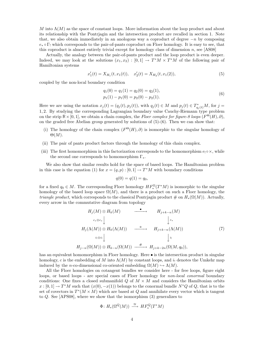M into  $\Lambda(M)$  as the space of constant loops. More information about the loop product and about its relationship with the Pontrjagin and the intersection product are recalled in section 1. Note that, we also obtain immediately in an anologous way a coproduct of degree  $-n$  by composing  $e_* \circ \Gamma_!$  which corresponds to the pair-of-pants coproduct on Floer homology. It is easy to see, that this coproduct is almost entirely trivial except for homology class of dimension  $n$ , see [AS08]

Actually, the analogy between the pair-of-pants product and the loop product is even deeper. Indeed, we may look at the solutions  $(x_1, x_2) : [0, 1] \to T^*M \times T^*M$  of the following pair of Hamiltonian systems

$$
x_1'(t) = X_{H_1}(t, x_1(t)), \quad x_2'(t) = X_{H_2}(t, x_1(2)), \tag{5}
$$

coupled by the non-local boundary condition

$$
q_1(0) = q_1(1) = q_2(0) = q_2(1),
$$
  
\n
$$
p_1(1) - p_1(0) = p_2(0) - p_2(1).
$$
\n(6)

Here we are using the notation  $x_j(t) = (q_j(t), p_j(t))$ , with  $q_j(t) \in M$  and  $p_j(t) \in T^*_{q_j(t)}M$ , for  $j =$ 1, 2. By studying the corresponding Lagrangian boundary value Cauchy-Riemann type problem on the strip  $\mathbb{R} \times [0, 1]$ , we obtain a chain complex, the Floer complex for figure-8 loops  $(F^{\Theta}(H), \partial),$ on the graded free Abelian group generated by solutions of (5)-(6). Then we can show that:

- (i) The homology of the chain complex  $(F^{\Theta}(H), \partial)$  is isomorphic to the singular homology of  $\Theta(M)$ .
- (ii) The pair of pants product factors through the homology of this chain complex.
- (iii) The first homomorphism in this factorization corresponds to the homomorphism  $e_1 \circ \times$ , while the second one corresponds to homomorphism  $\Gamma_*$ .

We also show that similar results hold for the space of based loops. The Hamiltonian problem in this case is the equation (1) for  $x = (q, p) : [0, 1] \to T^*M$  with boundary conditions

$$
q(0) = q(1) = q_0,
$$

for a fixed  $q_0 \in M$ . The corresponding Floer homology  $HF_*^{\Omega}(T^*M)$  is isomorphic to the singular homology of the based loop space  $\Omega(M)$ , and there is a product on such a Floer homology, the *triangle product*, which corresponds to the classical Pontrjagin product # on  $H_*(\Omega(M))$ . Actually, every arrow in the commutative diagram from topology

$$
H_j(M) \otimes H_k(M) \longrightarrow H_{j+k-n}(M)
$$
  
\n
$$
c_* \otimes c_* \downarrow \qquad \qquad \downarrow c_*
$$
  
\n
$$
H_j(\Lambda(M)) \otimes H_k(\Lambda(M)) \longrightarrow H_{j+k-n}(\Lambda(M))
$$
  
\n
$$
i_! \otimes i_! \downarrow \qquad \qquad \downarrow i_!
$$
  
\n
$$
H_{j-n}(\Omega(M)) \otimes H_{k-n}(\Omega(M)) \longrightarrow H_{j+k-2n}(\Omega(M, q_0)),
$$
  
\n(7)

has an equivalent homomorphism in Floer homology. Here  $\bullet$  is the intersection product in singular homology, c is the embedding of M into  $\Lambda(M)$  by constant loops, and i<sub>1</sub> denotes the Umkehr map induced by the *n*-co-dimensional co-oriented embedding  $\Omega(M) \hookrightarrow \Lambda(M)$ .

All the Floer homologies on cotangent bundles we consider here - for free loops, figure eight loops, or based loops - are special cases of Floer homology for *non-local conormal* boundary conditions: One fixes a closed submanifold Q of  $M \times M$  and considers the Hamiltonian orbits  $x : [0,1] \to T^*M$  such that  $(x(0), -x(1))$  belongs to the conormal bundle  $N^*Q$  of  $Q$ , that is to the set of covectors in  $T^*(M \times M)$  which are based at Q and annihilate every vector which is tangent to  $Q$ . See [APS08], where we show that the isomorphism  $(3)$  generalizes to

$$
\Phi\colon H_*(\Omega^Q(M)) \stackrel{\cong}{\longrightarrow} HF^Q_*(T^*M)
$$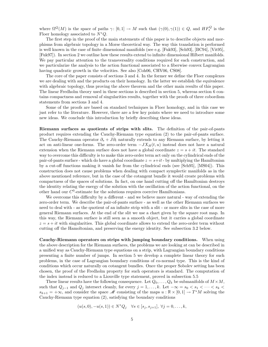where  $\Omega^Q(M)$  is the space of paths  $\gamma: [0,1] \to M$  such that  $(\gamma(0), \gamma(1)) \in Q$ , and  $HF_*^Q$  is the Floer homology associated to  $N^*Q$ .

The first step in the proof of the main statements of this paper is to describe objects and morphisms from algebraic topology in a Morse theoretical way. The way this translation is performed is well known in the case of finite dimensional manifolds (see e.g. [Fuk93], [Sch93], [BC94], [Vit95], [Fuk97]). In section 2 we outline how these results extend to infinite dimensional Hilbert manifolds. We pay particular attention to the transversality conditions required for each construction, and we particularize the analysis to the action functional associated to a fiberwise convex Lagrangian having quadratic growth in the velocities. See also [Coh06, CHV06, CS08].

The core of the paper consists of sections 3 and 4. In the former we define the Floer complexes we are dealing with and the products on their homology. In the latter we establish the equivalence with algebraic topology, thus proving the above theorem and the other main results of this paper. The linear Fredholm theory used in these sections is described in section 5, whereas section 6 contains compactness and removal of singularities results, together with the proofs of three cobordism statements from sections 3 and 4.

Some of the proofs are based on standard techniques in Floer homology, and in this case we just refer to the literature. However, there are a few key points where we need to introduce some new ideas. We conclude this introduction by briefly describing these ideas.

Riemann surfaces as quotients of strips with slits. The definition of the pair-of-pants product requires extending the Cauchy-Riemann type equation (2) to the pair-of-pants surface. The Cauchy-Riemann operator  $\partial_s + J \partial_t$  naturally extends to any Riemann surface, by letting it act on anti-linear one-forms. The zero-order term  $-JX_H(t, u)$  instead does not have a natural extension when the Riemann surface does not have a global coordinate  $z = s + it$ . The standard way to overcome this difficulty is to make this zero-order term act only on the cylindrical ends of the pair-of-pants surface - which do have a global coordinate  $z = s+it$  - by multiplying the Hamiltonian by a cut-off functions making it vanish far from the cylindrical ends (see [Sch95], [MS04]). This construction does not cause problems when dealing with compact symplectic manifolds as in the above mentioned reference, but in the case of the cotangent bundle it would create problems with compactness of the spaces of solutions. In fact, on one hand cutting off the Hamiltonian destroys the identity relating the energy of the solution with the oscillation of the action functional, on the other hand our  $C^0$ -estimate for the solutions requires coercive Hamiltonians.

We overcome this difficulty by a different - and we believe more natural - way of extending the zero-order term. We describe the pair-of-pants surface - as well as the other Riemann surfaces we need to deal with - as the quotient of an infinite strip with a slit - or more slits in the case of more general Riemann surfaces. At the end of the slit we use a chart given by the square root map. In this way, the Riemann surface is still seen as a smooth object, but it carries a global coordinate  $z = s + it$  with singularities. This global coordinate allows to extend the zero-order term without cutting off the Hamoltonian, and preserving the energy identity. See subsection 3.2 below.

Cauchy-Riemann operators on strips with jumping boundary conditions. When using the above description for the Riemann surfaces, the problems we are looking at can be described in a unified way as Cauchy-Riemann type equations on a strip, with Lagrangian boundary conditions presenting a finite number of jumps. In section 5 we develop a complete linear theory for such problems, in the case of Lagrangian boundary conditions of co-normal type. This is the kind of conditions which occur naturally on cotangent bundles. Once the proper Sobolev setting has been chosen, the proof of the Fredholm property for such operators is standard. The computation of the index instead is reduced to a Liouville type statement, proved in subsection 5.5

These linear results have the following consequence. Let  $Q_0, \ldots, Q_k$  be submanifolds of  $M \times M$ , such that  $Q_{j-1}$  and  $Q_j$  intersect cleanly, for every  $j = 1, \ldots, k$ . Let  $-\infty = s_0 < s_1 < \cdots < s_k <$  $s_{k+1} = +\infty$ , and consider the space M consisting of the maps  $u : \mathbb{R} \times [0,1] \to T^*M$  solving the Cauchy-Riemann type equation (2), satisfying the boundary conditions

$$
(u(s,0), -u(s,1)) \in N^*Q_j \quad \forall s \in [s_j, s_{j+1}], \ \forall j = 0, \dots, k,
$$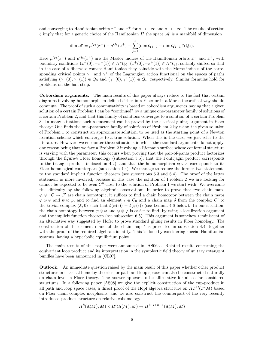and converging to Hamiltonian orbits  $x^-$  and  $x^+$  for  $s \to -\infty$  and  $s \to +\infty$ . The results of section 5 imply that for a generic choice of the Hamiltonian H the space  $\mathscr M$  is a manifold of dimension

$$
\dim \mathcal{M} = \mu^{Q_0}(x^-) - \mu^{Q_k}(x^+) - \sum_{j=1}^k (\dim Q_{j-1} - \dim Q_{j-1} \cap Q_j).
$$

Here  $\mu^{Q_0}(x^-)$  and  $\mu^{Q_k}(x^+)$  are the Maslov indices of the Hamiltonian orbits  $x^-$  and  $x^+$ , with boundary conditions  $(x^-(0), -x^-(1)) \in N^*Q_0$ ,  $(x^+(0), -x^+(1)) \in N^*Q_k$ , suitably shifted so that in the case of a fiberwise convex Hamiltonian they coincide with the Morse indices of the corresponding critical points  $\gamma^-$  and  $\gamma^+$  of the Lagrangian action functional on the spaces of paths satisfying  $(\gamma^{-}(0), \gamma^{-}(1)) \in Q_0$  and  $(\gamma^{+}(0), \gamma^{+}(1)) \in Q_k$ , respectively. Similar formulas hold for problems on the half-strip.

Cobordism arguments. The main results of this paper always reduce to the fact that certain diagrams involving homomorphism defined either in a Floer or in a Morse theoretical way should commute. The proof of such a commutativity is based on cobordism arguments, saying that a given solution of a certain Problem 1 can be "continued" by a unique one-parameter family of solutions of a certain Problem 2, and that this family of solutions converges to a solution of a certain Problem 3. In many situations such a statement can be proved by the classical gluing argument in Floer theory: One finds the one-parameter family of solutions of Problem 2 by using the given solution of Problem 1 to construct an approximate solution, to be used as the starting point of a Newton iteration scheme which converges to a true solution. When this is the case, we just refer to the literature. However, we encounter three situations in which the standard arguments do not apply, one reason being that we face a Problem 2 involving a Riemann surface whose conformal structure is varying with the parameter: this occurs when proving that the pair-of-pants product factorizes through the figure-8 Floer homology (subsection 3.5), that the Pontrjagin product corresponds to the triangle product (subsection 4.2), and that the homomorphism  $e_1 \circ \times$  corresponds to its Floer homological counterpart (subsection 4.4). We manage to reduce the former two statements to the standard implicit function theorem (see subsections 6.3 and 6.4). The proof of the latter statement is more involved, because in this case the solution of Problem 2 we are looking for cannot be expected to be even  $C^0$ -close to the solution of Problem 1 we start with. We overcome this difficulty by the following algebraic observation: In order to prove that two chain maps  $\varphi, \psi : C \to C'$  are chain homotopic, it suffices to find a chain homotopy between the chain maps  $\varphi \otimes \psi$  and  $\psi \otimes \varphi$ , and to find an element  $\epsilon \in C_0$  and a chain map  $\delta$  from the complex  $C'$  to the trivial complex  $(\mathbb{Z}, 0)$  such that  $\delta(\varphi(\epsilon)) = \delta(\psi(\epsilon))$  (see Lemma 4.6 below). In our situation, the chain homotopy between  $\varphi \otimes \psi$  and  $\psi \otimes \varphi$  is easier to find, by using a localization argument and the implicit function theorem (see subsection 6.5). This argument is somehow reminiscent of an alternative way suggested by Hofer to prove standard gluing results in Floer homology. The construction of the element  $\epsilon$  and of the chain map  $\delta$  is presented in subsection 4.4, together with the proof of the required algebraic identity. This is done by considering special Hamiltonian systems, having a hyperbolic equilibrium point.

The main results of this paper were announced in [AS06a]. Related results concerning the equivariant loop product and its interpretation in the symplectic field theory of unitary cotangent bundles have been announced in [CL07].

Outlook. An immediate question raised by the main result of this paper whether other product structures in classical homoloy theories for path and loop spaces can also be constructed naturally on chain level in Floer theory. The answer appears to be affirmative for all so far considered structures. In a following paper [AS08] we give the explicit construction of the cup-product in all path and loop space cases, a direct proof of the Hopf algebra structure on  $HF^{\Omega}(T^{*}M)$  based on Floer chain complex morphisms, and we also construct the counterpart of the very recently introduced product structure on relative cohomology

$$
H^k(\Lambda(M), M) \times H^l(\Lambda(M), M) \to H^{k+l+n-1}(\Lambda(M), M)
$$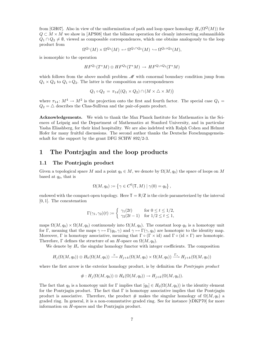from [GH07]. Also in view of the uniformization of path and loop space homology  $H_*(\Omega^Q(M))$  for  $Q \subset M \times M$  we show in [APS08] that the bilinear operation for cleanly intersecting submanifolds  $Q_1 \cap Q_2 \neq \emptyset$ , viewed as composable correspondences, which one obtains analogously to the loop product from

$$
\Omega^{Q_1}(M) \times \Omega^{Q_2}(M) \hookrightarrow \Omega^{Q_1 \cap Q_2}(M) \hookrightarrow \Omega^{Q_1 \circ Q_2}(M),
$$

is isomorphic to the operation

$$
HF^{Q_1}(T^*M)\otimes HF^{Q_2}(T^*M)\rightarrow HF^{Q_1\circ Q_2}(T^*M)
$$

which follows from the above moduli problem  $\mathcal M$  with conormal boundary condition jump from  $Q_1 \times Q_2$  to  $Q_1 \circ Q_2$ . The latter is the composition as correspondences

$$
Q_1 \circ Q_2 = \pi_{14}((Q_1 \times Q_2) \cap (M \times \triangle \times M))
$$

where  $\pi_{14}: M^4 \to M^2$  is the projection onto the first and fourth factor. The special case  $Q_1 =$  $Q_2=\triangle$  describes the Chas-Sullivan and the pair-of-pants product.

Acknowledgements. We wish to thank the Max Planck Institute for Mathematics in the Sciences of Leipzig and the Department of Mathematics at Stanford University, and in particular Yasha Eliashberg, for their kind hospitality. We are also indebted with Ralph Cohen and Helmut Hofer for many fruitful discussions. The second author thanks the Deutsche Forschungsgemeinschaft for the support by the grant DFG SCHW 892/2-3.

### 1 The Pontrjagin and the loop products

#### 1.1 The Pontrjagin product

Given a topological space M and a point  $q_0 \in M$ , we denote by  $\Omega(M, q_0)$  the space of loops on M based at  $q_0$ , that is

$$
\Omega(M, q_0) := \left\{ \gamma \in C^0(\mathbb{T}, M) \mid \gamma(0) = q_0 \right\},\
$$

endowed with the compact-open topology. Here  $\mathbb{T} = \mathbb{R}/\mathbb{Z}$  is the circle parameterized by the interval [0, 1]. The concatenation

$$
\Gamma(\gamma_1, \gamma_2)(t) := \begin{cases} \gamma_1(2t) & \text{for } 0 \le t \le 1/2, \\ \gamma_2(2t-1) & \text{for } 1/2 \le t \le 1, \end{cases}
$$

maps  $\Omega(M, q_0) \times \Omega(M, q_0)$  continuously into  $\Omega(M, q_0)$ . The constant loop  $q_0$  is a homotopy unit for Γ, meaning that the maps  $\gamma \mapsto \Gamma(q_0, \gamma)$  and  $\gamma \mapsto \Gamma(\gamma, q_0)$  are homotopic to the identity map. Moreover, Γ is homotopy associative, meaning that  $\Gamma \circ (\Gamma \times id)$  and  $\Gamma \circ (id \times \Gamma)$  are homotopic. Therefore,  $\Gamma$  defines the structure of an H-space on  $\Omega(M, q_0)$ .

We denote by  $H_*$  the singular homology functor with integer coefficients. The composition

$$
H_j(\Omega(M,q_0)) \otimes H_k(\Omega(M,q_0)) \xrightarrow{\times} H_{j+k}(\Omega(M,q_0) \times \Omega(M,q_0)) \xrightarrow{\Gamma_*} H_{j+k}(\Omega(M,q_0))
$$

where the first arrow is the exterior homology product, is by definition the *Pontrjagin product* 

$$
\# : H_j(\Omega(M, q_0)) \otimes H_k(\Omega(M, q_0)) \to H_{j+k}(\Omega(M, q_0)).
$$

The fact that  $q_0$  is a homotopy unit for Γ implies that  $[q_0] \in H_0(\Omega(M, q_0))$  is the identity element for the Pontriagin product. The fact that  $\Gamma$  is homotopy associative implies that the Pontriagin product is associative. Therefore, the product # makes the singular homology of  $\Omega(M, q_0)$  a graded ring. In general, it is a non-commutative graded ring. See for instance [tDKP70] for more information on H-spaces and the Pontrjagin product.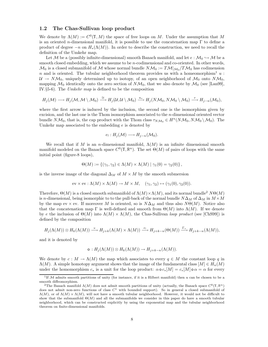#### 1.2 The Chas-Sullivan loop product

We denote by  $\Lambda(M) := C^0(\mathbb{T}, M)$  the space of free loops on M. Under the assumption that M is an oriented n-dimensional manifold, it is possible to use the concatenation map  $\Gamma$  to define a product of degree  $-n$  on  $H_*(\Lambda(M))$ . In order to describe the construction, we need to recall the definition of the Umkehr map.

Let M be a (possibly infinite-dimensional) smooth Banach manifold, and let  $e : \mathcal{M}_0 \hookrightarrow \mathcal{M}$  be a smooth closed embedding, which we assume to be *n*-codimensional and co-oriented. In other words,  $\mathcal{M}_0$  is a closed submanifold of M whose normal bundle  $N\mathcal{M}_0 := T\mathcal{M}|_{\mathcal{M}_0}/T\mathcal{M}_0$  has codimension n and is oriented. The tubular neighborhood theorem provides us with a homeomorphism<sup>1</sup> u:  $U \to N\mathcal{M}_0$ , uniquely determined up to isotopy, of an open neighborhood of  $\mathcal{M}_0$  onto  $N\mathcal{M}_0$ , mapping  $\mathcal{M}_0$  identically onto the zero section of  $N\mathcal{M}_0$ , that we also denote by  $\mathcal{M}_0$  (see [Lan99], IV.§5-6). The Umkehr map is defined to be the composition

$$
H_j(\mathcal{M}) \longrightarrow H_j(\mathcal{M}, \mathcal{M} \setminus \mathcal{M}_0) \stackrel{\cong}{\longrightarrow} H_j(\mathcal{U}, \mathcal{U} \setminus \mathcal{M}_0) \xrightarrow{u_*} H_j(N\mathcal{M}_0, N\mathcal{M}_0 \setminus \mathcal{M}_0) \stackrel{\tau}{\longrightarrow} H_{j-n}(\mathcal{M}_0),
$$

where the first arrow is induced by the inclusion, the second one is the isomorphism given by excision, and the last one is the Thom isomorphism associated to the  $n$ -dimensional oriented vector bundle  $N\mathcal{M}_0$ , that is, the cap product with the Thom class  $\tau_{N\mathcal{M}_0} \in H^n(N\mathcal{M}_0, N\mathcal{M}_0 \setminus \mathcal{M}_0)$ . The Umkehr map associated to the embedding  $e$  is denoted by

$$
e_! : H_j(\mathcal{M}) \longrightarrow H_{j-n}(\mathcal{M}_0).
$$

We recall that if M is an n-dimensional manifold,  $\Lambda(M)$  is an infinite dimensional smooth manifold modeled on the Banach space  $C^0(\mathbb{T}, \mathbb{R}^n)$ . The set  $\Theta(M)$  of pairs of loops with the same initial point (figure-8 loops),

$$
\Theta(M) := \{ (\gamma_1, \gamma_2) \in \Lambda(M) \times \Lambda(M) \mid \gamma_1(0) = \gamma_2(0) \},
$$

is the inverse image of the diagonal  $\Delta_M$  of  $M \times M$  by the smooth submersion

$$
\text{ev} \times \text{ev}: \Lambda(M) \times \Lambda(M) \to M \times M, \quad (\gamma_1, \gamma_2) \mapsto (\gamma_1(0), \gamma_2(0)).
$$

Therefore,  $\Theta(M)$  is a closed smooth submanifold of  $\Lambda(M) \times \Lambda(M)$ , and its normal bundle<sup>2</sup> N $\Theta(M)$ is n-dimensional, being isomorphic to to the pull-back of the normal bundle  $N\Delta_M$  of  $\Delta_M$  in  $M \times M$ by the map ev  $\times$  ev. If moreover M is oriented, so is  $N\Delta_M$  and thus also  $N\Theta(M)$ . Notice also that the concatenation map Γ is well-defined and smooth from  $\Theta(M)$  into  $\Lambda(M)$ . If we denote by e the inclusion of  $\Theta(M)$  into  $\Lambda(M) \times \Lambda(M)$ , the Chas-Sullivan loop product (see [ChS99]) is defined by the composition

$$
H_j(\Lambda(M)) \otimes H_k(\Lambda(M)) \xrightarrow{\times} H_{j+k}(\Lambda(M) \times \Lambda(M)) \xrightarrow{e_!} H_{j+k-n}(\Theta(M)) \xrightarrow{\Gamma_*} H_{j+k-n}(\Lambda(M)),
$$

and it is denoted by

$$
\circ: H_j(\Lambda(M)) \otimes H_k(\Lambda(M)) \to H_{j+k-n}(\Lambda(M)).
$$

We denote by  $c : M \to \Lambda(M)$  the map which associates to every  $q \in M$  the constant loop q in  $\Lambda(M)$ . A simple homotopy argument shows that the image of the fundamental class  $[M] \in H_n(M)$ under the homomorphism  $c_*$  is a unit for the loop product:  $\alpha \circ c_*[M] = c_*[M] \circ \alpha = \alpha$  for every

<sup>&</sup>lt;sup>1</sup>If M admits smooth partitions of unity (for instance, if it is a Hilbert manifold) then u can be chosen to be a smooth diffeomorphism.

<sup>&</sup>lt;sup>2</sup>The Banach manifold  $\Lambda(M)$  does not admit smooth partitions of unity (actually, the Banach space  $C^0(\mathbb{T},\mathbb{R}^n)$ does not admit non-zero functions of class  $C<sup>1</sup>$  with bounded support). So in general a closed submanifold of  $\Lambda(M)$ , or of  $\Lambda(M) \times \Lambda(M)$ , will not have a smooth tubular neighborhood. However, it would not be difficult to show that the submanifold  $\Theta(M)$  and all the submanifolds we consider in this paper do have a smooth tubular neighborhood, which can be constructed explicitly by using the exponential map and the tubular neighborhood theorem on finite-dimensional manifolds.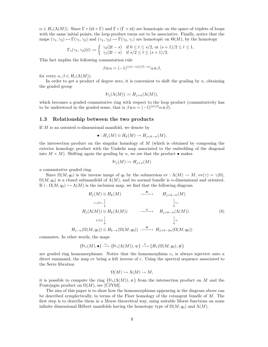$\alpha \in H_*(\Lambda(M))$ . Since  $\Gamma \circ (\mathrm{id} \times \Gamma)$  and  $\Gamma \circ (\Gamma \times \mathrm{id})$  are homotopic on the space of triplets of loops with the same initial points, the loop product turns out to be associative. Finally, notice that the maps  $(\gamma_1, \gamma_2) \mapsto \Gamma(\gamma_1, \gamma_2)$  and  $(\gamma_1, \gamma_2) \mapsto \Gamma(\gamma_2, \gamma_1)$  are homotopic on  $\Theta(M)$ , by the homotopy

$$
\Gamma_s(\gamma_1, \gamma_2)(t) := \begin{cases} \gamma_2(2t - s) & \text{if } 0 \le t \le s/2, \text{ or } (s + 1)/2 \le t \le 1, \\ \gamma_1(2t - s) & \text{if } s/2 \le t \le (s + 1)/2. \end{cases}
$$

This fact implies the following commutation rule

$$
\beta \circ \alpha = (-1)^{(|\alpha|-n)(|\beta|-n)} \alpha \circ \beta,
$$

for every  $\alpha, \beta \in H_*(\Lambda(M)).$ 

In order to get a product of degree zero, it is convenient to shift the grading by  $n$ , obtaining the graded group

$$
\mathbb{H}_j(\Lambda(M)) := H_{j+n}(\Lambda(M)),
$$

which becomes a graded commutative ring with respect to the loop product (commutativity has to be understood in the graded sense, that is  $\beta \circ \alpha = (-1)^{|\alpha||\beta|} \alpha \circ \beta$ .

#### 1.3 Relationship between the two products

If  $M$  is an oriented *n*-dimensional manifold, we denote by

$$
\bullet: H_j(M) \otimes H_k(M) \to H_{j+k-n}(M),
$$

the intersection product on the singular homology of  $M$  (which is obtained by composing the exterior homology product with the Umkehr map associated to the embedding of the diagonal into  $M \times M$ ). Shifting again the grading by n, we see that the product  $\bullet$  makes

$$
\mathbb{H}_j(M) := H_{j+n}(M)
$$

a commutative graded ring.

Since  $\Omega(M, q_0)$  is the inverse image of  $q_0$  by the submersion ev :  $\Lambda(M) \to M$ , ev( $\gamma$ ) =  $\gamma(0)$ ,  $\Omega(M, q_0)$  is a closed submanifold of  $\Lambda(M)$ , and its normal bundle is *n*-dimensional and oriented. If  $i : \Omega(M, q_0) \hookrightarrow \Lambda(M)$  is the inclusion map, we find that the following diagram

$$
H_j(M) \otimes H_k(M) \longrightarrow H_{j+k-n}(M)
$$
  
\n
$$
c_* \otimes c_* \downarrow \qquad \qquad \downarrow c_*
$$
  
\n
$$
H_j(\Lambda(M)) \otimes H_k(\Lambda(M)) \longrightarrow H_{j+k-n}(\Lambda(M))
$$
  
\n
$$
i_! \otimes i_! \downarrow \qquad \qquad \downarrow i_!
$$
  
\n
$$
H_{j-n}(\Omega(M, q_0)) \otimes H_{k-n}(\Omega(M, q_0)) \longrightarrow H_{j+k-2n}(\Omega(M, q_0))
$$
  
\n(8)

commutes. In other words, the maps

$$
\{\mathbb{H}_*(M),\bullet\} \xrightarrow{c_*} \{\mathbb{H}_*(\Lambda(M)),\,\mathsf{o}\} \xrightarrow{i_!} \{H_*(\Omega(M,q_0),\#\}
$$

are graded ring homomorphisms. Notice that the homomorphism  $c_*$  is always injective onto a direct summand, the map ev being a left inverse of c. Using the spectral sequence associated to the Serre fibration

$$
\Omega(M) \hookrightarrow \Lambda(M) \to M,
$$

it is possible to compute the ring  $\{\mathbb{H}_*(\Lambda(M))\}$ , o } from the intersection product on M and the Pontriagin product on  $\Omega(M)$ , see [CJY03].

The aim of this paper is to show how the homomorphisms appearing in the diagram above can be described symplectically, in terms of the Floer homology of the cotangent bundle of M. The first step is to describe them in a Morse theoretical way, using suitable Morse functions on some infinite dimensional Hilbert manifolds having the homotopy type of  $\Omega(M, q_0)$  and  $\Lambda(M)$ .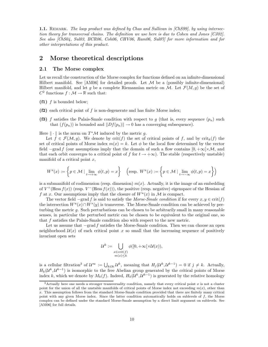**1.1.** REMARK. The loop product was defined by Chas and Sullivan in [ChS99], by using intersection theory for transversal chains. The definition we use here is due to Cohen and Jones [CJ02]. See also [ChS04, Sul03, BCR06, Coh06, CHV06, Ram06, Sul07] for more information and for other interpretations of this product.

### 2 Morse theoretical descriptions

#### 2.1 The Morse complex

Let us recall the construction of the Morse complex for functions defined on an infinite-dimensional Hilbert manifold. See  $[AM06]$  for detailed proofs. Let  $M$  be a (possibly infinite-dimensional) Hilbert manifold, and let g be a complete Riemannian metric on M. Let  $\mathcal{F}(M,g)$  be the set of  $C^2$  functions  $f : \mathcal{M} \to \mathbb{R}$  such that:

 $(f1)$  f is bounded below;

- (f2) each critical point of f is non-degenerate and has finite Morse index;
- (f3) f satisfies the Palais-Smale condition with respect to g (that is, every sequence  $(p_n)$  such that  $(f(p_n))$  is bounded and  $||Df(p_n)|| \rightarrow 0$  has a converging subsequence).

Here  $\|\cdot\|$  is the norm on  $T^*\mathcal{M}$  induced by the metric g.

Let  $f \in \mathcal{F}(\mathcal{M}, g)$ . We denote by crit $(f)$  the set of critical points of f, and by crit<sub>k</sub> $(f)$  the set of critical points of Morse index  $m(x) = k$ . Let  $\phi$  be the local flow determined by the vector field  $-\text{grad } f$  (our assumptions imply that the domain of such a flow contains  $[0, +\infty[\times \mathcal{M}]$ , and that each orbit converges to a critical point of f for  $t \to +\infty$ ). The stable (respectively unstable) manifold of a critical point  $x$ ,

$$
W^s(x) := \left\{ p \in \mathcal{M} \mid \lim_{t \to +\infty} \phi(t, p) = x \right\} \quad \left( \text{resp. } W^u(x) := \left\{ p \in \mathcal{M} \mid \lim_{t \to -\infty} \phi(t, p) = x \right\} \right)
$$

is a submanifold of codimension (resp. dimension)  $m(x)$ . Actually, it is the image of an embedding of  $V^+$ (Hess  $f(x)$ ) (resp.  $V^-($ Hess  $f(x)$ )), the positive (resp. negative) eigenspace of the Hessian of f at x. Our assumptions imply that the closure of  $W^u(x)$  in M is compact.

The vector field  $-\text{grad } f$  is said to satisfy the Morse-Smale condition if for every  $x, y \in \text{crit}(f)$ the intersection  $W^u(x) \cap W^s(y)$  is transverse. The Morse-Smale condition can be achieved by perturbing the metric g. Such perturbations can be chosen to be arbitrarily small in many reasonable senses, in particular the perturbed metric can be chosen to be equivalent to the original one, so that f satisfies the Palais-Smale condition also with respect to the new metric.

Let us assume that −grad f satisfies the Morse-Smale condition. Then we can choose an open neighborhood  $\mathcal{U}(x)$  of each critical point x so small that the increasing sequence of positively invariant open sets

$$
\mathcal{U}^k := \bigcup_{\substack{x \in \text{crit}(f) \\ m(x) \le k}} \phi([0, +\infty[ \times \mathcal{U}(x)),
$$

is a cellular filtration<sup>3</sup> of  $\mathcal{U}^{\infty} := \bigcup_{k \in \mathbb{N}} \mathcal{U}^k$ , meaning that  $H_j(\mathcal{U}^k, \mathcal{U}^{k-1}) = 0$  if  $j \neq k$ . Actually,  $H_k(\mathcal{U}^k, \mathcal{U}^{k-1})$  is isomorphic to the free Abelian group generated by the critical points of Morse index k, which we denote by  $M_k(f)$ . Indeed,  $H_k(\mathcal{U}^k, \mathcal{U}^{k-1})$  is generated by the relative homology

 $3$ Actually here one needs a stronger transversality condition, namely that every critical point x is not a cluster point for the union of all the unstable manifolds of critical points of Morse index not exceeding  $m(x)$ , other than  $x$ . This assumption follows from the standard Morse-Smale condition provided that there are finitely many critical point with any given Morse index. Since the latter condition automatically holds on sublevels of f, the Morse complex can be defined under the standard Morse-Smale assumption by a direct limit argument on sublevels. See [AM06] for full details.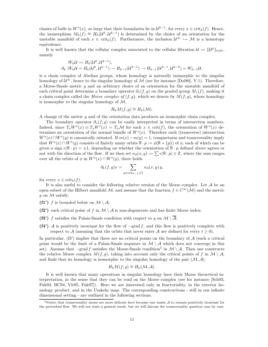classes of balls in  $W^u(x)$ , so large that their boundaries lie in  $\mathcal{U}^{k-1}$ , for every  $x \in \text{crit}_k(f)$ . Hence, the isomorphism  $M_k(f) \cong H_k(\mathcal{U}^k, \mathcal{U}^{k-1})$  is determined by the choice of an orientation for the unstable manifold of each  $x \in \text{crit}_k(f)$ . Furthermore, the inclusion  $\mathcal{U}^{\infty} \hookrightarrow \mathcal{M}$  is a homotopy equivalence.

It is well known that the cellular complex associated to the cellular filtration  $\mathcal{U} := \{U^k\}_{k \in \mathbb{N}},$ namely

$$
W_k \mathcal{U} := H_k(\mathcal{U}^k, \mathcal{U}^{k-1}),
$$
  

$$
\partial_k : W_k \mathcal{U} = H_k(\mathcal{U}^k, \mathcal{U}^{k-1}) \to H_{k-1}(\mathcal{U}^{k-1}) \to H_{k-1}(\mathcal{U}^{k-1}, \mathcal{U}^{k-2}) = W_{k-1} \mathcal{U},
$$

is a chain complex of Abelian groups, whose homology is naturally isomorphic to the singular homology of  $\mathcal{U}^{\infty}$ , hence to the singular homology of  $\mathcal{M}$  (see for instance [Dol80], V.1). Therefore, a Morse-Smale metric  $g$  and an arbitrary choice of an orientation for the unstable manifold of each critical point determine a boundary operator  $\partial_*(f,g)$  on the graded group  $M_*(f)$ , making it a chain complex called the Morse complex of  $(f, g)$ , which we denote by  $M(f, g)$ , whose homology is isomorphic to the singular homology of  $\mathcal{M}$ ,

$$
H_k M(f,g) \cong H_k(\mathcal{M}).
$$

A change of the metric g and of the orientation data produces an isomorphic chain complex.

The boundary operator  $\partial_*(f,g)$  can be easily interpreted in terms of intersection numbers. Indeed, since  $T_xW^u(x) \oplus T_xW^s(x) = T_x\mathcal{M}$  for each  $x \in \text{crit}(f)$ , the orientation of  $W^u(x)$  determines an orientation of the normal bundle of  $W<sup>s</sup>(x)$ . Therefore each (transverse) intersection  $W^u(x) \cap W^s(y)$  is canonically oriented. If  $m(x) - m(y) = 1$ , compactness and transversality imply that  $W^u(x) \cap W^s(y)$  consists of finitely many orbits  $\mathbb{R} \cdot p := \phi(\mathbb{R} \times \{p\})$  of  $\phi$ , each of which can be given a sign  $\epsilon(\mathbb{R} \cdot p) = \pm 1$ , depending on whether the orientation of  $\mathbb{R} \cdot p$  defined above agrees or not with the direction of the flow. If we then set  $n_{\partial}(x, y) := \sum \epsilon(\mathbb{R} \cdot p) \in \mathbb{Z}$ , where the sum ranges over all the orbits of  $\phi$  in  $W^u(x) \cap W^s(y)$ , there holds

$$
\partial_k(f,g)x = \sum_{y \in \text{crit}_{k-1}(f)} n_{\partial}(x,y) y,
$$

for every  $x \in \text{crit}_k(f)$ .

It is also useful to consider the following relative version of the Morse complex. Let  $A$  be an open subset of the Hilbert manifold M, and assume that the function  $f \in C^{\infty}(\mathcal{M})$  and the metric  $g$  on  $\mathcal M$  satisfy:

- (f1') f is bounded below on  $\mathcal{M} \setminus \mathcal{A}$ ;
- (f2) each critical point of f in  $\mathcal{M} \setminus \mathcal{A}$  is non-degenerate and has finite Morse index;
- (f3') f satisfies the Palais-Smale condition with respect to g on  $\mathcal{M} \setminus \overline{\mathcal{A}}$ ;
- (f4') A is positively invariant for the flow of  $-\text{grad } f$ , and this flow is positively complete with respect to A (meaning that the orbits that never enter A are defined for every  $t \geq 0$ ).

In particular,  $(f3')$  implies that there are no critical points on the boundary of  $A$  (such a critical point would be the limit of a Palais-Smale sequence in  $\mathcal{M} \setminus \mathcal{A}$  which does not converge in this set). Assume that  $-\text{grad } f$  satisfies the Morse-Smale condition<sup>4</sup> in  $\mathcal{M} \setminus \mathcal{A}$ . Then one constructs the relative Morse complex  $M(f, q)$ , taking into account only the critical points of f in  $\mathcal{M} \setminus \mathcal{A}$ , and finds that its homology is isomorphic to the singular homology of the pair  $(M, \mathcal{A})$ ,

$$
H_k M(f,g) \cong H_k(\mathcal{M},\mathcal{A}).
$$

It is well known that many operations in singular homology have their Morse theoretical interpretation, in the sense that they can be read on the Morse complex (see for instance [Sch93, Fuk93, BC94, Vit95, Fuk97]). Here we are interested only in functoriality, in the exterior homology product, and in the Umkehr map. The corresponding constructions - still in our infinite dimensional setting - are outlined in the following sections.

<sup>&</sup>lt;sup>4</sup>Notice that transversality issues are more delicate here because one wants  $A$  to remain positively invariant for the perturbed flow. We will not state a general result, but we will discuss the transversality question case by case.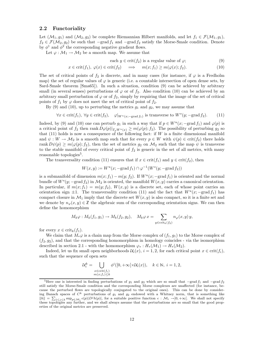#### 2.2 Functoriality

Let  $(\mathcal{M}_1, g_1)$  and  $(\mathcal{M}_2, g_2)$  be complete Riemannian Hilbert manifolds, and let  $f_1 \in \mathcal{F}(\mathcal{M}_1, g_1)$ ,  $f_2 \in \mathcal{F}(\mathcal{M}_2, g_2)$  be such that  $-\text{grad } f_1$  and  $-\text{grad } f_2$  satisfy the Morse-Smale condition. Denote by  $\phi^1$  and  $\phi^2$  the corresponding negative gradient flows.

Let  $\varphi : \mathcal{M}_1 \to \mathcal{M}_2$  be a smooth map. We assume that

each 
$$
y \in \text{crit}(f_2)
$$
 is a regular value of  $\varphi$ ; (9)

$$
x \in \text{crit}(f_1), \ \varphi(x) \in \text{crit}(f_2) \quad \implies \quad m(x; f_1) \ge m(\varphi(x); f_2). \tag{10}
$$

The set of critical points of  $f_2$  is discrete, and in many cases (for instance, if  $\varphi$  is a Fredholm map) the set of regular values of  $\varphi$  is generic (i.e. a countable intersection of open dense sets, by Sard-Smale theorem [Sma65]). In such a situation, condition (9) can be achieved by arbitrary small (in several senses) perturbations of  $\varphi$  or of  $f_2$ . Also condition (10) can be achieved by an arbitrary small perturbation of  $\varphi$  or of  $f_2$ , simply by requiring that the image of the set of critical points of  $f_1$  by  $\varphi$  does not meet the set of critical point of  $f_2$ .

By (9) and (10), up to perturbing the metrics  $g_1$  and  $g_2$ , we may assume that

$$
\forall x \in \text{crit}(f_1), \ \forall y \in \text{crit}(f_2), \quad \varphi|_{W^u(x; -\text{grad } f_1)} \text{ is transverse to } W^s(y; -\text{grad } f_2). \tag{11}
$$

Indeed, by (9) and (10) one can perturb  $g_1$  in such a way that if  $p \in W^u(x; -\text{grad } f_1)$  and  $\varphi(p)$  is a critical point of  $f_2$  then rank  $D\varphi(p)|_{T_nW^u(x)} \geq m(\varphi(p); f_2)$ . The possibility of perturbing  $g_2$  so that  $(11)$  holds is now a consequence of the following fact: if W is a finite dimensional manifold and  $\psi: W \to M_2$  is a smooth map such that for every  $p \in W$  with  $\psi(p) \in \text{crit}(f_2)$  there holds rank  $D\psi(p) \geq m(\varphi(p); f_2)$ , then the set of metrics  $g_2$  on  $\mathcal{M}_2$  such that the map  $\psi$  is transverse to the stable manifold of every critical point of  $f_2$  is generic in the set of all metrics, with many reasonable topologies<sup>5</sup>.

The transversality condition (11) ensures that if  $x \in \text{crit}(f_1)$  and  $y \in \text{crit}(f_2)$ , then

$$
W(x, y) := W^u(x; -\text{grad } f_1) \cap \varphi^{-1}(W^s(y; -\text{grad } f_2))
$$

is a submanifold of dimension  $m(x; f_1) - m(y; f_2)$ . If  $W^u(x; -\text{grad } f_1)$  is oriented and the normal bundle of  $W^s(y; -\text{grad } f_2)$  in  $\mathcal{M}_2$  is oriented, the manifold  $W(x, y)$  carries a canonical orientation. In particular, if  $m(x; f_1) = m(y; f_2)$ ,  $W(x, y)$  is a discrete set, each of whose point carries an orientation sign  $\pm 1$ . The transversality condition (11) and the fact that  $W^u(x)$ , -grad  $f_1$ ) has compact closure in  $\mathcal{M}_1$  imply that the discrete set  $W(x, y)$  is also compact, so it is a finite set and we denote by  $n_{\varphi}(x, y) \in \mathbb{Z}$  the algebraic sum of the corresponding orientation signs. We can then define the homomorphism

$$
M_k \varphi : M_k(f_1, g_1) \to M_k(f_2, g_2), \quad M_k \varphi x = \sum_{y \in \text{crit}_k(f_2)} n_{\varphi}(x, y) y,
$$

for every  $x \in \text{crit}_k(f_1)$ .

We claim that  $M_*\varphi$  is a chain map from the Morse complex of  $(f_1, g_1)$  to the Morse complex of  $(f_2, g_2)$ , and that the corresponding homomorphism in homology coincides - via the isomorphism described in section 2.1 - with the homomorphism  $\varphi_* : H_*(\mathcal{M}_1) \to H_*(\mathcal{M}_2)$ .

Indeed, let us fix small open neighborhoods  $\mathcal{U}_i(x)$ ,  $i = 1, 2$ , for each critical point  $x \in \text{crit}(f_i)$ , such that the sequence of open sets

$$
\mathcal{U}_i^k = \bigcup_{\substack{x \in \text{crit}(f_i) \\ m(x; f_i) \le k}} \phi^i([0, +\infty[\times \mathcal{U}_i(x)), \quad k \in \mathbb{N}, \ i = 1, 2,
$$

<sup>&</sup>lt;sup>5</sup>Here one is interested in finding perturbations of  $g_1$  and  $g_2$  which are so small that  $-grad f_1$  and  $-grad f_2$ still satisfy the Morse-Smale condition and the corresponding Morse complexes are unaffected (for instance, because the perturbed flows are topologically conjugated to the original ones). This can be done by considering Banach spaces of  $C^k$  perturbations of  $g_1$  and  $g_2$  endowed with a Whitney norm, that is something like  $||h|| = \sum_{1 \leq j \leq k} \sup_{p \in \mathcal{M}_i} \epsilon(p)|D^j h(p)|$ , for a suitable positive function  $\epsilon : \mathcal{M}_i \to ]0, +\infty[$ . We shall not specify these topologies any further, and we shall always assume that the perturbations are so small that the good properties of the original metrics are preserved.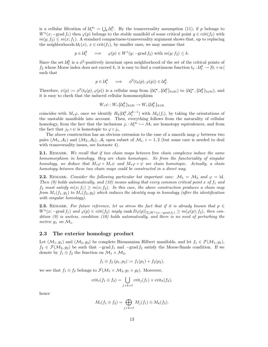is a cellular filtration of  $\mathcal{U}_i^{\infty} = \bigcup_k \mathcal{U}_i^k$ . By the transversality assumption (11), if p belongs to  $W^u(x; -\text{grad } f_1)$  then  $\varphi(p)$  belongs to the stable manifold of some critical point  $y \in \text{crit}(f_2)$  with  $m(y; f_2) \leq m(x; f_1)$ . A standard compactness-transversality argument shows that, up to replacing the neighborhoods  $\mathcal{U}_1(x)$ ,  $x \in \text{crit}(f_1)$ , by smaller ones, we may assume that

$$
p \in \mathcal{U}_1^k \implies \varphi(p) \in W^s(y; -\text{grad } f_2) \text{ with } m(y; f_2) \leq k.
$$

Since the set  $\mathcal{U}_2^k$  is a  $\phi^2$ -positively invariant open neighborhood of the set of the critical points of  $f_2$  whose Morse index does not exceed k, it is easy to find a continuous function  $t_0: \mathcal{U}_1^k \to [0, +\infty[$ such that

$$
p \in \mathcal{U}_1^k \implies \phi^2(t_0(p), \varphi(p)) \in \mathcal{U}_2^k.
$$

Therefore,  $\psi(p) := \phi^2(t_0(p), \varphi(p))$  is a cellular map from  $(\mathcal{U}_1^{\infty}, {\mathcal{U}_1^k}_{k \in \mathbb{N}})$  to  $(\mathcal{U}_2^{\infty}, {\mathcal{U}_2^k}_{k \in \mathbb{N}})$ , and it is easy to check that the induced cellular homomorphism

$$
W_*\psi: W_*\{\mathcal{U}_1^k\}_{k\in\mathbb{N}} \to W_*\{\mathcal{U}_2^k\}_{k\in\mathbb{N}}
$$

coincides with  $M_*\varphi$ , once we identify  $H_k(\mathcal{U}_i^k, \mathcal{U}_i^{k-1})$  with  $M_k(f_i)$ , by taking the orientations of the unstable manifolds into account. Then, everything follows from the naturality of cellular homology, from the fact that the inclusions  $j_i: \mathcal{U}_i^{\infty} \hookrightarrow \mathcal{M}_i$  are homotopy equivalences, and from the fact that  $j_2 \circ \psi$  is homotopic to  $\varphi \circ j_1$ .

The above construction has an obvious extension to the case of a smooth map  $\varphi$  between two pairs  $(M_1, \mathcal{A}_1)$  and  $(\mathcal{M}_2, \mathcal{A}_2)$ ,  $\mathcal{A}_i$  open subset of  $\mathcal{M}_i$ ,  $i = 1, 2$  (but some care is needed to deal with transversality issues, see footnote 4).

**2.1.** REMARK. We recall that if two chain maps between free chain complexes induce the same homomorphism in homology, they are chain homotopic. So from the functoriality of singular homology, we deduce that  $M_*\varphi \circ M_*\psi$  and  $M_*\varphi \circ \psi$  are chain homotopic. Actually, a chain homotopy between these two chain maps could be constructed in a direct way.

**2.2.** REMARK. Consider the following particular but important case:  $\mathcal{M}_1 = \mathcal{M}_2$  and  $\varphi = id$ . Then (9) holds automatically, and (10) means asking that every common critical point x of  $f_1$  and  $f_2$  must satisfy  $m(x; f_1) \geq m(x; f_2)$ . In this case, the above construction produces a chain map from  $M_*(f_1, g_1)$  to  $M_*(f_2, g_2)$  which induces the identity map in homology (after the identification with singular homology).

**2.3.** REMARK. For future reference, let us stress the fact that if it is already known that  $p \in$  $W^u(x; -\text{grad } f_1)$  and  $\varphi(p) \in \text{crit}(f_2)$  imply  $\text{rank } D\varphi(p)|_{T_pW^u(x; -\text{grad } f_1)} \geq m(\varphi(p); f_2)$ , then condition (9) is useless, condition (10) holds automatically, and there is no need of perturbing the metric  $g_1$  on  $\mathcal{M}_1$ .

#### 2.3 The exterior homology product

Let  $(\mathcal{M}_1, g_1)$  and  $(\mathcal{M}_2, g_2)$  be complete Riemannian Hilbert manifolds, and let  $f_1 \in \mathcal{F}(\mathcal{M}_1, g_1)$ ,  $f_2 \in \mathcal{F}(\mathcal{M}_2,g_2)$  be such that  $-\text{grad } f_1$  and  $-\text{grad } f_2$  satisfy the Morse-Smale condition. If we denote by  $f_1 \oplus f_2$  the function on  $\mathcal{M}_1 \times \mathcal{M}_2$ ,

$$
f_1 \oplus f_2 (p_1, p_2) := f_1(p_1) + f_2(p_2),
$$

we see that  $f_1 \oplus f_2$  belongs to  $\mathcal{F}(\mathcal{M}_1 \times \mathcal{M}_2, g_1 \times g_2)$ . Moreover,

$$
\operatorname{crit}_{\ell}(f_1 \oplus f_2) = \bigcup_{j+k=\ell} \operatorname{crit}_j(f_1) \times \operatorname{crit}_k(f_2),
$$

hence

$$
M_{\ell}(f_1 \oplus f_2) = \bigoplus_{j+k=\ell} M_j(f_1) \otimes M_k(f_2).
$$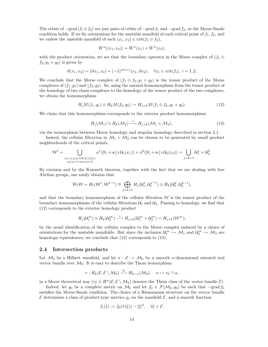The orbits of  $-\text{grad}(f_1 \oplus f_2)$  are just pairs of orbits of  $-\text{grad } f_1$  and  $-\text{grad } f_2$ , so the Morse-Smale condition holds. If we fix orientations for the unstable manifold of each critical point of  $f_1, f_2$ , and we endow the unstable manifold of each  $(x_1, x_2) \in \text{crit}(f_1 \oplus f_2)$ ,

$$
W^{u}((x_1,x_2)) = W^{u}(x_1) \times W^{u}(x_2),
$$

with the product orientation, we see that the boundary operator in the Morse complex of  $(f_1 \oplus f_2)$  $f_2, g_1 \times g_2$  is given by

$$
\partial(x_1, x_2) = (\partial x_1, x_2) + (-1)^{m(x_1)}(x_1, \partial x_2), \quad \forall x_i \in \text{crit}(f_i), \ i = 1, 2.
$$

We conclude that the Morse complex of  $(f_1 \oplus f_2, g_1 \times g_2)$  is the tensor product of the Morse complexes of  $(f_1, g_1)$  and  $(f_2, g_2)$ . So, using the natural homomorphism from the tensor product of the homology of two chain complexes to the homology of the tensor product of the two complexes, we obtain the homomorphism

$$
H_j M(f_1, g_1) \otimes H_k M(f_2, g_2) \to H_{j+k} M(f_1 \oplus f_2, g_1 \times g_2). \tag{12}
$$

We claim that this homomorphism corresponds to the exterior product homomorphism

$$
H_j(\mathcal{M}_1) \otimes H_k(\mathcal{M}_2) \xrightarrow{\times} H_{j+k}(\mathcal{M}_1 \times \mathcal{M}_2), \tag{13}
$$

via the isomorphism between Morse homology and singular homology described in section 2.1.

Indeed, the cellular filtration in  $\mathcal{M}_1 \times \mathcal{M}_2$  can be chosen to be generated by small product neighborhoods of the critical points,

$$
\mathcal{W}^{\ell} = \bigcup_{\substack{(x_1, x_2) \in \text{crit}(f_1 \oplus f_2) \\ m(x_1) + m(x_2) = \ell}} \phi^1([0, +\infty[ \times \mathcal{U}_1(x_1)) \times \phi^2([0, +\infty[ \times \mathcal{U}_2(x_2)) = \bigcup_{j+k=\ell} \mathcal{U}_1^j \times \mathcal{U}_2^k.
$$

By excision and by the Kunneth theorem, together with the fact that we are dealing with free Abelian groups, one easily obtains that

$$
W_{\ell} \mathcal{W} = H_{\ell}(\mathcal{W}^{\ell}, \mathcal{W}^{\ell-1}) \cong \bigoplus_{j+k=\ell} H_j(\mathcal{U}_1^j, \mathcal{U}_1^{j-1}) \otimes H_k(\mathcal{U}_2^k, \mathcal{U}_2^{k-1}),
$$

and that the boundary homomorphism of the cellular filtration  $W$  is the tensor product of the boundary homomorphisms of the cellular filtrations  $\mathcal{U}_1$  and  $\mathcal{U}_2$ . Passing to homology, we find that (12) corresponds to the exterior homology product

$$
H_j(\mathcal{U}_1^{\infty}) \otimes H_k(\mathcal{U}_2^{\infty}) \xrightarrow{\times} H_{j+k}(\mathcal{U}_1^{\infty} \times \mathcal{U}_2^{\infty}) = H_{j+k}(\mathcal{W}^{\infty}),
$$

by the usual identification of the cellular complex to the Morse complex induced by a choice of orientations for the unstable manifolds. But since the inclusion  $\mathcal{U}_1^{\infty} \hookrightarrow \mathcal{M}_1$  and  $\mathcal{U}_2^{\infty} \hookrightarrow \mathcal{M}_2$  are homotopy equivalences, we conclude that  $(12)$  corresponds to  $(13)$ .

#### 2.4 Intersection products

Let  $\mathcal{M}_0$  be a Hilbert manifold, and let  $\pi : \mathcal{E} \to \mathcal{M}_0$  be a smooth *n*-dimensional oriented real vector bundle over  $\mathcal{M}_0$ . It is easy to describe the Thom isomorphism

$$
\tau: H_k(\mathcal{E}, \mathcal{E} \setminus \mathcal{M}_0) \stackrel{\cong}{\longrightarrow} H_{k-n}(\mathcal{M}_0), \quad \alpha \mapsto \tau_{\mathcal{E}} \cap \alpha,
$$

in a Morse theoretical way  $(\tau_{\mathcal{E}} \in H^n(\mathcal{E}, \mathcal{E} \setminus \mathcal{M}_0))$  denotes the Thom class of the vector bundle  $\mathcal{E})$ .

Indeed, let  $g_0$  be a complete metric on  $\mathcal{M}_0$  and let  $f_0 \in \mathcal{F}(\mathcal{M}_0, g_0)$  be such that  $-grad f_0$ satisfies the Morse-Smale condition. The choice of a Riemannian structure on the vector bundle  $\mathcal E$  determines a class of product-type metrics  $g_1$  on the manifold  $\mathcal E$ , and a smooth function

$$
f_1(\xi) := f_0(\pi(\xi)) - |\xi|^2, \quad \forall \xi \in \mathcal{E}.
$$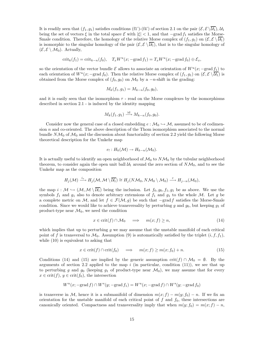It is readily seen that  $(f_1, g_1)$  satisfies conditions  $(f_1')-(f_4')$  of section 2.1 on the pair  $(\mathcal{E}, \mathcal{E} \setminus \overline{\mathcal{U}_1}), \mathcal{U}_1$ being the set of vectors  $\xi$  in the total space E with  $|\xi| < 1$ , and that  $-\text{grad } f_1$  satisfies the Morse-Smale condition. Therefore, the homology of the relative Morse complex of  $(f_1, g_1)$  on  $(\mathcal{E}, \mathcal{E} \setminus \overline{\mathcal{U}_1})$ is isomorphic to the singular homology of the pair  $(\mathcal{E}, \mathcal{E} \setminus \mathcal{U}_1)$ , that is to the singular homology of  $(\mathcal{E}, \mathcal{E} \setminus \mathcal{M}_0)$ . Actually,

$$
\operatorname{crit}_k(f_1) = \operatorname{crit}_{k-n}(f_0), \quad T_x W^u(x; -\operatorname{grad} f_1) = T_x W^u(x; -\operatorname{grad} f_0) \oplus \mathcal{E}_x,
$$

so the orientation of the vector bundle  $\mathcal E$  allows to associate an orientation of  $W^u(x; -\text{grad } f_1)$  to each orientation of  $W^u(x)$  –grad  $f_0$ ). Then the relative Morse complex of  $(f_1, g_1)$  on  $(\mathcal{E}, \mathcal{E} \setminus \overline{\mathcal{U}_1})$  is obtained from the Morse complex of  $(f_0, g_0)$  on  $\mathcal{M}_0$  by a  $-n$ -shift in the grading:

$$
M_k(f_1, g_1) = M_{k-n}(f_0, g_0),
$$

and it is easily seen that the isomorphism  $\tau$  - read on the Morse complexes by the isomorphisms described in section 2.1 - is induced by the identity mapping

$$
M_k(f_1, g_1) \xrightarrow{\text{id}} M_{k-n}(f_0, g_0).
$$

Consider now the general case of a closed embedding  $e : \mathcal{M}_0 \hookrightarrow \mathcal{M}$ , assumed to be of codimension  $n$  and co-oriented. The above description of the Thom isomorphism associated to the normal bundle  $N\mathcal{M}_0$  of  $\mathcal{M}_0$  and the discussion about functoriality of section 2.2 yield the following Morse theoretical description for the Umkehr map

$$
e_! : H_k(\mathcal{M}) \to H_{k-n}(\mathcal{M}_0).
$$

It is actually useful to identify an open neighborhood of  $\mathcal{M}_0$  to  $N\mathcal{M}_0$  by the tubular neighborhood theorem, to consider again the open unit ball  $\mathcal{U}_1$  around the zero section of  $N\mathcal{M}_0$ , and to see the Umkehr map as the composition

$$
H_j(\mathcal{M}) \xrightarrow{i_*} H_j(\mathcal{M}, \mathcal{M} \setminus \overline{\mathcal{U}_1}) \cong H_j(N\mathcal{M}_0, N\mathcal{M}_0 \setminus \mathcal{M}_0) \xrightarrow{\tau} H_{j-n}(\mathcal{M}_0),
$$

the map  $i : \mathcal{M} \hookrightarrow (\mathcal{M}, \mathcal{M} \setminus \overline{\mathcal{U}_1})$  being the inclusion. Let  $f_0, g_0, f_1, g_1$  be as above. We use the symbols  $f_1$  and  $g_1$  also to denote arbitrary extensions of  $f_1$  and  $g_1$  to the whole M. Let g be a complete metric on M, and let  $f \in \mathcal{F}(\mathcal{M}, g)$  be such that  $-\text{grad } f$  satisfies the Morse-Smale condition. Since we would like to achieve transversality by perturbing g and  $g_0$ , but keeping  $g_1$  of product-type near  $\mathcal{M}_0$ , we need the condition

$$
x \in \text{crit}(f) \cap \mathcal{M}_0 \quad \implies \quad m(x; f) \ge n,\tag{14}
$$

which implies that up to perturbing  $g$  we may assume that the unstable manifold of each critical point of f is transversal to  $\mathcal{M}_0$ . Assumption (9) is automatically satisfied by the triplet  $(i, f, f_1)$ , while (10) is equivalent to asking that

$$
x \in \text{crit}(f) \cap \text{crit}(f_0) \quad \implies \quad m(x; f) \ge m(x; f_0) + n. \tag{15}
$$

Conditions (14) and (15) are implied by the generic assumption crit(f)  $\cap$  M<sub>0</sub> =  $\emptyset$ . By the arguments of section 2.2 applied to the map i (in particular, condition  $(11)$ ), we see that up to perturbing g and  $g_0$  (keeping  $g_1$  of product-type near  $\mathcal{M}_0$ ), we may assume that for every  $x \in \text{crit}(f), y \in \text{crit}(f_0)$ , the intersection

$$
W^u(x;-\textup{grad } f) \cap W^s(y;-\textup{grad } f_1) = W^u(x;-\textup{grad } f) \cap W^s(y;-\textup{grad } f_0)
$$

is transverse in M, hence it is a submanifold of dimension  $m(x; f) - m(y; f_0) - n$ . If we fix an orientation for the unstable manifold of each critical point of  $f$  and  $f_0$ , these intersections are canonically oriented. Compactness and transversality imply that when  $m(y; f_0) = m(x; f) - n$ ,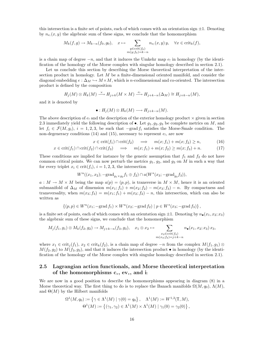this intersection is a finite set of points, each of which comes with an orientation sign  $\pm 1$ . Denoting by  $n_{e_i}(x, y)$  the algebraic sum of these signs, we conclude that the homomorphism

$$
M_k(f,g) \to M_{k-n}(f_0,g_0), \quad x \mapsto \sum_{\substack{y \in \text{crit}(f_0) \\ m(y,f_0)=k-n}} n_{e_1}(x,y) y, \quad \forall x \in \text{crit}_k(f),
$$

is a chain map of degree  $-n$ , and that it induces the Umkehr map  $e_!$  in homology (by the identification of the homology of the Morse complex with singular homology described in section 2.1).

Let us conclude this section by describing the Morse theoretical interpretation of the intersection product in homology. Let  $M$  be a finite-dimensional oriented manifold, and consider the diagonal embedding  $e : \Delta_M \hookrightarrow M \times M$ , which is *n*-codimensional and co-oriented. The intersection product is defined by the composition

$$
H_j(M) \otimes H_k(M) \xrightarrow{\times} H_{j+k}(M \times M) \xrightarrow{e_1} H_{j+k-n}(\Delta_M) \cong H_{j+k-n}(M),
$$

and it is denoted by

$$
\bullet: H_j(M) \otimes H_k(M) \longrightarrow H_{j+k-n}(M).
$$

The above description of  $e_1$  and the description of the exterior homology product  $\times$  given in section 2.3 immediately yield the following description of  $\bullet$ . Let  $q_1, q_2, q_3$  be complete metrics on M, and let  $f_i \in \mathcal{F}(M, g_i)$ ,  $i = 1, 2, 3$ , be such that  $-grad f_i$  satisfies the Morse-Smale condition. The non-degeneracy conditions (14) and (15), necessary to represent  $e_1$ , are now

$$
x \in \text{crit}(f_1) \cap \text{crit}(f_2) \quad \implies \quad m(x; f_1) + m(x; f_2) \ge n,\tag{16}
$$

$$
x \in \text{crit}(f_1) \cap \text{crit}(f_2) \cap \text{crit}(f_3) \quad \implies \quad m(x; f_1) + m(x; f_2) \ge m(x; f_3) + n. \tag{17}
$$

These conditions are implied for instance by the generic assumption that  $f_1$  and  $f_2$  do not have common critical points. We can now perturb the metrics  $g_1$ ,  $g_2$ , and  $g_3$  on M in such a way that for every triplet  $x_i \in crit(f_i)$ ,  $i = 1, 2, 3$ , the intersection

$$
W^u((x_1, x_2); -\text{grad}_{g_1 \times g_2} f_1 \oplus f_2) \cap a(W^s(x_3; -\text{grad}_{g_3} f_3)),
$$

 $a: M \to M \times M$  being the map  $a(p) = (p, p)$ , is transverse in  $M \times M$ , hence it is an oriented submanifold of  $\Delta_M$  of dimension  $m(x_1; f_1) + m(x_2; f_2) - m(x_3; f_3) - n$ . By compactness and transversality, when  $m(x_3; f_3) = m(x_1; f_1) + m(x_2; f_2) - n$ , this intersection, which can also be written as

$$
\left\{(p,p)\in W^u(x_1;\mathop{\rm -grad} f_1)\times W^u(x_2;\mathop{\rm -grad} f_2)\mid p\in W^s(x_3;\mathop{\rm -grad} f_3)\right\},
$$

is a finite set of points, each of which comes with an orientation sign  $\pm 1$ . Denoting by  $n_{\bullet}(x_1, x_2; x_3)$ the algebraic sum of these signs, we conclude that the homomorphism

$$
M_j(f_1, g_1) \otimes M_k(f_2, g_2) \to M_{j+k-n}(f_3, g_3), \quad x_1 \otimes x_2 \mapsto \sum_{\substack{x_3 \in \text{crit}(f_3) \\ m(x_3; f_3) = j+k-n}} n_{\bullet}(x_1, x_2; x_3) x_3,
$$

where  $x_1 \in \text{crit}_j(f_1), x_2 \in \text{crit}_k(f_2)$ , is a chain map of degree  $-n$  from the complex  $M(f_1, g_1) \otimes$  $M(f_2, g_2)$  to  $M(f_3, g_3)$ , and that it induces the intersection product  $\bullet$  in homology (by the identification of the homology of the Morse complex with singular homology described in section 2.1).

#### 2.5 Lagrangian action functionals, and Morse theoretical interpretation of the homomorphisms  $c_*, ev_*,$  and i

We are now in a good position to describe the homomorphisms appearing in diagram (8) in a Morse theoretical way. The first thing to do is to replace the Banach manifolds  $\Omega(M, q_0)$ ,  $\Lambda(M)$ , and  $\Theta(M)$  by the Hilbert manifolds

$$
\Omega^1(M, q_0) := \{ \gamma \in \Lambda^1(M) \mid \gamma(0) = q_0 \}, \quad \Lambda^1(M) := W^{1,2}(\mathbb{T}, M),
$$
  

$$
\Theta^1(M) := \{ (\gamma_1, \gamma_2) \in \Lambda^1(M) \times \Lambda^1(M) \mid \gamma_1(0) = \gamma_2(0) \},
$$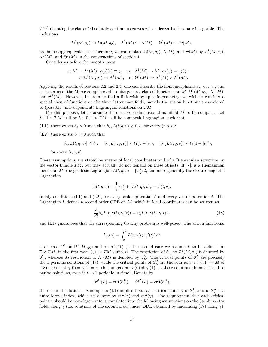$W^{1,2}$  denoting the class of absolutely continuous curves whose derivative is square integrable. The inclusions

$$
\Omega^1(M, q_0) \hookrightarrow \Omega(M, q_0), \quad \Lambda^1(M) \hookrightarrow \Lambda(M), \quad \Theta^1(M) \hookrightarrow \Theta(M),
$$

are homotopy equivalences. Therefore, we can replace  $\Omega(M, q_0)$ ,  $\Lambda(M)$ , and  $\Theta(M)$  by  $\Omega^1(M, q_0)$ ,  $\Lambda^1(M)$ , and  $\Theta^1(M)$  in the constructions of section 1.

Consider as before the smooth maps

$$
c: M \to \Lambda^1(M), \ c(q)(t) \equiv q, \quad \text{ev}: \Lambda^1(M) \to M, \ \text{ev}(\gamma) = \gamma(0),
$$

$$
i: \Omega^1(M, q_0) \hookrightarrow \Lambda^1(M), \quad e: \Theta^1(M) \hookrightarrow \Lambda^1(M) \times \Lambda^1(M).
$$

Applying the results of sections 2.2 and 2.4, one can describe the homomorphisms  $c_*, \text{ev}_*, i_!,$  and e<sub>1</sub>, in terms of the Morse complexes of a quite general class of functions on M,  $\Omega^1(M, q_0)$ ,  $\Lambda^1(M)$ , and  $\Theta^1(M)$ . However, in order to find a link with symplectic geometry, we wish to consider a special class of functions on the three latter manifolds, namely the action functionals associated to (possibly time-dependent) Lagrangian functions on TM.

For this purpose, let us assume the oriented n-dimensional manifold  $M$  to be compact. Let  $L : \mathbb{T} \times TM \to \mathbb{R}$  or  $L : [0,1] \times TM \to \mathbb{R}$  be a smooth Lagrangian, such that

(L1) there exists  $\ell_0 > 0$  such that  $\partial_{vv}L(t, q, v) \geq \ell_0 I$ , for every  $(t, q, v)$ ;

(L2) there exists  $\ell_1 \geq 0$  such that

$$
|\partial_{vv} L(t, q, v)| \le \ell_1, \quad |\partial_{vq} L(t, q, v)| \le \ell_1 (1 + |v|), \quad |\partial_{qq} L(t, q, v)| \le \ell_1 (1 + |v|^2),
$$

for every  $(t, q, v)$ .

These assumptions are stated by means of local coordinates and of a Riemannian structure on the vector bundle  $TM$ , but they actually do not depend on these objects. If  $|\cdot|$  is a Riemannian metric on M, the geodesic Lagrangian  $L(t, q, v) = |v|_q^2/2$ , and more generally the electro-magnetic Lagrangian

$$
L(t,q,v) = \frac{1}{2}|v|_q^2 + \langle A(t,q), v \rangle_q - V(t,q).
$$

satisfy conditions  $(L1)$  and  $(L2)$ , for every scalar potential V and every vector potential A. The Lagrangian  $L$  defines a second order ODE on  $M$ , which in local coordinates can be written as

$$
\frac{d}{dt}\partial_v L(t,\gamma(t),\gamma'(t)) = \partial_q L(t,\gamma(t),\gamma(t)),\tag{18}
$$

and (L1) guarantees that the corresponding Cauchy problem is well-posed. The action functional

$$
\mathcal{S}_L(\gamma) = \int_0^1 L(t, \gamma(t), \gamma'(t)) dt
$$

is of class  $C^2$  on  $\Omega^1(M, q_0)$  and on  $\Lambda^1(M)$  (in the second case we assume L to be defined on  $\mathbb{T} \times TM$ , in the first case  $[0,1] \times TM$  suffices). The restriction of  $\mathbb{S}_L$  to  $\Omega^1(M, q_0)$  is denoted by  $\mathbb{S}_L^{\Omega}$ , whereas its restriction to  $\Lambda^1(M)$  is denoted by  $\mathbb{S}_L^{\Lambda}$ . The critical points of  $\mathbb{S}_L^{\Lambda}$  are precisely the 1-periodic solutions of (18), while the critical points of  $\mathbb{S}_{L}^{\Omega}$  are the solutions  $\gamma : [0,1] \to M$  of (18) such that  $\gamma(0) = \gamma(1) = q_0$  (but in general  $\gamma'(0) \neq \gamma'(1)$ , so these solutions do not extend to period solutions, even if  $L$  is 1-periodic in time). Denote by

$$
\mathscr{P}^{\Omega}(L) = \text{crit}(\mathbb{S}_L^{\Omega}), \quad \mathscr{P}^{\Lambda}(L) = \text{crit}(\mathbb{S}_L^{\Lambda}),
$$

these sets of solutions. Assumption (L1) implies that each critical point  $\gamma$  of  $\mathbb{S}^{\Omega}_L$  and of  $\mathbb{S}^{\Lambda}_L$  has finite Morse index, which we denote by  $m^{\Omega}(\gamma)$  and  $m^{\Lambda}(\gamma)$ . The requirement that each critical point  $\gamma$  should be non-degenerate is translated into the following assumptions on the Jacobi vector fields along  $\gamma$  (i.e. solutions of the second order linear ODE obtained by linearizing (18) along  $\gamma$ ):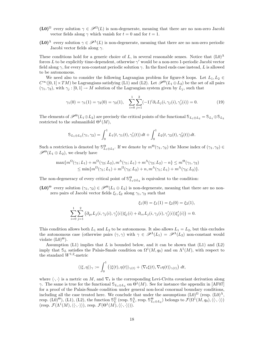- (L0)<sup>Ω</sup> every solution  $\gamma \in \mathcal{P}^{\Omega}(L)$  is non-degenerate, meaning that there are no non-zero Jacobi vector fields along  $\gamma$  which vanish for  $t = 0$  and for  $t = 1$ .
- $(20)^{\Lambda}$  every solution  $\gamma \in \mathcal{P}^{\Lambda}(L)$  is non-degenerate, meaning that there are no non-zero periodic Jacobi vector fields along  $\gamma$ .

These conditions hold for a generic choice of L, in several reasonable senses. Notice that  $(L0)^{\Lambda}$ forces L to be explicitly time-dependent, otherwise  $\gamma'$  would be a non-zero 1-periodic Jacobi vector field along  $\gamma$ , for every non-constant periodic solution  $\gamma$ . In the fixed ends case instead, L is allowed to be autonomous.

We need also to consider the following Lagrangian problem for figure-8 loops. Let  $L_1, L_2 \in$  $C^{\infty}([0,1]\times TM)$  be Lagrangians satisfying (L1) and (L2). Let  $\mathscr{P}^{\Theta}(L_1\oplus L_2)$  be the set of all pairs  $(\gamma_1, \gamma_2)$ , with  $\gamma_j : [0, 1] \to M$  solution of the Lagrangian system given by  $L_j$ , such that

$$
\gamma_1(0) = \gamma_1(1) = \gamma_2(0) = \gamma_2(1), \quad \sum_{i=0}^1 \sum_{j=1}^2 (-1)^i \partial_v L_j(i, \gamma_j(i), \gamma_j'(i)) = 0.
$$
 (19)

The elements of  $\mathscr{P}^{\Theta}(L_1 \oplus L_2)$  are precisely the critical points of the functional  $\mathcal{S}_{L_1 \oplus L_2} = \mathcal{S}_{L_1} \oplus \mathcal{S}_{L_2}$ restricted to the submanifold  $\Theta^1(M)$ ,

$$
\mathbb{S}_{L_1 \oplus L_2}(\gamma_1, \gamma_2) = \int_0^1 L_1(t, \gamma_1(t), \gamma_1'(t)) dt + \int_0^1 L_2(t, \gamma_2(t), \gamma_2'(t)) dt.
$$

Such a restriction is denoted by  $\mathbb{S}_{L_1\oplus L_2}^{\Theta}$ . If we denote by  $m^{\Theta}(\gamma_1, \gamma_2)$  the Morse index of  $(\gamma_1, \gamma_2) \in$  $\mathscr{P}^{\Theta}(L_1 \oplus L_2)$ , we clearly have

$$
\max\{m^{\Omega}(\gamma_1; L_1) + m^{\Omega}(\gamma_2; L_2), m^{\Lambda}(\gamma_1; L_1) + m^{\Lambda}(\gamma_2; L_2) - n\} \le m^{\Theta}(\gamma_1, \gamma_2)
$$
  
 
$$
\le \min\{m^{\Omega}(\gamma_1; L_1) + m^{\Omega}(\gamma_2; L_2) + n, m^{\Lambda}(\gamma_1; L_1) + m^{\Lambda}(\gamma_2; L_2)\}.
$$

The non-degeneracy of every critical point of  $\mathbb{S}_{L_1\oplus L_2}^{\Theta}$  is equivalent to the condition:

 $(\mathbf{L0})^{\Theta}$  every solution  $(\gamma_1, \gamma_2) \in \mathscr{P}^{\Theta}(L_1 \oplus L_2)$  is non-degenerate, meaning that there are no nonzero pairs of Jacobi vector fields  $\xi_1, \xi_2$  along  $\gamma_1, \gamma_2$  such that

$$
\xi_1(0) = \xi_1(1) = \xi_2(0) = \xi_2(1),
$$
  

$$
\sum_{i=0}^{1} \sum_{j=1}^{2} (\partial_{qv} L_j(i, \gamma_j(i), \gamma'_j(i)) \xi_j(i) + \partial_{vv} L_j(i, \gamma_j(i), \gamma'_j(i)) \xi'_j(i)) = 0.
$$

This condition allows both  $L_1$  and  $L_2$  to be autonomous. It also allows  $L_1 = L_2$ , but this excludes the autonomous case (otherwise pairs  $(\gamma, \gamma)$  with  $\gamma \in \mathscr{P}^{\Lambda}(L_1) = \mathscr{P}^{\Lambda}(L_2)$  non-constant would violate  $(L0)^\Theta$ ).

Assumption (L1) implies that L is bounded below, and it can be shown that  $(L1)$  and  $(L2)$ imply that  $\mathcal{S}_L$  satisfies the Palais-Smale condition on  $\Omega^1(M, q_0)$  and on  $\Lambda^1(M)$ , with respect to the standard  $W^{1,2}$ -metric

$$
\langle \langle \xi, \eta \rangle \rangle_{\gamma} := \int_0^1 \left( \langle \xi(t), \eta(t) \rangle_{\gamma(t)} + \langle \nabla_t \xi(t), \nabla_t \eta(t) \rangle_{\gamma(t)} \right) dt,
$$

where  $\langle \cdot, \cdot \rangle$  is a metric on M, and  $\nabla_t$  is the corresponding Levi-Civita covariant derivation along γ. The same is true for the functional  $\mathbb{S}_{L_1 \oplus L_2}$  on  $\Theta^1(M)$ . See for instance the appendix in [AF07] for a proof of the Palais-Smale condition under general non-local conormal boundary conditions, including all the case treated here. We conclude that under the assumptions  $(L0)^{\Omega}$  (resp.  $(L0)^{\Lambda}$ , resp.  $(L0)^{\Theta}$ ,  $(L1)$ ,  $(L2)$ , the function  $\mathbb{S}_{\Omega}^{\Omega}$  (resp.  $\mathbb{S}_{\Omega}^{\Lambda}$ , resp.  $\mathbb{S}_{L_1\oplus L_2}^{\Theta}$ ) belongs to  $\mathcal{F}(\Omega^1(M,q_0), \langle\langle \cdot, \cdot \rangle\rangle)$ (resp.  $\mathcal{F}(\Lambda^1(M), \langle\langle \cdot, \cdot \rangle\rangle),$  resp.  $\mathcal{F}(\Theta^1(M), \langle\langle \cdot, \cdot \rangle\rangle)).$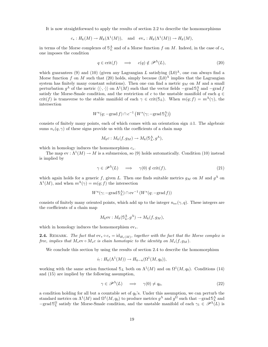It is now straightforward to apply the results of section 2.2 to describe the homomorphisms

$$
c_*: H_k(M) \to H_k(\Lambda^1(M)),
$$
 and  $ev_*: H_k(\Lambda^1(M)) \to H_k(M),$ 

in terms of the Morse complexes of  $\mathbb{S}^{\Lambda}_{L}$  and of a Morse function f on M. Indeed, in the case of  $c_{*}$ one imposes the condition

$$
q \in \text{crit}(f) \quad \implies \quad c(q) \notin \mathcal{P}^{\Lambda}(L), \tag{20}
$$

which guarantees (9) and (10) (given any Lagrangian L satisfying  $(L0)^{\Lambda}$ , one can always find a Morse function f on M such that (20) holds, simply because  $(L0)^{\Lambda}$  implies that the Lagrangian system has finitely many constant solutions). Then one can find a metric  $g_M$  on M and a small perturbation  $g^{\Lambda}$  of the metric  $\langle\langle \cdot, \cdot \rangle\rangle$  on  $\Lambda^1(M)$  such that the vector fields  $-\text{grad } \mathcal{S}_L^{\Lambda}$  and  $-\text{grad } f$ satisfy the Morse-Smale condition, and the restriction of c to the unstable manifold of each  $q \in$ crit(f) is transverse to the stable manifold of each  $\gamma \in \text{crit}(\mathcal{S}_L)$ . When  $m(q; f) = m^{\Lambda}(\gamma)$ , the intersection

$$
W^u(q; -\text{grad } f) \cap c^{-1} \left( W^s(\gamma; -\text{grad } \mathbb{S}_L^{\Lambda}) \right)
$$

consists of finitely many points, each of which comes with an orientation sign  $\pm 1$ . The algebraic sums  $n_c(q, \gamma)$  of these signs provide us with the coefficients of a chain map

$$
M_k c : M_k(f, g_M) \to M_k(\mathbb{S}^{\Lambda}_L, g^{\Lambda}),
$$

which in homology induces the homomorphism  $c_*$ .

The map  $ev: \Lambda^1(M) \to M$  is a submersion, so (9) holds automatically. Condition (10) instead is implied by

$$
\gamma \in \mathcal{P}^{\Lambda}(L) \quad \Longrightarrow \quad \gamma(0) \notin \text{crit}(f), \tag{21}
$$

which again holds for a generic f, given L. Then one finds suitable metrics  $g_M$  on M and  $g^{\Lambda}$  on  $\Lambda^1(M)$ , and when  $m^{\Lambda}(\gamma) = m(q; f)$  the intersection

$$
W^{u}(\gamma; -\text{grad}\, \mathbb{S}_{L}^{\Lambda}) \cap \text{ev}^{-1}\left(W^{s}(q; -\text{grad}\, f)\right)
$$

consists of finitely many oriented points, which add up to the integer  $n_{ev}(\gamma, q)$ . These integers are the coefficients of a chain map

$$
M_k \text{ev}: M_k(\mathbb{S}_L^{\Lambda}, g^{\Lambda}) \to M_k(f, g_M),
$$

which in homology induces the homomorphism  $ev_*$ .

**2.4.** REMARK. The fact that  $ev_* \circ c_* = id_{H_*(M)}$ , together with the fact that the Morse complex is free, implies that  $M_*$ ev ∘  $M_*c$  is chain homotopic to the identity on  $M_*(f, g_M)$ .

We conclude this section by using the results of section 2.4 to describe the homomorphism

$$
i_! : H_k(\Lambda^1(M)) \to H_{k-n}(\Omega^1(M, q_0)),
$$

working with the same action functional  $\mathcal{S}_L$  both on  $\Lambda^1(M)$  and on  $\Omega^1(M, q_0)$ . Conditions (14) and (15) are implied by the following assumption,

$$
\gamma \in \mathscr{P}^{\Lambda}(L) \quad \Longrightarrow \quad \gamma(0) \neq q_0,\tag{22}
$$

a condition holding for all but a countable set of  $q_0$ 's. Under this assumption, we can perturb the standard metrics on  $\Lambda^1(M)$  and  $\Omega^1(M, q_0)$  to produce metrics  $g^{\Lambda}$  and  $g^{\Omega}$  such that  $-\text{grad} \mathcal{S}_{\Lambda}^{\Lambda}$  and  $-\text{grad } \mathcal{S}_L^{\Omega}$  satisfy the Morse-Smale condition, and the unstable manifold of each  $\gamma_1 \in \mathscr{P}^{\Lambda}(L)$  is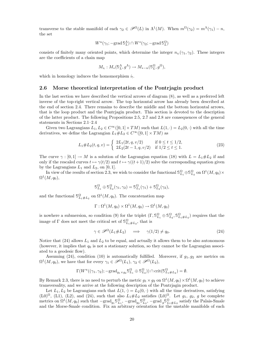transverse to the stable manifold of each  $\gamma_2 \in \mathcal{P}^{\Omega}(L)$  in  $\Lambda^1(M)$ . When  $m^{\Omega}(\gamma_2) = m^{\Lambda}(\gamma_1) - n$ , the set

$$
W^u(\gamma_1; -\text{grad}\, \mathbb{S}_L^{\Lambda}) \cap W^s(\gamma_2; -\text{grad}\, \mathbb{S}_L^{\Omega})
$$

consists of finitely many oriented points, which determine the integer  $n_{i_1}(\gamma_1, \gamma_2)$ . These integers are the coefficients of a chain map

$$
M_{i_!}: M_*(\mathbb{S}_L^{\Lambda}, g^{\Lambda}) \to M_{*-n}(\mathbb{S}_L^{\Omega}, g^{\Omega}),
$$

which in homology induces the homomorphism  $i_!$ .

#### 2.6 Morse theoretical interpretation of the Pontrjagin product

In the last section we have described the vertical arrows of diagram (8), as well as a preferred left inverse of the top-right vertical arrow. The top horizontal arrow has already been described at the end of section 2.4. There remains to describe the middle and the bottom horizontal arrows, that is the loop product and the Pontrjagin product. This section is devoted to the description of the latter product. The following Propositions 2.5, 2.7 and 2.8 are consequences of the general statements in Sections 2.1–2.4

Given two Lagrangians  $L_1, L_2 \in C^\infty([0,1] \times TM)$  such that  $L(1, \cdot) = L_2(0, \cdot)$  with all the time derivatives, we define the Lagrangian  $L_1 \# L_2 \in C^\infty([0,1] \times TM)$  as

$$
L_1 \# L_2(t, q, v) = \begin{cases} 2L_1(2t, q, v/2) & \text{if } 0 \le t \le 1/2, \\ 2L_2(2t - 1, q, v/2) & \text{if } 1/2 \le t \le 1. \end{cases}
$$
(23)

The curve  $\gamma : [0,1] \to M$  is a solution of the Lagrangian equation (18) with  $L = L_1 \# L_2$  if and only if the rescaled curves  $t \mapsto \gamma(t/2)$  and  $t \mapsto \gamma((t+1)/2)$  solve the corresponding equation given by the Lagrangians  $L_1$  and  $L_2$ , on [0, 1].

In view of the results of section 2.3, we wish to consider the functional  $\mathbb{S}_{L_1}^{\Omega} \oplus \mathbb{S}_{L_2}^{\Omega}$  on  $\Omega^1(M, q_0) \times$  $\Omega^1(M, q_0),$ 

$$
\mathbb{S}_{L_1}^{\Omega} \oplus \mathbb{S}_{L_2}^{\Omega}(\gamma_1, \gamma_2) = \mathbb{S}_{L_1}^{\Omega}(\gamma_1) + \mathbb{S}_{L_2}^{\Omega}(\gamma_2),
$$

and the functional  $\mathbb{S}_{L_1 \# L_2}^{\Omega}$  on  $\Omega^1(M, q_0)$ . The concatenation map

$$
\Gamma : \Omega^1(M, q_0) \times \Omega^1(M, q_0) \to \Omega^1(M, q_0)
$$

is nowhere a submersion, so condition (9) for the triplet  $(\Gamma, \mathbb{S}^{\Omega}_{L_1} \oplus \mathbb{S}^{\Omega}_{L_2}, \mathbb{S}^{\Omega}_{L_1 \# L_2})$  requires that the image of  $\Gamma$  does not meet the critical set of  $\mathbb{S}^{\Omega}_{L_1\#L_2}$ , that is

$$
\gamma \in \mathscr{P}^{\Omega}(L_1 \# L_2) \quad \implies \quad \gamma(1/2) \neq q_0. \tag{24}
$$

Notice that (24) allows  $L_1$  and  $L_2$  to be equal, and actually it allows them to be also autonomous (however, it implies that  $q_0$  is not a stationary solution, so they cannot be the Lagrangian associated to a geodesic flow).

Assuming (24), condition (10) is automatically fulfilled. Moreover, if  $g_1, g_2$  are metrics on  $\Omega^1(M, q_0)$ , we have that for every  $\gamma_1 \in \mathscr{P}^{\Omega}(L_1)$ ,  $\gamma_2 \in \mathscr{P}^{\Omega}(L_2)$ ,

$$
\Gamma(W^u((\gamma_1, \gamma_2); -\text{grad}_{g_1 \times g_2} \mathbb{S}_{L_1}^{\Omega} \oplus \mathbb{S}_{L_2}^{\Omega}) ) \cap \text{crit}(\mathbb{S}_{L_1 \# L_2}^{\Omega}) = \emptyset.
$$

By Remark 2.3, there is no need to perturb the metric  $g_1 \times g_2$  on  $\Omega^1(M, q_0) \times \Omega^1(M, q_0)$  to achieve transversality, and we arrive at the following description of the Pontrjagin product.

Let  $L_1, L_2$  be Lagrangians such that  $L(1, \cdot) = L_2(0, \cdot)$  with all the time derivatives, satisfying (L0)<sup>Ω</sup>, (L1), (L2), and (24), such that also  $L_1 \# L_2$  satisfies (L0)<sup>Ω</sup>. Let  $g_1, g_2, g$  be complete metrics on  $\Omega^1(M, q_0)$  such that  $-\text{grad}_{g_1} \mathbb{S}^{\Omega}_{L_1}$ ,  $-\text{grad}_{g_2} \mathbb{S}^{\Omega}_{L_2}$ ,  $-\text{grad}_{g} \mathbb{S}^{\Omega}_{L_1 \# L_2}$  satisfy the Palais-Smale and the Morse-Smale condition. Fix an arbitrary orientation for the unstable manifolds of each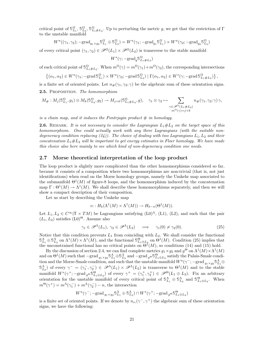critical point of  $\mathbb{S}_{L_1}^{\Omega}$ ,  $\mathbb{S}_{L_2}^{\Omega}$ ,  $\mathbb{S}_{L_1\#L_2}^{\Omega}$ . Up to perturbing the metric g, we get that the restriction of  $\Gamma$ to the unstable manifold

$$
W^u((\gamma_1, \gamma_2); -\text{grad}_{g_1 \times g_2} \mathbb{S}_{L_1}^{\Omega} \oplus \mathbb{S}_{L_2}^{\Omega}) = W^u(\gamma_1; -\text{grad}_{g_1} \mathbb{S}_{L_1}^{\Omega}) \times W^u(\gamma_2; -\text{grad}_{g_2} \mathbb{S}_{L_2}^{\Omega})
$$

of every critical point  $(\gamma_1, \gamma_2) \in \mathcal{P}^{\Omega}(L_1) \times \mathcal{P}^{\Omega}(L_2)$  is transverse to the stable manifold

$$
W^s(\gamma; -\text{grad}_g \mathbb{S}^{\Omega}_{L_1 \# L_2})
$$

of each critical point of  $\mathbb{S}^{\Omega}_{L_1\# L_2}$ . When  $m^{\Omega}(\gamma) = m^{\Omega}(\gamma_1) + m^{\Omega}(\gamma_2)$ , the corresponding intersections

$$
((\alpha_1, \alpha_2) \in W^u(\gamma_1; -\text{grad}\, \mathbb{S}^{\Omega}_{L_1}) \times W^u(\gamma_2; -\text{grad}\, \mathbb{S}^{\Omega}_{L_2}) \mid \Gamma(\alpha_1, \alpha_2) \in W^s(\gamma; -\text{grad}\, \mathbb{S}^{\Omega}_{L_1 \# L_2})\},
$$

is a finite set of oriented points. Let  $n_{\#}(\gamma_1, \gamma_2; \gamma)$  be the algebraic sum of these orientation signs. 2.5. PROPOSITION. The homomorphism

$$
M_{\#}: M_j(\mathbb{S}_{L_1}^{\Omega}, g_1) \otimes M_k(\mathbb{S}_{L_2}^{\Omega}, g_2) \to M_{j+k}(\mathbb{S}_{L_1\#L_2}^{\Omega}, g), \quad \gamma_1 \otimes \gamma_2 \mapsto \sum_{\substack{\gamma \in \mathscr{P}^{\Omega}(L_1\#L_2) \\ m^{\Omega}(\gamma)=j+k}} n_{\#}(\gamma_1, \gamma_2; \gamma) \gamma,
$$

is a chain map, and it induces the Pontrjagin product  $#$  in homology.

**2.6.** REMARK. It is not necessary to consider the Lagrangian  $L_1 \# L_2$  on the target space of this homomorphism. One could actually work with any three Lagrangians (with the suitable nondegeneracy condition replacing  $(24)$ ). The choice of dealing with two Lagrangians  $L_1, L_2$  and their concatenation  $L_1 \# L_2$  will be important to get energy estimates in Floer homology. We have made this choice also here mainly to see which kind of non-degeneracy condition one needs.

#### 2.7 Morse theoretical interpretation of the loop product

The loop product is slightly more complicated than the other homomorphisms considered so far, because it consists of a composition where two homomorphisms are non-trivial (that is, not just identifications) when read on the Morse homology groups, namely the Umkehr map associated to the submanifold  $\Theta^1(M)$  of figure-8 loops, and the homomorphism induced by the concatenation map  $\Gamma: \Theta^1(M) \to \Lambda^1(M)$ . We shall describe these homomorphisms separately, and then we will show a compact description of their composition.

Let us start by describing the Umkehr map

∤

$$
e_! : H_k(\Lambda^1(M) \times \Lambda^1(M)) \to H_{k-n}(\Theta^1(M)).
$$

Let  $L_1, L_2 \in C^{\infty}(\mathbb{T} \times TM)$  be Lagrangians satisfying  $(L0)^{\Lambda}$ ,  $(L1)$ ,  $(L2)$ , and such that the pair  $(L_1, L_2)$  satisfies  $(L_0)^\Theta$ . Assume also

$$
\gamma_1 \in \mathcal{P}^{\Lambda}(L_1), \ \gamma_2 \in \mathcal{P}^{\Lambda}(L_2) \quad \Longrightarrow \quad \gamma_1(0) \neq \gamma_2(0). \tag{25}
$$

Notice that this condition prevents  $L_1$  from coinciding with  $L_2$ . We shall consider the functional  $\mathbb{S}_{L_1\oplus L_2}^{\Lambda}$  on  $\Lambda^1(M)\times \Lambda^1(M)$ , and the functional  $\mathbb{S}_{L_1\oplus L_2}^{\Theta}$  on  $\Theta^1(M)$ . Condition (25) implies that the unconstrained functional has no critical points on  $\Theta^{\text{I}}(M)$ , so conditions (14) and (15) hold.

By the discussion of section 2.4, we can find complete metrics  $g_1 \times g_2$  and  $g^{\Theta}$  on  $\Lambda^1(M) \times \Lambda^1(M)$ and on  $\Theta^1(M)$  such that  $-\text{grad}_{g_1\times g_2} \mathbb{S}_{L_1}^{\Lambda} \oplus \mathbb{S}_{L_2}^{\Lambda}$  and  $-\text{grad}_{g} \Theta \mathbb{S}_{L_1\oplus L_2}^{\Theta}$  satisfy the Palais-Smale condition and the Morse-Smale condition, and such that the unstable manifold  $W^u(\gamma^-; -\text{grad }_{g_1\times g_2} \mathbb{S}^{\Lambda}_{L_1}\oplus$  $\mathbb{S}_{L_2}^{\Lambda}$  of every  $\gamma^- = (\gamma_1^-,\gamma_2^-) \in \mathscr{P}^{\Lambda}(L_1) \times \mathscr{P}^{\Lambda}(L_2)$  is transverse to  $\Theta^1(M)$  and to the stable manifold  $W^s(\gamma^+; -\text{grad}_{g^{\Theta}} \mathbb{S}^{\Theta}_{L_1 \oplus L_2})$  of every  $\gamma^+ = (\gamma_1^+, \gamma_2^+) \in \mathscr{P}^{\Theta}(L_1 \oplus L_2)$ . Fix an arbitrary orientation for the unstable manifold of every critical point of  $\mathbb{S}_{L_1}^{\Lambda} \oplus \mathbb{S}_{L_2}^{\Lambda}$  and  $\mathbb{S}_{L_1 \oplus L_2}^{\Theta}$ . When  $m^{\Theta}(\gamma^+) = m^{\Lambda}(\gamma_1^-) + m^{\Lambda}(\gamma_2^-) - n$ , the intersection

$$
W^{u}(\gamma^-;-\text{grad}_{g_1\times g_2} \mathbb{S}^{\Lambda}_{L_1}\oplus \mathbb{S}^{\Lambda}_{L_2})\cap W^{s}(\gamma^+;-\text{grad}_{g}\Theta \mathbb{S}^{\Theta}_{L_1\oplus L_2})
$$

is a finite set of oriented points. If we denote by  $n_{e_1}(\gamma^-, \gamma^+)$  the algebraic sum of these orientation signs, we have the following: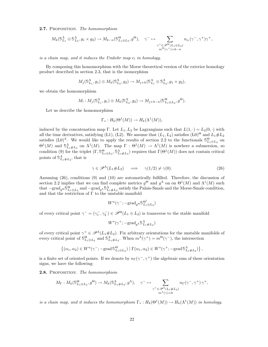2.7. PROPOSITION. The homomorphism

$$
M_k(\mathbb{S}_{L_1}^{\Lambda} \oplus \mathbb{S}_{L_2}^{\Lambda}, g_1 \times g_2) \to M_{k-n}(\mathbb{S}_{L_1 \oplus L_2}^{\Theta}, g^{\Theta}), \quad \gamma^- \mapsto \sum_{\substack{\gamma^+ \in \mathscr{P}^{\Theta}(L_1 \oplus L_2) \\ m^{\Theta}(\gamma^+) = k-n}} n_{e_1}(\gamma^-, \gamma^+) \gamma^+,
$$

is a chain map, and it induces the Umkehr map  $e_1$  in homology.

By composing this homomorphism with the Morse theoretical version of the exterior homology product described in section 2.3, that is the isomorphism

$$
M_j(\mathbb{S}_{L_1}^{\Lambda}, g_1) \otimes M_h(\mathbb{S}_{L_2}^{\Lambda}, g_2) \to M_{j+h}(\mathbb{S}_{L_1}^{\Lambda} \oplus \mathbb{S}_{L_2}^{\Lambda}, g_1 \times g_2),
$$

we obtain the homomorphism

$$
M_! : M_j(\mathbb{S}^{\Lambda}_{L_1}, g_1) \otimes M_h(\mathbb{S}^{\Lambda}_{L_2}, g_2) \to M_{j+h-n}(\mathbb{S}^{\Theta}_{L_1 \oplus L_2}, g^{\Theta}).
$$

Let us describe the homomorphism

$$
\Gamma_*: H_k(\Theta^1(M)) \to H_k(\Lambda^1(M)),
$$

induced by the concatenation map Γ. Let  $L_1, L_2$  be Lagrangians such that  $L(1, \cdot) = L_2(0, \cdot)$  with all the time derivatives, satisfying (L1), (L2). We assume that  $(L_1, L_2)$  satisfies  $(L_0)^{\Theta}$  and  $L_1 \# L_2$ satisfies  $(L0)^{\Lambda}$ . We would like to apply the results of section 2.2 to the functionals  $\mathcal{S}^{\Theta}_{L_1 \oplus L_2}$  on Satisfies (L0). We would like to apply the results of section 2.2 to the functionals  $\cup_{L_1\oplus L_2}$  on  $\Theta^1(M)$ . The map  $\Gamma : \Theta^1(M) \to \Lambda^1(M)$  is nowhere a submersion, so condition (9) for the triplet  $(\Gamma, \mathbb{S}_{L_1\oplus L_2}^{\Theta}, \mathbb{S}_{L_1\#L_2}^{\Lambda})$  requires that  $\Gamma(\Theta^1(M))$  does not contain critical points of  $\mathbb{S}^{\Lambda}_{L_1\# L_2}$ , that is

$$
\gamma \in \mathcal{P}^{\Lambda}(L_1 \# L_2) \quad \implies \quad \gamma(1/2) \neq \gamma(0). \tag{26}
$$

Assuming (26), conditions (9) and (10) are automatically fulfilled. Therefore, the discussion of section 2.2 implies that we can find complete metrics  $g^{\Theta}$  and  $g^{\Lambda}$  on on  $\Theta^1(M)$  and  $\Lambda^1(M)$  such that  $-\text{grad}_{g} \Theta \mathcal{S}_{L_1\oplus L_2}^{\Theta}$  and  $-\text{grad}_{g^{\Lambda}} \mathcal{S}_{L_1\# L_2}^{\Lambda}$  satisfy the Palais-Smale and the Morse-Smale condition, and that the restriction of  $\Gamma$  to the unstable manifold

$$
W^u(\gamma^-;-{\rm grad}_{g^{\Theta}}\mathbb{S}^{\Theta^1}_{L_1\oplus L_2})
$$

of every critical point  $\gamma^- = (\gamma_1^-,\gamma_2^-) \in \mathscr{P}^{\Theta}(L_1 \oplus L_2)$  is transverse to the stable manifold

$$
W^s(\gamma^+; -\text{grad}_{g^{\Lambda}}\mathbb{S}^{\Lambda}_{L_1\#L_2})
$$

of every critical point  $\gamma^+ \in \mathscr{P}^{\Lambda}(L_1 \# L_2)$ . Fix arbitrary orientations for the unstable manifolds of every critical point of  $\mathbb{S}_{L_1\oplus L_2}^{\mathcal{O}}$  and  $\mathbb{S}_{L_1\#L_2}^{\Lambda}$ . When  $m^{\Lambda}(\gamma^+) = m^{\Theta}(\gamma^-)$ , the intersection

$$
\left\{(\alpha_1,\alpha_2)\in W^u(\gamma^-;-\text{grad}\,S_{L_1\oplus L_2}^{\Theta})\mid \Gamma(\alpha_1,\alpha_2)\in W^s(\gamma^+;-\text{grad}\,S_{L_1\#L_2}^{\Lambda})\right\},\
$$

is a finite set of oriented points. If we denote by  $n_{\Gamma}(\gamma^-, \gamma^+)$  the algebraic sum of these orientation signs, we have the following:

2.8. PROPOSITION. The homomorphism

$$
M_{\Gamma}: M_{k}(\mathbb{S}_{L_{1}\oplus L_{2}}^{\Theta}, g^{\Theta})\to M_{k}(\mathbb{S}_{L_{1}\#L_{2}}^{\Lambda}, g^{\Lambda}), \quad \gamma^{-}\mapsto \sum_{\substack{\gamma^{+}\in\mathscr{P}^{\Lambda}(L_{1}\#L_{2})\\m^{\Lambda}(\gamma)=k}} n_{\Gamma}(\gamma^{-}, \gamma^{+})\gamma^{+},
$$

is a chain map, and it induces the homomorphism  $\Gamma_*: H_k(\Theta^1(M)) \to H_k(\Lambda^1(M))$  in homology.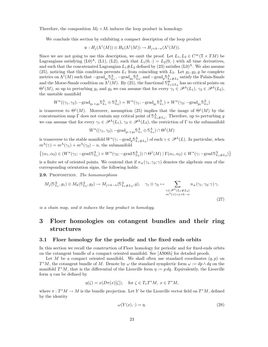Therefore, the composition  $M_{\Gamma} \circ M_!$  induces the loop product in homology.

We conclude this section by exhibiting a compact description of the loop product

 $\varphi: H_j(\Lambda^1(M)) \otimes H_k(\Lambda^1(M)) \to H_{j+k-n}(\Lambda^1(M)).$ 

Since we are not going to use this description, we omit the proof. Let  $L_1, L_2 \in C^{\infty}(\mathbb{T} \times TM)$  be Lagrangians satisfying  $(L0)^{\Lambda}$ ,  $(L1)$ ,  $(L2)$ , such that  $L_1(0, \cdot) = L_2(0, \cdot)$  with all time derivatives, and such that the concatenated Lagrangian  $L_1 \# L_2$  defined by (23) satisfies  $(L_0)^{\Lambda}$ . We also assume (25), noticing that this condition prevents  $L_1$  from coinciding with  $L_2$ . Let  $g_1, g_2, g$  be complete metrics on  $\Lambda^1(M)$  such that  $-\text{grad}_{g_1} \mathbb{S}_{L_1}^{\Lambda}$ ,  $-\text{grad}_{g_2} \mathbb{S}_{L_2}^{\Lambda}$ , and  $-\text{grad}_g \mathbb{S}_{L_1\#L_2}^{\Lambda}$  satisfy the Palais-Smale and the Morse-Smale condition on  $\Lambda^1(M)$ . By (25), the functional  $\mathbb{S}_{L_1\oplus L_2}^{\Theta}$  has no critical points on  $\Theta^1(M)$ , so up to perturbing  $g_1$  and  $g_2$  we can assume that for every  $\gamma_1 \in \mathscr{P}^{\Lambda}(L_1)$ ,  $\gamma_2 \in \mathscr{P}^{\Lambda}(L_2)$ , the unstable manifold

$$
W^u((\gamma_1, \gamma_2); -\text{grad}_{g_1 \times g_2} \mathbb{S}_{L_1}^{\Lambda} \oplus \mathbb{S}_{L_2}^{\Lambda}) = W^u(\gamma_1; -\text{grad}_{g_1} \mathbb{S}_{L_1}^{\Lambda}) \times W^u(\gamma_2; -\text{grad}_{g_2} \mathbb{S}_{L_2}^{\Lambda})
$$

is transverse to  $\Theta^1(M)$ . Moreover, assumption (25) implies that the image of  $\Theta^1(M)$  by the concatenation map  $\Gamma$  does not contain any critical point of  $\mathbb{S}^{\Lambda}_{L_1 \# L_2}$ . Therefore, up to perturbing g we can assume that for every  $\gamma_1 \in \mathscr{P}^{\Lambda}(L_1), \gamma_2 \in \mathscr{P}^{\Lambda}(L_2)$ , the restriction of  $\Gamma$  to the submanifold

$$
W^u((\gamma_1, \gamma_2); -\text{grad}_{g_1 \times g_2} \mathbb{S}_{L_1}^{\Lambda} \oplus \mathbb{S}_{L_2}^{\Lambda}) \cap \Theta^1(M)
$$

is transverse to the stable manifold  $W^s(\gamma; -\text{grad}_g \mathbb{S}^{\Lambda}_{L_1 \# L_2})$  of each  $\gamma \in \mathscr{P}^{\Lambda}(L)$ . In particular, when  $m^{\Lambda}(\gamma) = m^{\Lambda}(\gamma_1) + m^{\Lambda}(\gamma_2) - n$ , the submanifold

$$
\{(\alpha_1, \alpha_2) \in (W^u(\gamma_1; -\text{grad } \mathbb{S}_{L_1}^{\Lambda}) \times W^u(\gamma_2; -\text{grad } \mathbb{S}_{L_2}^{\Lambda})) \cap \Theta^1(M) \mid \Gamma(\alpha_1, \alpha_2) \in W^s(\gamma; -\text{grad } \mathbb{S}_{L_1 \# L_2}^{\Lambda})\}
$$

is a finite set of oriented points. We contend that if  $n_0(\gamma_1, \gamma_2; \gamma)$  denotes the algebraic sum of the corresponding orientation signs, the following holds:

2.9. PROPOSITION. The homomorphism

$$
M_j(\mathbb{S}_{L_1}^{\Lambda}, g_1) \otimes M_k(\mathbb{S}_{L_2}^{\Lambda}, g_2) \to M_{j+k-n}(\mathbb{S}_{L_1 \# L_2}^{\Lambda}, g), \quad \gamma_1 \otimes \gamma_2 \mapsto \sum_{\substack{\gamma \in \mathscr{P}^{\Lambda}(L_1 \# L_2) \\ m^{\Lambda}(\gamma) = j+k-n}} n_{\mathfrak{0}}(\gamma_1, \gamma_2; \gamma) \gamma,
$$
\n(27)

is a chain map, and it induces the loop product in homology.

## 3 Floer homologies on cotangent bundles and their ring structures

#### 3.1 Floer homology for the periodic and the fixed ends orbits

In this section we recall the construction of Floer homology for periodic and for fixed-ends orbits on the cotangent bundle of a compact oriented manifold. See [AS06b] for detailed proofs.

Let M be a compact oriented manifold. We shall often use standard coordinates  $(q, p)$  on  $T^*M$ , the cotangent bundle of M. Denote by  $\omega$  the standard symplectic form  $\omega := dp \wedge dq$  on the manifold  $T^*M$ , that is the differential of the Liouville form  $\eta := pdq$ . Equivalently, the Liouville form  $\eta$  can be defined by

$$
\eta(\zeta) = x(D\pi(x)[\zeta]), \quad \text{for } \zeta \in T_xT^*M, \ x \in T^*M,
$$

where  $\pi: T^*M \to M$  is the bundle projection. Let Y be the Liouville vector field on  $T^*M$ , defined by the identity

$$
\omega(Y(x), \cdot) = \eta. \tag{28}
$$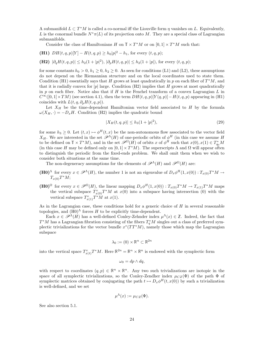A submanifold  $L \subset T^*M$  is called a co-normal iff the Liouville form  $\eta$  vanishes on L. Equivalently, L is the conormal bundle  $N^*\pi(L)$  of its projection onto M. They are a special class of Lagrangian submanifolds.

Consider the class of Hamiltonians  $H$  on  $\mathbb{T} \times T^*M$  or on  $[0,1] \times T^*M$  such that:

(H1) 
$$
DH(t, q, p)[Y] - H(t, q, p) \ge h_0 |p|^2 - h_1
$$
, for every  $(t, q, p)$ ;

(H2) 
$$
|\partial_q H(t, q, p)| \le h_2(1+|p|^2), |\partial_p H(t, q, p)| \le h_2(1+|p|)
$$
, for every  $(t, q, p)$ ;

for some constants  $h_0 > 0$ ,  $h_1 \geq 0$ ,  $h_2 \geq 0$ . As seen for conditions (L1) and (L2), these assumptions do not depend on the Riemannian structure and on the local coordinates used to state them. Condition (H1) essentially says that H grows at least quadratically in p on each fiber of  $T^*M$ , and that it is radially convex for |p| large. Condition (H2) implies that H grows at most quadratically in p on each fiber. Notice also that if  $H$  is the Fenchel transform of a convex Lagrangian  $L$  in  $C^{\infty}([0,1]\times TM)$  (see section 4.1), then the term  $DH(t, q, p)[Y(q, p)] - H(t, q, p)$  appearing in (H1) coincides with  $L(t, q, \partial_p H(t, q, p))$ .

Let  $X_H$  be the time-dependent Hamiltonian vector field associated to H by the formula  $\omega(X_H, \cdot) = -D_xH$ . Condition (H2) implies the quadratic bound

$$
|X_H(t,q,p)| \le h_3(1+|p|^2),\tag{29}
$$

for some  $h_3 \geq 0$ . Let  $(t, x) \mapsto \phi^H(t, x)$  be the non-autonomous flow associated to the vector field  $X_H$ . We are interested in the set  $\mathscr{P}^{\Lambda}(H)$  of one-periodic orbits of  $\phi^H$  (in this case we assume H to be defined on  $\mathbb{T} \times T^*M$ , and in the set  $\mathscr{P}^{\Omega}(H)$  of orbits x of  $\phi^H$  such that  $x(0), x(1) \in T^*_{q_0}M$ (in this case H may be defined only on  $[0,1] \times T^*M$ ). The superscripts  $\Lambda$  and  $\Omega$  will appear often to distinguish the periodic from the fixed-ends problem. We shall omit them when we wish to consider both situations at the same time.

The non-degeneracy assumptions for the elements of  $\mathscr{P}^{\Lambda}(H)$  and  $\mathscr{P}^{\Omega}(H)$  are:

- $(\mathbf{H0})^{\Lambda}$  for every  $x \in \mathscr{P}^{\Lambda}(H)$ , the number 1 is not an eigenvalue of  $D_x \phi^H(1,x(0))$ :  $T_{x(0)}T^*M \to$  $T_{x(0)}T^*M;$
- (H0)<sup>Ω</sup> for every  $x \in \mathscr{P}^{\Omega}(H)$ , the linear mapping  $D_x \phi^H(1, x(0)) : T_{x(0)}T^*M \to T_{x(1)}T^*M$  maps the vertical subspace  $T_{x(0)}^v T^*M$  at  $x(0)$  into a subspace having intersection (0) with the vertical subspace  $T_{x(1)}^v T^* \dot{M}$  at  $x(1)$ .

As in the Lagrangian case, these conditions hold for a generic choice of  $H$  in several reasonable topologies, and  $(H0)^{\Lambda}$  forces H to be explicitly time-dependent.

Each  $x \in \mathscr{P}^{\Lambda}(H)$  has a well-defined Conley-Zehnder index  $\mu^{\Lambda}(x) \in \mathbb{Z}$ . Indeed, the fact that  $T^*M$  has a Lagrangian fibration consisting of the fibers  $T_q^*M$  singles out a class of preferred symplectic trivializations for the vector bundle  $x^*(TT^*M)$ , namely those which map the Lagrangian subspace

$$
\lambda_0 := (0) \times \mathbb{R}^n \subset \mathbb{R}^{2n}
$$

into the vertical space  $T_{x(t)}^v T^*M$ . Here  $\mathbb{R}^{2n} = \mathbb{R}^n \times \mathbb{R}^n$  is endowed with the symplectic form

$$
\omega_0 = dp \wedge dq,
$$

with respect to coordinates  $(q, p) \in \mathbb{R}^n \times \mathbb{R}^n$ . Any two such trivializations are isotopic in the space of all symplectic trivializations, so the Conley-Zendher index  $\mu_{CZ}(\Phi)$  of the path  $\Phi$  of symplectic matrices obtained by conjugating the path  $t \mapsto D_x \phi^H(t, x(0))$  by such a trivialization is well-defined, and we set

$$
\mu^{\Lambda}(x) := \mu_{CZ}(\Phi).
$$

See also section 5.1.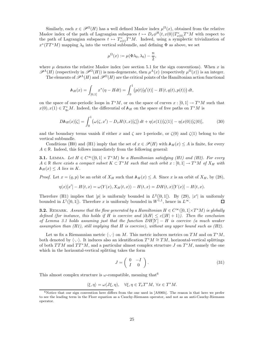Similarly, each  $x \in \mathcal{P}^{\Omega}(H)$  has a well defined Maslov index  $\mu^{\Omega}(x)$ , obtained from the relative Maslov index of the path of Lagrangian subspaces  $t \mapsto D_x \phi^H(t, x(0)) T_{x(0)}^v T^*M$  with respect to the path of Lagrangian subspaces  $t \mapsto T_{x(t)}^v T^*M$ . Indeed, using a symplectic trivialization of  $x^*(TT^*M)$  mapping  $\lambda_0$  into the vertical subbundle, and defining  $\Phi$  as above, we set

$$
\mu^{\Omega}(x) := \mu(\Phi\lambda_0, \lambda_0) - \frac{n}{2},
$$

where  $\mu$  denotes the relative Maslov index (see section 5.1 for the sign conventions). When x in  $\mathscr{P}^{\Lambda}(H)$  (respectively in  $\mathscr{P}^{\Omega}(H)$ ) is non-degenerate, then  $\mu^{\Lambda}(x)$  (respectively  $\mu^{\Omega}(x)$ ) is an integer.

The elements of  $\mathscr{P}^{\Lambda}(H)$  and  $\mathscr{P}^{\Omega}(H)$  are the critical points of the Hamiltonian action functional

$$
\mathbb{A}_H(x) = \int_{[0,1]} x^*(\eta - H dt) = \int_0^1 (p(t)[q'(t)] - H(t, q(t), p(t))) dt,
$$

on the space of one-periodic loops in  $T^*M$ , or on the space of curves  $x:[0,1] \to T^*M$  such that  $x(0), x(1) \in T_{q_0}^* M$ . Indeed, the differential of  $\mathbb{A}_H$  on the space of free paths on  $T^*M$  is

$$
D\mathbb{A}_H(x)[\zeta] = \int_0^1 \left( \omega(\zeta, x') - D_x H(t, x)[\zeta] \right) dt + \eta(x(1))[\zeta(1)] - \eta(x(0))[\zeta(0)],\tag{30}
$$

and the boundary terms vanish if either x and  $\zeta$  are 1-periodic, or  $\zeta(0)$  and  $\zeta(1)$  belong to the vertical subbundle.

Conditions (H0) and (H1) imply that the set of  $x \in \mathcal{P}(H)$  with  $\mathbb{A}_H(x) \leq A$  is finite, for every  $A \in \mathbb{R}$ . Indeed, this follows immediately from the following general:

**3.1.** LEMMA. Let  $H \in C^{\infty}([0,1] \times T^*M)$  be a Hamiltonian satisfying (H1) and (H2). For every  $A \in \mathbb{R}$  there exists a compact subset  $K \subset T^*M$  such that each orbit  $x : [0,1] \to T^*M$  of  $X_H$  with  $\mathbb{A}_H(x) \leq A$  lies in K.

*Proof.* Let  $x = (q, p)$  be an orbit of  $X_H$  such that  $\mathbb{A}_H(x) \leq A$ . Since x is an orbit of  $X_H$ , by (28),

$$
\eta(x)[x'] - H(t,x) = \omega(Y(x), X_H(t,x)) - H(t,x) = DH(t,x)[Y(x)] - H(t,x).
$$

Therefore (H1) implies that |p| is uniformly bounded in  $L^2([0,1])$ . By (29), |x'| in uniformly bounded in  $L^1(]0,1[)$ . Therefore x is uniformly bounded in  $W^{1,1}$ , hence in  $L^\infty$ .

**3.2.** REMARK. Assume that the flow generated by a Hamiltonian  $H \in C^{\infty}([0,1] \times T^*M)$  is globally defined (for instance, this holds if H is coercive and  $|\partial_t H| \le c(|H|+1)$ ). Then the conclusion of Lemma 3.1 holds assuming just that the function  $DH[Y] - H$  is coercive (a much weaker assumption than  $(H1)$ , still implying that H is coercive), without any upper bound such as  $(H2)$ .

Let us fix a Riemannian metric  $\langle \cdot, \cdot \rangle$  on M. This metric induces metrics on TM and on  $T^*M$ , both denoted by  $\langle \cdot, \cdot \rangle$ . It induces also an identification  $T^*M \cong TM$ , horizontal-vertical splittings of both  $TTM$  and  $TT^*M$ , and a particular almost complex structure J on  $T^*M$ , namely the one which in the horizontal-vertical splitting takes the form

$$
J = \left(\begin{array}{cc} 0 & -I \\ I & 0 \end{array}\right). \tag{31}
$$

This almost complex structure is  $\omega$ -compatible, meaning that<sup>6</sup>

$$
\langle \xi, \eta \rangle = \omega(J\xi, \eta), \quad \forall \xi, \eta \in T_x T^*M, \ \forall x \in T^*M.
$$

 $6$ Notice that our sign convention here differs from the one used in [AS06b]. The reason is that here we prefer to see the leading term in the Floer equation as a Cauchy-Riemann operator, and not as an anti-Cauchy-Riemann operator.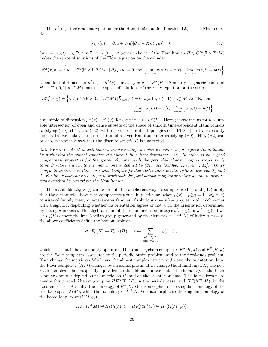The  $L^2$ -negative gradient equation for the Hamiltonian action functional  $A_H$  is the Floer equation

$$
\overline{\partial}_{J,H}(u) := \partial_s u + J(u)[\partial_t u - X_H(t, u)] = 0,\tag{32}
$$

for  $u = u(s, t)$ ,  $s \in \mathbb{R}$ , t in  $\mathbb{T}$  or in [0, 1]. A generic choice of the Hamiltonian  $H \in C^{\infty}(\mathbb{T} \times T^*M)$ makes the space of solutions of the Floer equation on the cylinder,

$$
\mathcal{M}_{\partial}^{\Lambda}(x,y) = \left\{ u \in C^{\infty}(\mathbb{R} \times \mathbb{T}, T^*M) \mid \overline{\partial}_{J,H}(u) = 0 \text{ and } \lim_{s \to -\infty} u(s,t) = x(t), \lim_{s \to +\infty} u(s,t) = y(t) \right\}
$$

a manifold of dimension  $\mu^{\Lambda}(x) - \mu^{\Lambda}(y)$ , for every  $x, y \in \mathscr{P}^{\Lambda}(H)$ . Similarly, a generic choice of  $H \in C^{\infty}([0,1] \times T^*M)$  makes the space of solutions of the Floer equation on the strip,

$$
\mathscr{M}^{\Omega}_{\partial}(x,y) = \left\{ u \in C^{\infty}(\mathbb{R} \times [0,1], T^*M) \, | \, \overline{\partial}_{J,H}(u) = 0, \, u(s,0), \, u(s,1) \in T^*_{q_0}M \, \forall s \in \mathbb{R}, \text{ and }
$$

$$
\lim_{s \to -\infty} u(s,t) = x(t), \, \lim_{s \to +\infty} u(s,t) = y(t) \right\}
$$

a manifold of dimension  $\mu^{\Omega}(x) - \mu^{\Omega}(y)$ , for every  $x, y \in \mathscr{P}^{\Omega}(H)$ . Here *generic* means for a countable intersection of open and dense subsets of the space of smooth time-dependent Hamiltonians satisfying (H0), (H1), and (H2), with respect to suitable topologies (see [FHS96] for transversality issues). In particular, the perturbation of a given Hamiltonian H satisfying  $(H0)$ ,  $(H1)$ ,  $(H2)$  can be chosen in such a way that the discrete set  $\mathscr{P}(H)$  is unaffected.

**3.3.** REMARK. As it is well-known, transversality can also be achieved for a fixed Hamiltonian by perturbing the almost complex structure J in a time-dependent way. In order to have good compactness properties for the spaces  $\mathcal{M}_{\partial}$  one needs the perturbed almost complex structure  $J_1$ to be  $C^0$ -close enough to the metric one J defined by (31) (see [AS06b, Theorem 1.14]). Other compactness issues in this paper would impose further restrictions on the distance between  $J_1$  and J. For this reason here we prefer to work with the fixed almost complex structure J, and to achieve transversality by perturbing the Hamiltonian.

The manifolds  $\mathcal{M}_{\partial}(x, y)$  can be oriented in a coherent way. Assumptions (H1) and (H2) imply that these manifolds have nice compactifications. In particular, when  $\mu(x) - \mu(y) = 1$ ,  $\mathscr{M}_{\partial}(x, y)$ consists of finitely many one-parameter families of solutions  $\sigma \mapsto u(\cdot + \sigma, \cdot)$ , each of which comes with a sign  $\pm 1$ , depending whether its orientation agrees or not with the orientation determined by letting  $\sigma$  increase. The algebraic sum of these numbers is an integer  $n_{\partial}^{\Lambda}(x, y)$ , or  $n_{\partial}^{\Omega}(x, y)$ . If we let  $F_k(H)$  denote the free Abelian group generated by the elements  $x \in \mathcal{P}(H)$  of index  $\mu(x) = k$ , the above coefficients define the homomorphism

$$
\partial: F_k(H) \to F_{k-1}(H), \quad x \mapsto \sum_{\substack{y \in \mathscr{P}(H) \\ \mu(x)=k-1}} n_{\partial}(x, y) y,
$$

which turns out to be a boundary operator. The resulting chain complexes  $F^{\Lambda}(H, J)$  and  $F^{\Omega}(H, J)$ are the Floer complexes associated to the periodic orbits problem, and to the fixed-ends problem. If we change the metric on  $M$  - hence the almost complex structure  $J$  - and the orientation data, the Floer complex  $F(H, J)$  changes by an isomorphism. If we change the Hamiltonian H, the new Floer complex is homotopically equivalent to the old one. In particular, the homology of the Floer complex does not depend on the metric, on  $H$ , and on the orientation data. This fact allows us to denote this graded Abelian group as  $HF^{\Lambda}_{*}(T^{*}M)$ , in the periodic case, and  $HF^{\Omega}_{*}(T^{*}M)$ , in the fixed-ends case. Actually, the homology of  $F^{\Lambda}(H, J)$  is isomorphic to the singular homology of the free loop space  $\Lambda(M)$ , while the homology of  $F^{\Omega}(H, J)$  is isomorphic to the singular homology of the based loop space  $\Omega(M, q_0)$ ,

$$
HF_k^{\Lambda}(T^*M) \cong H_k(\Lambda(M)), \quad HF_k^{\Omega}(T^*M) \cong H_k(\Omega(M,q_0)).
$$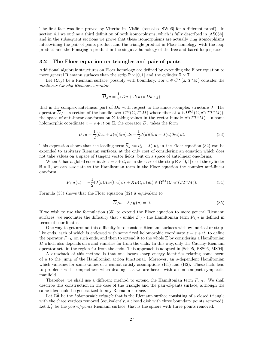The first fact was first proved by Viterbo in [Vit96] (see also [SW06] for a different proof). In section 4.1 we outline a third definition of both isomorphisms, which is fully described in [AS06b], and in the subsequent sections we prove that these isomorphisms are actually ring isomorphisms intertwining the pair-of-pants product and the triangle product in Floer homology, with the loop product and the Pontrjagin product in the singular homology of the free and based loop spaces.

#### 3.2 The Floer equation on triangles and pair-of-pants

Additional algebraic structures on Floer homology are defined by extending the Floer equation to more general Riemann surfaces than the strip  $\mathbb{R} \times [0, 1]$  and the cylinder  $\mathbb{R} \times \mathbb{T}$ .

Let  $(\Sigma, j)$  be a Riemann surface, possibly with boundary. For  $u \in C^{\infty}(\Sigma, T^{*}M)$  consider the nonlinear Cauchy-Riemann operator

$$
\overline{D}_J u = \frac{1}{2}(Du + J(u) \circ Du \circ j),
$$

that is the complex anti-linear part of  $Du$  with respect to the almost-complex structure J. The operator  $\overline{D}_J$  is a section of the bundle over  $C^{\infty}(\Sigma, T^*M)$  whose fiber at u is  $\Omega^{0,1}(\Sigma, u^*(TT^*M))$ , the space of anti-linear one-forms on  $\Sigma$  taking values in the vector bundle  $u^*(TT^*M)$ . In some holomorphic coordinate  $z = s + it$  on  $\Sigma$ , the operator  $\overline{D}_J$  takes the form

$$
\overline{D}_J u = \frac{1}{2} (\partial_s u + J(u)\partial_t u) ds - \frac{1}{2} J(u)(\partial_s u + J(u)\partial_t u) dt.
$$
\n(33)

This expression shows that the leading term  $\overline{\partial}_J := \partial_s + J(\cdot)\partial_t$  in the Floer equation (32) can be extended to arbitrary Riemann surfaces, at the only cost of considering an equation which does not take values on a space of tangent vector fields, but on a space of anti-linear one-forms.

When  $\Sigma$  has a global coordinate  $z = s + it$ , as in the case of the strip  $\mathbb{R} \times [0, 1]$  or of the cylinder  $\mathbb{R} \times \mathbb{T}$ , we can associate to the Hamiltonian term in the Floer equation the complex anti-linear one-form

$$
F_{J,H}(u) = -\frac{1}{2}(J(u)X_H(t, u) ds + X_H(t, u) dt) \in \Omega^{0,1}(\Sigma, u^*(TT^*M)).
$$
\n(34)

Formula (33) shows that the Floer equation (32) is equivalent to

$$
\overline{D}_J u + F_{J,H}(u) = 0.
$$
\n(35)

If we wish to use the formulation (35) to extend the Floer equation to more general Riemann surfaces, we encounter the difficulty that - unlike  $\overline{D}_J$  - the Hamiltonian term  $F_{J,H}$  is defined in terms of coordinates.

One way to get around this difficulty is to consider Riemann surfaces with cylindrical or striplike ends, each of which is endowed with some fixed holomorphic coordinate  $z = s + it$ , to define the operator  $F_{J,H}$  on such ends, and then to extend it to the whole  $\Sigma$  by considering a Hamiltonian  $H$  which also depends on  $s$  and vanishes far from the ends. In this way, only the Cauchy-Riemann operator acts in the region far from the ends. This approach is adopted in [Sch95, PSS96, MS04].

A drawback of this method is that one looses sharp energy identities relating some norm of u to the jump of the Hamiltonian action functional. Moreover, an s-dependent Hamiltonian which vanishes for some values of s cannot satisfy assumptions  $(H1)$  and  $(H2)$ . These facts lead to problems with compactness when dealing - as we are here - with a non-compact symplectic manifold.

Therefore, we shall use a different method to extend the Hamiltonian term  $F_{J,H}$ . We shall describe this construction in the case of the triangle and the pair-of-pants surface, although the same idea could be generalized to any Riemann surface.

Let  $\Sigma^{\Omega}_{\Upsilon}$  be the *holomorphic triangle* that is the Riemann surface consisting of a closed triangle with the three vertices removed (equivalently, a closed disk with three boundary points removed). Let  $\Sigma^{\Lambda}_{\Upsilon}$  be the *pair-of-pants* Riemann surface, that is the sphere with three points removed.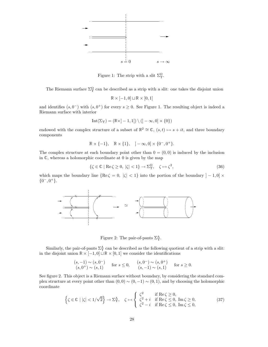

Figure 1: The strip with a slit  $\Sigma^{\Omega}_{\Upsilon}$ .

The Riemann surface  $\Sigma^{\Omega}$  can be described as a strip with a slit: one takes the disjoint union

$$
\mathbb{R} \times [-1,0] \sqcup \mathbb{R} \times [0,1]
$$

and identifies  $(s, 0^-)$  with  $(s, 0^+)$  for every  $s \ge 0$ . See Figure 1. The resulting object is indeed a Riemann surface with interior

$$
\mathrm{Int}(\Sigma_\Upsilon)=(\mathbb{R}\times ]-1,1[)\setminus (]-\infty,0]\times \{0\})
$$

endowed with the complex structure of a subset of  $\mathbb{R}^2 \cong \mathbb{C}$ ,  $(s,t) \mapsto s + it$ , and three boundary components

$$
\mathbb{R} \times \{-1\}, \quad \mathbb{R} \times \{1\}, \quad ]-\infty, 0] \times \{0^-, 0^+\}.
$$

The complex structure at each boundary point other than  $0 = (0, 0)$  is induced by the inclusion in  $\mathbb{C}$ , whereas a holomorphic coordinate at 0 is given by the map

$$
\{\zeta \in \mathbb{C} \mid \text{Re}\,\zeta \ge 0, \,|\zeta| < 1\} \to \Sigma^{\Omega}_{\Upsilon}, \quad \zeta \mapsto \zeta^2,\tag{36}
$$

which maps the boundary line  ${Re \zeta = 0, |\zeta| < 1}$  into the portion of the boundary  $]-1,0] \times$  ${0^-,0^+}.$ 



Figure 2: The pair-of-pants  $\Sigma_{\Upsilon}^{\Lambda}$ .

Similarly, the pair-of-pants  $\Sigma^{\Lambda}_{\Upsilon}$  can be described as the following quotient of a strip with a slit: in the disjoint union  $\mathbb{R} \times [-1,0] \sqcup \mathbb{R} \times [0,1]$  we consider the identifications

$$
\begin{array}{lll} (s, -1) \sim (s, 0^{-}) & \text{for } s \le 0, & (s, 0^{-}) \sim (s, 0^{+}) & \text{for } s \ge 0. \\ (s, 0^{+}) \sim (s, 1) & (s, -1) \sim (s, 1) & \text{for } s \ge 0. \end{array}
$$

See figure 2. This object is a Riemann surface without boundary, by considering the standard complex structure at every point other than  $(0, 0) \sim (0, -1) \sim (0, 1)$ , and by choosing the holomorphic coordinate

$$
\left\{ \zeta \in \mathbb{C} \mid |\zeta| < 1/\sqrt{2} \right\} \to \Sigma^{\Lambda}_{\Upsilon}, \quad \zeta \mapsto \left\{ \begin{array}{ll} \zeta^2 & \text{if } \text{Re}\,\zeta \ge 0, \\ \zeta^2 + i & \text{if } \text{Re}\,\zeta \le 0, \text{ Im}\,\zeta \ge 0, \\ \zeta^2 - i & \text{if } \text{Re}\,\zeta \le 0, \text{ Im}\,\zeta \le 0, \end{array} \right. \tag{37}
$$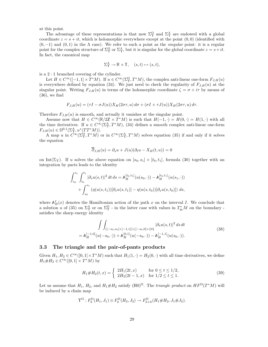at this point.

The advantage of these representations is that now  $\Sigma^{\Omega}_{\Upsilon}$  and  $\Sigma^{\Lambda}_{\Upsilon}$  are endowed with a global coordinate  $z = s + it$ , which is holomorphic everywhere except at the point  $(0,0)$  (identified with  $(0, -1)$  and  $(0, 1)$  in the  $\Lambda$  case). We refer to such a point as the *singular* point: it is a regular point for the complex structure of  $\Sigma^{\Omega}_{\Upsilon}$  or  $\Sigma^{\Lambda}_{\Upsilon}$ , but it is singular for the global coordinate  $z = s + it$ . In fact, the canonical map

$$
\Sigma^{\Lambda}_{\Upsilon} \to \mathbb{R} \times \mathbb{T}, \quad (s, t) \mapsto (s, t),
$$

is a 2 : 1 branched covering of the cylinder.

Let  $H \in C^{\infty}([-1,1] \times T^*M)$ . If  $u \in C^{\infty}(\Sigma_{\Upsilon}^{\Omega}, T^*M)$ , the complex anti-linear one-form  $F_{J,H}(u)$ is everywhere defined by equation (34). We just need to check the regularity of  $F_{J,H}(u)$  at the singular point. Writing  $F_{J,H}(u)$  in terms of the holomorphic coordinate  $\zeta = \sigma + i\tau$  by means of  $(36)$ , we find

$$
F_{J,H}(u) = (\tau I - \sigma J(u))X_H(2\sigma\tau, u) d\sigma + (\sigma I + \tau J(u))X_H(2\sigma\tau, u) d\tau.
$$

Therefore  $F_{J,H}(u)$  is smooth, and actually it vanishes at the singular point.

Assume now that  $H \in C^{\infty}(\mathbb{R}/2\mathbb{Z} \times T^*M)$  is such that  $H(-1, \cdot) = H(0, \cdot) = H(1, \cdot)$  with all the time derivatives. If  $u \in C^{\infty}(\Sigma_{\Upsilon}^{\Lambda}, T^*M)$ , (34) defines a smooth complex anti-linear one-form  $F_{J,H}(u) \in \Omega^{0,1}(\Sigma^\Lambda_\Upsilon, u^*(TT^*M)).$ 

A map u in  $C^{\infty}(\Sigma_{\Upsilon}^{\Omega},T^*M)$  or in  $C^{\infty}(\Sigma_{\Upsilon}^{\Lambda},T^*M)$  solves equation (35) if and only if it solves the equation

$$
\overline{\partial}_{J,H}(u) = \partial_s u + J(u)(\partial_t u - X_H(t, u)) = 0
$$

on Int( $\Sigma$ Y). If u solves the above equation on  $[s_0, s_1] \times [t_0, t_1]$ , formula (30) together with an integration by parts leads to the identity

$$
\int_{s_0}^{s_1} \int_{t_0}^{t_1} |\partial_s u(s, t)|^2 dt ds = \mathbb{A}_H^{[t_0, t_1]}(u(s_0, \cdot)) - \mathbb{A}_H^{[t_0, t_1]}(u(s_1, \cdot))
$$
  
+ 
$$
\int_{s_0}^{s_1} (\eta(u(s, t_1))[\partial_s u(s, t_1)] - \eta(u(s, t_0))[\partial_s u(s, t_0)]) ds,
$$

where  $\mathbb{A}_{H}^{I}(x)$  denotes the Hamiltonian action of the path x on the interval I. We conclude that a solution u of (35) on  $\Sigma^{\Lambda}_{\Upsilon}$  or on  $\Sigma^{\Omega}_{\Upsilon}$  - in the latter case with values in  $T^*_{q_0}M$  on the boundary satisfies the sharp energy identity

$$
\int \int_{(]-s_0, s_0[\times]-1, 1[\setminus (]-s_0, 0]\times\{0\}} |\partial_s u(s, t)|^2 ds dt
$$
  
=  $\mathbb{A}_H^{[-1,0]}(u(-s_0, \cdot)) + \mathbb{A}_H^{[0,1]}(u(-s_0, \cdot)) - \mathbb{A}_H^{[-1,1]}(u(s_0, \cdot)).$  (38)

#### 3.3 The triangle and the pair-of-pants products

Given  $H_1, H_2 \in C^{\infty}([0,1] \times T^*M)$  such that  $H_1(1,\cdot) = H_2(0,\cdot)$  with all time derivatives, we define  $H_1 \# H_2 \in C^{\infty}([0,1] \times T^*M)$  by

$$
H_1 \# H_2(t, x) = \begin{cases} 2H_1(2t, x) & \text{for } 0 \le t \le 1/2, \\ 2H_2(2t - 1, x) & \text{for } 1/2 \le t \le 1. \end{cases}
$$
(39)

Let us assume that  $H_1$ ,  $H_2$ , and  $H_1 \# H_2$  satisfy (H0)<sup> $\Omega$ </sup>. The *triangle product* on  $HF^{\Omega}(T^*M)$  will be induced by a chain map

$$
\Upsilon^{\Omega}: F_h^{\Omega}(H_1, J_1) \otimes F_k^{\Omega}(H_2, J_2) \to F_{h+k}^{\Omega}(H_1 \# H_2, J_1 \# J_2).
$$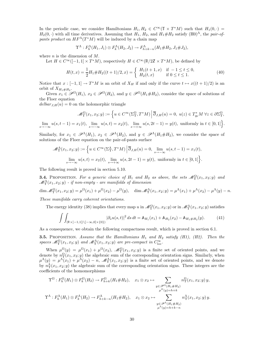In the periodic case, we consider Hamiltonians  $H_1, H_2 \in C^\infty(\mathbb{T} \times T^*M)$  such that  $H_1(0, \cdot) =$  $H_2(0, \cdot)$  with all time derivatives. Assuming that  $H_1$ ,  $H_2$ , and  $H_1 \# H_2$  satisfy  $(H_0)^{\Lambda}$ , the pair-ofpants product on  $HF^{\Lambda}(T^{*}M)$  will be induced by a chain map

$$
\Upsilon^{\Lambda}: F_h^{\Lambda}(H_1, J_1) \otimes F_k^{\Lambda}(H_2, J_2) \to F_{h+k-n}^{\Lambda}(H_1 \# H_2, J_1 \# J_2),
$$

where  $n$  is the dimension of  $M$ .

Let  $H \in C^{\infty}([-1,1] \times T^*M)$ , respectively  $H \in C^{\infty}(\mathbb{R}/2\mathbb{Z} \times T^*M)$ , be defined by

$$
H(t,x) = \frac{1}{2}H_1 \# H_2((t+1)/2, x) = \begin{cases} H_1(t+1,x) & \text{if } -1 \le t \le 0, \\ H_2(t,x) & \text{if } 0 \le t \le 1. \end{cases}
$$
(40)

Notice that  $x : [-1,1] \to T^*M$  is an orbit of  $X_H$  if and only if the curve  $t \mapsto x((t+1)/2)$  is an orbit of  $X_{H_1\#H_2}$ .

Given  $x_1 \in \mathcal{P}^{\Omega}(H_1)$ ,  $x_2 \in \mathcal{P}^{\Omega}(H_2)$ , and  $y \in \mathcal{P}^{\Omega}(H_1 \# H_2)$ , consider the space of solutions of the Floer equation

 $delbar<sub>J,H</sub>(u) = 0$  on the holomorphic triangle

$$
\mathcal{M}_{\Upsilon}^{\Omega}(x_1, x_2; y) := \left\{ u \in C^{\infty}(\Sigma_{\Upsilon}^{\Omega}, T^*M) \, \middle| \, \overline{\partial}_{J,H}(u) = 0, \ u(z) \in T_{q_0}^*M \ \forall z \in \partial \Sigma_{\Upsilon}^{\Omega}, \right\}
$$

 $\lim_{s \to -\infty} u(s, t-1) = x_1(t), \lim_{s \to -\infty} u(s, t) = x_2(t), \lim_{s \to +\infty} u(s, 2t-1) = y(t),$  uniformly in  $t \in [0, 1]$ .

Similarly, for  $x_1 \in \mathscr{P}^{\Lambda}(H_1)$ ,  $x_2 \in \mathscr{P}^{\Lambda}(H_2)$ , and  $y \in \mathscr{P}^{\Lambda}(H_1 \# H_2)$ , we consider the space of solutions of the Floer equation on the pair-of-pants surface

$$
\mathcal{M}_{\Upsilon}^{\Lambda}(x_1, x_2; y) := \left\{ u \in C^{\infty}(\Sigma_{\Upsilon}^{\Lambda}, T^*M) \middle| \overline{\partial}_{J,H}(u) = 0, \lim_{s \to -\infty} u(s, t-1) = x_1(t), \right\}
$$
  

$$
\lim_{s \to -\infty} u(s, t) = x_2(t), \lim_{s \to +\infty} u(s, 2t - 1) = y(t), \text{ uniformly in } t \in [0, 1] \right\}.
$$

The following result is proved in section 5.10.

**3.4.** PROPOSITION. For a generic choice of  $H_1$  and  $H_2$  as above, the sets  $\mathscr{M}_{\Upsilon}^{\Omega}(x_1, x_2; y)$  and  $\mathscr{M}^{\Lambda}_{\Upsilon}(x_1,x_2;y)$  - if non-empty - are manifolds of dimension

$$
\dim \mathcal{M}_{\Upsilon}^{\Omega}(x_1, x_2; y) = \mu^{\Omega}(x_1) + \mu^{\Omega}(x_2) - \mu^{\Omega}(y), \quad \dim \mathcal{M}_{\Upsilon}^{\Lambda}(x_1, x_2; y) = \mu^{\Lambda}(x_1) + \mu^{\Lambda}(x_2) - \mu^{\Lambda}(y) - n.
$$

These manifolds carry coherent orientations.

The energy identity (38) implies that every map u in  $\mathscr{M}_{\Upsilon}^{\Omega}(x_1, x_2; y)$  or in  $\mathscr{M}_{\Upsilon}^{\Lambda}(x_1, x_2; y)$  satisfies

$$
\int \int_{(\mathbb{R} \times ]-1,1[)} \int_{-\infty,0] \times \{0\}} |\partial_s u(s,t)|^2 ds dt = \mathbb{A}_{H_1}(x_1) + \mathbb{A}_{H_2}(x_2) - \mathbb{A}_{H_1 \# H_2}(y). \tag{41}
$$

As a consequence, we obtain the following compactness result, which is proved in section 6.1.

**3.5.** PROPOSITION. Assume that the Hamiltonians  $H_1$  and  $H_2$  satisfy (H1), (H2). Then the spaces  $\mathcal{M}_{\Upsilon}^{\Omega}(x_1, x_2; y)$  and  $\mathcal{M}_{\Upsilon}^{\Lambda}(x_1, x_2; y)$  are pre-compact in  $C_{\text{loc}}^{\infty}$ .

When  $\mu^{\Omega}(y) = \mu^{\Omega}(x_1) + \mu^{\Omega}(x_2)$ ,  $\mathscr{M}^{\Omega}(x_1, x_2; y)$  is a finite set of oriented points, and we denote by  $n_\Upsilon^{\Omega}(x_1, x_2; y)$  the algebraic sum of the corresponding orientation signs. Similarly, when  $\mu^{\Lambda}(y) = \mu^{\Lambda}(x_1) + \mu^{\Lambda}(x_2) - n$ ,  $\mathscr{M}_{\Upsilon}^{\Lambda}(x_1, x_2; y)$  is a finite set of oriented points, and we denote by  $n_{\Upsilon}^{\Lambda}(x_1, x_2; y)$  the algebraic sum of the corresponding orientation signs. These integers are the coefficients of the homomorphisms

$$
\Upsilon^{\Omega}: F_h^{\Omega}(H_1) \otimes F_k^{\Omega}(H_2) \to F_{h+k}^{\Omega}(H_1 \# H_2), \quad x_1 \otimes x_2 \mapsto \sum_{\substack{y \in \mathscr{P}^{\Omega}(H_1 \# H_2) \\ \mu^{\Omega}(y) = h+k}} n_{\Upsilon}^{\Omega}(x_1, x_2; y) y,
$$
  

$$
\Upsilon^{\Lambda}: F_h^{\Lambda}(H_1) \otimes F_k^{\Lambda}(H_2) \to F_{h+k-n}^{\Lambda}(H_1 \# H_2), \quad x_1 \otimes x_2 \mapsto \sum_{\substack{y \in \mathscr{P}^{\Lambda}(H_1 \# H_2) \\ \mu^{\Lambda}(y) = h+k}} n_{\Upsilon}^{\Lambda}(x_1, x_2; y) y.
$$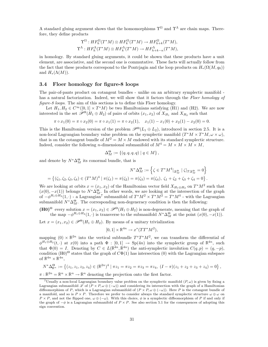A standard gluing argument shows that the homomorphisms  $\Upsilon^{\Omega}$  and  $\Upsilon^{\Lambda}$  are chain maps. Therefore, they define products

$$
\Upsilon^{\Omega}: HF_h^{\Omega}(T^*M) \otimes HF_k^{\Omega}(T^*M) \to HF_{h+k}^{\Omega}(T^*M),
$$
  

$$
\Upsilon^{\Lambda}: HF_h^{\Lambda}(T^*M) \otimes HF_k^{\Lambda}(T^*M) \to HF_{h+k-n}^{\Lambda}(T^*M),
$$

in homology. By standard gluing arguments, it could be shown that these products have a unit element, are associative, and the second one is commutative. These facts will actually follow from the fact that these products correspond to the Pontrjagin and the loop products on  $H_*(\Omega(M, q_0))$ and  $H_*(\Lambda(M))$ .

#### 3.4 Floer homology for figure-8 loops

The pair-of-pants product on cotangent bundles - unlike on an arbitrary symplectic manifold has a natural factorization. Indeed, we will show that it factors through the Floer homology of figure-8 loops. The aim of this sections is to define this Floer homology.

Let  $H_1, H_2 \in C^{\infty}([0,1] \times T^*M)$  be two Hamiltonians satisfying (H1) and (H2). We are now interested in the set  $\mathscr{P}^{\Theta}(H_1 \oplus H_2)$  of pairs of orbits  $(x_1, x_2)$  of  $X_{H_1}$  and  $X_{H_2}$  such that

$$
\pi \circ x_1(0) = \pi \circ x_2(0) = \pi \circ x_1(1) = \pi \circ x_2(1), \quad x_1(1) - x_1(0) + x_2(1) - x_2(0) = 0.
$$

This is the Hamiltonian version of the problem  $\mathscr{P}^{\Theta}(L_1 \oplus L_2)$ , introduced in section 2.5. It is a non-local Lagrangian boundary value problem on the symplectic manifold  $(T^*M \times T^*M, \omega \times \omega)$ , that is on the cotangent bundle of  $M^2 = M \times M$  endowed with its standard symplectic structure. Indeed, consider the following *n*-dimensional submanifold of  $M^4 = M \times M \times M \times M$ ,

$$
\Delta_M^{\Theta} := \{ (q, q, q, q) \mid q \in M \},
$$

and denote by  $N^*\Delta_M^{\Theta}$  its conormal bundle, that is

$$
N^*\Delta_M^{\Theta} := \left\{ \zeta \in T^*M^4|_{\Delta_M^{\Theta}} \mid \zeta|_{T\Delta_M^{\Theta}} = 0 \right\}
$$
  
=  $\left\{ (\zeta_1, \zeta_2, \zeta_3, \zeta_4) \in (T^*M)^4 \mid \pi(\zeta_1) = \pi(\zeta_2) = \pi(\zeta_3) = \pi(\zeta_4), \ \zeta_1 + \zeta_2 + \zeta_3 + \zeta_4 = 0 \right\}.$ 

We are looking at orbits  $x = (x_1, x_2)$  of the Hamiltonian vector field  $X_{H_1 \oplus H_2}$  on  $T^*M^2$  such that  $(x(0), -x(1))$  belongs to  $N^*\Delta_{M}^{\Theta}$ . In other words, we are looking at the intersection of the graph of  $-\phi^{H_1\oplus H_2}(1,\cdot)$  - a Lagrangian<sup>7</sup> submanifold of  $T^*M^2 \times T^*M^2 = T^*M^4$  - with the Lagrangian submanifold  $N^*\Delta_M^{\Theta}$ . The corresponding non-degeneracy condition is then the following:

 $(H0)^\Theta$  every solution  $x = (x_1, x_2) \in \mathscr{P}^\Theta(H_1 \oplus H_2)$  is non-degenerate, meaning that the graph of the map  $-\phi^{H_1 \oplus H_2}(1, \cdot)$  is transverse to the submanifold  $N^* \Delta_M^{\Theta}$  at the point  $(x(0), -x(1))$ .

Let  $x = (x_1, x_2) \in \mathscr{P}^{\Theta}(H_1 \oplus H_2)$ . By means of a unitary trivialization

$$
[0,1] \times \mathbb{R}^{4n} \to x^*(TT^*M^2),
$$

mapping  $(0) \times \mathbb{R}^{2n}$  into the vertical subbundle  $T^v T^* M^2$ , we can transform the differential of  $\phi^{H_1\oplus H_2}(t, \cdot)$  at  $x(0)$  into a path  $\Phi : [0, 1] \to \text{Sp}(4n)$  into the symplectic group of  $\mathbb{R}^{4n}$ , such that  $\Phi(0) = I$ . Denoting by  $C \in L(\mathbb{R}^{4n}, \mathbb{R}^{4n})$  the anti-symplectic involution  $C(q, p) = (q, -p)$ , condition  $(H0)^\Theta$  states that the graph of  $C\Phi(1)$  has intersection (0) with the Lagrangian subspace of  $\mathbb{R}^{4n} \times \mathbb{R}^{4n}$ ,

$$
N^*\Delta^{\Theta}_{\mathbb{R}^n} := \left\{ (z_1, z_1, z_3, z_4) \in (\mathbb{R}^{2n})^4 \mid \pi z_1 = \pi z_2 = \pi z_3 = \pi z_4, \ (I - \pi)(z_1 + z_2 + z_3 + z_4) = 0 \right\},
$$

 $\pi: \mathbb{R}^{2n} = \mathbb{R}^n \times \mathbb{R}^n \to \mathbb{R}^n$  denoting the projection onto the first factor.

<sup>&</sup>lt;sup>7</sup>Usually a non-local Lagrangian boundary value problem on the symplectic manifold  $(P, \omega)$  is given by fixing a Lagrangian submanifold L of  $(P \times P, \omega \oplus (-\omega))$  and considering its intersection with the graph of a Hamiltonian diffeomorphism of P, which is a Lagrangian submanifold of  $(P \times P, \omega \oplus (-\omega))$ . Here P is the cotangent bundle of a manifold, and so is  $P \times P$ . Therefore we prefer to consider always the standard symplectic structure  $\omega \oplus \omega$  on  $P \times P$ , and not the flipped one,  $\omega \oplus (-\omega)$ . With this choice,  $\phi$  is a symplectic diffeomorphism of P if and only if the graph of  $-\phi$  is a Lagrangian submanifold of  $P \times P$ . See also section 5.1 for the consequences of adopting this sign convention.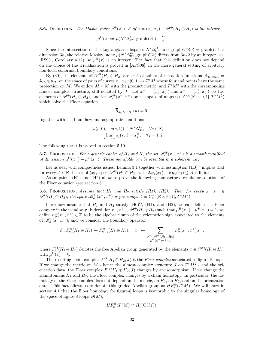**3.6.** DEFINITION. The Maslov index  $\mu^{\Theta}(x) \in \mathbb{Z}$  of  $x = (x_1, x_2) \in \mathcal{P}^{\Theta}(H_1 \oplus H_2)$  is the integer

$$
\mu^{\Theta}(x) := \mu(N^* \Delta_{\mathbb{R}^n}^{\Theta}, \operatorname{graph} C\Phi) - \frac{n}{2}.
$$

Since the intersection of the Lagrangian subspaces  $N^* \Delta_{\mathbb{R}^n}^{\Theta}$  and graph  $C\Phi(0) = \text{graph } C$  has dimension 3n, the relative Maslov index  $\mu(N^*\Delta_{\mathbb{R}^n}^{\Theta},\text{graph}\,C\Phi)$  differs from  $3n/2$  by an integer (see [RS93], Corollary 4.12), so  $\mu^{\Theta}(x)$  is an integer. The fact that this definition does not depend on the choice of the trivialization is proved in [APS08], in the more general setting of arbitrary non-local conormal boundary conditions.

By (30), the elements of  $\mathscr{P}^{\Theta}(H_1 \oplus H_2)$  are critical points of the action functional  $\mathbb{A}_{H_1 \oplus H_2}$  =  $\mathbb{A}_{H_1} \oplus \mathbb{A}_{H_2}$  on the space of pairs of curves  $x_1, x_2 : [0, 1] \to T^*M$  whose four end points have the same projection on M. We endow  $M \times M$  with the product metric, and  $T^*M^2$  with the corresponding almost complex structure, still denoted by J. Let  $x^- = (x_1^-, x_2^-)$  and  $x^+ = (x_1^+, x_2^+)$  be two elements of  $\mathscr{P}^{\Theta}(H_1 \oplus H_2)$ , and let  $\mathscr{M}_{\partial}^{\Theta}(x^-, x^+)$  be the space of maps  $u \in C^{\infty}(\mathbb{R} \times [0, 1], T^*M^2)$ which solve the Floer equation

$$
\partial_{J,H_1\oplus H_2}(u)=0,
$$

together with the boundary and asymptotic conditions

$$
(u(s,0), -u(s,1)) \in N^* \Delta_M^{\Theta}, \quad \forall s \in \mathbb{R},
$$
  

$$
\lim_{s \to \pm \infty} u_j(s, \cdot) = x_j^{\pm}, \quad \forall j = 1,2.
$$

The following result is proved in section 5.10.

**3.7.** PROPOSITION. For a generic choice of  $H_1$  and  $H_2$  the set  $\mathscr{M}_{\partial}^{\Theta}(x^-, x^+)$  is a smooth manifold of dimension  $\mu^{\Theta}(x^-) - \mu^{\Theta}(x^+)$ . These manifolds can be oriented in a coherent way.

Let us deal with compactness issues. Lemma 3.1 together with assumption  $(H0)^\Theta$  implies that for every  $A \in \mathbb{R}$  the set of  $(x_1, x_2) \in \mathscr{P}^{\Theta}(H_1 \oplus H_2)$  with  $\mathbb{A}_{H_1}(x_1) + \mathbb{A}_{H_2}(x_2) \leq A$  is finite.

Assumptions (H1) and (H2) allow to prove the following compactness result for solutions of the Floer equation (see section 6.1).

**3.8.** PROPOSITION. Assume that  $H_1$  and  $H_2$  satisfy (H1), (H2). Then for every  $x^-, x^+ \in$  $\mathscr{P}^{\Theta}(H_1 \oplus H_2)$ , the space  $\mathscr{M}_{\partial}^{\Theta}(x^-, x^+)$  is pre-compact in  $C^{\infty}_{loc}(\mathbb{R} \times [0, 1], T^*M^2)$ .

If we now assume that  $H_1$  and  $H_2$  satisfy (H0)<sup> $\Theta$ </sup>, (H1), and (H2), we can define the Floer complex in the usual way. Indeed, for  $x^-, x^+ \in \mathscr{P}^{\Theta}(H_1 \oplus H_2)$  such that  $\mu^{\Theta}(x^-) - \mu^{\Theta}(x^+) = 1$ , we define  $n_{\partial}^{\Theta}(x^-, x^+) \in \mathbb{Z}$  to be the algebraic sum of the orientation sign associated to the elements of  $\mathcal{M}_{\partial}^{\Theta}(\mathbf{x}^-,\mathbf{x}^+)$ , and we consider the boundary operator

$$
\partial: F_k^{\Theta}(H_1 \oplus H_2) \to F_{k-1}^{\Theta}(H_1 \oplus H_2), \quad x^- \mapsto \sum_{\substack{x^+ \in \mathscr{P}^{\Theta}(H_1 \oplus H_2) \\ \mu^{\Theta}(x^+) = k-1}} n_{\partial}^{\Theta}(x^-, x^+) x^+,
$$

where  $F_k^{\Theta}(H_1 \oplus H_2)$  denotes the free Abelian group generated by the elements  $x \in \mathscr{P}^{\Theta}(H_1 \oplus H_2)$ with  $\mu^{\Theta}(x) = k$ .

The resulting chain complex  $F^{\Theta}(H_1 \oplus H_2, J)$  is the *Floer complex* associated to figure-8 loops. If we change the metric on M - hence the almost complex structure J on  $T^*M^2$  - and the orientation data, the Floer complex  $F^{\Theta}(H_1 \oplus H_2, J)$  changes by an isomorphism. If we change the Hamiltonians  $H_1$  and  $H_2$ , the Floer complex changes by a chain homotopy. In particular, the homology of the Floer complex does not depend on the metric, on  $H_1$ , on  $H_2$ , and on the orientation data. This fact allows us to denote this graded Abelian group as  $HF_*^{\Theta}(T^*M)$ . We will show in section 4.1 that the Floer homology for figure-8 loops is isomorphic to the singular homology of the space of figure-8 loops  $\Theta(M)$ ,

$$
HF_k^{\Theta}(T^*M) \cong H_k(\Theta(M)).
$$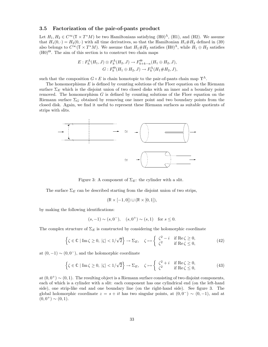#### 3.5 Factorization of the pair-of-pants product

Let  $H_1, H_2 \in C^\infty(\mathbb{T} \times T^*M)$  be two Hamiltonians satisfying  $(H0)^{\Lambda}$ ,  $(H1)$ , and  $(H2)$ . We assume that  $H_1(0, \cdot) = H_2(0, \cdot)$  with all time derivatives, so that the Hamiltonian  $H_1 \# H_2$  defined in (39) also belongs to  $C^{\infty}(\mathbb{T} \times T^*M)$ . We assume that  $H_1 \# H_2$  satisfies  $(H_0)^{\Lambda}$ , while  $H_1 \oplus H_2$  satisfies  $(H0)^\Theta$ . The aim of this section is to construct two chain maps

$$
E: F_h^{\Lambda}(H_1, J) \otimes F_k^{\Lambda}(H_2, J) \to F_{h+k-n}^{\Theta}(H_1 \oplus H_2, J),
$$
  

$$
G: F_k^{\Theta}(H_1 \oplus H_2, J) \to F_k^{\Lambda}(H_1 \# H_2, J),
$$

such that the composition  $G \circ E$  is chain homotopic to the pair-of-pants chain map  $\Upsilon^{\Lambda}$ .

The homomorphisms  $E$  is defined by counting solutions of the Floer equation on the Riemann surface  $\Sigma_E$  which is the disjoint union of two closed disks with an inner and a boundary point removed. The homomorphism  $G$  is defined by counting solutions of the Floer equation on the Riemann surface  $\Sigma_G$  obtained by removing one inner point and two boundary points from the closed disk. Again, we find it useful to represent these Riemann surfaces as suitable quotients of strips with slits.



Figure 3: A component of  $\Sigma_E$ : the cylinder with a slit.

The surface  $\Sigma_E$  can be described starting from the disjoint union of two strips,

$$
(\mathbb{R} \times [-1,0]) \sqcup (\mathbb{R} \times [0,1]),
$$

by making the following identifications:

$$
(s, -1) \sim (s, 0^{-}), (s, 0^{+}) \sim (s, 1)
$$
 for  $s \le 0$ .

The complex structure of  $\Sigma_E$  is constructed by considering the holomorphic coordinate

$$
\left\{\zeta \in \mathbb{C} \mid \text{Im}\,\zeta \ge 0, \, |\zeta| < 1/\sqrt{2}\right\} \to \Sigma_E, \quad \zeta \mapsto \left\{\begin{array}{ll} \zeta^2 - i & \text{if } \text{Re}\,\zeta \ge 0, \\ \zeta^2 & \text{if } \text{Re}\,\zeta \le 0, \end{array}\right.\tag{42}
$$

at  $(0, -1) \sim (0, 0^{-})$ , and the holomorphic coordinate

$$
\left\{\zeta \in \mathbb{C} \mid \text{Im}\,\zeta \ge 0, \, |\zeta| < 1/\sqrt{2}\right\} \to \Sigma_E, \quad \zeta \mapsto \left\{\begin{array}{ll} \zeta^2 + i & \text{if } \text{Re}\,\zeta \ge 0, \\ \zeta^2 & \text{if } \text{Re}\,\zeta \le 0, \end{array}\right.\tag{43}
$$

at  $(0, 0^+) \sim (0, 1)$ . The resulting object is a Riemann surface consisting of two disjoint components, each of which is a cylinder with a slit: each component has one cylindrical end (on the left-hand side), one strip-like end and one boundary line (on the right-hand side). See figure 3. The global holomorphic coordinate  $z = s + it$  has two singular points, at  $(0, 0^-) \sim (0, -1)$ , and at  $(0, 0^+) \sim (0, 1).$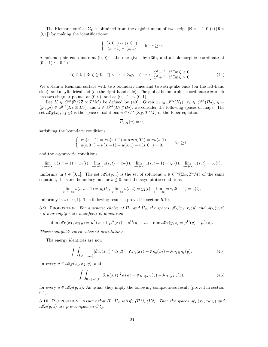The Riemann surface  $\Sigma_G$  is obtained from the disjoint union of two strips  $(\mathbb{R} \times [-1,0]) \sqcup (\mathbb{R} \times$  $[0, 1]$ ) by making the identifications:

$$
\begin{cases} (s,0^-) \sim (s,0^+) \\ (s,-1) \sim (s,1) \end{cases}
$$
 for  $s \ge 0$ .

A holomorphic coordinate at  $(0, 0)$  is the one given by  $(36)$ , and a holomorphic coordinate at  $(0, -1) \sim (0, 1)$  is:

$$
\{\zeta \in \mathbb{C} \mid \text{Re}\,\zeta \ge 0, \,|\zeta| < 1\} \to \Sigma_G, \quad \zeta \mapsto \begin{cases} \zeta^2 - i & \text{if } \text{Im}\,\zeta \ge 0, \\ \zeta^2 + i & \text{if } \text{Im}\,\zeta \le 0, \end{cases} \tag{44}
$$

We obtain a Riemann surface with two boundary lines and two strip-like ends (on the left-hand side), and a cylindrical end (on the right-hand side). The global holomorphic coordinate  $z = s + it$ has two singular points, at  $(0, 0)$ , and at  $(0, -1) \sim (0, 1)$ .

Let  $H \in C^{\infty}(\mathbb{R}/2\mathbb{Z} \times T^*M)$  be defined by (40). Given  $x_1 \in \mathscr{P}^{\Lambda}(H_1)$ ,  $x_2 \in \mathscr{P}^{\Lambda}(H_2)$ ,  $y =$  $(y_1, y_2) \in \mathscr{P}^{\Theta}(H_1 \oplus H_2)$ , and  $z \in \mathscr{P}^{\Lambda}(H_1 \# H_2)$ , we consider the following spaces of maps. The set  $\mathscr{M}_E(x_1, x_2; y)$  is the space of solutions  $u \in C^\infty(\Sigma_E, T^*M)$  of the Floer equation

$$
\partial_{J,H}(u)=0,
$$

satisfying the boundary conditions

$$
\left\{\begin{array}{ll}\pi u(s,-1)=\pi u(s,0^-)=\pi u(s,0^+)=\pi u(s,1),\\ u(s,0^-)-u(s,-1)+u(s,1)-u(s,0^+)=0,\end{array}\right. \qquad \forall s\geq 0,
$$

and the asymptotic conditions

$$
\lim_{s \to -\infty} u(s, t-1) = x_1(t), \lim_{s \to -\infty} u(s, t) = x_2(t), \lim_{s \to +\infty} u(s, t-1) = y_1(t), \lim_{s \to +\infty} u(s, t) = y_2(t),
$$

uniformly in  $t \in [0,1]$ . The set  $\mathscr{M}_G(y,z)$  is the set of solutions  $u \in C^\infty(\Sigma_G, T^*M)$  of the same equation, the same boundary but for  $s \leq 0$ , and the asymptotic conditions

$$
\lim_{s \to -\infty} u(s, t-1) = y_1(t), \lim_{s \to -\infty} u(s, t) = y_2(t), \lim_{s \to +\infty} u(s, 2t - 1) = z(t),
$$

uniformly in  $t \in [0, 1]$ . The following result is proved in section 5.10.

**3.9.** PROPOSITION. For a generic choice of  $H_1$  and  $H_2$ , the spaces  $\mathcal{M}_E(x_1, x_2; y)$  and  $\mathcal{M}_G(y, z)$ - if non-empty - are manifolds of dimension

$$
\dim \mathcal{M}_E(x_1, x_2; y) = \mu^{\Lambda}(x_1) + \mu^{\Lambda}(x_2) - \mu^{\Theta}(y) - n, \quad \dim \mathcal{M}_G(y, z) = \mu^{\Theta}(y) - \mu^{\Lambda}(z).
$$

These manifolds carry coherent orientations.

The energy identities are now

$$
\int\int_{\mathbb{R}\times]-1,1[}|\partial_s u(s,t)|^2\,ds\,dt = \mathbb{A}_{H_1}(x_1) + \mathbb{A}_{H_2}(x_2) - \mathbb{A}_{H_1\oplus H_2}(y),\tag{45}
$$

for every  $u \in \mathscr{M}_E(x_1, x_2; y)$ , and

$$
\int \int_{\mathbb{R} \times ]-1,1[} |\partial_s u(s,t)|^2 \, ds \, dt = \mathbb{A}_{H_1 \oplus H_2}(y) - \mathbb{A}_{H_1 \# H_2}(z), \tag{46}
$$

for every  $u \in \mathcal{M}_G(y, z)$ . As usual, they imply the following compactness result (proved in section 6.1).

**3.10.** PROPOSITION. Assume that  $H_1, H_2$  satisfy (H1), (H2). Then the spaces  $\mathscr{M}_E(x_1, x_2; y)$  and  $\mathcal{M}_G(y,z)$  are pre-compact in  $C_{\text{loc}}^{\infty}$ .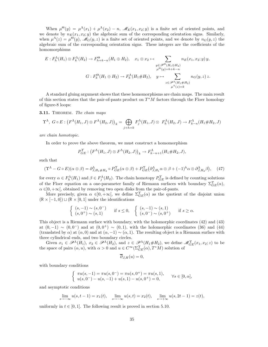When  $\mu^{\Theta}(y) = \mu^{\Lambda}(x_1) + \mu^{\Lambda}(x_2) - n$ ,  $\mathscr{M}_E(x_1, x_2; y)$  is a finite set of oriented points, and we denote by  $n_E(x_1, x_2; y)$  the algebraic sum of the corresponding orientation signs. Similarly, when  $\mu^{\Lambda}(z) = \mu^{\Theta}(y)$ ,  $\mathscr{M}_G(y, z)$  is a finite set of oriented points, and we denote by  $n_G(y, z)$  the algebraic sum of the corresponding orientation signs. These integers are the coefficients of the homomorphisms

$$
E: F_h^{\Lambda}(H_1) \otimes F_k^{\Lambda}(H_2) \to F_{h+k-n}^{\Theta}(H_1 \oplus H_2), \quad x_1 \otimes x_2 \mapsto \sum_{\substack{y \in \mathscr{P}^{\Theta}(H_1 \oplus H_2) \\ \mu^{\Theta}(y) = h+k-n}} n_E(x_1, x_2; y) y,
$$
  

$$
G: F_k^{\Theta}(H_1 \oplus H_2) \to F_k^{\Lambda}(H_1 \# H_2), \quad y \mapsto \sum_{\substack{z \in \mathscr{P}^{\Lambda}(H_1 \# H_2) \\ \mu^{\Lambda}(z) = k}} n_G(y, z) z.
$$

A standard gluing argument shows that these homomorphisms are chain maps. The main result of this section states that the pair-of-pants product on  $T^*M$  factors through the Floer homology of figure-8 loops:

3.11. THEOREM. The chain maps

$$
\Upsilon^{\Lambda}, G \circ E: (F^{\Lambda}(H_1, J) \otimes F^{\Lambda}(H_2, J))_k = \bigoplus_{j+h=k} F_j^{\Lambda}(H_1, J) \otimes F_h^{\Lambda}(H_2, J) \to F_{k-n}^{\Lambda}(H_1 \# H_2, J)
$$

are chain homotopic.

In order to prove the above theorem, we must construct a homomorphism

$$
P_{GE}^{\Upsilon}: (F^{\Lambda}(H_1,J)\otimes F^{\Lambda}(H_2,J))_{k} \to F^{\Lambda}_{k-n+1}(H_1 \# H_2, J),
$$

such that

$$
(\Upsilon^{\Lambda} - G \circ E)(\alpha \otimes \beta) = \partial^{\Lambda}_{J,H_1 \# H_2} \circ P^{\Upsilon}_{GE}(\alpha \otimes \beta) + P^{\Upsilon}_{GE}(\partial^{\Lambda}_{J,H_1} \alpha \otimes \beta + (-1)^h \alpha \otimes \partial^{\Lambda}_{J,H_2} \beta), \quad (47)
$$

for every  $\alpha \in F_h^{\Lambda}(H_1)$  and  $\beta \in F_j^{\Lambda}(H_2)$ . The chain homotopy  $P_{GE}^{\Upsilon}$  is defined by counting solutions of the Floer equation on a one-parameter family of Riemann surfaces with boundary  $\Sigma_{GE}^{\Upsilon}(\alpha)$ ,  $\alpha \in ]0, +\infty[$ , obtained by removing two open disks from the pair-of-pants.

More precisely, given  $\alpha \in ]0, +\infty[$ , we define  $\Sigma_{GE}^{\Upsilon}(\alpha)$  as the quotient of the disjoint union  $(\mathbb{R} \times [-1, 0]) \sqcup (\mathbb{R} \times [0, 1])$  under the identifications

$$
\begin{cases}\n(s, -1) \sim (s, 0^{-}) & \text{if } s \leq 0, \\
(s, 0^{+}) \sim (s, 1)\n\end{cases}\n\quad \text{if } s \leq 0, \quad\n\begin{cases}\n(s, -1) \sim (s, 1) \\
(s, 0^{-}) \sim (s, 0^{+})\n\end{cases}\n\quad \text{if } s \geq \alpha.
$$

This object is a Riemann surface with boundary, with the holomorphic coordinates (42) and (43) at  $(0, -1) \sim (0, 0^-)$  and at  $(0, 0^+) \sim (0, 1)$ , with the holomorphic coordinates (36) and (44) (translated by  $\alpha$ ) at  $(\alpha, 0)$  and at  $(\alpha, -1) \sim (\alpha, 1)$ . The resulting object is a Riemann surface with three cylindrical ends, and two boundary circles.

Given  $x_1 \in \mathscr{P}^{\Lambda}(H_1)$ ,  $x_2 \in \mathscr{P}^{\Lambda}(H_2)$ , and  $z \in \mathscr{P}^{\Lambda}(H_1 \# H_2)$ , we define  $\mathscr{M}_{GE}^{\Upsilon}(x_1, x_2; z)$  to be the space of pairs  $(\alpha, u)$ , with  $\alpha > 0$  and  $u \in C^{\infty}(\Sigma_{GE}^{\Upsilon}(\alpha), T^*M)$  solution of

$$
\overline{\partial}_{J,H}(u)=0,
$$

with boundary conditions

$$
\begin{cases} \pi u(s, -1) = \pi u(s, 0^{-}) = \pi u(s, 0^{+}) = \pi u(s, 1), \\ u(s, 0^{-}) - u(s, -1) + u(s, 1) - u(s, 0^{+}) = 0, \end{cases} \forall s \in [0, \alpha],
$$

and asymptotic conditions

$$
\lim_{s \to -\infty} u(s, t-1) = x_1(t), \quad \lim_{s \to -\infty} u(s, t) = x_2(t), \quad \lim_{s \to +\infty} u(s, 2t-1) = z(t),
$$

uniformly in  $t \in [0, 1]$ . The following result is proved in section 5.10.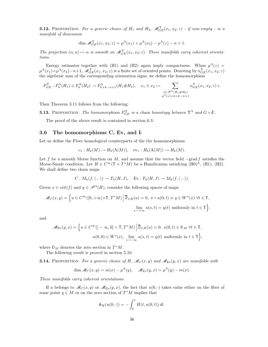**3.12.** PROPOSITION. For a generic choice of  $H_1$  and  $H_2$ ,  $\mathscr{M}_{GE}^{\Upsilon}(x_1, x_2; z)$  - if non-empty - is a manifold of dimension

$$
\dim \mathcal{M}_{GE}^{\Upsilon}(x_1, x_2; z) = \mu^{\Lambda}(x_1) + \mu^{\Lambda}(x_2) - \mu^{\Lambda}(z) - n + 1.
$$

The projection  $(\alpha, u) \mapsto \alpha$  is smooth on  $\mathcal{M}_{GE}^{\Upsilon}(x_1, x_2; z)$ . These manifolds carry coherent orientations.

Energy estimates together with (H1) and (H2) again imply compactness. When  $\mu^{\Lambda}(z)$  =  $\mu^{\Lambda}(x_1)+\mu^{\Lambda}(x_2)-n+1$ ,  $\mathscr{M}_{GE}^{\Upsilon}(x_1,x_2;z)$  is a finite set of oriented points. Denoting by  $n_{GE}^{\Upsilon}(x_1,x_2;z)$ the algebraic sum of the corresponding orientation signs, we define the homomorphism

$$
P_{GE}^{\Upsilon}: F_h^{\Lambda}(H_1) \otimes F_k^{\Lambda}(H_2) \to F_{h+k-n+1}^{\Lambda}(H_1 \# H_2), \quad x_1 \otimes x_2 \mapsto \sum_{\substack{z \in \mathscr{P}^{\Lambda}(H_1 \# H_2) \\ \mu^{\Lambda}(z) = h+k-n+1}} n_{GE}^{\Upsilon}(x_1, x_2; z) z.
$$

Then Theorem 3.11 follows from the following:

**3.13.** PROPOSITION. The homomorphism  $P_{GE}^{\Upsilon}$  is a chain homotopy between  $\Upsilon^{\Lambda}$  and  $G \circ E$ .

The proof of the above result is contained in section 6.3.

## 3.6 The homomorphisms  $C$ , Ev, and  $I_!$

Let us define the Floer homological counterparts of the the homomorphisms

$$
c_*: H_k(M) \to H_k(\Lambda(M)), \quad \text{ev}_*: H_k(\Lambda(M)) \to H_k(M).
$$

Let f be a smooth Morse function on  $M$ , and assume that the vector field  $-\text{grad } f$  satisfies the Morse-Smale condition. Let  $H \in C^{\infty}(\mathbb{T} \times T^*M)$  be a Hamiltonian satisfying (H0)<sup>A</sup>, (H1), (H2). We shall define two chain maps

$$
C: M_k(f, \langle \cdot, \cdot \rangle) \to F_k(H, J), \quad \text{Ev}: F_k(H, J) \to M_k(f, \langle \cdot, \cdot \rangle).
$$

Given  $x \in \text{crit}(f)$  and  $y \in \mathcal{P}^{\Lambda}(H)$ , consider the following spaces of maps

$$
\mathcal{M}_C(x,y) = \Big\{ u \in C^\infty([0,+\infty[\times \mathbb{T},T^*M)] \Big| \overline{\partial}_{J,H}(u) = 0, \ \pi \circ u(0,t) \equiv q \in W^u(x) \ \forall t \in \mathbb{T},
$$
  

$$
\lim_{s \to +\infty} u(s,t) = y(t) \text{ uniformly in } t \in \mathbb{T} \Big\},
$$

and

$$
\mathscr{M}_{\text{Ev}}(y,x) = \left\{ u \in C^{\infty}([-\infty,0] \times \mathbb{T}, T^*M) \middle| \overline{\partial}_{J,H}(u) = 0, \ u(0,t) \in \mathbb{O}_M \ \forall t \in \mathbb{T}, \ u(0,0) \in W^s(x), \lim_{s \to -\infty} u(s,t) = y(t) \text{ uniformly in } t \in \mathbb{T} \right\},\
$$

where  $\mathbb{O}_M$  denotes the zero section in  $T^*M$ .

The following result is proved in section 5.10.

**3.14.** PROPOSITION. For a generic choice of H,  $\mathcal{M}_C(x, y)$  and  $\mathcal{M}_{Ev}(y, x)$  are manifolds with

$$
\dim \mathcal{M}_C(x, y) = m(x) - \mu^{\Lambda}(y), \quad \mathcal{M}_{Ev}(y, x) = \mu^{\Lambda}(y) - m(x).
$$

These manifolds carry coherent orientations.

If u belongs to  $\mathcal{M}_C(x, y)$  or  $\mathcal{M}_{\text{Ev}}(y, x)$ , the fact that  $u(0, \cdot)$  takes value either on the fiber of some point  $q \in M$  or on the zero section of  $T^*M$  implies that

$$
\mathbb{A}_H(u(0,\cdot)) = -\int_0^1 H(t, u(0,t)) dt.
$$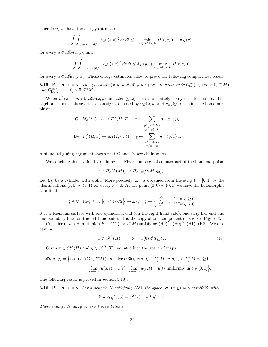Therefore, we have the energy estimates  $\overline{a}$ 

$$
\int\int_{]0,+\infty[\times]0,1[} |\partial_s u(s,t)|^2 ds dt \leq - \min_{(t,q)\in\mathbb{T}\times M} H(t,q,0) - \mathbb{A}_H(y),
$$

for every  $u \in \mathscr{M}_C(x, y)$ , and

$$
\int\int_{]-\infty,0[\times]0,1[} |\partial_s u(s,t)|^2\, ds\, dt\leq \mathbb A_H(y)+\max_{(t,q)\in\mathbb T\times M}H(t,q,0),
$$

for every  $u \in \mathcal{M}_{E_Y}(y, x)$ . These energy estimates allow to prove the following compactness result:

**3.15.** PROPOSITION. The spaces  $\mathcal{M}_C(x, y)$  and  $\mathcal{M}_{Ev}(y, x)$  are pre-compact in  $C^{\infty}_{loc}([0, +\infty[\times \mathbb{T}, T^*M])$ and  $C_{\text{loc}}^{\infty}$  (]  $-\infty, 0] \times \mathbb{T}, T^*M$ ).

When  $\mu^{\Lambda}(y) - m(x)$ ,  $\mathscr{M}_C(x, y)$  and  $\mathscr{M}_{E_V}(y, x)$  consist of finitely many oriented points. The algebraic sums of these orientation signs, denoted by  $n<sub>C</sub>(x, y)$  and  $n<sub>E<sub>V</sub></sub>(y, x)$ , define the homomorphisms

$$
C: M_k(f, \langle \cdot, \cdot \rangle) \to F_k^{\Lambda}(H, J), \quad x \mapsto \sum_{\substack{y \in \mathscr{P}^{\Lambda}(H) \\ \mu^{\Lambda}(y)=k}} n_C(x, y) y,
$$
  
Ev:  $F_k^{\Lambda}(H, J) \to M_k(f, \langle \cdot, \cdot \rangle), \quad y \mapsto \sum_{\substack{x \in crit(f) \\ m(x)=k}} n_{Ev}(y, x) x.$ 

A standard gluing argument shows that  $C$  and  $Ev$  are chain maps.

We conclude this section by defining the Floer homological counterpart of the homomorphism

$$
i_! : H_k(\Lambda(M)) \to H_{k-n}(\Omega(M, q_0)).
$$

Let  $\Sigma_{I_1}$  be a cylinder with a slit. More precisely,  $\Sigma_{I_1}$  is obtained from the strip  $\mathbb{R} \times [0,1]$  by the identifications  $(s, 0) \sim (s, 1)$  for every  $s \leq 0$ . At the point  $(0, 0) \sim (0, 1)$  we have the holomorphic coordinate

$$
\left\{\zeta\in\mathbb{C}\mid\operatorname{Re}\zeta\ge0,\;|\zeta|<1/\sqrt{2}\right\}\to\Sigma_{I_!},\quad\zeta\mapsto\left\{\begin{array}{ll}\zeta^2&\text{if}\;\operatorname{Im}\zeta\ge0,\\ \zeta^2+i&\text{if}\;\operatorname{Im}\zeta\le0.\end{array}\right.
$$

It is a Riemann surface with one cylindrical end (on the right-hand side), one strip-like end and one boundary line (on the left-hand side). It is the copy of one component of  $\Sigma_E$ , see Figure 3.

Consider now a Hamiltonian  $H \in C^{\infty}(\mathbb{T} \times T^*M)$  satisfying  $(H0)^{\Lambda}$ ,  $(H0)^{\Omega}$ ,  $(H1)$ ,  $(H2)$ . We also assume

$$
x \in \mathscr{P}^{\Lambda}(H) \quad \Longrightarrow \quad x(0) \notin T_{q_0}^*M. \tag{48}
$$

Given  $x \in \mathscr{P}^{\Lambda}(H)$  and  $y \in \mathscr{P}^{\Omega}(H)$ , we introduce the space of maps

$$
\mathcal{M}_{I_!}(x,y) = \left\{ u \in C^{\infty}(\Sigma_{I_!}, T^*M) \middle| u \text{ solves (35), } u(s,0) \in T_{q_0}^*M, u(s,1) \in T_{q_0}^*M \,\forall s \ge 0, \atop s \to -\infty} u(s,t) = x(t), \lim_{s \to +\infty} u(s,t) = y(t) \text{ uniformly in } t \in [0,1] \right\}.
$$

The following result is proved in section 5.10):

**3.16.** PROPOSITION. For a generic H satisfying (48), the space  $\mathcal{M}_{I_1}(x, y)$  is a manifold, with

$$
\dim \mathscr{M}_{I_1}(x,y) = \mu^{\Lambda}(x) - \mu^{\Omega}(y) - n.
$$

These manifolds carry coherent orientations.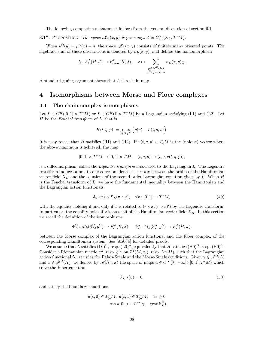The following compactness statement follows from the general discussion of section 6.1.

**3.17.** PROPOSITION. The space  $\mathcal{M}_{I_1}(x, y)$  is pre-compact in  $C^{\infty}_{loc}(\Sigma_{I_1}, T^*M)$ .

When  $\mu^{\Omega}(y) = \mu^{\Lambda}(x) - n$ , the space  $\mathscr{M}_{I_1}(x, y)$  consists of finitely many oriented points. The algebraic sum of these orientations is denoted by  $n_{I}(x, y)$ , and defines the homomorphism

$$
I_! : F_k^{\Lambda}(H, J) \to F_{k-n}^{\Omega}(H, J), \quad x \mapsto \sum_{\substack{y \in \mathscr{P}^{\Omega}(H) \\ \mu^{\Omega}(y) = k-n}} n_{I_!}(x, y) y.
$$

A standard gluing argument shows that  $I_!$  is a chain map.

# 4 Isomorphisms between Morse and Floer complexes

## 4.1 The chain complex isomorphisms

Let  $L \in C^{\infty}([0,1] \times T^*M)$  or  $L \in C^{\infty}(\mathbb{T} \times T^*M)$  be a Lagrangian satisfying (L1) and (L2). Let  $H$  be the Fenchel transform of  $L$ , that is

$$
H(t,q,p) := \max_{v \in T_qM} \Big( p(v) - L(t,q,v) \Big).
$$

It is easy to see that H satisfies (H1) and (H2). If  $v(t, q, p) \in T_qM$  is the (unique) vector where the above maximum is achieved, the map

$$
[0,1] \times T^*M \to [0,1] \times TM, \quad (t,q,p) \mapsto (t,q,v(t,q,p)),
$$

is a diffeomorphism, called the *Legendre transform* associated to the Lagrangian L. The Legendre transform induces a one-to-one correspondence  $x \mapsto \pi \circ x$  between the orbits of the Hamiltonian vector field  $X_H$  and the solutions of the second order Lagrangian equation given by L. When H is the Fenchel transform of  $L$ , we have the fundamental inequality between the Hamiltonian and the Lagrangian action functionals:

$$
\mathbb{A}_H(x) \le \mathbb{S}_L(\pi \circ x), \quad \forall x : [0, 1] \to T^*M,\tag{49}
$$

with the equality holding if and only if x is related to  $(\pi \circ x, (\pi \circ x)')$  by the Legendre transform. In particular, the equality holds if x is an orbit of the Hamiltonian vector field  $X_H$ . In this section we recall the definition of the isomorphisms

$$
\Phi^{\Omega}_L: M_k(\mathbb{S}^{\Omega}_L,g^{\Omega})\to F^{\Omega}_k(H,J),\quad \Phi^{\Lambda}_L: M_k(\mathbb{S}^{\Lambda}_L,g^{\Lambda})\to F^{\Lambda}_k(H,J),
$$

between the Morse complex of the Lagrangian action functional and the Floer complex of the corresponding Hamiltonian system. See [AS06b] for detailed proofs.

We assume that L satisfies  $(L0)^{\Omega}$ , resp.  $(L0)^{\Lambda}$ , equivalently that H satisfies  $(H0)^{\Omega}$ , resp.  $(H0)^{\Lambda}$ . Consider a Riemannian metric  $g^{\Omega}$ , resp.  $g^{\Lambda}$ , on  $\Omega^1(M, q_0)$ , resp.  $\Lambda^1(M)$ , such that the Lagrangian action functional  $\mathcal{S}_L$  satisfies the Palais-Smale and the Morse-Smale conditions. Given  $\gamma \in \mathscr{P}^{\Omega}(L)$ and  $x \in \mathscr{P}^{\Omega}(H)$ , we denote by  $\mathscr{M}_{\Phi}^{\Omega}(\gamma, x)$  the space of maps  $u \in C^{\infty}([0, +\infty[\times[0, 1], T^*M)$  which solve the Floer equation

$$
\overline{\partial}_{J,H}(u) = 0,\t\t(50)
$$

and satisfy the boundary conditions

$$
u(s,0) \in T_{q_0}^* M, \ u(s,1) \in T_{q_0}^* M, \quad \forall s \ge 0,
$$

$$
\pi \circ u(0, \cdot) \in W^u(\gamma, -\text{grad } \mathbb{S}_L^{\Omega}),
$$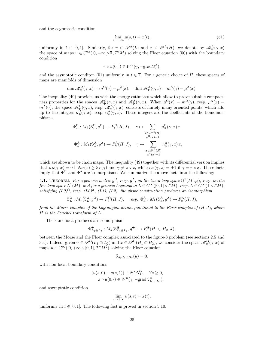and the asymptotic condition

$$
\lim_{s \to +\infty} u(s, t) = x(t),\tag{51}
$$

uniformly in  $t \in [0,1]$ . Similarly, for  $\gamma \in \mathscr{P}^{\Lambda}(L)$  and  $x \in \mathscr{P}^{\Lambda}(H)$ , we denote by  $\mathscr{M}_{\Phi}^{\Lambda}(\gamma,x)$ the space of maps  $u \in C^{\infty}([0, +\infty[\times \mathbb{T}, T^*M])$  solving the Floer equation (50) with the boundary condition

$$
\pi \circ u(0, \cdot) \in W^u(\gamma, -\text{grad } \mathbb{S}_L^{\Lambda}),
$$

and the asymptotic condition (51) uniformly in  $t \in \mathbb{T}$ . For a generic choice of H, these spaces of maps are manifolds of dimension

$$
\dim \mathcal{M}_{\Phi}^{\Omega}(\gamma, x) = m^{\Omega}(\gamma) - \mu^{\Omega}(x), \quad \dim \mathcal{M}_{\Phi}^{\Lambda}(\gamma, x) = m^{\Lambda}(\gamma) - \mu^{\Lambda}(x).
$$

The inequality (49) provides us with the energy estimates which allow to prove suitable compactness properties for the spaces  $\mathscr{M}_{\Phi}^{\Omega}(\gamma, x)$  and  $\mathscr{M}_{\Phi}^{\Lambda}(\gamma, x)$ . When  $\mu^{\Omega}(x) = m^{\Omega}(\gamma)$ , resp.  $\mu^{\Lambda}(x) =$  $m^{\Lambda}(\gamma)$ , the space  $\mathscr{M}_{\Phi}^{\Omega}(\gamma,x)$ , resp.  $\mathscr{M}_{\Phi}^{\Lambda}(\gamma,x)$ , consists of finitely many oriented points, which add up to the integers  $n_{\Phi}^{\Omega}(\gamma, x)$ , resp.  $n_{\Phi}^{\Lambda}(\gamma, x)$ . These integers are the coefficients of the homomorphisms

$$
\Phi_L^{\Omega}: M_k(\mathbb{S}_L^{\Omega}, g^{\Omega}) \to F_k^{\Omega}(H, J), \quad \gamma \mapsto \sum_{\substack{x \in \mathscr{P}^{\Omega}(H) \\ \mu^{\Omega}(x) = k}} n_{\Phi}^{\Omega}(\gamma, x) x,
$$
  

$$
\Phi_L^{\Lambda}: M_k(\mathbb{S}_L^{\Lambda}, g^{\Lambda}) \to F_k^{\Lambda}(H, J), \quad \gamma \mapsto \sum_{\substack{x \in \mathscr{P}^{\Lambda}(H) \\ \mu^{\Lambda}(x) = k}} n_{\Phi}^{\Lambda}(\gamma, x) x,
$$

which are shown to be chain maps. The inequality (49) together with its differential version implies that  $n_{\Phi}(\gamma, x) = 0$  if  $\mathbb{A}_H(x) \geq \mathbb{S}_L(\gamma)$  and  $\gamma \neq \pi \circ x$ , while  $n_{\Phi}(\gamma, x) = \pm 1$  if  $\gamma = \pi \circ x$ . These facts imply that  $\Phi^{\Omega}$  and  $\Phi^{\Lambda}$  are isomorphisms. We summarize the above facts into the following:

**4.1.** THEOREM. For a generic metric  $g^{\Omega}$ , resp.  $g^{\Lambda}$ , on the based loop space  $\Omega^1(M, q_0)$ , resp. on the free loop space  $\Lambda^1(M)$ , and for a generic Lagrangian  $L \in C^\infty([0,1] \times TM)$ , resp.  $L \in C^\infty(\mathbb{T} \times TM)$ , satisfying  $(L0)^{\Omega}$ , resp.  $(L0)^{\Lambda}$ ,  $(L1)$ ,  $(L2)$ , the above construction produces an isomorphism

$$
\Phi_L^{\Omega}: M_k(\mathbb{S}_L^{\Omega}, g^{\Omega}) \to F_k^{\Omega}(H, J), \quad resp. \ \Phi_L^{\Lambda}: M_k(\mathbb{S}_L^{\Lambda}, g^{\Lambda}) \to F_k^{\Lambda}(H, J),
$$

from the Morse complex of the Lagrangian action functional to the Floer complex of  $(H, J)$ , where H is the Fenchel transform of L.

The same idea produces an isomorphism

$$
\Phi_{L_1\oplus L_2}^{\Theta}: M_k(\mathbb{S}_{L_1\oplus L_2}^{\Theta}, g^{\Theta}) \to F_k^{\Theta}(H_1\oplus H_2, J),
$$

between the Morse and the Floer complex associated to the figure-8 problem (see sections 2.5 and 3.4). Indeed, given  $\gamma \in \mathscr{P}^{\Theta}(L_1 \oplus L_2)$  and  $x \in \mathscr{P}^{\Theta}(H_1 \oplus H_2)$ , we consider the space  $\mathscr{M}_{\Phi}^{\Theta}(\gamma, x)$  of maps  $u \in C^{\infty}([0, +\infty[\times[0, 1], T^*M^2)]$  solving the Floer equation

$$
\overline{\partial}_{J,H_1\oplus H_2}(u)=0,
$$

with non-local boundary conditions

$$
(u(s,0), -u(s,1)) \in N^* \Delta_M^{\Theta}, \quad \forall s \ge 0,
$$
  

$$
\pi \circ u(0, \cdot) \in W^u(\gamma, -\text{grad } \mathbb{S}_{L_1 \oplus L_2}^{\Theta}),
$$

and asymptotic condition

$$
\lim_{s \to +\infty} u(s,t) = x(t),
$$

uniformly in  $t \in [0, 1]$ . The following fact is proved in section 5.10: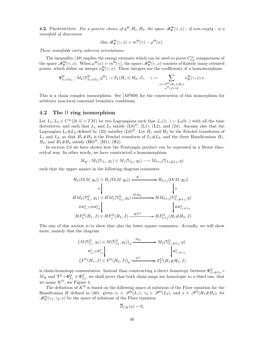**4.2.** PROPOSITION. For a generic choice of  $g^{\Theta}, H_1, H_2$ , the space  $\mathscr{M}_{\Phi}^{\Theta}(\gamma, x)$  - if non-empty - is a manifold of dimension

$$
\dim \mathcal{M}_{\Phi}^{\Theta}(\gamma, x) = m^{\Theta}(\gamma) - \mu^{\Theta}(x).
$$

These manifolds carry coherent orientations.

The inequality (49) implies the energy estimate which can be used to prove  $C^{\infty}_{loc}$  compactness of the space  $\mathscr{M}_{\Phi}^{\Theta}(\gamma, x)$ . When  $\mu^{\Theta}(x) = m^{\Theta}(\gamma)$ , the space  $\mathscr{M}_{\Phi}^{\Theta}(\gamma, x)$  consists of finitely many oriented points, which define an integer  $n_{\Phi}^{\Theta}(\gamma, x)$ . These integers are the coefficients of a homomorphism

$$
\Phi_{L_1\oplus L_2}^{\Theta}: M_k(\mathbb{S}_{L_1\oplus L_2}^{\Theta}, g^{\Theta}) \to F_k(H_1\oplus H_2, J), \quad \gamma \mapsto \sum_{\substack{x \in \mathscr{P}^{\Theta}(H_1\oplus H_2) \\ \mu^{\Theta}(x)=k}} n_{\Phi}^{\Theta}(\gamma, x) x.
$$

This is a chain complex isomorphism. See [APS08] for the construction of this isomorphism for arbitrary non-local conormal boundary conditions.

## 4.2 The  $\Omega$  ring isomorphism

Let  $L_1, L_2 \in C^{\infty}([0,1] \times TM)$  be two Lagrangians such that  $L_1(1, \cdot) = L_2(0, \cdot)$  with all the time derivatives, and such that  $L_1$  and  $L_2$  satisfy (L0)<sup> $\Omega$ </sup>, (L1), (L2), and (24). Assume also that the Lagrangian  $L_1 \# L_2$  defined by (23) satisfies  $(L_0)^\Omega$ . Let  $H_1$  and  $H_2$  be the Fenchel transforms of  $L_1$  and  $L_2$ , so that  $H_1 \# H_2$  is the Fenchel transform of  $L_1 \# L_2$ , and the three Hamiltonians  $H_1$ ,  $H_2$ , and  $H_1 \# H_2$  satisfy (H0)<sup>Ω</sup>, (H1), (H2).

In section 2.6 we have shown how the Pontrjagin product can be expressed in a Morse theoretical way. In other words, we have constructed a homomorphism

$$
M_{\#}: M_h(\mathbb{S}_{L_1}, g_1) \otimes M_j(\mathbb{S}_{L_2}, g_2) \longrightarrow M_{h+j}(\mathbb{S}_{L_1 \# L_2}, g)
$$

such that the upper square in the following diagram commutes

$$
H_h(\Omega(M, q_0)) \otimes H_j(\Omega(M, q_0)) \xrightarrow{\#} H_{h+j}(\Omega(M, q_0))
$$
  
\n
$$
\cong \qquad \qquad \downarrow \qquad \qquad \downarrow
$$
  
\n
$$
HM_h(\mathbb{S}_{L_1}^{\Omega}, g_1) \otimes HM_j(\mathbb{S}_{L_2}^{\Omega}, g_2) \xrightarrow{HM_{\#}} H M_{h+j}(\mathbb{S}_{L_1 \# L_2}^{\Omega}, g)
$$
  
\n
$$
H \Phi_{L_1}^{\Omega} \otimes H \Phi_{L_2}^{\Omega} \qquad \qquad \downarrow H \Phi_{L_1 \# L_2}^{\Omega}
$$
  
\n
$$
HF_h^{\Omega}(H_1, J) \otimes HF_j^{\Omega}(H_2, J) \xrightarrow{HT^{\Omega}} HF_{h+j}^{\Omega}(H_1 \# H_2, J)
$$

The aim of this section is to show that also the lower square commutes. Actually, we will show more, namely that the diagram

$$
(M(\mathbb{S}_{L_1}^{\Omega}, g_1) \otimes M(\mathbb{S}_{L_2}^{\Omega}, g_2))_k \xrightarrow{M_{\#}} M_k(\mathbb{S}_{L_1 \# L_2}^{\Omega}, g)
$$
  
\n
$$
\Phi_{L_1}^{\Omega} \otimes \Phi_{L_2}^{\Omega}
$$
  
\n
$$
(F^{\Omega}(H_1, J) \otimes F^{\Omega}(H_2, J))_k \xrightarrow{\Upsilon^{\Omega}} F_k^{\Omega}(H_1 \# H_2, J)
$$

is chain-homotopy commutative. Instead than constructing a direct homotopy between  $\Phi_{L_1\#L_2}^{\Omega}$  $M_{\#}$  and  $\Upsilon^{\Omega} \circ \Phi_{L_1}^{\Omega} \otimes \Phi_{L_2}^{\Omega}$ , we shall prove that both chain maps are homotopic to a third one, that we name  $K^{\Omega}$ , see Figure 4.

The definition of  $K^{\Omega}$  is based on the following space of solutions of the Floer equation for the Hamiltonian H defined in (40): given  $\gamma_1 \in \mathscr{P}^{\Omega}(L_1)$ ,  $\gamma_2 \in \mathscr{P}^{\Omega}(L_2)$ , and  $x \in \mathscr{P}^{\Omega}(H_1 \# H_2)$ , let  $\mathscr{M}_{K}^{\Omega}(\gamma_{1},\gamma_{2};x)$  be the space of solutions of the Floer equation

$$
\partial_{J,H}(u)=0,
$$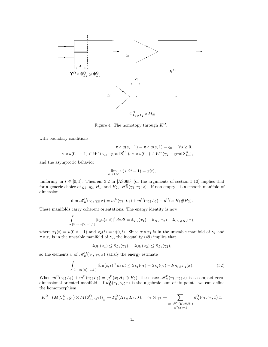

Figure 4: The homotopy through  $K^{\Omega}$ .

with boundary conditions

$$
\pi \circ u(s, -1) = \pi \circ u(s, 1) = q_0, \quad \forall s \ge 0,
$$
  

$$
\pi \circ u(0, -1) \in W^u(\gamma_1, -\text{grad } \mathbb{S}_{L_1}^{\Omega}), \ \pi \circ u(0, \cdot) \in W^u(\gamma_2, -\text{grad } \mathbb{S}_{L_2}^{\Omega}),
$$

and the asymptotic behavior

$$
\lim_{s \to +\infty} u(s, 2t - 1) = x(t),
$$

uniformly in  $t \in [0, 1]$ . Theorem 3.2 in [AS06b] (or the arguments of section 5.10) implies that for a generic choice of  $g_1, g_2, H_1$ , and  $H_2, \mathcal{M}_K^{\Omega}(\gamma_1, \gamma_2; x)$  - if non-empty - is a smooth manifold of dimension

$$
\dim \mathcal{M}_K^{\Omega}(\gamma_1, \gamma_2; x) = m^{\Omega}(\gamma_1; L_1) + m^{\Omega}(\gamma_2; L_2) - \mu^{\Omega}(x; H_1 \# H_2).
$$

These manifolds carry coherent orientations. The energy identity is now

$$
\int_{]0,+\infty[\times]-1,1[} |\partial_s u(s,t)|^2 ds dt = \mathbb{A}_{H_1}(x_1) + \mathbb{A}_{H_2}(x_2) - \mathbb{A}_{H_1 \# H_2}(x),
$$

where  $x_1(t) = u(0, t - 1)$  and  $x_2(t) = u(0, t)$ . Since  $\pi \circ x_1$  is in the unstable manifold of  $\gamma_1$  and  $\pi \circ x_2$  is in the unstable manifold of  $\gamma_2$ , the inequality (49) implies that

$$
\mathbb{A}_{H_1}(x_1) \leq \mathbb{S}_{L_1}(\gamma_1), \quad \mathbb{A}_{H_2}(x_2) \leq \mathbb{S}_{L_2}(\gamma_2),
$$

so the elements u of  $\mathscr{M}_K^{\Omega}(\gamma_1, \gamma_2; x)$  satisfy the energy estimate

$$
\int_{]0,+\infty[\times]-1,1[} |\partial_s u(s,t)|^2 ds dt \leq \mathfrak{S}_{L_1}(\gamma_1) + \mathfrak{S}_{L_2}(\gamma_2) - \mathbb{A}_{H_1 \# H_2}(x). \tag{52}
$$

When  $m^{\Omega}(\gamma_1;L_1) + m^{\Omega}(\gamma_2;L_2) = \mu^{\Omega}(x;H_1 \oplus H_2)$ , the space  $\mathscr{M}_K^{\Omega}(\gamma_1,\gamma_2;x)$  is a compact zerodimensional oriented manifold. If  $n_K^{\Omega}(\gamma_1, \gamma_2; x)$  is the algebraic sum of its points, we can define the homomorphism

$$
K^{\Omega}: (M(\mathbb{S}_{L_1}^{\Omega}, g_1) \otimes M(\mathbb{S}_{L_2}^{\Omega}, g_2))_k \to F_k^{\Omega}(H_1 \# H_2, J), \quad \gamma_1 \otimes \gamma_2 \mapsto \sum_{x \in \mathscr{P}^{\Omega}(H_1 \# H_2) \atop \mu^{\Omega}(x) = k} n_K^{\Omega}(\gamma_1, \gamma_2; x) x.
$$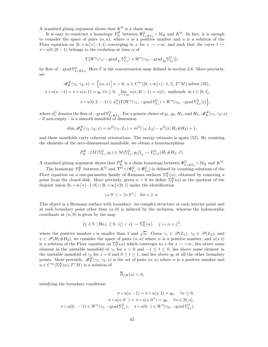A standard gluing argument shows that  $K^{\Omega}$  is a chain map.

It is easy to construct a homotopy  $P_K^{\#}$  between  $\Phi_{L_1\#L_2}^{\Omega} \circ M_{\#}$  and  $K^{\Omega}$ . In fact, it is enough to consider the space of pairs  $(\alpha, u)$ , where  $\alpha$  is a positive number and u is a solution of the Floer equation on  $[0, +\infty[\times[-1, 1])$  converging to x for  $s \to +\infty$ , and such that the curve  $t \mapsto$  $\pi \circ u(0, 2t-1)$  belongs to the evolution at time  $\alpha$  of

$$
\Gamma\big(W^u(\gamma_1;-\text{grad}_{g_1}\mathbb{S}^{\Omega}_{L_1})\times W^u(\gamma_2;-\text{grad}_{g_2}\mathbb{S}^{\Omega}_{L_2})\big),
$$

by flow of  $-\text{grad } \mathbb{S}_{L_1\#L_2}^{\Omega}$ . Here  $\Gamma$  is the concatenation map defined in section 2.6. More precisely, set

$$
\mathcal{M}_K^{\#}(\gamma_1, \gamma_2; x) := \left\{ (\alpha, u) \, \middle| \, \alpha > 0, \ u \in C^{\infty}([0, +\infty[\times[-1, 1], T^*M) \text{ solves (32)},
$$
\n
$$
\pi \circ u(s, -1) = \pi \circ u(s, 1) = q_0 \; \forall s \ge 0, \ \lim_{s \to +\infty} u(s, 2t - 1) = x(t), \text{ uniformly in } t \in [0, 1],
$$
\n
$$
\pi \circ u(0, 2 \cdot -1) \in \phi_\alpha^{\Omega}(\Gamma(W^u(\gamma_1, -\text{grad } \mathbb{S}_{L_1}^{\Omega}) \times W^u(\gamma_2, -\text{grad } \mathbb{S}_{L_2}^{\Omega}))) \right\},
$$

where  $\phi_s^{\Omega}$  denotes the flow of  $-\text{grad} \mathcal{S}_{L_1\# L_2}^{\Omega}$ . For a generic choice of  $g_1, g_2, H_1$ , and  $H_2, \mathcal{M}_K^{\#}(\gamma_1, \gamma_2; x)$ - if non-empty - is a smooth manifold of dimension

$$
\dim \mathcal{M}_K^{\#}(\gamma_1, \gamma_2; x) = m^{\Omega}(\gamma_1; L_1) + m^{\Omega}(\gamma_2; L_2) - \mu^{\Omega}(x; H_1 \# H_2) + 1,
$$

and these manifolds carry coherent orientations. The energy estimate is again (52). By counting the elements of the zero-dimensional manifolds, we obtain a homomorphism

$$
P_K^{\#}: (M(\mathbb{S}_{L_1}^{\Omega}, g_1) \otimes M(\mathbb{S}_{L_2}^{\Omega}, g_2))_k \to F_{k+1}^{\Omega}(H_1 \# H_2, J).
$$

A standard gluing argument shows that  $P_K^{\#}$  is a chain homotopy between  $\Phi_{L_1\#L_2}^{\Omega} \circ M_{\#}$  and  $K^{\Omega}$ .

The homotopy  $P_{\Upsilon}^{K}$  between  $K^{\Omega}$  and  $\Upsilon^{\Omega} \circ (\Phi_{L_1}^{\Omega} \otimes \Phi_{L_2}^{\Omega})$  is defined by counting solutions of the Floer equation on a one-parameter family of Riemann surfaces  $\Sigma_{\Upsilon}^{K}(\alpha)$ , obtained by removing a point from the closed disk. More precisely, given  $\alpha > 0$  we define  $\Sigma_{\Upsilon}^{K}(\alpha)$  as the quotient of the disjoint union  $[0, +\infty[\times[-1, 0] \sqcup [0, +\infty[\times[0, 1]$  under the identification

$$
(s,0^-) \sim (s,0^+) \quad \text{for } s \ge \alpha.
$$

This object is a Riemann surface with boundary: its complex structure at each interior point and at each boundary point other than  $(\alpha, 0)$  is induced by the inclusion, whereas the holomorphic coordinate at  $(\alpha, 0)$  is given by the map

$$
\{\zeta \in \mathbb{C} \mid \text{Re}\,\zeta \ge 0, \, |\zeta| < \epsilon\} \to \Sigma_\Upsilon^K(\alpha), \quad \zeta \mapsto \alpha + \zeta^2,
$$

where the positive number  $\epsilon$  is smaller than 1 and  $\sqrt{\alpha}$ . Given  $\gamma_1 \in \mathscr{P}(L_1)$ ,  $\gamma_2 \in \mathscr{P}(L_2)$ , and  $x \in \mathscr{P}(H_1 \# H_2)$ , we consider the space of pairs  $(\alpha, u)$  where  $\alpha$  is a positive number, and  $u(s, t)$ is a solution of the Floer equation on  $\Sigma^K_\Upsilon(\alpha)$  which converges to x for  $s \to +\infty$ , lies above some element in the unstable manifold of  $\gamma_1$  for  $s = 0$  and  $-1 \le t \le 0$ , lies above some element in the unstable manifold of  $\gamma_2$  for  $s = 0$  and  $0 \le t \le 1$ , and lies above  $q_0$  at all the other boundary points. More precisely,  $\mathscr{M}_{\Upsilon}^{K}(\gamma_{1},\gamma_{2};x)$  is the set of pairs  $(\alpha, u)$  where  $\alpha$  is a positive number and  $u \in C^{\infty}(\Sigma^K_{\Upsilon}(a), T^*M)$  is a solution of

$$
\overline{\partial}_{J,H}(u)=0,
$$

satisfying the boundary conditions

$$
\pi \circ u(s, -1) = \pi \circ u(s, 1) = q_0, \quad \forall s \ge 0,
$$

$$
\pi \circ u(s, 0^-) = \pi \circ u(s, 0^+) = q_0, \quad \forall s \in [0, \alpha],
$$

$$
\pi \circ u(0, -1) \in W^u(\gamma_1, -\text{grad } \mathbb{S}_{L_1}^{\Omega}), \quad \pi \circ u(0, \cdot) \in W^u(\gamma_2, -\text{grad } \mathbb{S}_{L_2}^{\Omega}),
$$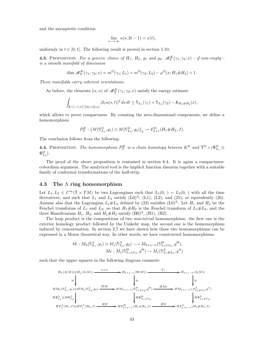and the asymptotic condition

$$
\lim_{s \to +\infty} u(s, 2t - 1) = x(t),
$$

uniformly in  $t \in [0, 1]$ . The following result is proved in section 5.10.

**4.3.** PROPOSITION. For a generic choice of  $H_1$ ,  $H_2$ ,  $g_1$  and  $g_2$ ,  $\mathscr{M}_{\Upsilon}^K(\gamma_1, \gamma_2; x)$  - if non-empty is a smooth manifold of dimension

$$
\dim \mathcal{M}_{\Upsilon}^{K}(\gamma_{1}, \gamma_{2}; x) = m^{\Omega}(\gamma_{1}; L_{1}) + m^{\Omega}(\gamma_{2}; L_{2}) - \mu^{\Omega}(x; H_{1} \# H_{2}) + 1.
$$

These manifolds carry coherent orientations.

As before, the elements  $(\alpha, u)$  of  $\mathscr{M}_{\Upsilon}^{K}(\gamma_{1}, \gamma_{2}; x)$  satisfy the energy estimate

$$
\int_{\mathbb{R} \times ]-1,1[ \setminus \{0\} \times [0,\alpha]} |\partial_s u(s,t)|^2 ds dt \leq \mathbb{S}_{L_1}(\gamma_1) + \mathbb{S}_{L_2}(\gamma_2) - \mathbb{A}_{H_1 \# H_2}(x),
$$

which allows to prove compactness. By counting the zero-dimensional components, we define a homomorphism

$$
P^K_\Upsilon: \big(M(\mathbb{S}^\Omega_{L_1}, g_1)\otimes M(\mathbb{S}^\Omega_{L_2}, g_2)\big)_k\to F^{\Omega}_{k+1}(H_1\# H_2, J).
$$

The conclusion follows from the following:

**4.4.** PROPOSITION. The homomorphism  $P_{\Upsilon}^{K}$  is a chain homotopy between  $K^{\Omega}$  and  $\Upsilon^{\Omega} \circ (\Phi_{L_1}^{\Omega} \otimes$  $\Phi_{L_2}^{\Omega}$ ).

The proof of the above proposition is contained in section 6.4. It is again a compactnesscobordism argument. The analytical tool is the implicit function theorem together with a suitable family of conformal transformations of the half-strip.

# 4.3 The Λ ring homomorphism

Let  $L_1, L_2 \in C^\infty(\mathbb{T} \times TM)$  be two Lagrangians such that  $L_1(0, \cdot) = L_2(0, \cdot)$  with all the time derivatives, and such that  $L_1$  and  $L_2$  satisfy  $(L0)^\Lambda$ ,  $(L1)$ ,  $(L2)$ , and  $(25)$ , or equivalently  $(26)$ . Assume also that the Lagrangian  $L_1 \# L_2$  defined by (23) satisfies  $(L_0)^{\Lambda}$ . Let  $H_1$  and  $H_2$  be the Fenchel transforms of  $L_1$  and  $L_2$ , so that  $H_1 \# H_2$  is the Fenchel transform of  $L_1 \# L_2$ , and the three Hamiltonians  $H_1$ ,  $H_2$ , and  $H_1 \# H_2$  satisfy (H0)<sup> $\Lambda$ </sup>, (H1), (H2).

The loop product is the compositions of two non-trivial homomorphism: the first one is the exterior homology product followed by the Umkehr map, the second one is the homomorphism induced by concatenation. In section 2.7 we have shown how these two homomorphisms can be expressed in a Morse theoretical way. In other words, we have constructed homomorphisms

$$
M_! : M_h(\mathbb{S}_{L_1}^{\Lambda}, g_1) \otimes M_j(\mathbb{S}_{L_2}^{\Lambda}, g_2) \longrightarrow M_{h+j-n}(\mathbb{S}_{L_1 \oplus L_2}^{\Theta}, g^{\Theta}),
$$
  

$$
M_{\Gamma} : M_j(\mathbb{S}_{L_1 \oplus L_2}^{\Theta}, g^{\Theta}) \longrightarrow M_j(\mathbb{S}_{L_1 \# L_2}^{\Lambda}, g^{\Lambda})
$$

such that the upper squares in the following diagram commute

$$
H_h(\Lambda(M)) \otimes H_j(\Lambda(M)) \xrightarrow{e_1 \circ \times} H_{h+j-n}(\Theta(M)) \xrightarrow{\Gamma_*} H_{h+j-n}(\Lambda(M))
$$
  
\n
$$
\cong \downarrow \qquad \qquad \downarrow \cong
$$
  
\n
$$
H M_h(S_{L_1}^{\Lambda}, g_1) \otimes H M_j(S_{L_2}^{\Lambda}, g_2) \xrightarrow{HM_1} H M_1 \to H M_{h+j-n}(S_{L_1 \oplus L_2}^{\Theta}, g^{\Theta}) \xrightarrow{HM_{\Gamma}} H M_{h+j-n}(\mathcal{S}_{L_1 \# L_2}^{\Lambda}, g^{\Lambda})
$$
  
\n
$$
H \Phi_{L_1 \oplus L_2}^{\Lambda} \downarrow \qquad \qquad H \Phi_{L_1 \oplus L_2}^{\Theta} \downarrow \qquad \qquad H \Phi_{L_1 \oplus L_2}^{\Lambda} \downarrow \qquad H \Phi_{L_1 \oplus L_2}^{\Lambda} \downarrow
$$
  
\n
$$
H F_h^{\Lambda}(H_1, J) \otimes H F_j^{\Lambda}(H_2, J) \xrightarrow{HE} H F_{h+j-n}^{\Theta}(H_1 \oplus H_2, J) \xrightarrow{HG} H F_{h+j-n}^{\Lambda}(H_1 \# H_2, J)
$$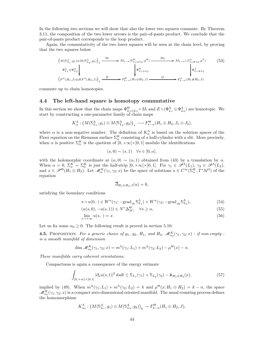In the following two sections we will show that also the lower two squares commute. By Theorem 3.11, the composition of the two lower arrows is the pair-of-pants product. We conclude that the pair-of-pants product corresponds to the loop product.

Again, the commutativity of the two lower squares will be seen at the chain level, by proving that the two squares below

$$
\left(M(\mathbb{S}_{L_1}^{\Lambda}, g_1) \otimes M(\mathbb{S}_{L_2}^{\Lambda}, g_2)\right)_k \xrightarrow{M_1} M_{k-n}(\mathbb{S}_{L_1 \oplus L_2}^{\Theta}, g^{\Theta}) \xrightarrow{M_{\Gamma}} M_{k-n}(\mathcal{S}_{L_1 \# L_2}^{\Lambda}, g^{\Lambda})
$$
\n
$$
\left.\begin{array}{c}\n\Phi_{L_1}^{\Lambda} \otimes \Phi_{L_2}^{\Lambda} \\
\downarrow \Phi_{L_1 \oplus L_2}^{\Theta} \\
\downarrow \end{array}\right|_{\Phi_{L_1 \oplus L_2}^{\Theta}} \xrightarrow{H_{\Gamma}} M_{k-n}(\mathcal{S}_{L_1 \# L_2}^{\Lambda} g^{\Lambda})
$$
\n
$$
\left(F^{\Lambda}(H_1, J) \otimes HF^{\Lambda}(H_2, J)\right)_k \xrightarrow{E} F^{\Theta}_{k-n}(H_1 \oplus H_2, J) \xrightarrow{G} F^{\Lambda}_{k-n}(H_1 \# H_2, J)
$$
\n
$$
(53)
$$

commute up to chain homotopies.

# 4.4 The left-hand square is homotopy commutative

In this section we show that the chain maps  $\Phi_{L_1\oplus L_2}^{\Theta} \circ M_1$  and  $E \circ (\Phi_{L_1}^{\Lambda} \otimes \Phi_{L_2}^{\Lambda})$  are homotopic. We start by constructing a one-parameter family of chain maps

$$
K_{\alpha}^{\Lambda}: (M(\mathbb{S}_{L_1}^{\Lambda}, g_1) \otimes M(\mathbb{S}_{L_2}^{\Lambda}, g_2))_{*} \longrightarrow F_{*-n}^{\Theta}(H_1 \oplus H_2, J_1 \oplus J_2),
$$

where  $\alpha$  is a non-negative number. The definition of  $K_{\alpha}^{\Lambda}$  is based on the solution spaces of the Floer equation on the Riemann surface  $\Sigma_\alpha^K$  consisting of a half-cylinder with a slit. More precisely, when  $\alpha$  is positive  $\Sigma_{\alpha}^K$  is the quotient of  $[0, +\infty[\times[0, 1] \text{ modulo the identifications}]$ 

$$
(s,0) \sim (s,1) \quad \forall s \in [0,\alpha].
$$

with the holomorphic coordinate at  $(\alpha, 0) \sim (\alpha, 1)$  obtained from (43) by a translation by  $\alpha$ . When  $\alpha = 0$ ,  $\Sigma_{\alpha}^{K} = \Sigma_{0}^{K}$  is just the half-strip  $[0, +\infty[\times[0,1])$ . Fix  $\gamma_{1} \in \mathscr{P}^{\Lambda}(L_{1})$ ,  $\gamma_{2} \in \mathscr{P}^{\Lambda}(L_{2})$ , and  $x \in \mathscr{P}^{\Theta}(H_1 \oplus H_2)$ . Let  $\mathscr{M}_{\alpha}^K(\gamma_1, \gamma_2; x)$  be the space of solutions  $u \in C^{\infty}(\Sigma_{\alpha}^K, T^*M^2)$  of the equation

$$
\overline{\partial}_{H_1\oplus H_2,J}(u)=0,
$$

satisfying the boundary conditions

$$
\pi \circ u(0, \cdot) \in W^u(\gamma_1; -\text{grad}_{g_1} \mathbb{S}_{L_1}^{\Lambda}) \times W^u(\gamma_2; -\text{grad}_{g_2} \mathbb{S}_{L_2}^{\Lambda}), \tag{54}
$$

$$
(u(s,0), -u(s,1)) \in N^* \Delta_M^{\Theta}, \quad \forall s \ge \alpha,
$$
\n
$$
(55)
$$

$$
\lim_{s \to +\infty} u(s, \cdot) = x. \tag{56}
$$

Let us fix some  $\alpha_0 \geq 0$ . The following result is proved in section 5.10:

**4.5.** PROPOSITION. For a generic choice of  $g_1$ ,  $g_2$ ,  $H_1$ , and  $H_2$ ,  $\mathscr{M}_{\alpha_0}^K(\gamma_1, \gamma_2; x)$  - if non-empty is a smooth manifold of dimension

$$
\dim \mathcal{M}_{\alpha_0}^K(\gamma_1, \gamma_2; x) = m^{\Lambda}(\gamma_1; L_1) + m^{\Lambda}(\gamma_2; L_2) - \mu^{\Theta}(x) - n.
$$

These manifolds carry coherent orientations.

Compactness is again a consequence of the energy estimate

$$
\int_{]0,+\infty[\times]0,1[} |\partial_s u(s,t)|^2 dsdt \leq \mathfrak{S}_{L_1}(\gamma_1) + \mathfrak{S}_{L_2}(\gamma_2) - \mathbb{A}_{H_1 \oplus H_2}(x),\tag{57}
$$

implied by (49). When  $m^{\Lambda}(\gamma_1;L_1) + m^{\Lambda}(\gamma_2;L_2) = k$  and  $\mu^{\Theta}(x;H_1 \oplus H_2) = k - n$ , the space  $\mathscr{M}^K_{\alpha_0}(\gamma_1,\gamma_2;x)$  is a compact zero-dimensional oriented manifold. The usual counting process defines the homomorphism

$$
K_{\alpha_0}^{\Lambda}: (M(\mathbb{S}_{L_1}^{\Lambda}, g_1) \otimes M(\mathbb{S}_{L_2}^{\Lambda}, g_2))_{k} \to F_{k-n}^{\Theta}(H_1 \oplus H_2, J),
$$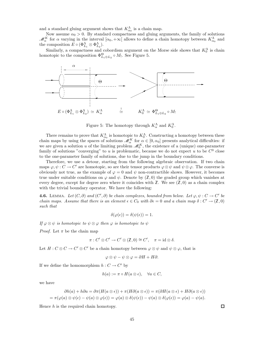and a standard gluing argument shows that  $K_{\alpha_0}^{\Lambda}$  is a chain map.

Now assume  $\alpha_0 > 0$ . By standard compactness and gluing arguments, the family of solutions  $\mathscr{M}_{\alpha}^{K}$  for  $\alpha$  varying in the interval  $[\alpha_0, +\infty]$  allows to define a chain homotopy between  $K_{\alpha_0}^{\Lambda}$  and the composition  $E \circ (\Phi_{L_1}^{\Lambda} \otimes \Phi_{L_2}^{\Lambda}).$ 

Similarly, a compactness and cobordism argument on the Morse side shows that  $K_0^{\Lambda}$  is chain homotopic to the composition  $\Phi_{L_1\oplus L_2}^{\Theta} \circ M_1$ . See Figure 5.



Figure 5: The homotopy through  $K_{\alpha}^{\Lambda}$  and  $K_{0}^{\Lambda}$ .

There remains to prove that  $K_{\alpha_0}^{\Lambda}$  is homotopic to  $K_0^{\Lambda}$ . Constructing a homotopy between these chain maps by using the spaces of solutions  $\mathcal{M}_{\alpha}^{K}$  for  $\alpha \in [0, \alpha_{0}]$  presents analytical difficulties: if we are given a solution u of the limiting problem  $\mathscr{M}_0^K$ , the existence of a (unique) one-parameter family of solutions "converging" to u is problematic, because we do not expect u to be  $C^0$  close to the one-parameter family of solutions, due to the jump in the boundary conditions.

Therefore, we use a detour, starting from the following algebraic observation. If two chain maps  $\varphi, \psi : C \to C'$  are homotopic, so are their tensor products  $\varphi \otimes \psi$  and  $\psi \otimes \varphi$ . The converse is obviously not true, as the example of  $\varphi = 0$  and  $\psi$  non-contractible shows. However, it becomes true under suitable conditions on  $\varphi$  and  $\psi$ . Denote by  $(\mathbb{Z},0)$  the graded group which vanishes at every degree, except for degree zero where it coincides with  $\mathbb{Z}$ . We see  $(\mathbb{Z},0)$  as a chain complex with the trivial boundary operator. We have the following:

**4.6.** LEMMA. Let  $(C, \partial)$  and  $(C', \partial)$  be chain complexes, bounded from below. Let  $\varphi, \psi : C \to C'$  be chain maps. Assume that there is an element  $\epsilon \in C_0$  with  $\partial \epsilon = 0$  and a chain map  $\delta : C' \to (\mathbb{Z}, 0)$ such that

$$
\delta(\varphi(\epsilon)) = \delta(\psi(\epsilon)) = 1.
$$

If  $\varphi \otimes \psi$  is homotopic to  $\psi \otimes \varphi$  then  $\varphi$  is homotopic to  $\psi$ 

*Proof.* Let  $\pi$  be the chain map

$$
\pi: C' \otimes C' \to C' \otimes (\mathbb{Z}, 0) \cong C', \quad \pi = \mathrm{id} \otimes \delta.
$$

Let  $H: C \otimes C \to C' \otimes C'$  be a chain homotopy between  $\varphi \otimes \psi$  and  $\psi \otimes \varphi$ , that is

$$
\varphi \otimes \psi - \psi \otimes \varphi = \partial H + H \partial.
$$

If we define the homomorphism  $h: C \to C'$  by

$$
h(a) := \pi \circ H(a \otimes \epsilon), \quad \forall a \in C,
$$

we have

$$
\partial h(a) + h\partial a = \partial \pi(H(a \otimes \epsilon)) + \pi(H\partial(a \otimes \epsilon)) = \pi(\partial H(a \otimes \epsilon) + H\partial(a \otimes \epsilon))
$$
  
=  $\pi(\varphi(a) \otimes \psi(\epsilon) - \psi(a) \otimes \varphi(\epsilon)) = \varphi(a) \otimes \delta(\psi(\epsilon)) - \psi(a) \otimes \delta(\varphi(\epsilon)) = \varphi(a) - \psi(a).$ 

Hence  $h$  is the required chain homotopy.

 $\Box$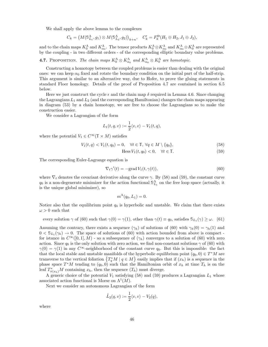We shall apply the above lemma to the complexes

$$
C_k = \big(M(\mathbb{S}^{\Lambda}_{L_1}, g_1) \otimes M(\mathbb{S}^{\Lambda}_{L_2}, g_2)\big)_{k+n}, \quad C'_k = F_k^{\Theta}(H_1 \oplus H_2, J_1 \oplus J_2),
$$

and to the chain maps  $K_0^{\Lambda}$  and  $K_{\alpha_0}^{\Lambda}$ . The tensor products  $K_0^{\Lambda} \otimes K_{\alpha_0}^{\Lambda}$  and  $K_{\alpha_0}^{\Lambda} \otimes K_0^{\Lambda}$  are represented by the coupling - in two different orders - of the corresponding elliptic boundary value problems.

**4.7.** PROPOSITION. The chain maps  $K_0^{\Lambda} \otimes K_{\alpha_0}^{\Lambda}$  and  $K_{\alpha_0}^{\Lambda} \otimes K_0^{\Lambda}$  are homotopic.

Constructing a homotopy between the coupled problems is easier than dealing with the original ones: we can keep  $\alpha_0$  fixed and rotate the boundary condition on the initial part of the half-strip. This argument is similar to an alternative way, due to Hofer, to prove the gluing statements in standard Floer homology. Details of the proof of Proposition 4.7 are contained in section 6.5 below.

Here we just construct the cycle  $\epsilon$  and the chain map  $\delta$  required in Lemma 4.6. Since changing the Lagrangians  $L_1$  and  $L_2$  (and the corresponding Hamiltonian) changes the chain maps appearing in diagram (53) by a chain homotopy, we are free to choose the Lagrangians so to make the construction easier.

We consider a Lagrangian of the form

$$
L_1(t,q,v) := \frac{1}{2} \langle v, v \rangle - V_1(t,q),
$$

where the potential  $V_1 \in C^\infty(\mathbb{T} \times M)$  satisfies

$$
V_1(t,q) < V_1(t,q_0) = 0, \quad \forall t \in \mathbb{T}, \ \forall q \in M \setminus \{q_0\},\tag{58}
$$

$$
\text{Hess } V_1(t, q_0) < 0, \quad \forall t \in \mathbb{T}.\tag{59}
$$

The corresponding Euler-Lagrange equation is

$$
\nabla_t \gamma'(t) = -\text{grad } V_1(t, \gamma(t)),\tag{60}
$$

where  $\nabla_t$  denotes the covariant derivative along the curve  $\gamma$ . By (58) and (59), the constant curve  $q_0$  is a non-degenerate minimizer for the action functional  $\mathbb{S}_{L_1}^{\Lambda}$  on the free loop space (actually, it is the unique global minimizer), so

$$
m^{\Lambda}(q_0, L_1) = 0.
$$

Notice also that the equilibrium point  $q_0$  is hyperbolic and unstable. We claim that there exists  $\omega > 0$  such that

every solution  $\gamma$  of (60) such that  $\gamma(0) = \gamma(1)$ , other than  $\gamma(t) \equiv q_0$ , satisfies  $\mathcal{S}_{L_1}(\gamma) \geq \omega$ . (61)

Assuming the contrary, there exists a sequence  $(\gamma_h)$  of solutions of (60) with  $\gamma_h(0) = \gamma_h(1)$  and  $0 < S_{L_1}(\gamma_h) \to 0$ . The space of solutions of (60) with action bounded from above is compact for istance in  $C^{\infty}([0,1], M)$  - so a subsequence of  $(\gamma_h)$  converges to a solution of (60) with zero action. Since  $q_0$  is the only solution with zero action, we find non-constant solutions  $\gamma$  of (60) with  $\gamma(0) = \gamma(1)$  in any  $C^{\infty}$ -neighborhood of the constant curve  $q_0$ . But this is impossible: the fact that the local stable and unstable manifolds of the hyperbolic equilibrium point  $(q_0, 0) \in T^*M$  are transverse to the vertical foliation  $\{T_q^*M \mid q \in M\}$  easily implies that if  $(x_h)$  is a sequence in the phase space  $T^*M$  tending to  $(q_0, 0)$  such that the Hamiltonian orbit of  $x_h$  at time  $T_h$  is on the leaf  $T^*_{\pi(x_h)}M$  containing  $x_h$ , then the sequence  $(T_h)$  must diverge.

A generic choice of the potential  $V_1$  satisfying (58) and (59) produces a Lagrangian  $L_1$  whose associated action functional is Morse on  $\Lambda^1(M)$ .

Next we consider an autonomous Lagrangian of the form

$$
\tilde{L}_2(q, v) := \frac{1}{2} \langle v, v \rangle - V_2(q),
$$

where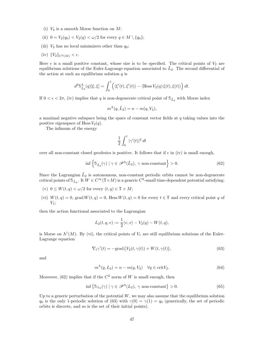- (i)  $V_2$  is a smooth Morse function on M;
- (ii)  $0 = V_2(q_0) < V_2(q) < \omega/2$  for every  $q \in M \setminus \{q_0\};$
- (iii)  $V_2$  has no local minimizers other than  $q_0$ ;
- (iv)  $||V_2||_{C^2(M)} < \epsilon$ .

Here  $\epsilon$  is a small positive constant, whose size is to be specified. The critical points of  $V_2$  are equilibrium solutions of the Euler-Lagrange equation associated to  $\tilde{L}_2$ . The second differential of the action at such an equilibrium solution  $q$  is

$$
d^2\mathbb{S}_{\tilde{L}_2}^{\Lambda}(q)[\xi,\xi] = \int_0^1 \left( \langle \xi'(t),\xi'(t) \rangle - \langle \text{Hess}\, V_2(q)\,\xi(t),\xi(t) \rangle \right) dt.
$$

If  $0 < \epsilon < 2\pi$ , (iv) implies that q is non-degenerate critical point of  $\mathbb{S}_{\tilde{L}_2}$  with Morse index

$$
m^{\Lambda}(q, \tilde{L}_2) = n - m(q, V_2),
$$

a maximal negative subspace being the space of constant vector fields at  $q$  taking values into the positive eigenspace of Hess  $V_2(q)$ .

The infimum of the energy

$$
\frac{1}{2}\int_0^1|\gamma'(t)|^2\,dt
$$

over all non-constant closed geodesics is positive. It follows that if  $\epsilon$  in (iv) is small enough,

$$
\inf \left\{ \mathbb{S}_{\tilde{L}_2}(\gamma) \mid \gamma \in \mathscr{P}^{\Lambda}(\tilde{L}_2), \ \gamma \text{ non-constant} \right\} > 0. \tag{62}
$$

Since the Lagrangian  $\tilde{L}_2$  is autonomous, non-constant periodic orbits cannot be non-degenerate critical points of  $\mathcal{S}_{L_2}$ . It  $W \in C^{\infty}(\mathbb{T} \times M)$  is a generic  $C^2$ -small time-dependent potential satisfying:

- (v)  $0 \leq W(t,q) < \omega/2$  for every  $(t,q) \in \mathbb{T} \times M$ ;
- (vi)  $W(t, q) = 0$ , grad  $W(t, q) = 0$ , Hess  $W(t, q) = 0$  for every  $t \in \mathbb{T}$  and every critical point q of  $V_1$ ;

then the action functional associated to the Lagrangian

$$
L_2(t, q, v) := \frac{1}{2} \langle v, v \rangle - V_2(q) - W(t, q),
$$

is Morse on  $\Lambda^1(M)$ . By (vi), the critical points of  $V_1$  are still equilibrium solutions of the Euler-Lagrange equation

$$
\nabla_t \gamma'(t) = -\text{grad}\left(V_2(t, \gamma(t)) + W(t, \gamma(t)\right),\tag{63}
$$

and

$$
m^{\Lambda}(q, L_2) = n - m(q, V_2) \quad \forall q \in \text{crit} V_2.
$$
\n
$$
(64)
$$

Moreover,  $(62)$  implies that if the  $C<sup>2</sup>$  norm of W is small enough, then

$$
\inf \left\{ \mathbb{S}_{L_2}(\gamma) \mid \gamma \in \mathscr{P}^{\Lambda}(L_2), \ \gamma \text{ non-constant} \right\} > 0. \tag{65}
$$

Up to a generic perturbation of the potential  $W$ , we may also assume that the equilibrium solution  $q_0$  is the only 1-periodic solution of (63) with  $\gamma(0) = \gamma(1) = q_0$  (generically, the set of periodic orbits is discrete, and so is the set of their initial points).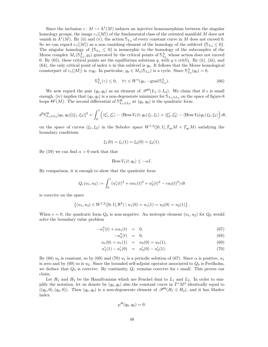Since the inclusion  $c : M \hookrightarrow \Lambda^1(M)$  induces an injective homomorphism between the singular homology groups, the image  $c_*([M])$  of the fundamental class of the oriented manifold M does not vanish in  $\Lambda^1(M)$ . By (ii) and (v), the action  $\mathcal{S}_{L_2}$  of every constant curve in M does not exceed 0. So we can regard  $c_*(M)$  as a non vanishing element of the homology of the sublevel  $\{S_{L_2} \leq 0\}$ . The singular homology of  $\{S_{L_2} \leq 0\}$  is isomorphic to the homology of the subcomplex of the Morse complex  $M_*(\mathbb{S}^{\Lambda}_{L_2}, g_2)$  generated by the critical points of  $\mathbb{S}^{\Lambda}_{L_2}$  whose action does not exceed 0. By (65), these critical points are the equilibrium solutions q, with  $q \in \text{crit}V_2$ . By (ii), (iii), and  $(64)$ , the only critical point of index n in this sublevel is  $q_0$ . It follows that the Morse homological counterpart of  $c_*([M])$  is  $\pm q_0$ . In particular,  $q_0 \in M_n(\mathbb{S}_{L_2})$  is a cycle. Since  $\mathbb{S}_{L_2}^{\Lambda}(q_0) = 0$ ,

$$
\mathbb{S}_{L_2}^{\Lambda}(\gamma) \le 0, \quad \forall \gamma \in W^u(q_0, -\text{grad}\,\mathbb{S}_{L_2}^{\Lambda}).\tag{66}
$$

We now regard the pair  $(q_0, q_0)$  as an element of  $\mathscr{P}^{\Theta}(L_1 \oplus L_2)$ . We claim that if  $\epsilon$  is small enough, (iv) implies that  $(q_0, q_0)$  is a non-degenerate minimizer for  $\mathcal{S}_{L_1 \oplus L_2}$  on the space of figure-8 loops  $\Theta^1(M)$ . The second differential of  $\mathbb{S}_{L_1\oplus L_2}^{\Theta}$  at  $(q_0, q_0)$  is the quadratic form

$$
d^{2}S_{L_{1}\oplus L_{2}}^{\Theta}(q_{0},q_{0})[(\xi_{1},\xi_{2})]^{2} = \int_{0}^{1} \left( \langle \xi_{1}',\xi_{1}' \rangle - \langle \text{Hess } V_{1}(t,q_{0}) \xi_{1},\xi_{1} \rangle + \langle \xi_{2}',\xi_{2}' \rangle - \langle \text{Hess } V_{2}(q_{0}) \xi_{2},\xi_{2} \rangle \right) dt,
$$

on the space of curves  $(\xi_1, \xi_2)$  in the Sobolev space  $W^{1,2}(]0, 1[, T_{q_0}M \times T_{q_0}M)$  satisfying the boundary conditions

$$
\xi_1(0) = \xi_1(1) = \xi_2(0) = \xi_2(1).
$$

By (59) we can find  $\alpha > 0$  such that that

$$
\text{Hess }V_1(t,q_0)\leq -\alpha I.
$$

By comparison, it is enough to show that the quadratic form

$$
Q_{\epsilon}(u_1, u_2) := \int_0^1 (u'_1(t)^2 + \alpha u_1(t)^2 + u'_2(t)^2 - \epsilon u_2(t)^2) dt
$$

is coercive on the space

$$
\{(u_1, u_2) \in W^{1,2}(]0, 1[, \mathbb{R}^2) \mid u_1(0) = u_1(1) = u_2(0) = u_2(1)\}
$$

When  $\epsilon = 0$ , the quadratic form  $Q_0$  is non-negative. An isotropic element  $(u_1, u_2)$  for  $Q_0$  would solve the boundary value problem

$$
-u_1''(t) + \alpha u_1(t) = 0, \t\t(67)
$$

$$
-u_2''(t) = 0, \t\t(68)
$$

.

$$
u_1(0) = u_1(1) = u_2(0) = u_2(1), \tag{69}
$$

$$
u_1'(1) - u_1'(0) = u_2'(0) - u_2'(1). \tag{70}
$$

By (68)  $u_2$  is constant, so by (69) and (70)  $u_1$  is a periodic solution of (67). Since  $\alpha$  is positive,  $u_1$ is zero and by (69) so is  $u_2$ . Since the bounded self-adjoint operator associated to  $Q_0$  is Fredholm, we deduce that  $Q_0$  is coercive. By continuity,  $Q_{\epsilon}$  remains coercive for  $\epsilon$  small. This proves our claim.

Let  $H_1$  and  $H_2$  be the Hamiltonians which are Fenchel dual to  $L_1$  and  $L_2$ . In order to simplify the notation, let us denote by  $(q_0, q_0)$  also the constant curve in  $T^*M^2$  identically equal to  $((q_0, 0), (q_0, 0))$ . Then  $(q_0, q_0)$  is a non-degenerate element of  $\mathscr{P}^{\Theta}(H_1 \oplus H_2)$ , and it has Maslov index

$$
\mu^{\Theta}(q_0, q_0) = 0.
$$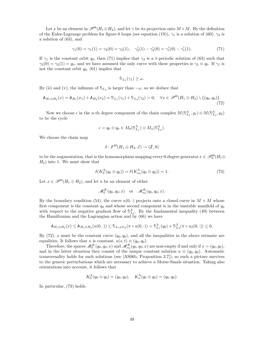Let x be an element in  $\mathscr{P}^{\Theta}(H_1 \oplus H_2)$ , and let  $\gamma$  be its projection onto  $M \times M$ . By the definition of the Euler-Lagrange problem for figure-8 loops (see equation (19)),  $\gamma_1$  is a solution of (60),  $\gamma_2$  is a solution of (63), and

$$
\gamma_1(0) = \gamma_1(1) = \gamma_2(0) = \gamma_2(1), \quad \gamma_2'(1) - \gamma_2'(0) = \gamma_1'(0) - \gamma_1'(1). \tag{71}
$$

If  $\gamma_1$  is the constant orbit  $q_0$ , then (71) implies that  $\gamma_2$  is a 1-periodic solution of (63) such that  $\gamma_2(0) = \gamma_2(1) = q_0$ , and we have assumed the only curve with these properties is  $\gamma_2 \equiv q_0$ . If  $\gamma_1$  is not the constant orbit  $q_0$ , (61) implies that

$$
\mathbb{S}_{L_1}(\gamma_1)\geq \omega.
$$

By (ii) and (v), the infimum of  $\mathcal{S}_{L_2}$  is larger than  $-\omega$ , so we deduce that

$$
\mathbb{A}_{H_1 \oplus H_2}(x) = \mathbb{A}_{H_1}(x_1) + \mathbb{A}_{H_2}(x_2) = \mathbb{S}_{L_1}(\gamma_1) + \mathbb{S}_{L_2}(\gamma_2) > 0, \quad \forall x \in \mathscr{P}^{\Theta}(H_1 \oplus H_2) \setminus \{ (q_0, q_0) \}. \tag{72}
$$

Now we choose  $\epsilon$  in the *n*-th degree component of the chain complex  $M(\mathbb{S}_{L_1}^{\Lambda}, g_1) \otimes M(\mathbb{S}_{L_2}^{\Lambda}, g_2)$ to be the cycle

$$
\epsilon = q_0 \otimes q_0 \in M_0(\mathbb{S}_{L_1}^{\Lambda}) \otimes M_n(\mathbb{S}_{L_2}^{\Lambda}).
$$

We choose the chain map

$$
\delta: F^{\Theta}(H_1 \oplus H_2, J) \to (\mathbb{Z}, 0)
$$

to be the augmentation, that is the homomorphism mapping every 0-degree generator  $x \in \mathcal{P}_0^{\Theta}(H_1 \oplus$  $H_2$ ) into 1. We must show that

$$
\delta(K_0^{\Lambda}(q_0 \otimes q_0)) = \delta(K_{\alpha_0}^{\Lambda}(q_0 \otimes q_0)) = 1.
$$
\n(73)

Let  $x \in \mathscr{P}^{\Theta}(H_1 \oplus H_2)$ , and let u be an element of either

$$
\mathscr{M}_0^K(q_0, q_0; x) \quad \text{or} \quad \mathscr{M}_{\alpha_0}^K(q_0, q_0; x).
$$

By the boundary condition (54), the curve  $u(0, \cdot)$  projects onto a closed curve in  $M \times M$  whose first component is the constant  $q_0$  and whose second component is in the unstable manifold of  $q_0$ with respect to the negative gradient flow of  $\mathbb{S}^{\Lambda}_{L_2}$ . By the fundamental inequality (49) between the Hamiltonian and the Lagrangian action and by  $(66)$  we have

$$
\mathbb{A}_{H_1 \oplus H_2}(x) \leq \mathbb{A}_{H_1 \oplus H_2}(u(0, \cdot)) \leq \mathbb{S}_{L_1 \oplus L_2}(\pi \circ u(0, \cdot)) = \mathbb{S}_{L_1}^{\Lambda}(q_0) + \mathbb{S}_{L_2}^{\Lambda}(\pi \circ u_2(0, \cdot)) \leq 0.
$$

By (72), x must be the constant curve  $(q_0, q_0)$ , and all the inequalities in the above estimate are equalities. It follows that u is constant,  $u(s, t) \equiv (q_0, q_0)$ .

Therefore, the spaces  $\mathscr{M}_0^K(q_0, q_0; x)$  and  $\mathscr{M}_{\alpha_0}^K(q_0, q_0; x)$  are non-empty if and only if  $x = (q_0, q_0)$ , and in the latter situation they consist of the unique constant solution  $u \equiv (q_0, q_0)$ . Automatic transversality holds for such solutions (see [AS06b, Proposition 3.7]), so such a picture survives to the generic perturbations which are necessary to achieve a Morse-Smale situation. Taking also orientations into account, it follows that

$$
K_0^{\Lambda}(q_0 \otimes q_0) = (q_0, q_0), \quad K_{\alpha}^{\Lambda}(q_0 \otimes q_0) = (q_0, q_0).
$$

In particular, (73) holds.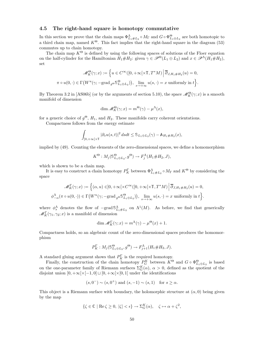# 4.5 The right-hand square is homotopy commutative

In this section we prove that the chain maps  $\Phi_{L_1\#L_2}^{\Lambda} \circ M_{\Gamma}$  and  $G \circ \Phi_{L_1\oplus L_2}^{\Theta}$  are both homotopic to a third chain map, named  $K^{\Theta}$ . This fact implies that the right-hand square in the diagram (53) commutes up to chain homotopy.

The chain map  $K^{\Theta}$  is defined by using the following spaces of solutions of the Floer equation on the half-cylinder for the Hamiltonian  $H_1 \# H_2$ : given  $\gamma \in \mathscr{P}^{\Theta}(L_1 \oplus L_2)$  and  $x \in \mathscr{P}^{\Lambda}(H_1 \# H_2)$ , set

$$
\mathscr{M}_{K}^{\Theta}(\gamma; x) := \left\{ u \in C^{\infty}([0, +\infty[\times \mathbb{T}, T^{*}M)] \middle| \overline{\partial}_{J, H_{1} \# H_{2}}(u) = 0, \right\}
$$

$$
\pi \circ u(0, \cdot) \in \Gamma(W^{u}(\gamma; -\text{grad}_{g^{\Theta}} \mathbb{S}^{\Theta}_{L_{1} \oplus L_{2}})), \lim_{s \to +\infty} u(s, \cdot) = x \text{ uniformly in } t \right\}.
$$

By Theorem 3.2 in [AS06b] (or by the arguments of section 5.10), the space  $\mathscr{M}^{\Theta}_K(\gamma; x)$  is a smooth manifold of dimension

$$
\dim \mathcal{M}_K^{\Theta}(\gamma; x) = m^{\Theta}(\gamma) - \mu^{\Lambda}(x),
$$

for a generic choice of  $g^{\Theta}$ ,  $H_1$ , and  $H_2$ . These manifolds carry coherent orientations.

Compactness follows from the energy estimate

$$
\int_{]0,+\infty[\times\mathbb{T}} |\partial_s u(s,t)|^2 dsdt \leq \mathbb{S}_{L_1\oplus L_2}(\gamma) - \mathbb{A}_{H_1\#H_2}(x),
$$

implied by (49). Counting the elements of the zero-dimensional spaces, we define a homomorphism

$$
K^{\Theta}: M_j(\mathbb{S}_{L_1 \oplus L_2}^{\Theta}, g^{\Theta}) \to F_j^{\Lambda}(H_1 \# H_2, J),
$$

which is shown to be a chain map.

It is easy to construct a chain homotopy  $P_K^{\Gamma}$  between  $\Phi_{L_1\#L_2}^{\Lambda} \circ M_{\Gamma}$  and  $K^{\Theta}$  by considering the space

$$
\label{eq:K} \begin{split} \mathscr{M}_K^\Gamma(\gamma;x):&=\Big\{(\alpha,u)\in]0,+\infty[\times C^\infty([0,+\infty[\times \mathbb T,T^*M)\,\Big|\,\overline\partial_{J,H_1\#H_2}(u)=0,\\ \phi_{-\alpha}^\Lambda(\pi\circ u(0,\cdot))\in\Gamma\big(W^u(\gamma;-\mathrm{grad\,}_{g^\Theta}\mathbb{S}^\Theta_{L_1\oplus L_2})\big),\;\lim_{s\to+\infty}u(s,\cdot)=x\;\text{uniformly in}\;t\Big\}. \end{split}
$$

where  $\phi_s^{\Lambda}$  denotes the flow of  $-\text{grad }S^{\Lambda}_{L_1\#L_2}$  on  $\Lambda^1(M)$ . As before, we find that generically  $\mathscr{M}_K^{\Gamma}(\gamma_1, \gamma_2; x)$  is a manifold of dimension

$$
\dim \mathcal{M}_K^{\Gamma}(\gamma; x) = m^{\Lambda}(\gamma) - \mu^{\Theta}(x) + 1.
$$

Compactness holds, so an algebraic count of the zero-dimensional spaces produces the homomorphism

$$
P_K^{\Gamma}: M_j(\mathbb{S}_{L_1\oplus L_2}^{\Theta}, g^{\Theta}) \to F_{j+1}^{\Lambda}(H_1 \# H_2, J).
$$

A standard gluing argument shows that  $P_K^{\Gamma}$  is the required homotopy.

Finally, the construction of the chain homotopy  $P_G^K$  between  $K^{\Theta}$  and  $G \circ \Phi_{L_1 \oplus L_2}^{\Theta}$  is based on the one-parameter family of Riemann surfaces  $\Sigma_G^K(\alpha)$ ,  $\alpha > 0$ , defined as the quotient of the disjoint union  $[0,+\infty[\times[-1,0]\sqcup[0,+\infty[\times[0,1]$  under the identifications

$$
(s, 0^-) \sim (s, 0^+)
$$
 and  $(s, -1) \sim (s, 1)$  for  $s \ge \alpha$ .

This object is a Riemann surface with boundary, the holomorphic structure at  $(\alpha, 0)$  being given by the map

$$
\{\zeta \in \mathbb{C} \mid \text{Re}\,\zeta \ge 0, \, |\zeta| < \epsilon\} \to \Sigma_G^K(\alpha), \quad \zeta \mapsto \alpha + \zeta^2,
$$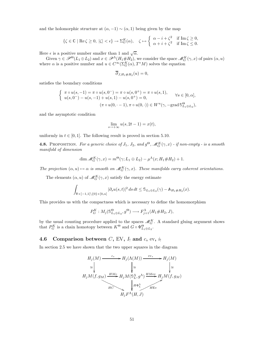and the holomorphic structure at  $(\alpha, -1) \sim (\alpha, 1)$  being given by the map

$$
\{\zeta\in\mathbb{C}\mid \mathrm{Re}\,\zeta\geq 0,\;|\zeta|<\epsilon\}\to\Sigma_G^K(\alpha),\quad \zeta\mapsto \left\{\begin{array}{ll} \alpha-i+\zeta^2 & \mathrm{if}\;\mathrm{Im}\,\zeta\geq 0,\\ \alpha+i+\zeta^2 & \mathrm{if}\;\mathrm{Im}\,\zeta\leq 0.\end{array}\right.
$$

Here  $\epsilon$  is a positive number smaller than 1 and  $\sqrt{\alpha}$ .

Given  $\gamma \in \mathscr{P}^{\Theta}(L_1 \oplus L_2)$  and  $x \in \mathscr{P}^{\Lambda}(H_1 \# H_2)$ , we consider the space  $\mathscr{M}_G^K(\gamma, x)$  of pairs  $(\alpha, u)$ where  $\alpha$  is a positive number and  $u \in C^{\infty}(\Sigma_{G}^{K}(\alpha), T^{*}M)$  solves the equation

$$
\overline{\partial}_{J,H_1\#H_2}(u)=0,
$$

satisfies the boundary conditions

$$
\begin{cases} \pi \circ u(s, -1) = \pi \circ u(s, 0^{-}) = \pi \circ u(s, 0^{+}) = \pi \circ u(s, 1), \\ u(s, 0^{-}) - u(s, -1) + u(s, 1) - u(s, 0^{+}) = 0, \\ (\pi \circ u(0, -1), \pi \circ u(0, \cdot)) \in W^{u}(\gamma, -\text{grad } \mathbb{S}^{\Theta}_{L_{1} \oplus L_{2}}), \end{cases}
$$

and the asymptotic condition

$$
\lim_{s \to +\infty} u(s, 2t - 1) = x(t),
$$

uniformly in  $t \in [0, 1]$ . The following result is proved in section 5.10.

**4.8.** Proposition. For a generic choice of  $J_1$ ,  $J_2$ , and  $g^{\Theta}$ ,  $\mathscr{M}_G^K(\gamma,x)$  - if non-empty - is a smooth manifold of dimension

$$
\dim \mathcal{M}_G^K(\gamma, x) = m^{\Theta}(\gamma; L_1 \oplus L_2) - \mu^{\Lambda}(x; H_1 \# H_2) + 1.
$$

The projection  $(\alpha, u) \mapsto \alpha$  is smooth on  $\mathcal{M}_G^K(\gamma, x)$ . These manifolds carry coherent orientations.

The elements  $(\alpha, u)$  of  $\mathcal{M}_G^K(\gamma, x)$  satisfy the energy estimate

$$
\int_{\mathbb{R} \times ]-1,1[ \setminus \{0\} \times [0,\alpha]} |\partial_s u(s,t)|^2 \, ds \, dt \leq \mathbb{S}_{L_1 \oplus L_2}(\gamma) - \mathbb{A}_{H_1 \# H_2}(x).
$$

This provides us with the compactness which is necessary to define the homomorphism

$$
P_G^K: M_j(\mathbb{S}_{L_1\oplus L_2}^{\Theta}, g^{\Theta}) \longrightarrow F_{j+1}^{\Lambda}(H_1 \# H_2, J),
$$

by the usual counting procedure applied to the spaces  $\mathscr{M}_G^K$ . A standard gluing argument shows that  $P_G^K$  is a chain homotopy between  $K^{\Theta}$  and  $G \circ \Phi_{L_1 \oplus L_2}^{\Theta}$ .

# 4.6 Comparison between  $C$ , EV,  $I_1$  and  $c$ , ev,  $i_1$

In section 2.5 we have shown that the two upper squares in the diagram

$$
H_j(M) \xrightarrow{c_*} H_j(\Lambda(M)) \xrightarrow{ev_*} H_j(M)
$$
  
\n
$$
\cong \downarrow \qquad \qquad \downarrow \cong \qquad \qquad \downarrow \cong
$$
  
\n
$$
H_jM(f, g_M) \xrightarrow{HMc} H_jM(\mathbb{S}_L^{\Lambda}, g^{\Lambda}) \xrightarrow{HMev} H_jM(f, g_M)
$$
  
\n
$$
H^c \xrightarrow{H \Phi_L^{\Lambda}}
$$
  
\n
$$
H_jF^{\Lambda}(H, J)
$$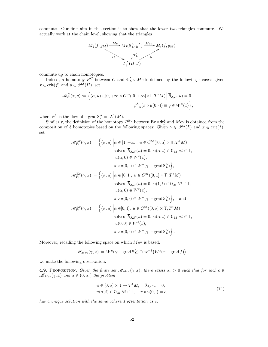commute. Our first aim in this section is to show that the lower two triangles commute. We actually work at the chain level, showing that the triangles



commute up to chain homotopies.

Indeed, a homotopy  $P^C$  between C and  $\Phi_L^{\Lambda} \circ M_c$  is defined by the following spaces: given  $x \in \text{crit}(f)$  and  $y \in \mathscr{P}^{\Lambda}(H)$ , set

$$
\mathcal{M}_P^C(x,y) := \Big\{ (\alpha,u) \in ]0,+\infty[\times C^\infty([0,+\infty[\times \mathbb{T},T^*M)] \Big| \overline{\partial}_{J,H}(u) = 0, \phi^\Lambda_{-\alpha}(\pi \circ u(0,\cdot)) \equiv q \in W^u(x) \Big\},\,
$$

where  $\phi^{\Lambda}$  is the flow of  $-\text{grad} \mathcal{S}_{L}^{\Lambda}$  on  $\Lambda^{1}(M)$ .

Similarly, the definition of the homotopy  $P^{\text{Ev}}$  between Ev  $\circ \Phi_L^{\Lambda}$  and Mev is obtained from the composition of 3 homotopies based on the following spaces: Given  $\gamma \in \mathcal{P}^{\Lambda}(L)$  and  $x \in \text{crit}(f)$ , set

$$
\mathcal{M}_{P_1}^{\text{Ev}}(\gamma, x) := \left\{ (\alpha, u) \middle| \alpha \in [1, +\infty[, \ u \in C^{\infty}([0, \alpha] \times \mathbb{T}, T^*M) \right\}
$$
  
solves  $\overline{\partial}_{J,H}(u) = 0, u(\alpha, t) \in \mathbb{O}_M \ \forall t \in \mathbb{T},$   
 $u(\alpha, 0) \in W^s(x),$   
 $\pi \circ u(0, \cdot) \in W^u(\gamma; -\text{grad } \mathbb{S}_L^{\Lambda}) \right\},$   

$$
\mathcal{M}_{P_2}^{\text{Ev}}(\gamma, x) := \left\{ (\alpha, u) \middle| \alpha \in [0, 1], \ u \in C^{\infty}([0, 1] \times \mathbb{T}, T^*M) \right\}
$$
  
solves  $\overline{\partial}_{J,H}(u) = 0, u(1, t) \in \mathbb{O}_M \ \forall t \in \mathbb{T},$   
 $u(\alpha, 0) \in W^s(x),$   
 $\pi \circ u(0, \cdot) \in W^u(\gamma; -\text{grad } \mathbb{S}_L^{\Lambda}) \right\},$  and  

$$
\mathcal{M}_{P_3}^{\text{Ev}}(\gamma, x) := \left\{ (\alpha, u) \middle| \alpha \in ]0, 1], \ u \in C^{\infty}([0, \alpha] \times \mathbb{T}, T^*M)
$$
  
solves  $\overline{\partial}_{J,H}(u) = 0, u(\alpha, t) \in \mathbb{O}_M \ \forall t \in \mathbb{T},$   
 $u(0, 0) \in W^s(x),$   
 $\pi \circ u(0, \cdot) \in W^u(\gamma; -\text{grad } \mathbb{S}_L^{\Lambda}) \right\}.$ 

Moreover, recalling the following space on which Mev is based,

$$
\mathscr{M}_{Mev}(\gamma, x) = W^u(\gamma; -\text{grad} \, \mathbb{S}_L^{\Lambda}) \cap \text{ev}^{-1}(W^s(x; -\text{grad} f)),
$$

we make the following observation.

**4.9.** PROPOSITION. Given the finite set  $\mathcal{M}_{\text{New}}(\gamma, x)$ , there exists  $\alpha_o > 0$  such that for each  $c \in$  $\mathscr{M}_{Mev}(\gamma, x)$  and  $\alpha \in (0, \alpha_o]$  the problem

$$
u \in [0, \alpha] \times \mathbb{T} \to T^*M, \quad \overline{\partial}_{J,H} u = 0,u(\alpha, t) \in \mathbb{D}_M \,\forall t \in \mathbb{T}, \quad \pi \circ u(0, \cdot) = c,
$$
 (74)

has a unique solution with the same coherent orientation as c.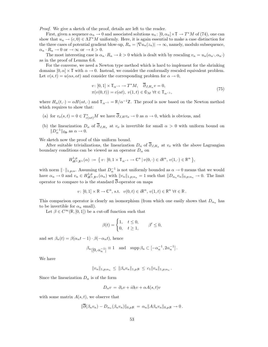Proof. We give a sketch of the proof, details are left to the reader.

First, given a sequence  $\alpha_n \to 0$  and associated solutions  $u_n : [0, \alpha_n] \times \mathbb{T} \to T^*M$  of (74), one can show that  $u_n \to (c, 0) \in \Lambda T^*M$  uniformly. Here, it is again essential to make a case distinction for the three cases of potential gradient blow-up,  $R_n = |\nabla u_n(z_n)| \to \infty$ , namely, modulo subsequence,  $\alpha_n \cdot R_n \to 0$  or  $\to \infty$  or  $\to k > 0$ .

The most interesting case is  $\alpha_n \cdot R_n \to k > 0$  which is dealt with by rescaling  $v_n = u_n(\alpha_n \cdot, \alpha_n \cdot)$ as in the proof of Lemma 6.6.

For the converse, we need a Newton type method which is hard to implement for the shrinking domains  $[0, \alpha] \times \mathbb{T}$  with  $\alpha \to 0$ . Instead, we consider the conformally rescaled equivalent problem. Let  $v(s,t) = u(\alpha s, \alpha t)$  and consider the corresponding problem for  $\alpha \to 0$ ,

$$
v: [0,1] \times \mathbb{T}_{\alpha^{-1}} \to T^*M, \quad \overline{\partial}_{J,H_\alpha} v = 0,
$$
  
\n
$$
\pi(v(0,t)) = c(\alpha t), \ v(1,t) \in \mathbb{O}_M \ \forall t \in \mathbb{T}_{\alpha^{-1}},
$$
\n
$$
(75)
$$

where  $H_{\alpha}(t, \cdot) = \alpha H(\alpha t, \cdot)$  and  $\mathbb{T}_{\alpha^{-1}} = \mathbb{R}/\alpha^{-1}\mathbb{Z}$ . The proof is now based on the Newton method which requires to show that:

- (a) for  $v_o(s,t) = 0 \in T^*_{c(\alpha t)}M$  we have  $\partial_{J,H}v_o \to 0$  as  $\alpha \to 0$ , which is obvious, and
- (b) the linearization  $D_{\alpha}$  of  $\overline{\partial}_{J,H_{\alpha}}$  at  $v_o$  is invertible for small  $\alpha > 0$  with uniform bound on  $||D_{\alpha}^{-1}||_{\mathsf{Op}}$  as  $\alpha \to 0$ .

We sketch now the proof of this uniform bound.

After suitable trivializations, the linearization  $D_{\alpha}$  of  $\overline{\partial}_{J,H_{\alpha}}$  at  $v_o$  with the above Lagrangian boundary conditions can be viewed as an operator  $D_{\alpha}$  on

$$
H^{1,p}_{i\mathbb{R}^n,\mathbb{R}^n}(\alpha) := \{ v \colon [0, 1 \times \mathbb{T}_{\alpha^{-1}} \to \mathbb{C}^n \, | \, v(0, \cdot) \in i\mathbb{R}^n, \, v(1, \cdot) \in \mathbb{R}^n \},
$$

with norm  $\|\cdot\|_{1,p;\alpha}$ . Assuming that  $D_{\alpha}^{-1}$  is not uniformly bounded as  $\alpha \to 0$  means that we would have  $\alpha_n \to 0$  and  $v_n \in H^{1,p}_{i\mathbb{R}^n,\mathbb{R}^n}(\alpha_n)$  with  $||v_n||_{1,p;\alpha_n} = 1$  such that  $||D_{\alpha_n}v_n||_{0,p;\alpha_n} \to 0$ . The limit operator to compare to is the standard  $\overline{\partial}$ -operator on maps

$$
v\colon [0,1]\times \mathbb{R}\to \mathbb{C}^n\textrm{, s.t. } v(0,t)\in i\mathbb{R}^n\textrm{, }v(1,t)\in \mathbb{R}^n\textrm{ }\forall t\in \mathbb{R}\,.
$$

This comparison operator is clearly an isomorphism (from which one easily shows that  $D_{\alpha_n}$  has to be invertible for  $\alpha_n$  small).

Let  $\beta \in C^{\infty}(\mathbb{R}, [0, 1])$  be a cut-off function such that

$$
\beta(t) = \begin{cases} 1, & t \le 0, \\ 0, & t \ge 1, \end{cases} \quad \beta' \le 0,
$$

and set  $\beta_n(t) = \beta(\alpha_n t - 1) \cdot \beta(-\alpha_n t)$ , hence

$$
\beta_n|[0, \alpha_n^{-1}] \equiv 1 \quad \text{and} \quad \text{supp}\,\beta_n \subset [-\alpha_n^{-1}, 2\alpha_n^{-1}].
$$

We have

 $||v_n||_{1,p;\alpha_n} \leq ||\beta_n v_n||_{1,p;\mathbb{R}} \leq c_1 ||v_n||_{1,p;\alpha_n}.$ 

Since the linearization  $D_{\alpha}$  is of the form

$$
D_{\alpha}v = \partial_s v + i\partial_t v + \alpha A(s,t)v
$$

with some matrix  $A(s,t)$ , we observe that

$$
\|\partial(\beta_n v_n) - D_{\alpha_n}(\beta_n v_n)\|_{0,p;\mathbb{R}} = \alpha_n \|A\beta_n v_n\|_{0,p;\mathbb{R}} \to 0.
$$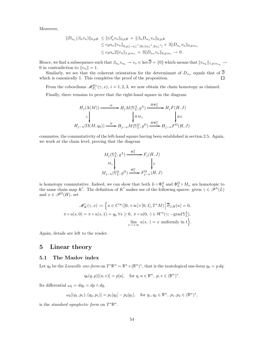Moreover,

$$
||D_{\alpha_n}(\beta_n v_n)||_{0,p;\mathbb{R}} \leq ||i\beta'_n v_n||_{0,p;\mathbb{R}} + ||\beta_n D_{\alpha_n} v_n||_{0,p;\mathbb{R}}
$$
  
\n
$$
\leq c_2 \alpha_n ||v_n||_{0,p;[-\alpha_n^{-1},0] \cup [\alpha_n^{-1},2\alpha_n^{-1}]} + 3||D_{\alpha_n} v_n||_{0,p;\alpha_n}
$$
  
\n
$$
\leq c_2 \alpha_n 2 ||v_n||_{1,p;\alpha_n} + 3||D_{\alpha_n} v_n||_{0,p;\alpha_n} \to 0.
$$

Hence, we find a subsequence such that  $\beta_{n_k} v_{n_k} \to v_o \in \ker \partial = \{0\}$  which means that  $||v_{n_k}||_{1,p;\alpha_{n_k}} \to$ 0 in contradiction to  $||v_n|| = 1$ .

Similarly, we see that the coherent orientation for the determinant of  $D_{\alpha_n}$  equals that of  $\partial$ which is canonically 1. This completes the proof of the proposition. □

From the cobordisms  $\mathscr{M}_{P_i}^{\mathrm{Ev}}(\gamma, x), i = 1, 2, 3$ , we now obtain the chain homotopy as claimed.

Finally, there remains to prove that the right-hand square in the diagram

$$
H_j(\Lambda(M)) \xrightarrow{\cong} H_j M(\mathbb{S}_L^{\Lambda}, g^{\Lambda}) \xrightarrow{H\Phi_L^{\Lambda}} H_j F(H, J)
$$
\n
$$
\downarrow H_{j-n}(\Omega(M, q_0)) \xrightarrow{\cong} H_{j-n} M(\mathbb{S}_L^{\Omega}, g^{\Omega}) \xrightarrow{H\Phi_L^{\Omega}} H_{j-n} F^{\Omega}(H, J)
$$

commutes, the commutativity of the left-hand square having been established in section 2.5. Again, we work at the chain level, proving that the diagram

$$
M_j(\mathbb{S}_L^{\Lambda}, g^{\Lambda}) \xrightarrow{\Phi_L^{\Lambda}} F_j(H, J)
$$
  
\n
$$
M_{i_1} \downarrow \qquad \qquad \downarrow I_1
$$
  
\n
$$
M_{j-n}(\mathbb{S}_L^{\Omega}, g^{\Omega}) \xrightarrow{\Phi_L^{\Omega}} F_{j-n}^{\Omega}(H, J)
$$

is homotopy commutative. Indeed, we can show that both  $I_! \circ \Phi_L^{\Lambda}$  and  $\Phi_L^{\Omega} \circ M_{i_!}$  are homotopic to the same chain map K<sup>!</sup>. The definition of K<sup>!</sup> makes use of the following spaces: given  $\gamma \in \mathscr{P}^{\Lambda}(L)$ and  $x \in \mathscr{P}^{\Omega}(H)$ , set

$$
\mathcal{M}_K^1(\gamma, x) := \left\{ u \in C^\infty([0, +\infty[\times[0, 1], T^*M)] \middle| \overline{\partial}_{J,H}(u) = 0, \pi \circ u(s, 0) = \pi \circ u(s, 1) = q_0 \; \forall s \ge 0, \; \pi \circ u(0, \cdot) \in W^u(\gamma; -\text{grad } \mathbb{S}_L^{\Lambda}), \lim_{s \to +\infty} u(s, \cdot) = x \text{ uniformly in } t \right\}.
$$

Again, details are left to the reader.

# 5 Linear theory

## 5.1 The Maslov index

Let  $\eta_0$  be the *Liouville one-form* on  $T^*\mathbb{R}^n = \mathbb{R}^n \times (\mathbb{R}^n)^*$ , that is the tautological one-form  $\eta_0 = p dq$ :

$$
\eta_0(q, p)[(u, v)] = p[u], \text{ for } q, u \in \mathbb{R}^n, p, v \in (\mathbb{R}^n)^*.
$$

Its differential  $\omega_0 = d\eta_0 = dp \wedge dq$ ,

$$
\omega_0[(q_1, p_1), (q_2, p_1)] = p_1[q_2] - p_2[q_1], \text{ for } q_1, q_2 \in \mathbb{R}^n, p_1, p_2 \in (\mathbb{R}^n)^*,
$$

is the *standard symplectic form* on  $T^*\mathbb{R}^n$ .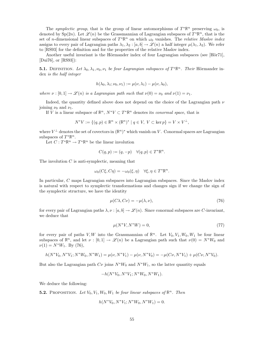The symplectic group, that is the group of linear automorphisms of  $T^*\mathbb{R}^n$  preserving  $\omega_0$ , is denoted by Sp(2n). Let  $\mathscr{L}(n)$  be the Grassmannian of Lagrangian subspaces of  $T^*\mathbb{R}^n$ , that is the set of *n*-dimensional linear subspaces of  $T^*\mathbb{R}^n$  on which  $\omega_0$  vanishes. The *relative Maslov index* assigns to every pair of Lagrangian paths  $\lambda_1, \lambda_2 : [a, b] \to \mathscr{L}(n)$  a half integer  $\mu(\lambda_1, \lambda_2)$ . We refer to [RS93] for the definition and for the properties of the relative Maslov index.

Another useful invariant is the Hörmander index of four Lagrangian subspaces (see [Hör71], [Dui76], or [RS93]):

**5.1.** DEFINITION. Let  $\lambda_0, \lambda_1, \nu_0, \nu_1$  be four Lagrangian subspaces of  $T^*\mathbb{R}^n$ . Their Hörmander index is the half integer

$$
h(\lambda_0, \lambda_1; \nu_0, \nu_1) := \mu(\nu, \lambda_1) - \mu(\nu, \lambda_0),
$$

where  $\nu : [0,1] \to \mathscr{L}(n)$  is a Lagrangian path such that  $\nu(0) = \nu_0$  and  $\nu(1) = \nu_1$ .

Indeed, the quantity defined above does not depend on the choice of the Lagrangian path  $\nu$ joining  $\nu_0$  and  $\nu_1$ .

If V is a linear subspace of  $\mathbb{R}^n$ ,  $N^*V \subset T^*\mathbb{R}^n$  denotes its *conormal space*, that is

$$
N^*V := \{(q, p) \in \mathbb{R}^n \times (\mathbb{R}^n)^* \mid q \in V, V \subset \ker p\} = V \times V^{\perp},
$$

where  $V^{\perp}$  denotes the set of covectors in  $(\mathbb{R}^n)^*$  which vanish on V. Conormal spaces are Lagrangian subspaces of  $T^*\mathbb{R}^n$ .

Let  $C: T^*\mathbb{R}^n \to T^*\mathbb{R}^n$  be the linear involution

$$
C(q,p):=(q,-p)\quad\forall (q,p)\in T^*\mathbb{R}^n.
$$

The involution  $C$  is anti-symplectic, meaning that

$$
\omega_0(C\xi, C\eta) = -\omega_0(\xi, \eta) \quad \forall \xi, \eta \in T^* \mathbb{R}^n.
$$

In particular, C maps Lagrangian subspaces into Lagrangian subspaces. Since the Maslov index is natural with respect to symplectic transformations and changes sign if we change the sign of the symplectic structure, we have the identity

$$
\mu(C\lambda, C\nu) = -\mu(\lambda, \nu),\tag{76}
$$

for every pair of Lagrangian paths  $\lambda, \nu : [a, b] \to \mathscr{L}(n)$ . Since conormal subspaces are *C*-invariant, we deduce that

$$
\mu(N^*V, N^*W) = 0,\t(77)
$$

for every pair of paths V, W into the Grassmannian of  $\mathbb{R}^n$ . Let  $V_0, V_1, W_0, W_1$  be four linear subspaces of  $\mathbb{R}^n$ , and let  $\nu : [0,1] \to \mathscr{L}(n)$  be a Lagrangian path such that  $\nu(0) = N^*W_0$  and  $\nu(1) = N^*W_1$ . By (76),

$$
h(N^*V_0, N^*V_1; N^*W_0, N^*W_1) = \mu(\nu, N^*V_1) - \mu(\nu, N^*V_0) = -\mu(C\nu, N^*V_1) + \mu(C\nu, N^*V_0).
$$

But also the Lagrangian path  $C\nu$  joins  $N^*W_0$  and  $N^*W_1$ , so the latter quantity equals

$$
-h(N^*V_0, N^*V_1; N^*W_0, N^*W_1).
$$

We deduce the following:

**5.2.** PROPOSITION. Let  $V_0, V_1, W_0, W_1$  be four linear subspaces of  $\mathbb{R}^n$ . Then

$$
h(N^*V_0, N^*V_1; N^*W_0, N^*W_1) = 0.
$$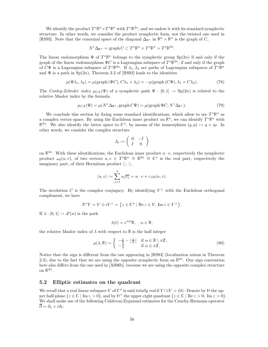We identify the product  $T^*\mathbb{R}^n \times T^*\mathbb{R}^n$  with  $T^*\mathbb{R}^{2n}$ , and we endow it with its standard symplectic structure. In other words, we consider the product symplectic form, not the twisted one used in [RS93]. Note that the conormal space of the diagonal  $\Delta_{\mathbb{R}^n}$  in  $\mathbb{R}^n \times \mathbb{R}^n$  is the graph of C,

$$
N^*\Delta_{\mathbb{R}^n} = \operatorname{graph} C \subset T^*\mathbb{R}^n \times T^*\mathbb{R}^n = T^*\mathbb{R}^{2n}.
$$

The linear endomorphism  $\Psi$  of  $T^*\mathbb{R}^n$  belongs to the symplectic group  $\text{Sp}(2n)$  if and only if the graph of the linear endomorphism  $\Psi C$  is a Lagrangian subspace of  $T^{\ast} \mathbb{R}^{2n}$ , if and only if the graph of  $C\Psi$  is a Lagrangian subspace of  $T^*\mathbb{R}^{2n}$ . If  $\lambda_1, \lambda_2$  are paths of Lagrangian subspaces of  $T^*\mathbb{R}^n$ and  $\Psi$  is a path in Sp(2n), Theorem 3.2 of [RS93] leads to the identities

$$
\mu(\Psi \lambda_1, \lambda_2) = \mu(\text{graph}(\Psi C), C\lambda_1 \times \lambda_2) = -\mu(\text{graph}(C\Psi), \lambda_1 \times C\lambda_2). \tag{78}
$$

The Conley-Zehnder index  $\mu_{CZ}(\Psi)$  of a symplectic path  $\Psi : [0,1] \to Sp(2n)$  is related to the relative Maslov index by the formula

$$
\mu_{CZ}(\Psi) = \mu(N^* \Delta_{\mathbb{R}^n}, \text{graph}\, C\Psi) = \mu(\text{graph}\,\Psi C, N^* \Delta_{\mathbb{R}^n}).\tag{79}
$$

We conclude this section by fixing some standard identifications, which allow to see  $T^*\mathbb{R}^n$  as a complex vector space. By using the Euclidean inner product on  $\mathbb{R}^n$ , we can identify  $T^*\mathbb{R}^n$  with  $\mathbb{R}^{2n}$ . We also identify the latter space to  $\mathbb{C}^n$ , by means of the isomorphism  $(q, p) \mapsto q + ip$ . In other words, we consider the complex structure

$$
J_0:=\left(\begin{array}{cc}0&-I\\I&0\end{array}\right)
$$

on  $\mathbb{R}^{2n}$ . With these identifications, the Euclidean inner product  $u \cdot v$ , respectively the symplectic product  $\omega_0(u, v)$ , of two vectors  $u, v \in T^*\mathbb{R}^n \cong \mathbb{R}^{2n} \cong \mathbb{C}^n$  is the real part, respectively the imaginary part, of their Hermitian product  $\langle \cdot, \cdot \rangle$ ,

$$
\langle u, v \rangle := \sum_{j=1}^n u_j \overline{v_j} = u \cdot v + i \omega_0(u, v).
$$

The involution C is the complex conjugacy. By identifying  $V^{\perp}$  with the Euclidean orthogonal complement, we have

$$
N^*V = V \oplus iV^{\perp} = \left\{ z \in \mathbb{C}^n \mid \text{Re } z \in V, \text{ Im } z \in V^{\perp} \right\}.
$$

If  $\lambda : [0, 1] \to \mathscr{L}(n)$  is the path

$$
\lambda(t) = e^{i\alpha t} \mathbb{R}, \quad \alpha \in \mathbb{R},
$$

the relative Maslov index of  $\lambda$  with respect to  $\mathbb R$  is the half integer

$$
\mu(\lambda, \mathbb{R}) = \begin{cases}\n-\frac{1}{2} - \lfloor \frac{\alpha}{\pi} \rfloor & \text{if } \alpha \in \mathbb{R} \setminus \pi \mathbb{Z}, \\
-\frac{\alpha}{\pi} & \text{if } \alpha \in \pi \mathbb{Z}.\n\end{cases}
$$
\n(80)

Notice that the sign is different from the one appearing in [RS93] (localization axiom in Theorem 2.3), due to the fact that we are using the opposite symplectic form on  $\mathbb{R}^{2n}$ . Our sign convention here also differs from the one used in [AS06b], because we are using the opposite complex structure on  $\mathbb{R}^{2n}.$ 

### 5.2 Elliptic estimates on the quadrant

We recall that a real linear subspace V of  $\mathbb{C}^n$  is said *totally real* if  $V \cap iV = (0)$ . Denote by  $\mathbb{H}$  the upper half-plane  $\{z \in \mathbb{C} \mid \text{Im } z > 0\}$ , and by  $\mathbb{H}^+$  the upper-right quadrant  $\{z \in \mathbb{C} \mid \text{Re } z > 0, \text{ Im } z > 0\}$ . We shall make use of the following Calderon-Zygmund estimates for the Cauchy-Riemann operator  $\overline{\partial} = \partial_s + i \partial_t$ :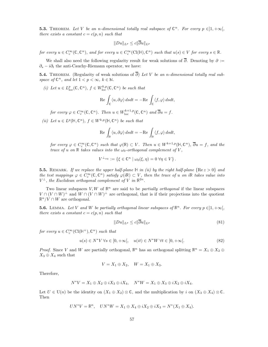**5.3.** THEOREM. Let V be an n-dimensional totally real subspace of  $\mathbb{C}^n$ . For every  $p \in ]1, +\infty[$ , there exists a constant  $c = c(p, n)$  such that

$$
||Du||_{L^p} \leq c||\overline{\partial}u||_{L^p}
$$

for every  $u \in C_c^{\infty}(\mathbb{C}, \mathbb{C}^n)$ , and for every  $u \in C_c^{\infty}(\mathrm{Cl}(\mathbb{H}), \mathbb{C}^n)$  such that  $u(s) \in V$  for every  $s \in \mathbb{R}$ .

We shall also need the following regularity result for weak solutions of  $\overline{\partial}$ . Denoting by  $\partial :=$  $\partial_s - i \partial_t$  the anti-Cauchy-Riemann operator, we have:

**5.4.** THEOREM. (Regularity of weak solutions of  $\overline{\partial}$ ) Let V be an n-dimensional totally real subspace of  $\mathbb{C}^n$ , and let  $1 < p < \infty$ ,  $k \in \mathbb{N}$ .

(i) Let  $u \in L^p_{loc}(\mathbb{C}, \mathbb{C}^n)$ ,  $f \in W^{k,p}_{loc}(\mathbb{C}, \mathbb{C}^n)$  be such that

$$
\operatorname{Re} \int_{\mathbb{C}} \langle u, \partial \varphi \rangle \, dsdt = -\operatorname{Re} \int_{\mathbb{C}} \langle f, \varphi \rangle \, dsdt,
$$

for every  $\varphi \in C_c^{\infty}(\mathbb{C}, \mathbb{C}^n)$ . Then  $u \in W^{k+1,p}_{\text{loc}}(\mathbb{C}, \mathbb{C}^n)$  and  $\overline{\partial}u = f$ .

(ii) Let  $u \in L^p(\mathbb{H}, \mathbb{C}^n)$ ,  $f \in W^{k,p}(\mathbb{H}, \mathbb{C}^n)$  be such that

$$
\operatorname{Re} \int_{\mathbb{H}} \langle u, \partial \varphi \rangle \, dsdt = -\operatorname{Re} \int_{\mathbb{H}} \langle f, \varphi \rangle \, dsdt,
$$

for every  $\varphi \in C_c^{\infty}(\mathbb{C}, \mathbb{C}^n)$  such that  $\varphi(\mathbb{R}) \subset V$ . Then  $u \in W^{k+1,p}(\mathbb{H}, \mathbb{C}^n)$ ,  $\overline{\partial}u = f$ , and the trace of u on R takes values into the  $\omega_0$ -orthogonal complement of V,

$$
V^{\perp_{\omega_0}} := \{ \xi \in \mathbb{C}^n \mid \omega_0(\xi, \eta) = 0 \,\forall \eta \in V \}.
$$

**5.5.** REMARK. If we replace the upper half-plane  $\mathbb{H}$  in (ii) by the right half-plane  $\{Re\ z > 0\}$  and the test mappings  $\varphi \in C_c^{\infty}(\mathbb{C}, \mathbb{C}^n)$  satisfy  $\varphi(i\mathbb{R}) \subset V$ , then the trace of u on iR takes value into  $V^{\perp}$ , the Euclidean orthogonal complement of V in  $\mathbb{R}^{2n}$ .

Two linear subspaces  $V, W$  of  $\mathbb{R}^n$  are said to be *partially orthogonal* if the linear subspaces  $V \cap (V \cap W)^{\perp}$  and  $W \cap (V \cap W)^{\perp}$  are orthogonal, that is if their projections into the quotient  $\mathbb{R}^n/V \cap W$  are orthogonal.

**5.6.** LEMMA. Let V and W be partially orthogonal linear subspaces of  $\mathbb{R}^n$ . For every  $p \in ]1, +\infty[$ , there exists a constant  $c = c(p, n)$  such that

$$
||Du||_{L^p} \le c||\overline{\partial}u||_{L^p} \tag{81}
$$

for every  $u \in C_c^{\infty}(\text{Cl}(\mathbb{H}^+), \mathbb{C}^n)$  such that

$$
u(s) \in N^*V \,\forall s \in [0, +\infty[, \quad u(it) \in N^*W \,\forall t \in [0, +\infty[.
$$
 (82)

*Proof.* Since V and W are partially orthogonal,  $\mathbb{R}^n$  has an orthogonal splitting  $\mathbb{R}^n = X_1 \oplus X_2 \oplus X_3$  $X_3 \oplus X_4$  such that

$$
V = X_1 \oplus X_2, \quad W = X_1 \oplus X_3.
$$

Therefore,

$$
N^*V = X_1 \oplus X_2 \oplus iX_3 \oplus iX_4, \quad N^*W = X_1 \oplus X_3 \oplus iX_2 \oplus iX_4.
$$

Let  $U \in U(n)$  be the identity on  $(X_1 \oplus X_2) \otimes \mathbb{C}$ , and the multiplication by i on  $(X_3 \oplus X_4) \otimes \mathbb{C}$ . Then

$$
UN^*V = \mathbb{R}^n, \quad UN^*W = X_1 \oplus X_4 \oplus iX_2 \oplus iX_3 = N^*(X_1 \oplus X_4).
$$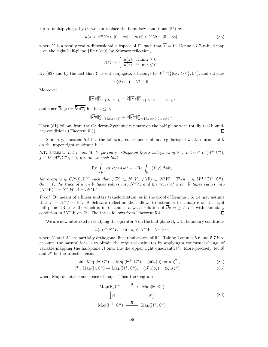Up to multiplying u by U, we can replace the boundary conditions  $(82)$  by

$$
u(s) \in \mathbb{R}^n \,\forall s \in [0, +\infty[, \quad u(it) \in Y \,\forall t \in [0, +\infty[, \tag{83}
$$

where Y is a totally real *n*-dimensional subspace of  $\mathbb{C}^n$  such that  $\overline{Y} = Y$ . Define a  $\mathbb{C}^n$ -valued map v on the right half-plane  ${Re z \ge 0}$  by Schwarz reflection,

$$
v(z):=\left\{\begin{array}{ll} \frac{u(z)}{u(\overline{z})} & \text{if}\ \mathrm{Im}\,z\geq0,\\ \frac{u(\overline{z})}{\mathrm{if}\ \mathrm{Im}\,z\leq0.} \end{array}\right.
$$

By (83) and by the fact that Y is self-conjugate, v belongs to  $W^{1,p}(\{\text{Re }z>0\},\mathbb{C}^n)$ , and satisfies

$$
v(it) \in Y \quad \forall t \in \mathbb{R}.
$$

Moreover,

$$
\|\nabla v\|_{L^p(\{\text{Re}\,z>0\})}^p = 2\|\nabla v\|_{L^p(\{\text{Re}\,z>0,\,\text{Im}\,z>0\})}^p,
$$

and since  $\overline{\partial}v(z) = \overline{\overline{\partial}u(\overline{z})}$  for Im  $z \leq 0$ ,

$$
\|\overline{\partial}v\|_{L^p(\{\text{Re}\,z>0\})}^p=2\|\overline{\partial}v\|_{L^p(\{\text{Re}\,z>0,\,\text{Im}\,z>0\})}^p.
$$

Then (81) follows from the Calderon-Zygmund estimate on the half plane with totally real boundary conditions (Theorem 5.3).  $\Box$ 

Similarly, Theorem 5.4 has the following consequence about regularity of weak solutions of  $\overline{\partial}$ on the upper right quadrant  $\mathbb{H}^+$ :

**5.7.** LEMMA. Let V and W be partially orthogonal linear subspaces of  $\mathbb{R}^n$ . Let  $u \in L^p(\mathbb{H}^+, \mathbb{C}^n)$ ,  $f \in L^p(\mathbb{H}^+, \mathbb{C}^n)$ ,  $1 < p < \infty$ , be such that

$$
\text{Re}\,\int_{\mathbb{H}^+} \langle u, \partial\varphi\rangle\,dsdt=-\text{Re}\,\int_{\mathbb{H}^+} \langle f, \varphi\rangle\,dsdt,
$$

for every  $\varphi \in C_c^{\infty}(\mathbb{C}, \mathbb{C}^n)$  such that  $\varphi(\mathbb{R}) \subset N^*V$ ,  $\varphi(i\mathbb{R}) \subset N^*W$ . Then  $u \in W^{1,p}(\mathbb{H}^+, \mathbb{C}^n)$ ,  $\overline{\partial}u = f$ , the trace of u on R takes values into N<sup>\*</sup>V, and the trace of u on iR takes values into  $(N^*W)^{\perp} = N^*(W^{\perp}) = iN^*W.$ 

Proof. By means of a linear unitary transformation, as in the proof of Lemma 5.6, we may assume that  $V = N^*V = \mathbb{R}^n$ . A Schwarz reflection then allows to extend u to a map v on the right half-plane  ${Re z > 0}$  which is in  $L^p$  and is a weak solution of  $\overline{\partial}v = g \in L^p$ , with boundary condition in  $iN^*W$  on  $i\mathbb{R}$ . The thesis follows from Theorem 5.4.  $\Box$ 

We are now interested in studying the operator  $\overline{\partial}$  on the half-plane H, with boundary conditions

$$
u(s) \in N^*V, \quad u(-s) \in N^*W \quad \forall s > 0,
$$

where V and W are partially orthogonal linear subspaces of  $\mathbb{R}^n$ . Taking Lemmas 5.6 and 5.7 into account, the natural idea is to obtain the required estimates by applying a conformal change of variable mapping the half-plane  $H$  onto the the upper right quadrant  $H^+$ . More precisely, let  $\mathscr R$ and  $\mathscr T$  be the transformations

$$
\mathcal{R}: \text{Map}(\mathbb{H}, \mathbb{C}^n) \to \text{Map}(\mathbb{H}^+, \mathbb{C}^n), \quad (\mathcal{R}u)(\zeta) = u(\zeta^2), \tag{84}
$$

$$
\mathcal{T}: \text{Map}(\mathbb{H}, \mathbb{C}^n) \to \text{Map}(\mathbb{H}^+, \mathbb{C}^n), \quad (\mathcal{T}u)(\zeta) = 2\overline{\zeta}u(\zeta^2), \tag{85}
$$

where Map denotes some space of maps. Then the diagram

$$
Map(\mathbb{H}, \mathbb{C}^n) \xrightarrow{\overline{\partial}} Map(\mathbb{H}, \mathbb{C}^n)
$$
\n
$$
\downarrow \mathscr{R} \qquad \qquad \mathscr{T} \downarrow
$$
\n
$$
Map(\mathbb{H}^+, \mathbb{C}^n) \xrightarrow{\overline{\partial}} Map(\mathbb{H}^+, \mathbb{C}^n)
$$
\n(86)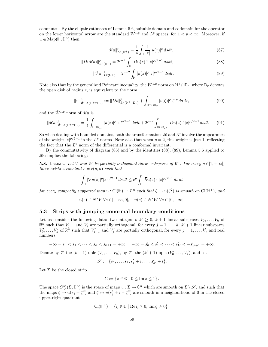commutes. By the elliptic estimates of Lemma 5.6, suitable domain and codomain for the operator on the lower horizontal arrow are the standard  $W^{1,p}$  and  $L^p$  spaces, for  $1 < p < \infty$ . Moreover, if  $u \in \text{Map}(\mathbb{H}, \mathbb{C}^n)$  then

$$
\|\mathscr{R}u\|_{L^{p}(\mathbb{H}^{+})}^{p} = \frac{1}{4} \int_{\mathbb{H}} \frac{1}{|z|} |u(z)|^{p} ds dt, \tag{87}
$$

$$
||D(\mathscr{R}u)||_{L^{p}(\mathbb{H}^{+})}^{p} = 2^{p-2} \int_{\mathbb{H}} |Du(z)|^{p} |z|^{p/2-1} ds dt,
$$
\n(88)

$$
\|\mathcal{F}u\|_{L^p(\mathbb{H}^+)}^p = 2^{p-2} \int_{\mathbb{H}} |u(z)|^p |z|^{p/2-1} ds dt.
$$
\n(89)

Note also that by the generalized Poincaré inequality, the  $W^{1,p}$  norm on  $\mathbb{H}^+\cap\mathbb{D}_r$ , where  $\mathbb{D}_r$  denotes the open disk of radius  $r$ , is equivalent to the norm

$$
||v||_{\tilde{W}^{1,p}(\mathbb{H}^+\cap\mathbb{D}_r)}^p := ||Dv||_{L^p(\mathbb{H}^+\cap\mathbb{D}_r)}^p + \int_{\mathbb{H}^+\cap\mathbb{D}_r} |v(\zeta)|^p |\zeta|^p \, d\sigma d\tau, \tag{90}
$$

and the  $\tilde{W}^{1,p}$  norm of  $\mathscr{R}u$  is

$$
\|\mathscr{R}u\|_{\tilde{W}^{1,p}(\mathbb{H}^+\cap\mathbb{D}_r)}^p = \frac{1}{4} \int_{\mathbb{H}\cap\mathbb{D}_{r^2}} |u(z)|^p |z|^{p/2-1} ds dt + 2^{p-2} \int_{\mathbb{H}\cap\mathbb{D}_{r^2}} |Du(z)|^p |z|^{p/2-1} ds dt. \tag{91}
$$

So when dealing with bounded domains, both the transformations  $\mathscr R$  and  $\mathscr T$  involve the appearance of the weight  $|z|^{p/2-1}$  in the  $L^p$  norms. Note also that when  $p=2$ , this weight is just 1, reflecting the fact that the  $L^2$  norm of the differential is a conformal invariant.

By the commutativity of diagram (86) and by the identities (88), (89), Lemma 5.6 applied to  $\mathscr{R}u$  implies the following:

**5.8.** LEMMA. Let V and W be partially orthogonal linear subspaces of  $\mathbb{R}^n$ . For every  $p \in ]1, +\infty[$ , there exists a constant  $c = c(p, n)$  such that

$$
\int_{\mathbb{H}}|\nabla u(z)|^p|z|^{p/2-1}\,ds\,dt\leq c^p\int_{\mathbb{H}}|\overline{\partial} u(z)|^p|z|^{p/2-1}\,ds\,dt
$$

for every compactly supported map  $u : Cl(\mathbb{H}) \to \mathbb{C}^n$  such that  $\zeta \mapsto u(\zeta^2)$  is smooth on  $Cl(\mathbb{H}^+)$ , and

$$
u(s) \in N^*V \ \forall s \in ]-\infty,0], \quad u(s) \in N^*W \ \forall s \in [0,+\infty[.
$$

# 5.3 Strips with jumping conormal boundary conditions

Let us consider the following data: two integers  $k, k' \geq 0, k+1$  linear subspaces  $V_0, \ldots, V_k$  of  $\mathbb{R}^n$  such that  $V_{j-1}$  and  $V_j$  are partially orthogonal, for every  $j = 1, ..., k, k' + 1$  linear subspaces  $V'_0, \ldots, V'_k$  of  $\mathbb{R}^n$  such that  $V'_{j-1}$  and  $V'_j$  are partially orthogonal, for every  $j = 1, \ldots, k'$ , and real numbers

$$
-\infty = s_0 < s_1 < \dots < s_k < s_{k+1} = +\infty, \quad -\infty = s'_0 < s'_1 < \dots < s'_{k'} < -s'_{k'+1} = +\infty.
$$

Denote by  $\mathscr V$  the  $(k+1)$ -uple  $(V_0,\ldots,V_k)$ , by  $\mathscr V'$  the  $(k'+1)$ -uple  $(V'_0,\ldots,V'_k)$ , and set

$$
\mathscr{S} := \{s_1,\ldots,s_k,s'_1+i,\ldots,s'_{k'}+i\}.
$$

Let  $\Sigma$  be the closed strip

$$
\Sigma := \{ z \in \mathbb{C} \mid 0 \le \mathrm{Im}\, z \le 1 \}.
$$

The space  $C^{\infty}_{\mathscr{S}}(\Sigma, \mathbb{C}^n)$  is the space of maps  $u : \Sigma \to \mathbb{C}^n$  which are smooth on  $\Sigma \setminus \mathscr{S}$ , and such that the maps  $\zeta \mapsto u(s_j + \zeta^2)$  and  $\zeta \mapsto u(s'_j + i - \zeta^2)$  are smooth in a neighborhood of 0 in the closed upper-right quadrant

$$
\mathrm{Cl}(\mathbb{H}^+) = \{ \zeta \in \mathbb{C} \mid \mathrm{Re}\,\zeta \geq 0, \ \mathrm{Im}\,\zeta \geq 0 \} \,.
$$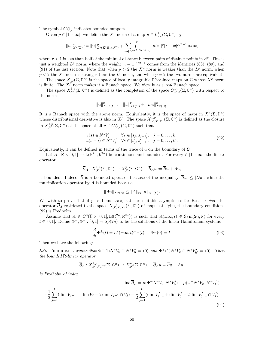The symbol  $C^{\infty}_{\mathscr{S},c}$  indicates bounded support.

Given  $p \in [1, +\infty]$ , we define the  $X^p$  norm of a map  $u \in L^1_{loc}(\Sigma, \mathbb{C}^n)$  by

$$
||u||_{X^{p}(\Sigma)}^{p} := ||u||_{L^{p}(\Sigma \setminus B_{r}(\mathscr{S}))}^{p} + \sum_{w \in \mathscr{S}} \int_{\Sigma \cap B_{r}(w)} |u(z)|^{p} |z-w|^{p/2-1} ds dt,
$$

where  $r < 1$  is less than half of the minimal distance between pairs of distinct points in  $\mathscr{S}$ . This is just a weighted  $L^p$  norm, where the weight  $|z-w|^{p/2-1}$  comes from the identities (88), (89), and (91) of the last section. Note that when  $p > 2$  the  $X^p$  norm is weaker than the  $L^p$  norm, when  $p < 2$  the  $X^p$  norm is stronger than the  $L^p$  norm, and when  $p = 2$  the two norms are equivalent.

The space  $X_{\mathscr{S}}^p(\Sigma,\mathbb{C}^n)$  is the space of locally integrable  $\mathbb{C}^n$ -valued maps on  $\Sigma$  whose  $X^p$  norm is finite. The  $X^{\tilde{p}}$  norm makes it a Banach space. We view it as a *real* Banach space.

The space  $X^{1,p}_{\mathscr{S}}(\Sigma,\mathbb{C}^n)$  is defined as the completion of the space  $C^{\infty}_{\mathscr{S},c}(\Sigma,\mathbb{C}^n)$  with respect to the norm

$$
||u||_{X^{1,p}(\Sigma)}^p := ||u||_{X^p(\Sigma)}^p + ||Du||_{X^p(\Sigma)}^p.
$$

It is a Banach space with the above norm. Equivalently, it is the space of maps in  $X^p(\Sigma, \mathbb{C}^n)$ whose distributional derivative is also in  $X^p$ . The space  $X^{1,p}_{\mathscr{S},\mathscr{V},\mathscr{V}'}(\Sigma,\mathbb{C}^n)$  is defined as the closure in  $X^{1,p}_{\mathscr{S}}(\Sigma,\mathbb{C}^n)$  of the space of all  $u \in C^{\infty}_{\mathscr{S},c}(\Sigma,\mathbb{C}^n)$  such that

$$
u(s) \in N^* V_j \qquad \forall s \in [s_j, s_{j+1}], \quad j = 0, ..., k,u(s+i) \in N^* V'_j \quad \forall s \in [s'_j, s'_{j+1}], \quad j = 0, ..., k'.
$$
 (92)

Equivalently, it can be defined in terms of the trace of u on the boundary of  $\Sigma$ .

Let  $A: \mathbb{R} \times [0,1] \to L(\mathbb{R}^{2n}, \mathbb{R}^{2n})$  be continuous and bounded. For every  $\in [1,+\infty[$ , the linear operator

$$
\overline{\partial}_A: X^{1,p}_{\mathscr{S}}(\Sigma,\mathbb{C}^n) \to X^p_{\mathscr{S}}(\Sigma,\mathbb{C}^n), \quad \overline{\partial}_A u := \overline{\partial} u + Au,
$$

is bounded. Indeed,  $\overline{\partial}$  is a bounded operator because of the inequality  $|\overline{\partial}u| \leq |Du|$ , while the multiplication operator by  $A$  is bounded because

$$
||Au||_{X^p(\Sigma)} \leq ||A||_{\infty} ||u||_{X^p(\Sigma)}.
$$

We wish to prove that if  $p > 1$  and  $A(z)$  satisfies suitable asymptotics for  $\text{Re } z \to \pm \infty$  the operator  $\overline{\partial}_A$  restricted to the space  $X^{1,p}_{\mathscr{S},\mathscr{V},\mathscr{V}'}(\Sigma,\mathbb{C}^n)$  of maps satisfying the boundary conditions (92) is Fredholm.

Assume that  $A \in C^0(\overline{\mathbb{R}} \times [0,1], L(\mathbb{R}^{2n}, \mathbb{R}^{2n}))$  is such that  $A(\pm \infty, t) \in \text{Sym}(2n, \mathbb{R})$  for every  $t \in [0,1]$ . Define  $\Phi^+$ ,  $\Phi^-$ :  $[0,1] \to \text{Sp}(2n)$  to be the solutions of the linear Hamiltonian systems

$$
\frac{d}{dt}\Phi^{\pm}(t) = iA(\pm\infty, t)\Phi^{\pm}(t), \quad \Phi^{\pm}(0) = I.
$$
\n(93)

Then we have the following:

**5.9.** THEOREM. Assume that  $\Phi^-(1)N^*V_0 \cap N^*V'_0 = (0)$  and  $\Phi^+(1)N^*V_k \cap N^*V'_{k'} = (0)$ . Then the bounded <sup>R</sup>-linear operator

$$
\overline{\partial}_A: X^{1,p}_{\mathscr{S},\mathscr{V},\mathscr{V}'}(\Sigma,\mathbb{C}^n)\to X^p_{\mathscr{S}}(\Sigma,\mathbb{C}^n),\quad \overline{\partial}_A u=\overline{\partial} u+A u,
$$

is Fredholm of index

$$
\operatorname{ind} \overline{\partial}_A = \mu(\Phi^- N^* V_0, N^* V'_0) - \mu(\Phi^+ N^* V_k, N^* V'_{k'})
$$
  

$$
-\frac{1}{2} \sum_{j=1}^k (\dim V_{j-1} + \dim V_j - 2 \dim V_{j-1} \cap V_j) - \frac{1}{2} \sum_{j=1}^{k'} (\dim V'_{j-1} + \dim V'_j - 2 \dim V'_{j-1} \cap V'_j).
$$
\n(94)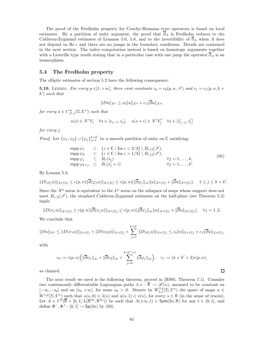The proof of the Fredholm property for Cauchy-Riemann type operators is based on local estimates. By a partition of unity argument, the proof that  $\overline{\partial}_A$  is Fredholm reduces to the Calderon-Zygmund estimates of Lemmas 5.6, 5.8, and to the invertibility of  $\partial_A$  when A does not depend on Re z and there are no jumps in the boundary conditions. Details are contained in the next section. The index computation instead is based on homotopy arguments together with a Liouville type result stating that in a particular case with one jump the operator  $\overline{\partial}_A$  is an isomorphism.

## 5.4 The Fredholm property

The elliptic estimates of section 5.2 have the following consequence:

**5.10.** LEMMA. For every  $p \in ]1, +\infty[$ , there exist constants  $c_0 = c_0(p, n, \mathscr{S})$  and  $c_1 = c_1(p, n, k + \mathscr{S})$ k ′ ) such that

$$
||Du||_{X^p} \leq c_0 ||u||_{X^p} + c_1 ||\partial u||_{X^p},
$$

for every  $u \in C^{\infty}_{\mathscr{S},c}(\Sigma,\mathbb{C}^n)$  such that

$$
u(s)\in N^*V_j\quad\forall s\in[s_{j-1},s_j],\quad u(s+i)\in N^*V'_j\quad\forall s\in[s'_{j-1},s'_j]
$$

for every j.

*Proof.* Let  $\{\psi_1, \psi_2\} \cup \{\varphi_j\}_{j=1}^{k+k'}$  be a smooth partition of unity on  $\mathbb C$  satisfying:

$$
\begin{array}{lll}\n\text{supp}\,\psi_1 & \subset & \{z \in \mathbb{C} \mid \text{Im}\, z < 2/3\} \setminus B_{r/2}(\mathscr{S}), \\
\text{supp}\,\psi_2 & \subset & \{z \in \mathbb{C} \mid \text{Im}\, z > 1/3\} \setminus B_{r/2}(\mathscr{S}), \\
\text{supp}\,\varphi_j & \subset & B_r(s_j) & \forall j = 1, \dots, k, \\
\text{supp}\,\varphi_{k+j} & \subset & B_r(s'_j + i) & \forall j = 1, \dots, k'.\n\end{array} \tag{95}
$$

By Lemma 5.8,

$$
||D(\varphi_j u)||_{X^p(\Sigma)} \le c(p,n) ||\overline{\partial}(\varphi_j u)||_{X^p(\Sigma)} \le c(p,n) (||\overline{\partial}\varphi_j||_{\infty} ||u||_{X^p(\Sigma)} + ||\overline{\partial}u||_{X^p(\Sigma)}), \quad 1 \le j \le k+k'.
$$

Since the  $X^p$  norm is equivalent to the  $L^p$  norm on the subspace of maps whose support does not meet  $B_{r/2}(\mathscr{S})$ , the standard Calderon-Zygmund estimates on the half-plane (see Theorem 5.3) imply

$$
||D(\psi_j u)||_{X^p(\Sigma)} \le c(p,n) ||\overline{\partial}(\psi_j u)||_{X^p(\Sigma)} \le c(p,n) (||\overline{\partial}\psi_j||_{\infty} ||u||_{X^p(\Sigma)} + ||\overline{\partial}u||_{X^p(\Sigma)}), \quad \forall j=1,2.
$$

We conclude that

$$
||Du||_{X^p} \leq ||D(\psi_1 u)||_{X^p(\Sigma)} + ||D(\psi_2 u)||_{X^p(\Sigma)} + \sum_{j=1}^{k+k'} ||D(\varphi_j u)||_{X^p(\Sigma)} \leq c_0 ||u||_{X^p(\Sigma)} + c_1 ||\overline{\partial}u||_{X^p(\Sigma)},
$$

with

$$
c_0 := c(p,n) \Big( \|\overline{\partial} \psi_1\|_{\infty} + \|\overline{\partial} \psi_2\|_{\infty} + \sum_{j=0}^{k+k'+1} \|\overline{\partial} \varphi_j\|_{\infty} \Big), \quad c_1 := (k+k'+2)c(p,n),
$$

 $\Box$ 

as claimed.

The next result we need is the following theorem, proved in [RS95, Theorem 7.1]. Consider two continuously differentiable Lagrangian paths  $\lambda, \nu : \overline{\mathbb{R}} \to \mathscr{L}(n)$ , assumed to be constant on  $[-\infty, -s_0]$  and on  $[s_0, +\infty]$ , for some  $s_0 > 0$ . Denote by  $W^{1,p}_{\lambda,\nu}(\Sigma, \mathbb{C}^n)$  the space of maps  $u \in$  $W^{1,p}(\Sigma, \mathbb{C}^n)$  such that  $u(s, 0) \in \lambda(s)$  and  $u(s, 1) \in \nu(s)$ , for every  $s \in \mathbb{R}$  (in the sense of traces). Let  $A \in C^0(\overline{\mathbb{R}} \times [0,1], L(\mathbb{R}^{2n}, \mathbb{R}^{2n}))$  be such that  $A(\pm \infty, t) \in \mathsf{Sym}(2n, \mathbb{R})$  for any  $t \in [0,1]$ , and define  $\Phi^-$ ,  $\Phi^+$ : [0, 1]  $\to$  Sp(2*n*) by (93).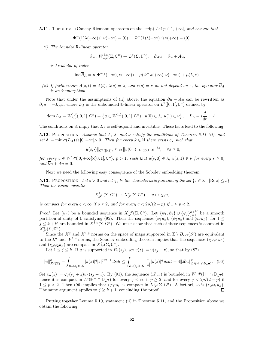**5.11.** THEOREM. (Cauchy-Riemann operators on the strip) Let  $p \in ]1, +\infty[$ , and assume that

$$
\Phi^-(1)\lambda(-\infty) \cap \nu(-\infty) = (0), \quad \Phi^+(1)\lambda(+\infty) \cap \nu(+\infty) = (0).
$$

(i) The bounded <sup>R</sup>-linear operator

$$
\overline{\partial}_A:W^{1,p}_{\lambda,\nu}(\Sigma,\mathbb{C}^n)\to L^p(\Sigma,\mathbb{C}^n),\quad \overline{\partial}_A u=\overline{\partial} u+A u,
$$

is Fredholm of index

$$
\operatorname{ind} \overline{\partial}_A = \mu(\Phi^- \lambda(-\infty), \nu(-\infty)) - \mu(\Phi^+ \lambda(+\infty), \nu(+\infty)) + \mu(\lambda, \nu).
$$

(ii) If furthermore  $A(s,t) = A(t)$ ,  $\lambda(s) = \lambda$ , and  $\nu(s) = \nu$  do not depend on s, the operator  $\overline{\partial}_A$ is an isomorphism.

Note that under the assumptions of (ii) above, the equation  $\overline{\partial}u + Au$  can be rewritten as  $\partial_s u = -L_A u$ , where  $L_A$  is the unbounded R-linear operator on  $L^2(]0,1[,\mathbb{C}^n)$  defined by

$$
\operatorname{dom} L_A = W_{\lambda,\nu}^{1,2}(]0,1[,\mathbb{C}^n) = \left\{ u \in W^{1,2}(]0,1[,\mathbb{C}^n) \mid u(0) \in \lambda, \ u(1) \in \nu \right\}, \quad L_A = i\frac{d}{dt} + A.
$$

The conditions on A imply that  $L_A$  is self-adjoint and invertible. These facts lead to the following:

**5.12.** PROPOSITION. Assume that A,  $\lambda$ , and  $\nu$  satisfy the conditions of Theorem 5.11 (ii), and set  $\delta := \min \sigma(L_A) \cap [0, +\infty[> 0.$  Then for every  $k \in \mathbb{N}$  there exists  $c_k$  such that

 $||u(s, \cdot)||_{C^k([0,1])} \leq c_k ||u(0, \cdot)||_{L^2([0,1[)}e^{-\delta s}, \quad \forall s \geq 0,$ 

for every  $u \in W^{1,p}([0,+\infty[\times]0,1],\mathbb{C}^n)$ ,  $p > 1$ , such that  $u(s,0) \in \lambda$ ,  $u(s,1) \in \nu$  for every  $s \geq 0$ , and  $\overline{\partial}u + Au = 0$ .

Next we need the following easy consequence of the Sobolev embedding theorem:

**5.13.** PROPOSITION. Let  $s > 0$  and let  $\chi_s$  be the characteristic function of the set  $\{z \in \Sigma \mid |\text{Re } z| \leq s\}.$ Then the linear operator

$$
X_{\mathscr{S}}^{1,p}(\Sigma,\mathbb{C}^n)\to X_{\mathscr{S}}^q(\Sigma,\mathbb{C}^n),\quad u\mapsto \chi_s u,
$$

is compact for every  $q < \infty$  if  $p \ge 2$ , and for every  $q < 2p/(2-p)$  if  $1 \le p < 2$ .

*Proof.* Let  $(u_h)$  be a bounded sequence in  $X_{\mathscr{S}}^{1,p}(\Sigma,\mathbb{C}^n)$ . Let  $\{\psi_1,\psi_2\} \cup \{\varphi_j\}_{j=1}^{k+k'}$  be a smooth partition of unity of C satisfying (95). Then the sequences  $(\psi_1u_h)$ ,  $(\psi_2u_h)$  and  $(\varphi_ju_h)$ , for  $1 \leq$  $j \leq k + k'$  are bounded in  $X^{1,p}(\Sigma, \mathbb{C}^n)$ . We must show that each of these sequences is compact in  $X_{\mathscr{S}}^{q}(\Sigma,\mathbb{C}^{n}).$ 

Since the  $X^q$  and  $X^{1,p}$  norms on the space of maps supported in  $\Sigma \setminus B_{r/2}(\mathscr{S})$  are equivalent to the  $L^q$  and  $W^{1,p}$  norms, the Sobolev embedding theorem implies that the sequences  $(\chi_s\psi_1u_h)$ and  $(\chi_s \psi_2 u_h)$  are compact in  $X^q_{\mathscr{S}}(\Sigma, \mathbb{C}^n)$ .

Let  $1 \leq j \leq k$ . If u is supported in  $B_r(s_j)$ , set  $v(z) := u(s_j + z)$ , so that by (87)

$$
||u||_{X^{q}(\Sigma)}^{q} = \int_{B_{r}(s_{j})\cap\Sigma} |u(z)|^{q}|z|^{q/2-1} ds dt \le \int_{B_{r}(s_{j})\cap\Sigma} \frac{1}{|z|} |u(z)|^{q} ds dt = 4||\mathscr{R}u||_{L^{q}(\mathbb{H}^{+}\cap\mathbb{D}_{\sqrt{r}})}^{q}.
$$
 (96)

Set  $v_h(z) := \varphi_j(s_j + z)u_h(s_j + z)$ . By (91), the sequence  $(\mathscr{R}v_h)$  is bounded in  $W^{1,p}(\mathbb{H}^+ \cap \mathbb{D}_{\sqrt{r}})$ , hence it is compact in  $L^q(\mathbb{H}^+ \cap \mathbb{D}_{\sqrt{r}})$  for every  $q < \infty$  if  $p \geq 2$ , and for every  $q < 2p/(2-p)$  if  $1 \leq p < 2$ . Then (96) implies that  $(\varphi_j u_h)$  is compact in  $X_{\mathscr{S}}^q(\Sigma, \mathbb{C}^n)$ . A fortiori, so is  $(\chi_s \varphi_j u_h)$ . The same argument applies to  $j \geq k+1$ , concluding the proof. П

Putting together Lemma 5.10, statement (ii) in Theorem 5.11, and the Proposition above we obtain the following: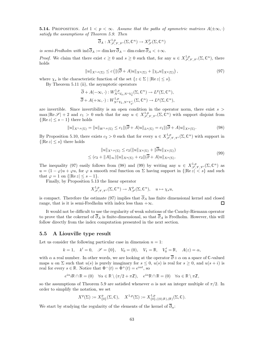**5.14.** PROPOSITION. Let  $1 < p < \infty$ . Assume that the paths of symmetric matrices  $A(\pm \infty, \cdot)$ satisfy the assumptions of Theorem 5.9. Then

$$
\overline{\partial}_A: X^{1,p}_{\mathscr{S},\mathscr{V},\mathscr{V}'}(\Sigma,\mathbb{C}^n)\to X^p_{\mathscr{S}}(\Sigma,\mathbb{C}^n)
$$

is semi-Fredholm with  $\text{ind }\overline{\partial}_A := \dim \ker \overline{\partial}_A - \dim \text{coker }\overline{\partial}_A < +\infty$ .

*Proof.* We claim that there exist  $c \geq 0$  and  $s \geq 0$  such that, for any  $u \in X^{1,p}_{\mathscr{S},\mathscr{V},\mathscr{V}'}(\Sigma,\mathbb{C}^n)$ , there holds

$$
||u||_{X^{1,p}(\Sigma)} \le c \left( ||(\overline{\partial} + A)u||_{X^p(\Sigma)} + ||\chi_s u||_{X^p(\Sigma)} \right),
$$
\n(97)

where  $\chi_s$  is the characteristic function of the set  $\{z \in \Sigma \mid |\text{Re } z| \leq s\}.$ 

By Theorem 5.11 (ii), the asymptotic operators

$$
\overline{\partial} + A(-\infty, \cdot) : W^{1, p}_{N^*V_0, N^*V'_0}(\Sigma, \mathbb{C}^n) \to L^p(\Sigma, \mathbb{C}^n), \n\overline{\partial} + A(+\infty, \cdot) : W^{1, p}_{N^*V_k, N^*V'_{k'}}(\Sigma, \mathbb{C}^n) \to L^p(\Sigma, \mathbb{C}^n),
$$

are invertible. Since invertibility is an open condition in the operator norm, there exist  $s >$  $\max |\text{Re }\mathscr{S}| + 2$  and  $c_1 > 0$  such that for any  $u \in X^{1,p}_{\mathscr{S},\mathscr{V},\mathscr{V}'}(\Sigma,\mathbb{C}^n)$  with support disjoint from  $\{|\text{Re } z| \leq s - 1\}$  there holds

$$
||u||_{X^{1,p}(\Sigma)} = ||u||_{W^{1,p}(\Sigma)} \le c_1 ||(\overline{\partial} + A)u||_{L^p(\Sigma)} = c_1 ||(\overline{\partial} + A)u||_{X^p(\Sigma)}.
$$
\n(98)

By Proposition 5.10, there exists  $c_2 > 0$  such that for every  $u \in X^{1,p}_{\mathscr{S},\mathscr{V},\mathscr{V}'}(\Sigma,\mathbb{C}^n)$  with support in  $\{|Re z| \leq s\}$  there holds

$$
||u||_{X^{1,p}(\Sigma)} \leq c_2(||u||_{X^p(\Sigma)} + ||\overline{\partial}u||_{X^p(\Sigma)})
$$
  

$$
\leq (c_2 + ||A||_{\infty})||u||_{X^p(\Sigma)} + c_2||(\overline{\partial} + A)u||_{X^p(\Sigma)}.
$$
 (99)

The inequality (97) easily follows from (98) and (99) by writing any  $u \in X^{1,p}_{\mathscr{S},\mathscr{V},\mathscr{V}}(\Sigma,\mathbb{C}^n)$  as  $u = (1 - \varphi)u + \varphi u$ , for  $\varphi$  a smooth real function on  $\Sigma$  having support in  $\{|Re z| \leq s\}$  and such that  $\varphi = 1$  on  $\{|\text{Re } z| \leq s - 1\}.$ 

Finally, by Proposition 5.13 the linear operator

$$
X^{1,p}_{\mathscr{S},\mathscr{V},\mathscr{V}'}(\Sigma,\mathbb{C}^n)\to X^p_{\mathscr{S}}(\Sigma,\mathbb{C}^n),\quad u\mapsto \chi_s u,
$$

is compact. Therefore the estimate (97) implies that  $\overline{\partial}_A$  has finite dimensional kernel and closed range, that is it is semi-Fredholm with index less than  $+\infty$ .  $\Box$ 

It would not be difficult to use the regularity of weak solutions of the Cauchy-Riemann operator to prove that the cokernel of  $\overline{\partial}_A$  is finite-dimensional, so that  $\overline{\partial}_A$  is Fredholm. However, this will follow directly from the index computation presented in the next section.

## 5.5 A Liouville type result

Let us consider the following particular case in dimension  $n = 1$ :

$$
k = 1
$$
,  $k' = 0$ ,  $\mathscr{S} = \{0\}$ ,  $V_0 = (0)$ ,  $V_1 = \mathbb{R}$ ,  $V'_0 = \mathbb{R}$ ,  $A(z) = \alpha$ ,

with  $\alpha$  a real number. In other words, we are looking at the operator  $\overline{\partial} + \alpha$  on a space of C-valued maps u on  $\Sigma$  such that  $u(s)$  is purely imaginary for  $s \leq 0$ ,  $u(s)$  is real for  $s \geq 0$ , and  $u(s + i)$  is real for every  $s \in \mathbb{R}$ . Notice that  $\Phi^-(t) = \Phi^+(t) = e^{i\alpha t}$ , so

$$
e^{i\alpha}i\mathbb{R}\cap\mathbb{R}=(0)\quad\forall\alpha\in\mathbb{R}\setminus(\pi/2+\pi\mathbb{Z}),\quad e^{i\alpha}\mathbb{R}\cap\mathbb{R}=(0)\quad\forall\alpha\in\mathbb{R}\setminus\pi\mathbb{Z},
$$

so the assumptions of Theorem 5.9 are satisfied whenever  $\alpha$  is not an integer multiple of  $\pi/2$ . In order to simplify the notation, we set

$$
X^{p}(\Sigma) := X^{p}_{\{0\}}(\Sigma, \mathbb{C}), \quad X^{1, p}(\Sigma) := X^{1, p}_{\{0\}, ((0), \mathbb{R}), (\mathbb{R})}(\Sigma, \mathbb{C}).
$$

We start by studying the regularity of the elements of the kernel of  $\overline{\partial}_{\alpha}$ :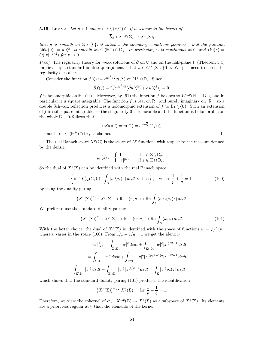**5.15.** LEMMA. Let  $p > 1$  and  $\alpha \in \mathbb{R} \setminus (\pi/2)\mathbb{Z}$ . If u belongs to the kernel of

$$
\overline{\partial}_{\alpha}: X^{1,p}(\Sigma) \to X^p(\Sigma),
$$

then u is smooth on  $\Sigma \setminus \{0\}$ , it satisfies the boundary conditions pointwise, and the function  $(\mathscr{R}u)(\zeta) = u(\zeta^2)$  is smooth on  $Cl(\mathbb{H}^+) \cap \mathbb{D}_1$ . In particular, u is continuous at 0, and  $Du(z) =$  $O(|z|^{-1/2})$  for  $z \to 0$ .

*Proof.* The regularity theory for weak solutions of  $\overline{\partial}$  on  $\mathbb C$  and on the half-plane H (Theorem 5.4) implies - by a standard bootstrap argument - that  $u \in C^{\infty}(\Sigma \setminus \{0\})$ . We just need to check the regularity of u at 0.

Consider the function  $f(\zeta) := e^{\alpha \overline{\zeta}^2/2} u(\zeta^2)$  on  $H^+ \cap \mathbb{D}_1$ . Since

$$
\overline{\partial}f(\zeta) = 2\overline{\zeta}e^{\alpha\overline{\zeta}^2/2} \left(\overline{\partial}u(\zeta^2) + \alpha u(\zeta^2)\right) = 0,
$$

f is holomorphic on  $\mathbb{H}^+\cap\mathbb{D}_1$ . Moreover, by (91) the function f belongs to  $W^{1,p}(\mathbb{H}^+\cap\mathbb{D}_1)$ , and in particular it is square integrable. The function f is real on  $\mathbb{R}^+$  and purely imaginary on  $i\mathbb{R}^+$ , so a double Schwarz reflection produces a holomorphic extension of f to  $\mathbb{D}_1 \setminus \{0\}$ . Such an extension of f is still square integrable, so the singularity  $\theta$  is removable and the function is holomorphic on the whole  $\mathbb{D}_1$ . It follows that

$$
(\mathscr{R}u)(\zeta) = u(\zeta^2) = e^{-\alpha \overline{\zeta}^2/2} f(\zeta)
$$

is smooth on  $Cl(\mathbb{H}^+) \cap \mathbb{D}_1$ , as claimed.

The real Banach space  $X^p(\Sigma)$  is the space of  $L^p$  functions with respect to the measure defined by the density

$$
\rho_p(z) := \begin{cases} 1 & \text{if } z \in \Sigma \setminus \mathbb{D}_r, \\ |z|^{p/2 - 1} & \text{if } z \in \Sigma \cap \mathbb{D}_r. \end{cases}
$$

So the dual of  $X^p(\Sigma)$  can be identified with the real Banach space

$$
\left\{ v \in L^1_{\text{loc}}(\Sigma, \mathbb{C}) \mid \int_{\Sigma} |v|^q \rho_p(z) \, ds dt < +\infty \right\}, \quad \text{where } \frac{1}{p} + \frac{1}{q} = 1,\tag{100}
$$

by using the duality paring

$$
\big(X^p(\Sigma)\big)^*\times X^p(\Sigma)\to \mathbb{R},\quad (v,u)\mapsto \mathrm{Re}\,\int_\Sigma\langle v,u\rangle\rho_p(z)\,dsdt.
$$

We prefer to use the standard duality pairing

$$
(X^{p}(\Sigma))^{*} \times X^{p}(\Sigma) \to \mathbb{R}, \quad (w, u) \mapsto \text{Re} \int_{\Sigma} \langle w, u \rangle \, dsdt. \tag{101}
$$

With the latter choice, the dual of  $X^p(\Sigma)$  is identified with the space of functions  $w = \rho_p(z)v$ , where v varies in the space (100). From  $1/p + 1/q = 1$  we get the identity

$$
||w||_{X^q}^q = \int_{\Sigma \backslash \mathbb{D}_r} |w|^q ds dt + \int_{\Sigma \cap \mathbb{D}_r} |w|^q |z|^{q/2-1} ds dt
$$
  

$$
= \int_{\Sigma \backslash \mathbb{D}_r} |v|^q ds dt + \int_{\Sigma \cap \mathbb{D}_r} |v|^q |z|^{(p/2-1)q} |z|^{q/2-1} ds dt
$$
  

$$
= \int_{\Sigma \backslash \mathbb{D}_r} |v|^q ds dt + \int_{\Sigma \cap \mathbb{D}_r} |v|^q |z|^{p/2-1} ds dt = \int_{\Sigma} |v|^q \rho_p(z) ds dt,
$$

which shows that the standard duality paring (101) produces the identification

$$
(X^p(\Sigma))^* \cong X^q(\Sigma)
$$
, for  $\frac{1}{p} + \frac{1}{q} = 1$ .

Therefore, we view the cokernel of  $\overline{\partial}_{\alpha}: X^{1,p}(\Sigma) \to X^p(\Sigma)$  as a subspace of  $X^q(\Sigma)$ . Its elements are a priori less regular at 0 than the elements of the kernel:

 $\Box$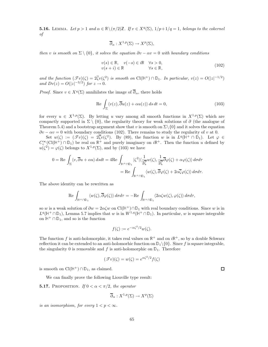**5.16.** LEMMA. Let  $p > 1$  and  $\alpha \in \mathbb{R} \setminus (\pi/2)\mathbb{Z}$ . If  $v \in X^q(\Sigma)$ ,  $1/p+1/q=1$ , belongs to the cokernel of

$$
\overline{\partial}_{\alpha}: X^{1,p}(\Sigma) \to X^p(\Sigma),
$$

then v is smooth on  $\Sigma \setminus \{0\}$ , it solves the equation  $\partial v - \alpha v = 0$  with boundary conditions

$$
v(s) \in \mathbb{R}, \quad v(-s) \in i\mathbb{R} \quad \forall s > 0, v(s+i) \in \mathbb{R} \quad \forall s \in \mathbb{R},
$$
\n(102)

and the function  $(\mathcal{F}v)(\zeta) = 2\overline{\zeta}v(\zeta^2)$  is smooth on  $Cl(\mathbb{H}^+) \cap \mathbb{D}_1$ . In particular,  $v(z) = O(|z|^{-1/2})$ and  $Dv(z) = O(|z|^{-3/2})$  for  $z \to 0$ .

*Proof.* Since  $v \in X^q(\Sigma)$  annihilates the image of  $\overline{\partial}_{\alpha}$ , there holds

$$
\operatorname{Re} \int_{\Sigma} \langle v(z), \overline{\partial} u(z) + \alpha u(z) \rangle \, ds \, dt = 0,\tag{103}
$$

for every  $u \in X^{1,p}(\Sigma)$ . By letting u vary among all smooth functions in  $X^{1,p}(\Sigma)$  which are compactly supported in  $\Sigma \setminus \{0\}$ , the regularity theory for weak solutions of  $\partial$  (the analogue of Theorem 5.4) and a bootstrap argument show that v is smooth on  $\Sigma \setminus \{0\}$  and it solves the equation  $\partial v - \alpha v = 0$  with boundary conditions (102). There remains to study the regularity of v at 0.

Set  $w(\zeta) := (\mathscr{T}v)(\zeta) = 2\overline{\zeta}v(\zeta^2)$ . By (89), the function w is in  $L^q(\mathbb{H}^+ \cap \mathbb{D}_1)$ . Let  $\varphi \in$  $C_c^{\infty}(\text{Cl}(\mathbb{H}^+) \cap \mathbb{D}_1)$  be real on  $\mathbb{R}^+$  and purely imaginary on  $i\mathbb{R}^+$ . Then the function u defined by  $u(\zeta^2) = \varphi(\zeta)$  belongs to  $X^{1,p}(\Sigma)$ , and by (103) we have

$$
0 = \text{Re}\int_{\Sigma} \langle v, \overline{\partial}u + \alpha u \rangle \, dsdt = 4 \text{Re}\int_{\mathbb{H}^+ \cap \mathbb{D}_1} |\zeta^2| \langle \frac{1}{2\overline{\zeta}} w(\zeta), \frac{1}{2\overline{\zeta}} \overline{\partial} \varphi(\zeta) + \alpha \varphi(\zeta) \rangle \, d\sigma d\tau
$$

$$
= \text{Re}\int_{\mathbb{H}^+ \cap \mathbb{D}_1} \langle w(\zeta), \overline{\partial} \varphi(\zeta) + 2\alpha \overline{\zeta} \varphi(\zeta) \rangle \, d\sigma d\tau.
$$

The above identity can be rewritten as

$$
\mathrm{Re}\,\int_{\mathbb{H}^+\cap\mathbb{D}_1}\langle w(\zeta),\overline{\partial}\varphi(\zeta)\rangle\,d\sigma d\tau=-\mathrm{Re}\,\int_{\mathbb{H}^+\cap\mathbb{D}_1}\langle 2\alpha\zeta w(\zeta),\varphi(\zeta)\rangle\,d\sigma d\tau,
$$

so w is a weak solution of  $\partial w = 2\alpha \zeta w$  on  $Cl(\mathbb{H}^+) \cap \mathbb{D}_1$  with real boundary conditions. Since w is in  $L^q(\mathbb{H}^+\cap\mathbb{D}_1)$ , Lemma 5.7 implies that w is in  $W^{1,q}(\mathbb{H}^+\cap\mathbb{D}_1)$ . In particular, w is square integrable on  $\mathbb{H}^+ \cap \mathbb{D}_1$ , and so is the function

$$
f(\zeta) := e^{-\alpha \zeta^2/2} w(\zeta).
$$

The function f is anti-holomorphic, it takes real values on  $\mathbb{R}^+$  and on  $i\mathbb{R}^+$ , so by a double Schwarz reflection it can be extended to an anti-holomorhic function on  $\mathbb{D}_1\setminus\{0\}$ . Since f is square integrable, the singularity 0 is removable and f is anti-holomorphic on  $\mathbb{D}_1$ . Therefore

$$
(\mathcal{T}v)(\zeta) = w(\zeta) = e^{\alpha \zeta^2/2} f(\zeta)
$$

is smooth on  $Cl(H^+) \cap \mathbb{D}_1$ , as claimed.

We can finally prove the following Liouville type result:

**5.17.** PROPOSITION. If  $0 < \alpha < \pi/2$ , the operator

$$
\overline{\partial}_{\alpha}: X^{1,p}(\Sigma) \to X^p(\Sigma)
$$

is an isomorphism, for every  $1 < p < \infty$ .

 $\Box$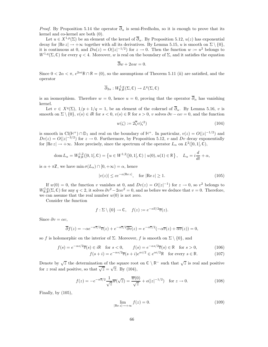*Proof.* By Proposition 5.14 the operator  $\overline{\partial}_{\alpha}$  is semi-Fredholm, so it is enough to prove that its kernel and co-kernel are both (0).

Let  $u \in X^{1,p}(\Sigma)$  be an element of the kernel of  $\overline{\partial}_{\alpha}$ . By Proposition 5.12,  $u(z)$  has exponential decay for  $|\text{Re } z| \to +\infty$  together with all its derivatives. By Lemma 5.15, u is smooth on  $\Sigma \setminus \{0\}$ , it is continuous at 0, and  $Du(z) = O(|z|^{-1/2})$  for  $z \to 0$ . Then the function  $w := u^2$  belongs to  $W^{1,q}(\Sigma,\mathbb{C})$  for every  $q < 4$ . Moreover, w is real on the boundary of  $\Sigma$ , and it satisfies the equation

$$
\overline{\partial}w + 2\alpha w = 0.
$$

Since  $0 < 2\alpha < \pi$ ,  $e^{2\alpha i} \mathbb{R} \cap \mathbb{R} = (0)$ , so the assumptions of Theorem 5.11 (ii) are satisfied, and the operator

$$
\overline{\partial}_{2\alpha}:W^{1,q}_{\mathbb{R},\mathbb{R}}(\Sigma,\mathbb{C})\to L^q(\Sigma,\mathbb{C})
$$

is an isomorphism. Therefore  $w = 0$ , hence  $u = 0$ , proving that the operator  $\overline{\partial}_{\alpha}$  has vanishing kernel.

Let  $v \in X^q(\Sigma)$ ,  $1/p + 1/q = 1$ , be an element of the cokernel of  $\overline{\partial}_{\alpha}$ . By Lemma 5.16, v is smooth on  $\Sigma \setminus \{0\}$ ,  $v(s) \in i\mathbb{R}$  for  $s < 0$ ,  $v(s) \in \mathbb{R}$  for  $s > 0$ , v solves  $\partial v - \alpha v = 0$ , and the function

$$
w(\zeta) := 2\overline{\zeta}v(\zeta^2) \tag{104}
$$

is smooth in  $Cl(\mathbb{H}^+) \cap \mathbb{D}_1$  and real on the boundary of  $\mathbb{H}^+$ . In particular,  $v(z) = O(|z|^{-1/2})$  and  $Dv(z) = O(|z|^{-3/2})$  for  $z \to 0$ . Furthermore, by Proposition 5.12, v and  $Dv$  decay exponentially for  $|\text{Re } z| \to +\infty$ . More precisely, since the spectrum of the operator  $L_{\alpha}$  on  $L^2(]0,1[,\mathbb{C}),$ 

$$
\text{dom}\,L_{\alpha} = W^{1,2}_{\mathbb{R},\mathbb{R}}(]0,1[,\mathbb{C}) = \left\{ u \in W^{1,2}(]0,1[,\mathbb{C}) \mid u(0),u(1) \in \mathbb{R} \right\}, \quad L_{\alpha} = i\frac{d}{dt} + \alpha,
$$

is  $\alpha + \pi \mathbb{Z}$ , we have min  $\sigma(L_{\alpha}) \cap [0, +\infty) = \alpha$ , hence

$$
|v(z)| \le ce^{-\alpha|\text{Re } z|}, \quad \text{for } |\text{Re } z| \ge 1. \tag{105}
$$

If  $w(0) = 0$ , the function v vanishes at 0, and  $Dv(z) = O(|z|^{-1})$  for  $z \to 0$ , so  $v^2$  belongs to  $W_{\mathbb{R},\mathbb{R}}^{1,q}(\Sigma,\mathbb{C})$  for any  $q < 2$ , it solves  $\partial v^2 - 2\alpha v^2 = 0$ , and as before we deduce that  $v = 0$ . Therefore, we can assume that the real number  $w(0)$  is not zero.

Consider the function

$$
f : \Sigma \setminus \{0\} \to \mathbb{C}, \quad f(z) := e^{-\alpha \overline{z}/2} \overline{v}(z).
$$

Since  $\partial v = \alpha v$ ,

$$
\overline{\partial}f(z) = -\alpha e^{-\alpha \overline{z}/2} \overline{v}(z) + e^{-\alpha \overline{z}/2} \overline{\partial v}(z) = e^{-\alpha \overline{z}/2} (-\alpha \overline{v}(z) + \overline{\alpha v}(z)) = 0,
$$

so f is holomorphic on the interior of  $\Sigma$ . Moreover, f is smooth on  $\Sigma \setminus \{0\}$ , and

$$
f(s) = e^{-\alpha s/2} \overline{v}(s) \in i\mathbb{R} \quad \text{for } s < 0, \qquad f(s) = e^{-\alpha s/2} \overline{v}(s) \in \mathbb{R} \quad \text{for } s > 0,
$$
 (106)

$$
f(s+i) = e^{-\alpha s/2} \overline{v}(s+i) e^{\alpha i/2} \in e^{\alpha i/2} \mathbb{R} \text{ for every } s \in \mathbb{R}.
$$
 (107)

Denote by  $\sqrt{z}$  the determination of the square root on  $\mathbb{C} \setminus \mathbb{R}^-$  such that  $\sqrt{z}$  is real and positive for z real and positive, so that  $\overline{\sqrt{z}} = \sqrt{\overline{z}}$ . By (104),

$$
f(z) = -e^{-\alpha \overline{z}/2} \frac{1}{\sqrt{z}} \overline{w}(\sqrt{z}) = \frac{\overline{w}(0)}{\sqrt{z}} + o(|z|^{-1/2}) \quad \text{for } z \to 0.
$$
 (108)

Finally, by (105),

$$
\lim_{|\text{Re }z| \to +\infty} f(z) = 0. \tag{109}
$$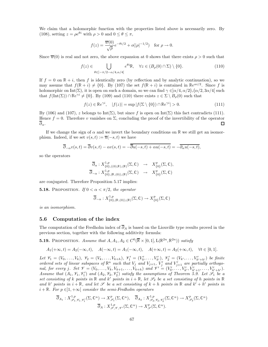We claim that a holomorphic function with the properties listed above is necessarily zero. By (108), setting  $z = \rho e^{\theta i}$  with  $\rho > 0$  and  $0 \le \theta \le \pi$ ,

$$
f(z) = \frac{\overline{w}(0)}{\sqrt{\rho}} e^{-\theta i/2} + o(|\rho|^{-1/2}) \text{ for } \rho \to 0.
$$

Since  $\overline{w}(0)$  is real and not zero, the above expansion at 0 shows that there exists  $\rho > 0$  such that

$$
f(z) \in \bigcup_{\theta \in ]-\pi/2 - \alpha/4, \alpha/4[} e^{\theta i} \mathbb{R}, \quad \forall z \in (B_{\rho}(0) \cap \Sigma) \setminus \{0\}.
$$
 (110)

If  $f = 0$  on  $\mathbb{R} + i$ , then f is identically zero (by reflection and by analytic continuation), so we may assume that  $f(\mathbb{R} + i) \neq \{0\}$ . By (107) the set  $f(\mathbb{R} + i)$  is contained in  $\mathbb{R}e^{\alpha i/2}$ . Since f is holomorphic on Int(Σ), it is open on such a domain, so we can find  $\gamma \in ]\alpha/4, \alpha/2[\cup]\alpha/2, 3\alpha/4[$  such that  $f(\text{Int}(\Sigma)) \cap \mathbb{R}e^{\gamma i} \neq \{0\}$ . By (109) and (110) there exists  $z \in \Sigma \setminus B_{\rho}(0)$  such that

$$
f(z) \in \mathbb{R}e^{\gamma i}, \quad |f(z)| = \sup |f(\Sigma \setminus \{0\}) \cap \mathbb{R}e^{\gamma i}| > 0. \tag{111}
$$

By (106) and (107), z belongs to Int(Σ), but since f is open on Int(Σ) this fact contradicts (111). Hence  $f = 0$ . Therefore v vanishes on  $\Sigma$ , concluding the proof of the invertibility of the operator  $\overline{\partial}_{\alpha}$ . □

If we change the sign of  $\alpha$  and we invert the boundary conditions on R we still get an isomorphism. Indeed, if we set  $v(s, t) := \overline{u}(-s, t)$  we have

$$
\overline{\partial}_{-\alpha}v(s,t) = \overline{\partial}v(s,t) - \alpha v(s,t) = -\overline{\overline{\partial}u(-s,t) + \alpha u(-s,t)} = -\overline{\partial_{\alpha}u(-s,t)},
$$

so the operators

$$
\overline{\partial}_{\alpha}: X^{1,p}_{\{0\},((0),\mathbb{R}),(\mathbb{R})}(\Sigma, \mathbb{C}) \rightarrow X^{p}_{\{0\}}(\Sigma, \mathbb{C}), \overline{\partial}_{-\alpha}: X^{1,p}_{\{0\},(\mathbb{R},(0)),(\mathbb{R})}(\Sigma, \mathbb{C}) \rightarrow X^{p}_{\{0\}}(\Sigma, \mathbb{C})
$$

are conjugated. Therefore Proposition 5.17 implies:

**5.18.** PROPOSITION. If  $0 < \alpha < \pi/2$ , the operator

$$
\overline{\partial}_{-\alpha}: X^{1,p}_{\{0\},(\mathbb{R},(0)),(\mathbb{R})}(\Sigma,\mathbb{C}) \to X^{p}_{\{0\}}(\Sigma,\mathbb{C})
$$

is an isomorphism.

## 5.6 Computation of the index

The computation of the Fredholm index of  $\overline{\partial}_A$  is based on the Liouville type results proved in the previous section, together with the following additivity formula:

**5.19.** PROPOSITION. Assume that  $A, A_1, A_2 \in C^0(\overline{\mathbb{R}} \times [0, 1], \mathcal{L}(\mathbb{R}^{2n}, \mathbb{R}^{2n}))$  satisfy

$$
A_1(+\infty, t) = A_2(-\infty, t), \quad A(-\infty, t) = A_1(-\infty, t), \quad A(+\infty, t) = A_2(+\infty, t), \quad \forall t \in [0, 1].
$$

Let  $\mathcal{V}_1 = (V_0, \ldots, V_k), \ \mathcal{V}_2 = (V_k, \ldots, V_{k+h}), \ \mathcal{V}'_1 = (V'_0, \ldots, V'_{k'})$ ,  $\mathcal{V}'_2 = (V_{k'}, \ldots, V'_{k'+h'})$  be finite ordered sets of linear subspaces of  $\mathbb{R}^n$  such that  $V_j$  and  $V_{j+1}$ ,  $V'_j$  and  $V'_{j+1}$  are partially orthogonal, for every j. Set  $\mathcal{V} = (V_0, \ldots, V_k, V_{k+1}, \ldots, V_{k+h})$  and  $\mathcal{V}' = (V'_0, \ldots, V'_{k'}, V'_{k'+1}, \ldots, V'_{k'+h'})$ . Assume that  $(A_1, \mathcal{V}_1, \mathcal{V}'_1)$  and  $(A_2, \mathcal{V}_2, \mathcal{V}'_2)$  satisfy the assumptions of Theorem 5.9. Let  $\mathcal{S}_1$  be a set consisting of k points in  $\mathbb R$  and k' points in  $i + \mathbb R$ , let  $\mathscr S_2$  be a set consisting of h points in  $\mathbb R$ and h' points in  $i + \mathbb{R}$ , and let  $\mathscr{S}$  be a set consisting of  $k + h$  points in  $\mathbb{R}$  and  $k' + h'$  points in  $i + \mathbb{R}$ . For  $p \in ]1, +\infty[$  consider the semi-Fredholm operators

$$
\overline{\partial}_{A_1}: X^{1,p}_{\mathscr{S}_1,\mathscr{V}_1,\mathscr{V}'_1}(\Sigma,\mathbb{C}^n) \to X^{p}_{\mathscr{S}_1}(\Sigma,\mathbb{C}^n), \quad \overline{\partial}_{A_2}: X^{1,p}_{\mathscr{S}_2,\mathscr{V}_2,\mathscr{V}'_2}(\Sigma,\mathbb{C}^n) \to X^{p}_{\mathscr{S}_2}(\Sigma,\mathbb{C}^n)
$$

$$
\overline{\partial}_A: X^{1,p}_{\mathscr{S},\mathscr{V},\mathscr{V}'}(\Sigma,\mathbb{C}^n) \to X^{p}_{\mathscr{S}}(\Sigma,\mathbb{C}^n).
$$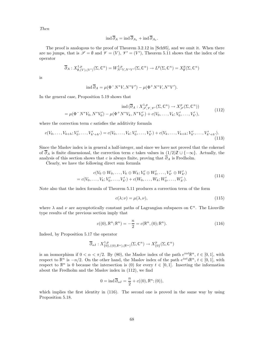Then

$$
\operatorname{ind} \overline{\partial}_A = \operatorname{ind} \overline{\partial}_{A_1} + \operatorname{ind} \overline{\partial}_{A_1}.
$$

The proof is analogous to the proof of Theorem 3.2.12 in [Sch95], and we omit it. When there are no jumps, that is  $\mathscr{S} = \emptyset$  and  $\mathscr{V} = (V)$ ,  $\mathscr{V}' = (V')$ , Theorem 5.11 shows that the index of the operator

$$
\overline{\partial}_A: X^{1,p}_{\emptyset, (V), (V')}(\Sigma, \mathbb{C}^n) = W^{1,p}_{N^*V, N^*V'}(\Sigma, \mathbb{C}^n) \to L^p(\Sigma, \mathbb{C}^n) = X^p_{\emptyset}(\Sigma, \mathbb{C}^n)
$$

is

$$
\operatorname{ind} \overline{\partial}_A = \mu(\Phi^- N^* V, N^* V') - \mu(\Phi^+ N^* V, N^* V').
$$

In the general case, Proposition 5.19 shows that

$$
\operatorname{ind}(\overline{\partial}_A: X^{1,p}_{\mathscr{S}, \mathscr{V}, \mathscr{V}'}(\Sigma, \mathbb{C}^n) \to X^p_{\mathscr{S}}(\Sigma, \mathbb{C}^n))
$$
  
=  $\mu(\Phi^- N^* V_0, N^* V'_0) - \mu(\Phi^+ N^* V_k, N^* V'_{k'}) + c(V_0, \dots, V_k; V'_0, \dots, V'_{k'}),$  (112)

where the correction term  $c$  satisfies the additivity formula

$$
c(V_0, \ldots, V_{k+h}; V'_0, \ldots, V'_{k'+h'}) = c(V_0, \ldots, V_k; V'_0, \ldots, V'_{k'}) + c(V_k, \ldots, V_{k+h}; V'_{k'}, \ldots, V'_{k'+h'})
$$
\n(113)

Since the Maslov index is in general a half-integer, and since we have not proved that the cokernel of  $\overline{\partial}_A$  is finite dimensional, the correction term c takes values in  $(1/2)\mathbb{Z} \cup \{-\infty\}$ . Actually, the analysis of this section shows that c is always finite, proving that  $\overline{\partial}_A$  is Fredholm.

Clearly, we have the following direct sum formula

$$
c(V_0 \oplus W_0, \dots, V_k \oplus W_k; V'_0 \oplus W'_0, \dots, V'_{k'} \oplus W'_{k'})
$$
  
=  $c(V_0, \dots, V_k; V'_0, \dots, V'_{k'}) + c(W_0, \dots, W_k; W'_0, \dots, W'_{k'}).$  (114)

Note also that the index formula of Theorem 5.11 produces a correction term of the form

$$
c(\lambda; \nu) = \mu(\lambda, \nu),\tag{115}
$$

where  $\lambda$  and  $\nu$  are asymptotically constant paths of Lagrangian subspaces on  $\mathbb{C}^n$ . The Liouville type results of the previous section imply that

$$
c((0), \mathbb{R}^n; \mathbb{R}^n) = -\frac{n}{2} = c(\mathbb{R}^n, (0); \mathbb{R}^n).
$$
 (116)

Indeed, by Proposition 5.17 the operator

$$
\overline{\partial}_{\alpha I} : X^{1,p}_{\{0\},((0),\mathbb{R}^n),(\mathbb{R}^n)}(\Sigma, \mathbb{C}^n) \to X^p_{\{0\}}(\Sigma, \mathbb{C}^n)
$$

is an isomorphism if  $0 < \alpha < \pi/2$ . By (80), the Maslov index of the path  $e^{i\alpha t}\mathbb{R}^n$ ,  $t \in [0,1]$ , with respect to  $\mathbb{R}^n$  is  $-n/2$ . On the other hand, the Maslov index of the path  $e^{i\alpha t}i\mathbb{R}^n$ ,  $t \in [0,1]$ , with respect to  $\mathbb{R}^n$  is 0 because the intersection is (0) for every  $t \in [0,1]$ . Inserting the information about the Fredholm and the Maslov index in (112), we find

$$
0 = \operatorname{ind} \overline{\partial}_{\alpha I} = \frac{n}{2} + c((0), \mathbb{R}^n; (0)),
$$

which implies the first identity in  $(116)$ . The second one is proved in the same way by using Proposition 5.18.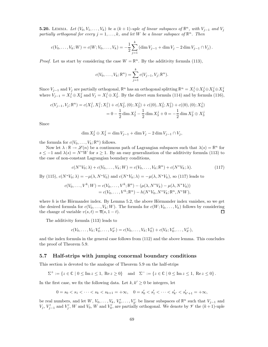**5.20.** LEMMA. Let  $(V_0, V_1, \ldots, V_k)$  be a  $(k + 1)$ -uple of linear subspaces of  $\mathbb{R}^n$ , with  $V_{j-1}$  and  $V_j$ partially orthogonal for every  $j = 1, ..., k$ , and let W be a linear subspace of  $\mathbb{R}^n$ . Then

$$
c(V_0,\ldots,V_k;W) = c(W;V_0,\ldots,V_k) = -\frac{1}{2}\sum_{j=1}^k \left(\dim V_{j-1} + \dim V_j - 2\dim V_{j-1} \cap V_j\right).
$$

*Proof.* Let us start by considering the case  $W = \mathbb{R}^n$ . By the additivity formula (113),

$$
c(V_0, ..., V_k; \mathbb{R}^n) = \sum_{j=1}^k c(V_{j-1}, V_j; \mathbb{R}^n).
$$

Since  $V_{j-1}$  and  $V_j$  are partially orthogonal,  $\mathbb{R}^n$  has an orthogonal splitting  $\mathbb{R}^n = X_1^j \oplus X_2^j \oplus X_3^j \oplus X_4^j$ where  $V_{j-1} = X_1^j \oplus X_2^j$  and  $V_j = X_1^j \oplus X_3^j$ . By the direct sum formula (114) and by formula (116),

$$
c(V_{j-1}, V_j; \mathbb{R}^n) = c(X_1^j, X_1^j; X_1^j) + c(X_2^j, (0); X_2^j) + c((0), X_3^j; X_3^j) + c((0), (0); X_4^j)
$$
  
=  $0 - \frac{1}{2} \dim X_2^j - \frac{1}{2} \dim X_3^j + 0 = -\frac{1}{2} \dim X_2^j \oplus X_3^j$ 

Since

$$
\dim X_2^j \oplus X_3^j = \dim V_{j-1} + \dim V_j - 2\dim V_{j-1} \cap V_j,
$$

the formula for  $c(V_0, \ldots, V_k; \mathbb{R}^n)$  follows.

Now let  $\lambda : \mathbb{R} \to \mathscr{L}(n)$  be a continuous path of Lagrangian subspaces such that  $\lambda(s) = \mathbb{R}^n$  for  $s \le -1$  and  $\lambda(s) = N^*W$  for  $s \ge 1$ . By an easy generalization of the additivity formula (113) to the case of non-constant Lagrangian boundary conditions,

$$
c(N^*V_0; \lambda) + c(V_0, \dots, V_k; W) = c(V_0, \dots, V_k; \mathbb{R}^n) + c(N^*V_k; \lambda).
$$
\n(117)

By (115),  $c(N^*V_0; \lambda) = -\mu(\lambda, N^*V_0)$  and  $c(N^*V_k; \lambda) = -\mu(\lambda, N^*V_k)$ , so (117) leads to

$$
c(V_0, ..., V^k; W) = c(V_0, ..., V^k; \mathbb{R}^n) - (\mu(\lambda, N^*V_k) - \mu(\lambda, N^*V_0))
$$
  
=  $c(V_0, ..., V^k; \mathbb{R}^n) - h(N^*V_0, N^*V_k; \mathbb{R}^n, N^*W),$ 

where  $h$  is the Hörmander index. By Lemma 5.2, the above Hörmander index vanishes, so we get the desired formula for  $c(V_0, \ldots, V_k; W)$ . The formula for  $c(W; V_0, \ldots, V_k)$  follows by considering the change of variable  $v(s, t) = \overline{u}(s, 1-t)$ .  $\Box$ 

The additivity formula (113) leads to

$$
c(V_0,\ldots,V_k;V'_0,\ldots,V'_{k'})=c(V_0,\ldots,V_k;V'_0)+c(V_k;V'_0,\ldots,V'_{k'}),
$$

and the index formula in the general case follows from (112) and the above lemma. This concludes the proof of Theorem 5.9.

#### 5.7 Half-strips with jumping conormal boundary conditions

This section is devoted to the analogue of Theorem 5.9 on the half-strips

$$
\Sigma^+ := \{ z \in \mathbb{C} \mid 0 \le \text{Im } z \le 1, \text{ Re } z \ge 0 \} \quad \text{and} \quad \Sigma^- := \{ z \in \mathbb{C} \mid 0 \le \text{Im } z \le 1, \text{ Re } z \le 0 \}.
$$

In the first case, we fix the following data. Let  $k, k' \geq 0$  be integers, let

$$
0=s_0 < s_1 < \cdots < s_k < s_{k+1}=+\infty, \quad 0=s'_0 < s'_1 < \cdots < s'_{k'} < s'_{k'+1}=+\infty,
$$

be real numbers, and let  $W, V_0, \ldots, V_k, V'_0, \ldots, V'_{k'}$  be linear subspaces of  $\mathbb{R}^n$  such that  $V_{j-1}$  and  $V_j, V'_{j-1}$  and  $V'_j, W$  and  $V_0, W$  and  $V'_0$ , are partially orthogonal. We denote by  $\mathscr V$  the  $(k+1)$ -uple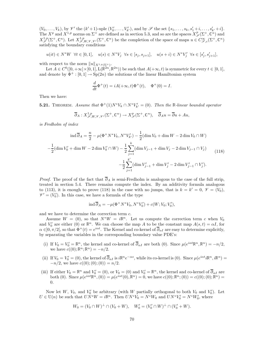$(V_0, \ldots, V_k)$ , by  $\mathcal{V}'$  the  $(k'+1)$ -uple  $(V'_0, \ldots, V'_{k'})$ , and by  $\mathcal{S}$  the set  $\{s_1, \ldots, s_k, s'_1+i, \ldots, s'_{k'}+i\}$ . The  $X^p$  and  $X^{1,p}$  norms on  $\Sigma^+$  are defined as in section 5.3, and so are the spaces  $X^p_{\mathscr{S}}(\Sigma^+,\mathbb{C}^n)$  and  $X^{1,p}_{\mathscr{S}}(\Sigma^+,\mathbb{C}^n)$ . Let  $X^{1,p}_{\mathscr{S},W,\mathscr{V},\mathscr{V}'}(\Sigma^+,\mathbb{C}^n)$  be the completion of the space of maps  $u \in C^{\infty}_{\mathscr{S},c}(\Sigma^+,\mathbb{C}^n)$ satisfying the boundary conditions

 $u(it) \in N^*W \ \ \forall t \in [0,1], \quad u(s) \in N^*V_j \ \ \forall s \in [s_j, s_{j+1}], \quad u(s+i) \in N^*V'_j \ \ \forall s \in [s'_j, s'_{j+1}],$ 

with respect to the norm  $||u||_{X^{1,p}(\Sigma^+)}$ .

Let  $A \in C^0([0, +\infty] \times [0, 1], L(\mathbb{R}^{2n}, \mathbb{R}^{2n})$  be such that  $A(+\infty, t)$  is symmetric for every  $t \in [0, 1]$ , and denote by  $\Phi^+ : [0, 1] \to Sp(2n)$  the solutions of the linear Hamiltonian system

$$
\frac{d}{dt}\Phi^+(t)=iA(+\infty,t)\Phi^+(t),\quad \Phi^+(0)=I.
$$

Then we have:

**5.21.** THEOREM. Assume that  $\Phi^+(1)N^*V_k \cap N^*V'_{k'} = (0)$ . Then the R-linear bounded operator

$$
\overline{\partial}_A: X^{1,p}_{\mathscr{S},W,\mathscr{V},\mathscr{V}'}(\Sigma^+,\mathbb{C}^n)\to X^p_{\mathscr{S}}(\Sigma^+,\mathbb{C}^n),\quad \overline{\partial}_A u=\overline{\partial} u+A u,
$$

is Fredholm of index

$$
\operatorname{ind} \overline{\partial}_A = \frac{n}{2} - \mu (\Phi^+ N^* V_k, N^* V'_{k'}) - \frac{1}{2} (\operatorname{dim} V_0 + \operatorname{dim} W - 2 \operatorname{dim} V_0 \cap W)
$$

$$
-\frac{1}{2} (\operatorname{dim} V'_0 + \operatorname{dim} W - 2 \operatorname{dim} V'_0 \cap W) - \frac{1}{2} \sum_{j=1}^k (\operatorname{dim} V_{j-1} + \operatorname{dim} V_j - 2 \operatorname{dim} V_{j-1} \cap V_j)
$$

$$
-\frac{1}{2} \sum_{j=1}^{k'} (\operatorname{dim} V'_{j-1} + \operatorname{dim} V'_j - 2 \operatorname{dim} V'_{j-1} \cap V'_j).
$$
(118)

*Proof.* The proof of the fact that  $\overline{\partial}_A$  is semi-Fredholm is analogous to the case of the full strip, treated in section 5.4. There remains compute the index. By an additivity formula analogous to (113), it is enough to prove (118) in the case with no jumps, that is  $k = k' = 0$ ,  $\mathcal{V} = (V_0)$ ,  $\mathscr{V}' = (V'_0)$ . In this case, we have a formula of the type

$$
\operatorname{ind} \overline{\partial}_A = -\mu(\Phi^+ N^* V_0, N^* V'_0) + c(W; V_0; V'_0),
$$

and we have to determine the correction term c.

Assume  $W = (0)$ , so that  $N^*W = i\mathbb{R}^n$ . Let us compute the correction term c when  $V_0$ and  $V'_0$  are either (0) or  $\mathbb{R}^n$ . We can choose the map A to be the constant map  $A(s,t) = \alpha I$ , for  $\alpha \in ]0, \pi/2[$ , so that  $\Phi^+(t) = e^{i\alpha t}$ . The Kernel and co-kernel of  $\overline{\partial}_{\alpha I}$  are easy to determine explicitly, by separating the variables in the corresponding boundary value PDE's:

- (i) If  $V_0 = V'_0 = \mathbb{R}^n$ , the kernel and co-kernel of  $\overline{\partial}_{\alpha I}$  are both (0). Since  $\mu(e^{i\alpha t}\mathbb{R}^n, \mathbb{R}^n) = -n/2$ , we have  $c((0); \mathbb{R}^n; \mathbb{R}^n) = -n/2$ .
- (ii) If  $V_0 = V'_0 = (0)$ , the kernel of  $\overline{\partial}_{\alpha I}$  is  $i\mathbb{R}^n e^{-\alpha s}$ , while its co-kernel is (0). Since  $\mu(e^{i\alpha t}i\mathbb{R}^n, i\mathbb{R}^n) =$  $-n/2$ , we have  $c((0);(0);(0)) = n/2$ .
- (iii) If either  $V_0 = \mathbb{R}^n$  and  $V'_0 = (0)$ , or  $V_0 = (0)$  and  $V'_0 = \mathbb{R}^n$ , the kernel and co-kernel of  $\overline{\partial}_{\alpha I}$  are both (0). Since  $\mu(e^{i\alpha t}\mathbb{R}^n, (0)) = \mu(e^{i\alpha t}(0), \mathbb{R}^n) = 0$ , we have  $c((0); \mathbb{R}^n; (0)) = c((0); (0); \mathbb{R}^n) =$ 0.

Now let W,  $V_0$ , and  $V'_0$  be arbitrary (with W partially orthogonal to both  $V_0$  and  $V'_0$ ). Let  $U \in U(n)$  be such that  $UN^*W = i\mathbb{R}^n$ . Then  $UN^*V_0 = N^*W_0$  and  $UN^*V'_0 = N^*W'_0$ , where

$$
W_0 = (V_0 \cap W)^{\perp} \cap (V_0 + W), \quad W'_0 = (V'_0 \cap W)^{\perp} \cap (V'_0 + W).
$$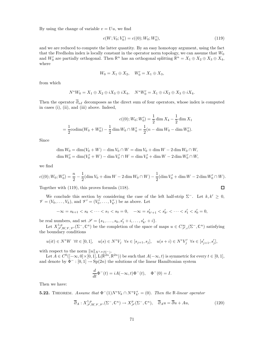By using the change of variable  $v = Uu$ , we find

$$
c(W; V_0; V'_0) = c((0); W_0; W'_0), \tag{119}
$$

 $\Box$ 

and we are reduced to compute the latter quantity. By an easy homotopy argument, using the fact that the Fredholm index is locally constant in the operator norm topology, we can assume that  $W_0$ and  $W'_0$  are partially orthogonal. Then  $\mathbb{R}^n$  has an orthogonal splitting  $\mathbb{R}^n = X_1 \oplus X_2 \oplus X_3 \oplus X_4$ , where

$$
W_0 = X_1 \oplus X_2, \quad W'_0 = X_1 \oplus X_3,
$$

from which

$$
N^*W_0 = X_1 \oplus X_2 \oplus iX_3 \oplus iX_4, \quad N^*W'_0 = X_1 \oplus iX_2 \oplus X_3 \oplus iX_4.
$$

Then the operator  $\overline{\partial}_{\alpha I}$  decomposes as the direct sum of four operators, whose index is computed in cases (i), (ii), and (iii) above. Indeed,

$$
c((0); W_0; W'_0) = \frac{1}{2} \dim X_4 - \frac{1}{2} \dim X_1
$$

$$
= \frac{1}{2} \operatorname{codim}(W_0 + W'_0) - \frac{1}{2} \dim W_0 \cap W'_0 = \frac{1}{2}(n - \dim W_0 - \dim W'_0).
$$

Since

$$
\dim W_0 = \dim(V_0 + W) - \dim V_0 \cap W = \dim V_0 + \dim W - 2\dim W_0 \cap W,
$$
  

$$
\dim W'_0 = \dim(V'_0 + W) - \dim V'_0 \cap W = \dim V'_0 + \dim W - 2\dim W'_0 \cap W,
$$

we find

$$
c((0); W_0; W'_0) = \frac{n}{2} - \frac{1}{2} (\dim V_0 + \dim W - 2 \dim W_0 \cap W) - \frac{1}{2} (\dim V'_0 + \dim W - 2 \dim W'_0 \cap W).
$$

Together with (119), this proves formula (118).

We conclude this section by considering the case of the left half-strip  $\Sigma^-$ . Let  $k, k' \geq 0$ ,  $\mathscr{V} = (V_0, \ldots, V_k)$ , and  $\mathscr{V}' = (V'_0, \ldots, V'_{k'})$  be as above. Let

$$
-\infty = s_{k+1} < s_k < \dots < s_1 < s_0 = 0, \quad -\infty = s'_{k'+1} < s'_{k'} < \dots < s'_1 < s'_0 = 0,
$$

be real numbers, and set  $\mathscr{S} = \{s_1, \ldots, s_k, s'_1 + i, \ldots, s'_{k'} + i\}.$ 

Let  $X^{1,p}_{\mathscr{S},W,\mathscr{V},\mathscr{V}'}(\Sigma^-,\mathbb{C}^n)$  be the completion of the space of maps  $u \in C^{\infty}_{\mathscr{S},c}(\Sigma^-,\mathbb{C}^n)$  satisfying the boundary conditions

$$
u(it) \in N^*W \ \ \forall t \in [0,1], \quad u(s) \in N^*V_j \ \ \forall s \in [s_{j+1}, s_j], \quad u(s+i) \in N^*V'_j \ \ \forall s \in [s'_{j+1}, s'_j],
$$

with respect to the norm  $||u||_{X^{1,p}(\Sigma^-)}$ .

Let  $A \in C^0([-\infty,0] \times [0,1], \mathcal{L}(\mathbb{R}^{2n}, \mathbb{R}^{2n}))$  be such that  $A(-\infty,t)$  is symmetric for every  $t \in [0,1],$ and denote by  $\Phi^- : [0,1] \to \text{Sp}(2n)$  the solutions of the linear Hamiltonian system

$$
\frac{d}{dt}\Phi^{-}(t) = iA(-\infty, t)\Phi^{-}(t), \quad \Phi^{-}(0) = I.
$$

Then we have:

**5.22.** THEOREM. Assume that  $\Phi^{-}(1)N^*V_k \cap N^*V'_{k'} = (0)$ . Then the R-linear operator

$$
\overline{\partial}_A: X^{1,p}_{\mathscr{S},W,\mathscr{V},\mathscr{V}'}(\Sigma^-,\mathbb{C}^n)\to X^p_{\mathscr{S}}(\Sigma^-,\mathbb{C}^n),\quad \overline{\partial}_A u = \overline{\partial} u + Au,\tag{120}
$$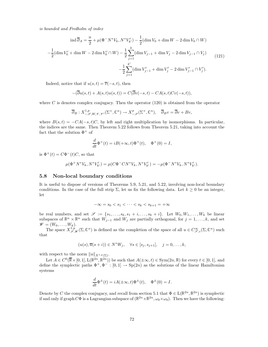is bounded and Fredholm of index

$$
\operatorname{ind} \overline{\partial}_A = \frac{n}{2} + \mu (\Phi^- N^* V_k, N^* V'_{k'}) - \frac{1}{2} (\operatorname{dim} V_0 + \operatorname{dim} W - 2 \operatorname{dim} V_0 \cap W)
$$

$$
-\frac{1}{2} (\operatorname{dim} V'_0 + \operatorname{dim} W - 2 \operatorname{dim} V'_0 \cap W) - \frac{1}{2} \sum_{j=1}^k (\operatorname{dim} V_{j-1} + \operatorname{dim} V_j - 2 \operatorname{dim} V_{j-1} \cap V_j)
$$

$$
-\frac{1}{2} \sum_{j=1}^{k'} (\operatorname{dim} V'_{j-1} + \operatorname{dim} V'_j - 2 \operatorname{dim} V'_{j-1} \cap V'_j).
$$
(121)

Indeed, notice that if  $u(s,t) = \overline{v}(-s,t)$ , then

$$
-(\overline{\partial}u(s,t) + A(s,t)u(s,t)) = C(\overline{\partial}v(-s,t) - CA(s,t)Cv(-s,t)),
$$

where C is denotes complex conjugacy. Then the operator  $(120)$  is obtained from the operator

$$
\overline{\partial}_B: X^{1,p}_{-\mathscr{S},W,\mathscr{V},\mathscr{V}'}(\Sigma^+,\mathbb{C}^n) \to X^p_{-\mathscr{S}}(\Sigma^+,\mathbb{C}^n), \quad \overline{\partial}_B v = \overline{\partial}v + Bv,
$$

where  $B(s,t) = -CA(-s,t)C$ , by left and right multiplication by isomorphisms. In particular, the indices are the same. Then Theorem 5.22 follows from Theorem 5.21, taking into account the fact that the solution  $\Phi^+$  of

$$
\frac{d}{dt}\Phi^+(t) = iB(+\infty, t)\Phi^+(t), \quad \Phi^+(0) = I,
$$

is  $\Phi^+(t) = C\Phi^-(t)C$ , so that

$$
\mu(\Phi^+ N^* V_k, N^* V'_{k'}) = \mu(C\Phi^- C N^* V_k, N^* V'_{k'}) = -\mu(\Phi^- N^* V_k, N^* V'_{k'}).
$$

#### 5.8 Non-local boundary conditions

It is useful to dispose of versions of Theorems 5.9, 5.21, and 5.22, involving non-local boundary conditions. In the case of the full strip  $\Sigma$ , let us fix the following data. Let  $k \geq 0$  be an integer, let

$$
-\infty = s_0 < s_1 < \cdots < s_k < s_{k+1} = +\infty
$$

be real numbers, and set  $\mathscr{S} := \{s_1, \ldots, s_k, s_1 + i, \ldots, s_k + i\}$ . Let  $W_0, W_1, \ldots, W_k$  be linear subspaces of  $\mathbb{R}^n \times \mathbb{R}^n$  such that  $W_{j-1}$  and  $W_j$  are partially orthogonal, for  $j = 1, ..., k$ , and set  $\mathscr{W} = (W_0, \ldots, W_k).$ 

The space  $X^{1,p}_{\mathscr{S},\mathscr{W}}(\Sigma,\mathbb{C}^n)$  is defined as the completion of the space of all  $u \in C^{\infty}_{\mathscr{S},c}(\Sigma,\mathbb{C}^n)$  such that

$$
(u(s),\overline{u}(s+i))\in N^*W_j, \quad \forall s\in [s_j,s_{j+1}], \quad j=0,\ldots,k,
$$

with respect to the norm  $||u||_{X^{1,p}(\Sigma)}$ .

Let  $A \in C^0(\overline{\mathbb{R}} \times [0,1], L(\mathbb{R}^{2n}, \mathbb{R}^{2n}))$  be such that  $A(\pm \infty, t) \in \text{Sym}(2n, \mathbb{R})$  for every  $t \in [0,1]$ , and define the symplectic paths  $\Phi^+$ ,  $\Phi^-$  :  $[0,1] \to \text{Sp}(2n)$  as the solutions of the linear Hamiltonian systems

$$
\frac{d}{dt}\Phi^{\pm}(t) = iA(\pm\infty, t)\Phi^{\pm}(t), \quad \Phi^{\pm}(0) = I.
$$

Denote by C the complex conjugacy, and recall from section 5.1 that  $\Phi \in L(\mathbb{R}^{2n}, \mathbb{R}^{2n})$  is symplectic if and only if graph  $C\Phi$  is a Lagrangian subspace of  $(\mathbb{R}^{2n}\times\mathbb{R}^{2n},\omega_0\times\omega_0)$ . Then we have the following: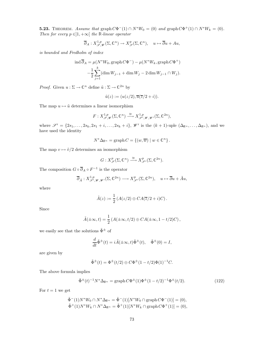**5.23.** THEOREM. Assume that graph  $C\Phi^{-}(1) \cap N^*W_0 = (0)$  and graph  $C\Phi^{+}(1) \cap N^*W_k = (0)$ . Then for every  $p \in ]1, +\infty[$  the R-linear operator

$$
\overline{\partial}_A: X^{1,p}_{\mathscr{S},\mathscr{W}}(\Sigma,\mathbb{C}^n)\to X^p_{\mathscr{S}}(\Sigma,\mathbb{C}^n),\quad u\mapsto \overline{\partial}u+Au,
$$

is bounded and Fredholm of index

$$
\operatorname{ind} \overline{\partial}_A = \mu(N^*W_0, \operatorname{graph} C\Phi^-) - \mu(N^*W_k, \operatorname{graph} C\Phi^+)
$$

$$
-\frac{1}{2}\sum_{j=1}^k (\dim W_{j-1} + \dim W_j - 2\dim W_{j-1} \cap W_j).
$$

*Proof.* Given  $u : \Sigma \to \mathbb{C}^n$  define  $\tilde{u} : \Sigma \to \mathbb{C}^{2n}$  by

$$
\tilde{u}(z) := (u(z/2), \overline{u}(\overline{z}/2 + i)).
$$

The map  $u \mapsto \tilde{u}$  determines a linear isomorphism

$$
F: X^{1,p}_{\mathscr{S},\mathscr{W}}(\Sigma,\mathbb{C}^n) \xrightarrow{\cong} X^{1,p}_{\mathscr{S}',\mathscr{W},\mathscr{W}'}(\Sigma,\mathbb{C}^{2n}),
$$

where  $\mathscr{S}' = \{2s_1, \ldots, 2s_k, 2s_1 + i, \ldots, 2s_k + i\}, \mathscr{W}'$  is the  $(k+1)$ -uple  $(\Delta_{\mathbb{R}^n}, \ldots, \Delta_{\mathbb{R}^n})$ , and we have used the identity

$$
N^*\Delta_{\mathbb{R}^n} = \operatorname{graph} C = \{ (w,\overline{w}) \mid w \in \mathbb{C}^n \}.
$$

The map  $v \mapsto \tilde{v}/2$  determines an isomorphism

$$
G: X^p_{\mathscr{S}}(\Sigma, \mathbb{C}^n) \xrightarrow{\cong} X^p_{\mathscr{S}'}(\Sigma, \mathbb{C}^{2n}).
$$

The composition  $G \circ \overline{\partial}_A \circ F^{-1}$  is the operator

$$
\overline{\partial}_{\tilde{A}}:X^{1,p}_{\mathscr{S}',\mathscr{W},\mathscr{W}'}(\Sigma,\mathbb{C}^{2n})\longrightarrow X^{p}_{\mathscr{S}'}(\Sigma,\mathbb{C}^{2n}),\quad u\mapsto\overline{\partial}u+\tilde{A}u,
$$

where

$$
\tilde{A}(z) := \frac{1}{2} \left( A(z/2) \oplus CA(\overline{z}/2 + i)C \right).
$$

Since

$$
\tilde{A}(\pm\infty,t)=\frac{1}{2}\left(A(\pm\infty,t/2)\oplus CA(\pm\infty,1-t/2)C\right),\,
$$

we easily see that the solutions  $\tilde{\Phi}^{\pm}$  of

$$
\frac{d}{dt}\tilde{\Phi}^{\pm}(t) = i\tilde{A}(\pm\infty, t)\tilde{\Phi}^{\pm}(t), \quad \tilde{\Phi}^{\pm}(0) = I,
$$

are given by

$$
\tilde{\Phi}^{\pm}(t) = \Phi^{\pm}(t/2) \oplus C\Phi^{\pm}(1-t/2)\Phi(1)^{-1}C.
$$

The above formula implies

$$
\tilde{\Phi}^{\pm}(t)^{-1}N^*\Delta_{\mathbb{R}^n} = \text{graph}\,C\Phi^{\pm}(1)\Phi^{\pm}(1-t/2)^{-1}\Phi^{\pm}(t/2). \tag{122}
$$

For  $t = 1$  we get

$$
\tilde{\Phi}^{-}(1)N^*W_0 \cap N^* \Delta_{\mathbb{R}^n} = \tilde{\Phi}^{-}(1)[N^*W_0 \cap \text{graph}\,C\Phi^{-}(1)] = (0),\tilde{\Phi}^{+}(1)N^*W_k \cap N^* \Delta_{\mathbb{R}^n} = \tilde{\Phi}^{+}(1)[N^*W_k \cap \text{graph}\,C\Phi^{+}(1)] = (0),
$$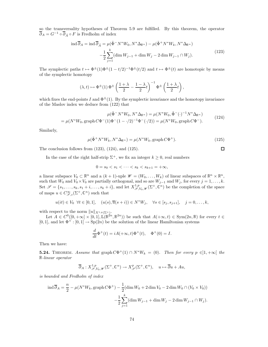so the transversality hypotheses of Theorem 5.9 are fulfilled. By this theorem, the operator  $\overline{\partial}_A = G^{-1} \circ \overline{\partial}_{\overline{A}} \circ F$  is Fredholm of index

$$
\operatorname{ind} \overline{\partial}_A = \operatorname{ind} \overline{\partial}_{\tilde{A}} = \mu(\tilde{\Phi}^- N^* W_0, N^* \Delta_{\mathbb{R}^n}) - \mu(\tilde{\Phi}^+ N^* W_k, N^* \Delta_{\mathbb{R}^n})
$$

$$
-\frac{1}{2} \sum_{j=1}^k (\dim W_{j-1} + \dim W_j - 2 \dim W_{j-1} \cap W_j). \tag{123}
$$

The symplectic paths  $t \mapsto \Phi^{\pm}(1)\Phi^{\pm}(1-t/2)^{-1}\Phi^{\pm}(t/2)$  and  $t \mapsto \Phi^{\pm}(t)$  are homotopic by means of the symplectic homotopy

$$
(\lambda, t) \mapsto \Phi^{\pm}(1) \Phi^{\pm} \left(\frac{1+\lambda}{2} - \frac{1-\lambda}{2}t\right)^{-1} \Phi^{\pm} \left(\frac{1+\lambda}{2}t\right),
$$

which fixes the end-points I and  $\Phi^{\pm}(1)$ . By the symplectic invariance and the homotopy invariance of the Maslov index we deduce from (122) that

$$
\mu(\tilde{\Phi}^{-}N^{*}W_{0}, N^{*}\Delta_{\mathbb{R}^{n}}) = \mu(N^{*}W_{0}, \tilde{\Phi}^{-}(\cdot)^{-1}N^{*}\Delta_{\mathbb{R}^{n}})
$$
  
= 
$$
\mu(N^{*}W_{0}, \text{graph}\,C\Phi^{-}(1)\Phi^{-}(1-\cdot/2)^{-1}\Phi^{-}(\cdot/2)) = \mu(N^{*}W_{0}, \text{graph}\,C\Phi^{-}).
$$
 (124)

Similarly,

$$
\mu(\tilde{\Phi}^+N^*W_k, N^*\Delta_{\mathbb{R}^n}) = \mu(N^*W_k, \text{graph}\,C\Phi^+). \tag{125}
$$

The conclusion follows from (123), (124), and (125).

In the case of the right half-strip  $\Sigma^+$ , we fix an integer  $k \geq 0$ , real numbers

$$
0 = s_0 < s_1 < \dots < s_k < s_{k+1} = +\infty
$$

a linear subspace  $V_0 \subset \mathbb{R}^n$  and a  $(k+1)$ -uple  $\mathscr{W} = (W_0, \ldots, W_k)$  of linear subspaces of  $\mathbb{R}^n \times \mathbb{R}^n$ , such that  $W_0$  and  $V_0 \times V_0$  are partially orthogonal, and so are  $W_{j-1}$  and  $W_j$ , for every  $j = 1, \ldots, k$ . Set  $\mathscr{S} = \{s_1, \ldots, s_k, s_1 + i, \ldots, s_k + i\}$ , and let  $X^{1,p}_{\mathscr{S}, V_0, \mathscr{W}}(\Sigma^+, \mathbb{C}^n)$  be the completion of the space of maps  $u \in C^{\infty}_{\mathscr{S},c}(\Sigma^+,\mathbb{C}^n)$  such that

$$
u(it) \in V_0 \ \forall t \in [0,1], \quad (u(s), \overline{u}(s+i)) \in N^*W_j, \quad \forall s \in [s_j, s_{j+1}], \quad j = 0, \ldots, k,
$$

with respect to the norm  $||u||_{X^{1,p}(\Sigma^+)}$ .

Let  $A \in C^0([0, +\infty] \times [0, 1], \mathbb{L}(\mathbb{R}^{2n}, \mathbb{R}^{2n})$  be such that  $A(+\infty, t) \in \text{Sym}(2n, \mathbb{R})$  for every  $t \in$  $[0, 1]$ , and let  $\Phi^+ : [0, 1] \to \text{Sp}(2n)$  be the solution of the linear Hamiltonian systems

$$
\frac{d}{dt}\Phi^+(t) = iA(+\infty, t)\Phi^+(t), \quad \Phi^+(0) = I.
$$

Then we have:

**5.24.** THEOREM. Assume that  $graph C\Phi^+(1) \cap N^*W_k = (0)$ . Then for every  $p \in ]1, +\infty[$  the <sup>R</sup>-linear operator

$$
\overline{\partial}_A: X^{1,p}_{\mathscr{S}, V_0, \mathscr{W}}(\Sigma^+, \mathbb{C}^n) \to X^p_{\mathscr{S}}(\Sigma^+, \mathbb{C}^n), \quad u \mapsto \overline{\partial} u + Au,
$$

is bounded and Fredholm of index

$$
\operatorname{ind} \overline{\partial}_A = \frac{n}{2} - \mu(N^*W_k, \operatorname{graph} C\Phi^+) - \frac{1}{2}(\dim W_0 + 2\dim V_0 - 2\dim W_0 \cap (V_0 \times V_0)) - \frac{1}{2}\sum_{j=1}^k (\dim W_{j-1} + \dim W_j - 2\dim W_{j-1} \cap W_j).
$$

$$
\Box
$$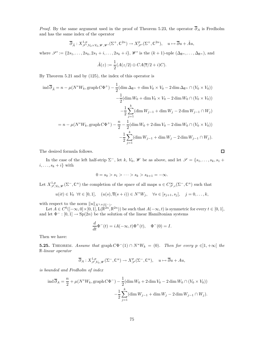*Proof.* By the same argument used in the proof of Theorem 5.23, the operator  $\overline{\partial}_A$  is Fredholm and has the same index of the operator

$$
\overline{\partial}_{\tilde{A}}: X^{1,p}_{\mathscr{S}', V_0 \times V_0, \mathscr{W}, \mathscr{W}'}(\Sigma^+, \mathbb{C}^{2n}) \to X^p_{\mathscr{S}'}(\Sigma^+, \mathbb{C}^{2n}), \quad u \mapsto \overline{\partial}u + \tilde{A}u,
$$

where  $\mathscr{S}' := \{2s_1, \ldots, 2s_k, 2s_1 + i, \ldots, 2s_k + i\}, \mathscr{W}'$  is the  $(k+1)$ -uple  $(\Delta_{\mathbb{R}^n}, \ldots, \Delta_{\mathbb{R}^n})$ , and

$$
\tilde{A}(z) := \frac{1}{2}(A(z/2) \oplus CA(\overline{z}/2 + i)C).
$$

By Theorem 5.21 and by (125), the index of this operator is

$$
\operatorname{ind} \overline{\partial}_{\tilde{A}} = n - \mu(N^*W_k, \operatorname{graph} C\Phi^+) - \frac{1}{2}(\dim \Delta_{\mathbb{R}^n} + \dim V_0 \times V_0 - 2 \dim \Delta_{\mathbb{R}^n} \cap (V_0 \times V_0))
$$
  

$$
- \frac{1}{2}(\dim W_0 + \dim V_0 \times V_0 - 2 \dim W_0 \cap (V_0 \times V_0))
$$
  

$$
- \frac{1}{2} \sum_{j=1}^k (\dim W_{j-1} + \dim W_j - 2 \dim W_{j-1} \cap W_j)
$$
  

$$
= n - \mu(N^*W_k, \operatorname{graph} C\Phi^+) - \frac{n}{2} - \frac{1}{2}(\dim W_0 + 2 \dim V_0 - 2 \dim W_0 \cap (V_0 \times V_0))
$$
  

$$
- \frac{1}{2} \sum_{j=1}^k (\dim W_{j-1} + \dim W_j - 2 \dim W_{j-1} \cap W_j).
$$

The desired formula follows.

In the case of the left half-strip  $\Sigma^-$ , let k,  $V_0$ ,  $W$  be as above, and let  $\mathscr{S} = \{s_1, \ldots, s_k, s_1 +$  $i, \ldots, s_k + i$  with

$$
0 = s_0 > s_1 > \cdots > s_k > s_{k+1} = -\infty.
$$

Let  $X^{1,p}_{\mathscr{S}, V_0, \mathscr{W}}(\Sigma^-, \mathbb{C}^n)$  the completion of the space of all maps  $u \in C^{\infty}_{\mathscr{S},c}(\Sigma^-, \mathbb{C}^n)$  such that

$$
u(it) \in V_0 \ \forall t \in [0,1], \quad (u(s), \overline{u}(s+i)) \in N^*W_j, \quad \forall s \in [s_{j+1}, s_j], \quad j = 0, \ldots, k,
$$

with respect to the norm  $||u||_{X^{1,p}(\Sigma^-)}$ .

Let  $A \in C^0([-\infty,0] \times [0,1], \mathcal{L}(\mathbb{R}^{2n}, \mathbb{R}^{2n}))$  be such that  $A(-\infty,t)$  is symmetric for every  $t \in [0,1],$ and let  $\Phi^- : [0,1] \to \text{Sp}(2n)$  be the solution of the linear Hamiltonian systems

$$
\frac{d}{dt}\Phi^-(t) = iA(-\infty, t)\Phi^+(t), \quad \Phi^-(0) = I.
$$

Then we have:

**5.25.** THEOREM. Assume that  $\text{graph } C\Phi^-(1) \cap N^*W_k = (0)$ . Then for every  $p \in ]1, +\infty[$  the <sup>R</sup>-linear operator

$$
\overline{\partial}_A: X^{1,p}_{\mathscr{S}, V_0, \mathscr{W}}(\Sigma^-, \mathbb{C}^n) \to X^p_{\mathscr{S}}(\Sigma^-, \mathbb{C}^n), \quad u \mapsto \overline{\partial} u + Au,
$$

is bounded and Fredholm of index

$$
\operatorname{ind} \overline{\partial}_A = \frac{n}{2} + \mu(N^*W_k, \operatorname{graph} C\Phi^-) - \frac{1}{2}(\dim W_0 + 2\dim V_0 - 2\dim W_0 \cap (V_0 \times V_0)) - \frac{1}{2} \sum_{j=1}^k (\dim W_{j-1} + \dim W_j - 2\dim W_{j-1} \cap W_j).
$$

 $\Box$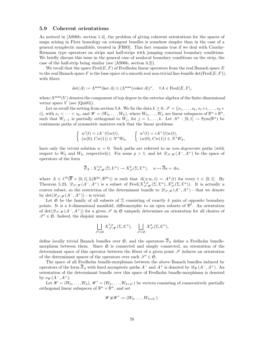#### 5.9 Coherent orientations

As noticed in [AS06b, section 1.4], the problem of giving coherent orientations for the spaces of maps arising in Floer homology on cotangent bundles is somehow simpler than in the case of a general symplectic manifolds, treated in [FH93]. This fact remains true if we deal with Cauchy-Riemann type operators on strips and half-strips with jumping conormal boundary conditions. We briefly discuss this issue in the general case of nonlocal boundary conditions on the strip, the case of the half-strip being similar (see [AS06b, section 3.2]).

We recall that the space  $\text{Fred}(E, F)$  of Fredholm linear operators from the real Banach space E to the real Banach space F is the base space of a smooth real non-trivial line-bundle det(Fred( $E, F$ )), with fibers

$$
\det(A) := \Lambda^{\max}(\ker A) \otimes (\Lambda^{\max}(\mathrm{coker}\,A))^*, \quad \forall A \in \mathrm{Fred}(E, F),
$$

where  $\Lambda^{\max}(V)$  denotes the component of top degree in the exterior algebra of the finite-dimensional vector space  $V$  (see [Qui85]).

Let us recall the setting from section 5.8. We fix the data  $k \geq 0$ ,  $\mathscr{S} = \{s_1, \ldots, s_k, s_1 + i, \ldots, s_k + i\}$ i}, with  $s_1 < \cdots < s_k$ , and  $\mathscr{W} = (W_0, \ldots, W_k)$ , where  $W_0, \ldots, W_k$  are linear subspaces of  $\mathbb{R}^n \times \mathbb{R}^n$ , such that  $W_{j-1}$  is partially orthogonal to  $W_j$ , for  $j = 1, \ldots, k$ . Let  $A^{\pm} : [0,1] \to \text{Sym}(\mathbb{R}^n)$  be continuous paths of symmetric matrices such that the linear problems

$$
\begin{cases}\nw'(t) = iA^-(t)w(t), \\
(w(0), Cw(1)) \in N^*W_0, \\
\end{cases}\n\quad\n\begin{cases}\nw'(t) = iA^+(t)w(t), \\
(w(0), Cw(1)) \in N^*W_k,\n\end{cases}
$$

have only the trivial solution  $w = 0$ . Such paths are referred to as *non-degenerate* paths (with respect to  $W_0$  and  $W_k$ , respectively). Fix some  $p > 1$ , and let  $\mathscr{D}_{\mathscr{S},\mathscr{W}}(A^-,A^+)$  be the space of operators of the form

$$
\overline{\partial}_A: X^{1,p}_{\mathscr{S},\mathscr{W}}(\Sigma,\mathbb{C}^n) \to X^p_{\mathscr{S}}(\Sigma,\mathbb{C}^n), \quad u \mapsto \overline{\partial}u + Au,
$$

where  $A \in C^0(\overline{\mathbb{R}} \times [0,1], L(\mathbb{R}^{2n}, \mathbb{R}^{2n}))$  is such that  $A(\pm \infty, t) = A^{\pm}(t)$  for every  $t \in [0,1]$ . By Theorem 5.23,  $\mathscr{D}_{\mathscr{S},\mathscr{W}}(A^-,A^+)$  is a subset of Fred $(X_{\mathscr{S},\mathscr{W}}^{1,p}(\Sigma,\mathbb{C}^n),X_{\mathscr{S}}^p(\Sigma,\mathbb{C}^n))$ . It is actually a convex subset, so the restriction of the determinant bundle to  $\mathscr{D}_{\mathscr{S},\mathscr{W}}(A^-,A^+)$  - that we denote by  $\det(\mathscr{D}_{\mathscr{S},\mathscr{W}}(A^-,A^+))$  - is trivial.

Let  $\mathfrak S$  be the family of all subsets of  $\Sigma$  consisting of exactly k pairs of opposite boundary points. It is a k-dimensional manifold, diffeomorphic to an open subsets of  $\mathbb{R}^k$ . An orientation of det( $\mathscr{D}_{\mathscr{S},\mathscr{W}}(A^-,A^+)$ ) for a given  $\mathscr{S}$  in  $\mathfrak{S}$  uniquely determines an orientation for all choices of  $\mathscr{S}' \in \mathfrak{S}$ . Indeed, the disjoint unions

$$
\bigsqcup_{\mathscr{S}\in\mathfrak{S}} X^{1,p}_{\mathscr{S},\mathscr{W}}(\Sigma,\mathbb{C}^n),\quad \bigsqcup_{\mathscr{S}\in\mathfrak{S}} X^{p}_{\mathscr{S}}(\Sigma,\mathbb{C}^n),
$$

define locally trivial Banach bundles over  $\mathfrak{S}$ , and the operators  $\overline{\partial}_A$  define a Fredholm bundlemorphism between them. Since  $\mathfrak{S}$  is connected and simply connected, an orientation of the determinant space of this operator between the fibers of a given point  $\mathscr S$  induces an orientation of the determinant spaces of the operators over each  $\mathscr{S}' \in \mathfrak{S}$ .

The space of all Fredholm bundle-morphisms between the above Banach bundles induced by operators of the form  $\overline{\partial}_A$  with fixed asymptotic paths  $A^-$  and  $A^+$  is denoted by  $\mathscr{D}_{\mathscr{W}}(A^-, A^+)$ . An orientation of the determinant bundle over this space of Fredholm bundle-morphisms is denoted by  $o_{\mathscr{W}}(A^-,A^+).$ 

Let  $\mathscr{W} = (W_0, \ldots, W_k), \mathscr{W}' = (W_k, \ldots, W_{k+k'})$  be vectors consisting of consecutively partially orthogonal linear subspaces of  $\mathbb{R}^n \times \mathbb{R}^n$ , and set

$$
\mathscr{W} \# \mathscr{W}' := (W_0, \ldots, W_{k+k'}).
$$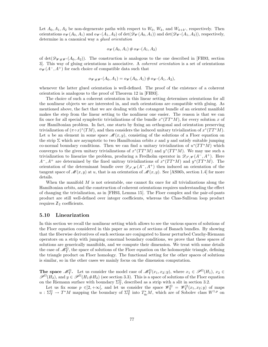Let  $A_0, A_1, A_2$  be non-degenerate paths with respect to  $W_0, W_k$ , and  $W_{k+k'}$ , respectively. Then orientations  $o_{\mathscr{W}}(A_0, A_1)$  and  $o_{\mathscr{W}'}(A_1, A_2)$  of det $(\mathscr{D}_{\mathscr{W}}(A_0, A_1))$  and det $(\mathscr{D}_{\mathscr{W}'}(A_1, A_2))$ , respectively, determine in a canonical way a glued orientation

$$
o_{\mathscr{W}}(A_0,A_1)\# o_{\mathscr{W}'}(A_1,A_2)
$$

of det $(\mathscr{D}_{\mathscr{W} \# \mathscr{W}}(A_0, A_2))$ . The construction is analogous to the one described in [FH93, section 3]. This way of gluing orientations is associative. A coherent orientation is a set of orientations  $o_{\mathscr{W}}(A^-,A^+)$  for each choice of compatible data such that

$$
o_{\mathscr{W} \# \mathscr{W}'}(A_0, A_1) = o_{\mathscr{W}}(A_0, A_1) \# o_{\mathscr{W}'}(A_1, A_2),
$$

whenever the latter glued orientation is well-defined. The proof of the existence of a coherent orientation is analogous to the proof of Theorem 12 in [FH93].

The choice of such a coherent orientation in this linear setting determines orientations for all the nonlinear objects we are interested in, and such orientations are compatible with gluing. As mentioned above, the fact that we are dealing with the cotangent bundle of an oriented manifold makes the step from the linear setting to the nonlinear one easier. The reason is that we can fix once for all special symplectic trivializations of the bundle  $x^*(TT^*M)$ , for every solution x of our Hamiltonian problem. In fact, one starts by fixing an orthogonal and orientation preserving trivialization of  $(\pi \circ x)^*(TM)$ , and then considers the induced unitary trivialization of  $x^*(TT^*M)$ . Let u be an element in some space  $\mathscr{M}(x, y)$ , consisting of the solutions of a Floer equation on the strip  $\Sigma$  which are asymptotic to two Hamiltonian orbits x and y and satisfy suitable jumping co-normal boundary conditions. Then we can find a unitary trivialization of  $u^*(TT^*M)$  which converges to the given unitary trivializations of  $x^*(TT^*M)$  and  $y^*(TT^*M)$ . We may use such a trivialization to linearize the problem, producing a Fredholm operator in  $\mathscr{D}_{\mathscr{S},\mathscr{W}}(A^-,A^+)$ . Here  $A^-$ ,  $A^+$  are determined by the fixed unitray trivializations of  $x^*(TT^*M)$  and  $y^*(TT^*M)$ . The orientation of the determinant bundle over  $\mathscr{D}_{\mathscr{S}, \mathscr{W}}(A^-, A^+)$  then induced an orientation of the tangent space of  $\mathcal{M}(x, y)$  at u, that is an orientation of  $\mathcal{M}(x, y)$ . See [AS06b, section 1.4] for more details.

When the manifold  $M$  is not orientable, one cannot fix once for all trivializations along the Hamiltonian orbits, and the construction of coherent orientations requires understanding the effect of changing the trivialization, as in [FH93, Lemma 15]. The Floer complex and the pair-of-pants product are still well-defined over integer coefficients, whereas the Chas-Sullivan loop product requires  $\mathbb{Z}_2$  coefficients.

#### 5.10 Linearization

In this section we recall the nonlinear setting which allows to see the various spaces of solutions of the Floer equation considered in this paper as zeroes of sections of Banach bundles. By showing that the fiberwise derivatives of such sections are conjugated to linear perturbed Cauchy-Riemann operators on a strip with jumping conormal boundary conditions, we prove that these spaces of solutions are generically manifolds, and we compute their dimension. We treat with some details the case of  $\mathcal{M}_{\Upsilon}^{\Omega}$ , the space of solutions of the Floer equation on the holomorphic triangle, defining the triangle product on Floer homology. The functional setting for the other spaces of solutions is similar, so in the other cases we mainly focus on the dimension computation.

**The space**  $\mathcal{M}_{\Upsilon}^{\Omega}$ . Let us consider the model case of  $\mathcal{M}_{\Upsilon}^{\Omega}(x_1, x_2; y)$ , where  $x_1 \in \mathcal{P}^{\Omega}(H_1)$ ,  $x_2 \in$  $\mathscr{P}^{\Omega}(H_2)$ , and  $y \in \mathscr{P}^{\Omega}(H_1 \# H_2)$  (see section 3.3). This is a space of solutions of the Floer equation on the Riemann surface with boundary  $\Sigma_{\Upsilon}^{\Omega}$ , described as a strip with a slit in section 3.2.

Let us fix some  $p \in ]2, +\infty[$ , and let us consider the space  $\mathscr{W}_{\Upsilon}^{\Omega} = \mathscr{W}_{\Upsilon}^{\Omega}(x_1, x_2; y)$  of maps  $u: \Sigma^{\Omega}_\Upsilon \to T^*M$  mapping the boundary of  $\Sigma^{\Omega}_\Upsilon$  into  $T^*_{q_0}M$ , which are of Sobolev class  $W^{1,p}$  on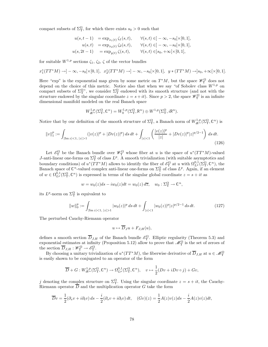compact subsets of  $\Sigma^{\Omega}_{\Upsilon}$ , for which there exists  $s_0 > 0$  such that

$$
u(s, t-1) = \exp_{x_1(t)} \zeta_1(s, t), \quad \forall (s, t) \in ]-\infty, -s_0[\times [0, 1],u(s, t) = \exp_{x_2(t)} \zeta_2(s, t), \quad \forall (s, t) \in ]-\infty, -s_0[\times [0, 1],u(s, 2t-1) = \exp_{y(t)} \zeta(s, t), \quad \forall (s, t) \in ]s_0, +\infty[\times [0, 1],
$$

for suitable  $W^{1,p}$  sections  $\zeta_1, \zeta_2, \zeta$  of the vector bundles

$$
x_1^*(TT^*M) \to ]-\infty, -s_0[\times [0,1], x_2^*(TT^*M) \to ]-\infty, -s_0[\times [0,1], y*(TT^*M) \to ]s_0, +\infty[\times [0,1].
$$

Here "exp" is the exponential map given by some metric on  $T^*M$ , but the space  $\mathscr{W}_{\Upsilon}^{\Omega}$  does not depend on the choice of this metric. Notice also that when we say "of Sobolev class  $W^{1,p}$  on compact subsets of  $\Sigma^{\Omega}$ ", we consider  $\Sigma^{\Omega}$  endowed with its smooth structure (and not with the structure endowed by the singular coordinate  $z = s + it$ ). Since  $p > 2$ , the space  $\mathscr{W}_{\Upsilon}^{\Omega}$  is an infinite dimensional manifold modeled on the real Banach space

$$
W^{1,p}_{i\mathbb{R}^n}(\Sigma^\Omega_\Upsilon,\mathbb{C}^n) = W^{1,p}_0(\Sigma^\Omega_\Upsilon,\mathbb{R}^n) \oplus W^{1,p}(\Sigma^\Omega_\Upsilon,i\mathbb{R}^n).
$$

Notice that by our definition of the smooth structure of  $\Sigma^{\Omega}_{\Upsilon}$ , a Banach norm of  $W^{1,p}_{i\mathbb{R}^n}(\Sigma^{\Omega}_{\Upsilon}, \mathbb{C}^n)$  is

$$
||v||_1^p := \int_{|\text{Im } z| < 1, \, |z| > 1} (|v(z)|^p + |Dv(z)|^p) \, ds \, dt + \int_{|z| < 1} \left( \frac{|v(z)|^p}{|z|} + |Dv(z)|^p |z|^{p/2 - 1} \right) \, ds \, dt. \tag{126}
$$

Let  $\mathscr{E}^{\Omega}_{\Upsilon}$  be the Banach bundle over  $\mathscr{W}_{\Upsilon}^{\Omega}$  whose fiber at u is the space of  $u^*(TT^*M)$ -valued J-anti-linear one-forms on  $\Sigma^{\Omega}$  of class  $L^p$ . A smooth trivialization (with suitable asymptotics and boundary conditions) of  $u^*(TT^*M)$  allows to identify the fiber of  $\mathscr{E}^{\Omega}_{\Upsilon}$  at u with  $\Omega^{0,1}_{L^p}(\Sigma^{\Omega}_\Upsilon,\mathbb{C}^n)$ , the Banach space of  $\mathbb{C}^n$ -valued complex anti-linear one-forms on  $\Sigma^{\Omega}_{\Upsilon}$  of class  $L^p$ . Again, if an element of  $w \in \Omega_{L^p}^{0,1}(\Sigma_\Upsilon^{\Omega}, \mathbb{C}^n)$  is expressed in terms of the singular global coordinate  $z = s + it$  as

$$
w = w_0(z)ds - iw_0(z)dt = w_0(z) d\overline{z}, \quad w_0 : \Sigma^{\Omega}_\Upsilon \to \mathbb{C}^n,
$$

its  $L^p$ -norm on  $\Sigma^{\Omega}$  is equivalent to

$$
||w||_0^p := \int_{|\text{Im } z| < 1, \, |z| > 1} |w_0(z)|^p \, ds \, dt + \int_{|z| < 1} |w_0(z)|^p |z|^{p/2 - 1} \, ds \, dt. \tag{127}
$$

The perturbed Cauchy-Riemann operator

$$
u \mapsto \overline{D}_J u + F_{J,H}(u),
$$

defines a smooth section  $\overline{D}_{J,H}$  of the Banach bundle  $\mathscr{E}^{\Omega}_\Upsilon$ . Elliptic regularity (Theorem 5.3) and exponential estimates at infinity (Proposition 5.12) allow to prove that  $\mathscr{M}_{\Upsilon}^{\Omega}$  is the set of zeroes of the section  $\overline{D}_{J,H} : \mathscr{W}_{\Upsilon}^{\Omega} \to \mathscr{E}_{\Upsilon}^{\Omega}$ .

By choosing a unitary trivialization of  $u^*(TT^*M)$ , the fiberwise derivative of  $\overline{D}_{J,H}$  at  $u \in \mathcal{M}_{\Upsilon}^{\Omega}$ is easily shown to be conjugated to an operator of the form

$$
\overline{D} + G: W^{1,p}_{i\mathbb{R}^n}(\Sigma^\Omega_\Upsilon, \mathbb{C}^n) \to \Omega^{0,1}_{L^p}(\Sigma^\Omega_\Upsilon, \mathbb{C}^n), \quad v \mapsto \frac{1}{2}(Dv + iDv \circ j) + Gv,
$$

j denoting the complex structure on  $\Sigma^{\Omega}$ . Using the singular coordinate  $z = s + it$ , the Cauchy-Riemann operator  $\overline{D}$  and the multiplication operator G take the form

$$
\overline{D}v = \frac{1}{2}(\partial_s v + i\partial_t v) ds - \frac{i}{2}(\partial_s v + i\partial_t v) dt, \quad (Gv)(z) = \frac{1}{2}A(z)v(z)ds - \frac{i}{2}A(z)v(z)dt,
$$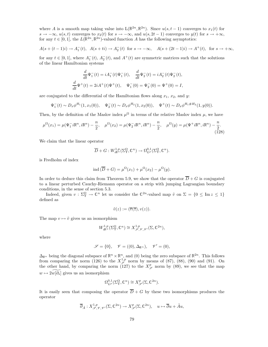where A is a smooth map taking value into  $L(\mathbb{R}^{2n}, \mathbb{R}^{2n})$ . Since  $u(s, t-1)$  converges to  $x_1(t)$  for  $s \to -\infty$ ,  $u(s,t)$  converges to  $x_2(t)$  for  $s \to -\infty$ , and  $u(s, 2t-1)$  converges to  $y(t)$  for  $s \to +\infty$ , for any  $t \in [0,1]$ , the  $L(\mathbb{R}^{2n}, \mathbb{R}^{2n})$ -valued function A has the following asymptotics:

$$
A(s + (t-1)i) \to A_1^-(t)
$$
,  $A(s + ti) \to A_2^-(t)$  for  $s \to -\infty$ ,  $A(s + (2t-1)i) \to A^+(t)$ , for  $s \to +\infty$ ,

for any  $t \in [0,1]$ , where  $A_1^{-}(t)$ ,  $A_2^{-}(t)$ , and  $A^{+}(t)$  are symmetric matrices such that the solutions of the linear Hamiltonian systems

$$
\frac{d}{dt}\Psi_1^-(t) = iA_1^-(t)\Psi_1^-(t), \quad \frac{d}{dt}\Psi_2^-(t) = iA_2^-(t)\Psi_2^-(t),
$$
  

$$
\frac{d}{dt}\Psi^+(t) = 2iA^+(t)\Psi^+(t), \quad \Psi_1^-(0) = \Psi_2^-(0) = \Psi^+(0) = I,
$$

are conjugated to the differential of the Hamiltonian flows along  $x_1, x_2, x_3$  and y:

$$
\Psi_1^-(t) \sim D_x \phi^{H_1}(1, x_1(0)), \quad \Psi_2^-(t) \sim D_x \phi^{H_2}(1, x_2(0)), \quad \Psi^+(t) \sim D_x \phi^{H_1 \# H_2}(1, y(0)).
$$

Then, by the definition of the Maslov index  $\mu^{\Omega}$  in terms of the relative Maslov index  $\mu$ , we have

$$
\mu^{\Omega}(x_1) = \mu(\Psi_1^- i \mathbb{R}^n, i \mathbb{R}^n) - \frac{n}{2}, \quad \mu^{\Omega}(x_2) = \mu(\Psi_2^- i \mathbb{R}^n, i \mathbb{R}^n) - \frac{n}{2}, \quad \mu^{\Omega}(y) = \mu(\Psi^+ i \mathbb{R}^n, i \mathbb{R}^n) - \frac{n}{2}.
$$
\n(128)

We claim that the linear operator

$$
\overline{D} + G: W^{1,p}_{i\mathbb{R}^n}(\Sigma_\Upsilon^{\Omega}, \mathbb{C}^n) \to \Omega_{L^p}^{0,1}(\Sigma_\Upsilon^{\Omega}, \mathbb{C}^n).
$$

is Fredholm of index

$$
ind(\overline{D} + G) = \mu^{\Omega}(x_1) + \mu^{\Omega}(x_2) - \mu^{\Omega}(y).
$$

In order to deduce this claim from Theorem 5.9, we show that the operator  $\overline{D} + G$  is conjugated to a linear perturbed Cauchy-Riemann operator on a strip with jumping Lagrangian boundary conditions, in the sense of section 5.3.

Indeed, given  $v : \Sigma^{\Omega} \to \mathbb{C}^n$  let us consider the  $\mathbb{C}^{2n}$ -valued map  $\tilde{v}$  on  $\Sigma = \{0 \leq \text{Im } z \leq 1\}$ defined as

$$
\tilde{v}(z) := (\overline{v}(\overline{z}), v(z)).
$$

The map  $v \mapsto \tilde{v}$  gives us an isomorphism

$$
W^{1,p}_{i\mathbb{R}^n}(\Sigma_\Upsilon^{\Omega}, \mathbb{C}^n) \cong X^{1,p}_{\mathscr{S}, \mathscr{V}, \mathscr{V}'}(\Sigma, \mathbb{C}^{2n}),
$$

where

$$
\mathscr{S} = \{0\}, \quad \mathscr{V} = ((0), \Delta_{\mathbb{R}^n}), \quad \mathscr{V}' = (0),
$$

 $\Delta_{\mathbb{R}^n}$  being the diagonal subspace of  $\mathbb{R}^n \times \mathbb{R}^n$ , and (0) being the zero subspace of  $\mathbb{R}^{2n}$ . This follows from comparing the norm (126) to the  $X^{1,p}_{\mathscr{S}}$  norm by means of (87), (88), (90) and (91). On the other hand, by comparing the norm (127) to the  $X_{\mathscr{S}}^p$  norm by (89), we see that the map  $w \mapsto 2w[\overline{\partial}_s]$  gives us an isomorphism

$$
\Omega_{L^p}^{0,1}(\Sigma_\Upsilon^\Omega,\mathbb{C}^n) \cong X_{\mathscr{S}}^p(\Sigma,\mathbb{C}^{2n}).
$$

It is easily seen that composing the operator  $\overline{D} + G$  by these two isomorphisms produces the operator

$$
\overline{\partial}_{\tilde{A}}: X^{1,p}_{\mathscr{S},\mathscr{V},\mathscr{V}'}(\Sigma,\mathbb{C}^{2n}) \to X^{p}_{\mathscr{S}}(\Sigma,\mathbb{C}^{2n}), \quad u \mapsto \overline{\partial}u + \tilde{A}u,
$$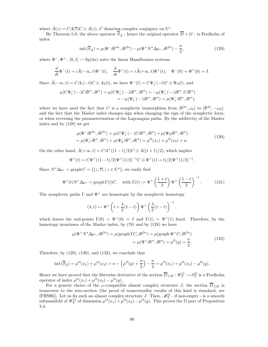where  $\tilde{A}(z) = CA(\overline{z})C \oplus A(z)$ , C denoting complex conjugacy on  $\mathbb{C}^n$ .

By Theorem 5.9, the above operator  $\overline{\partial}_{\tilde{A}}$  - hence the original operator  $\overline{D} + G$  - is Fredholm of index

$$
\operatorname{ind}\left(\overline{\partial}_{\tilde{A}}\right) = \mu(\Phi^- i \mathbb{R}^{2n}, i\mathbb{R}^{2n}) - \mu(\Phi^+ N^* \Delta_{\mathbb{R}^n}, i\mathbb{R}^{2n}) - \frac{n}{2},\tag{129}
$$

where  $\Phi^-$ ,  $\Phi^+$ : [0, 1]  $\to$  Sp(4*n*) solve the linear Hamiltonian systems

$$
\frac{d}{dt}\Phi^-(t) = i\tilde{A}(-\infty, t)\Phi^-(t), \quad \frac{d}{dt}\Phi^+(t) = i\tilde{A}(+\infty, t)\Phi^+(t), \quad \Phi^-(0) = \Phi^+(0) = I.
$$

Since  $\tilde{A}(-\infty, t) = CA_1(-t)C \oplus A_2(t)$ , we have  $\Phi^-(t) = C\Psi^-_1(-t)C \oplus \Psi_2(t)$ , and

$$
\mu(C\Psi_1^-(\text{---})C i\mathbb{R}^n, i\mathbb{R}^n) = \mu(C\Psi_1^-(\text{---})i\mathbb{R}^n, i\mathbb{R}^n) = -\mu(\Psi_1^-(\text{---})i\mathbb{R}^n, Ci\mathbb{R}^n) \n= -\mu(\Psi_1^-(\text{---})i\mathbb{R}^n, i\mathbb{R}^n) = \mu(\Psi_1^-i\mathbb{R}^n, i\mathbb{R}^n),
$$

where we have used the fact that C is a symplectic isomorphism from  $(\mathbb{R}^{2n}, \omega_0)$  to  $(\mathbb{R}^{2n}, -\omega_0)$ , and the fact that the Maslov index changes sign when changing the sign of the symplectic form, or when reversing the parameterization of the Lagrangian paths. By the additivity of the Maslov index and by (128) we get

$$
\mu(\Phi^- i\mathbb{R}^{2n}, i\mathbb{R}^{2n}) = \mu(C\Psi_1^-(-\cdot)C i\mathbb{R}^n, i\mathbb{R}^n) + \mu(\Psi_2 i\mathbb{R}^n, i\mathbb{R}^n)
$$
  
= 
$$
\mu(\Psi_1^- i\mathbb{R}^n, i\mathbb{R}^n) + \mu(\Psi_2^- i\mathbb{R}^n, i\mathbb{R}^n) = \mu^{\Omega}(x_1) + \mu^{\Omega}(x_2) + n.
$$
 (130)

On the other hand,  $\tilde{A}(+\infty,t) = CA^+((1-t)/2)C \oplus A((t+1)/2)$ , which implies

$$
\Phi^+(t) = C\Psi^+((1-t)/2)\Psi^+(1/2)^{-1}C \oplus \Psi^+((1+t)/2)\Psi^+(1/2)^{-1}.
$$

Since  $N^*\Delta_{\mathbb{R}^n} = \text{graph}\, C = \{(z,\overline{z}) \mid z \in \mathbb{C}^n\}$ , we easily find

$$
\Phi^+(t)N^*\Delta_{\mathbb{R}^n} = \text{graph}\,\Gamma(t)C, \quad \text{with } \Gamma(t) := \Psi^+\left(\frac{1+t}{2}\right)\Psi^+\left(\frac{1-t}{2}\right)^{-1}.\tag{131}
$$

The symplectic paths  $\Gamma$  and  $\Psi^+$  are homotopic by the symplectic homotopy

$$
(\lambda, t) \mapsto \Psi^+ \left( t + \frac{\lambda}{2} (1 - t) \right) \Psi^+ \left( \frac{\lambda}{2} (1 - t) \right)^{-1},
$$

which leaves the end-points  $\Gamma(0) = \Psi^+(0) = I$  and  $\Gamma(1) = \Psi^+(1)$  fixed. Therefore, by the homotopy invariance of the Maslov index, by (78) and by (128) we have

$$
\mu(\Phi^+ N^* \Delta_{\mathbb{R}^n}, i\mathbb{R}^{2n}) = \mu(\text{graph }\Gamma C, i\mathbb{R}^{2n}) = \mu(\text{graph }\Psi^+ C, i\mathbb{R}^{2n})
$$

$$
= \mu(\Psi^+ i\mathbb{R}^n, i\mathbb{R}^n) = \mu^{\Omega}(y) + \frac{n}{2}.
$$
(132)

Therefore, by  $(129)$ ,  $(130)$ , and  $(132)$ , we conclude that

$$
\operatorname{ind}(\overline{\partial}_{\tilde{A}}) = \mu^{\Omega}(x_1) + \mu^{\Omega}(x_2) + n - \left(\mu^{\Omega}(y) + \frac{n}{2}\right) - \frac{n}{2} = \mu^{\Omega}(x_1) + \mu^{\Omega}(x_2) - \mu^{\Omega}(y).
$$

Hence we have proved that the fiberwise derivative of the section  $\overline{D}_{J,H} : \mathscr{W}_{\Upsilon}^{\Omega} \to \mathscr{E}_{\Upsilon}^{\Omega}$  is a Fredholm operator of index  $\mu^{\Omega}(x_1) + \mu^{\Omega}(x_2) - \mu^{\Omega}(y)$ .

For a generic choice of the  $\omega$ -compatible almost complex structure J, the section  $\overline{D}_{J,H}$  is transverse to the zero-section (the proof of transversality results of this kind is standard, see [FHS96]). Let us fix such an almost complex structure J. Then,  $\mathscr{M}_{\Upsilon}^{\Omega}$  - if non-empty - is a smooth submanifold of  $\mathscr{W}_{\Upsilon}^{\Omega}$  of dimension  $\mu^{\Omega}(x_1) + \mu^{\Omega}(x_2) - \mu^{\Omega}(y)$ . This proves the  $\Omega$  part of Proposition 3.4.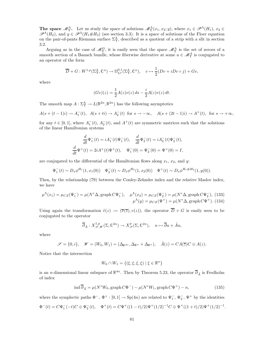The space  $\mathcal{M}_{\Upsilon}^{\Lambda}$ . Let us study the space of solutions  $\mathcal{M}_{\Upsilon}^{\Lambda}(x_1, x_2; y)$ , where  $x_1 \in \mathcal{P}^{\Lambda}(H_1)$ ,  $x_2 \in \mathcal{M}$  $\mathscr{P}^{\Lambda}(H_2)$ , and  $y \in \mathscr{P}^{\Lambda}(H_1 \# H_2)$  (see section 3.3). It is a space of solutions of the Floer equation on the pair-of-pants Riemann surface  $\Sigma_{\Upsilon}^{\Lambda}$ , described as a quotient of a strip with a slit in section 3.2.

Arguing as in the case of  $\mathscr{M}_{\Upsilon}^{\Omega}$ , it is easily seen that the space  $\mathscr{M}_{\Upsilon}^{\Lambda}$  is the set of zeroes of a smooth section of a Banach bundle, whose fiberwise derivative at some  $u \in \mathcal{M}_{\Upsilon}^{\Lambda}$  is conjugated to an operator of the form

$$
\overline{D} + G: W^{1,p}(\Sigma_\Upsilon^{\Lambda}, \mathbb{C}^n) \to \Omega_{L^p}^{0,1}(\Sigma_\Upsilon^{\Lambda}, \mathbb{C}^n), \quad v \mapsto \frac{1}{2}(Dv + iDv \circ j) + Gv,
$$

where

$$
(Gv)(z) = \frac{1}{2}A(z)v(z) ds - \frac{i}{2}A(z)v(z) dt.
$$

The smooth map  $A: \Sigma^{\Lambda}_{\Upsilon} \to L(\mathbb{R}^{2n}, \mathbb{R}^{2n})$  has the following asymptotics

$$
A(s + (t-1)i) \to A_1^-(t)
$$
,  $A(s + ti) \to A_2^-(t)$  for  $s \to -\infty$ ,  $A(s + (2t-1)i) \to A^+(t)$ , for  $s \to +\infty$ ,

for any  $t \in [0,1]$ , where  $A_1^{-}(t)$ ,  $A_2^{-}(t)$ , and  $A^{+}(t)$  are symmetric matrices such that the solutions of the linear Hamiltonian systems

$$
\frac{d}{dt}\Psi_1^-(t) = iA_1^-(t)\Psi_1^-(t), \quad \frac{d}{dt}\Psi_2^-(t) = iA_2^-(t)\Psi_2^-(t),
$$
  

$$
\frac{d}{dt}\Psi^+(t) = 2iA^+(t)\Psi^+(t), \quad \Psi_1^-(0) = \Psi_2^-(0) = \Psi^+(0) = I,
$$

are conjugated to the differential of the Hamiltonian flows along  $x_1, x_2, x_3$  and y:

$$
\Psi_1^-(t) \sim D_x \phi^{H_1}(1, x_1(0)) \quad \Psi_2^-(t) \sim D_x \phi^{H_2}(1, x_2(0)) \quad \Psi^+(t) \sim D_x \phi^{H_1 \# H_2}(1, y(0)).
$$

Then, by the relationship (79) between the Conley-Zehnder index and the relative Maslov index, we have

$$
\mu^{\Lambda}(x_1) = \mu_{CZ}(\Psi_1^-) = \mu(N^* \Delta, \text{graph } C \Psi_1^-), \quad \mu^{\Lambda}(x_2) = \mu_{CZ}(\Psi_2^-) = \mu(N^* \Delta, \text{graph } C \Psi_2^-), \tag{133}
$$

$$
\mu^{\Lambda}(y) = \mu_{CZ}(\Psi^+) = \mu(N^* \Delta, \text{graph } C \Psi^+). \tag{134}
$$

Using again the transformation  $\tilde{v}(z) := (\overline{v}(\overline{z}), v(z))$ , the operator  $\overline{D} + G$  is easily seen to be conjugated to the operator

$$
\overline{\partial}_{\tilde{A}}: X^{1,p}_{\mathscr{S},\mathscr{W}}(\Sigma,\mathbb{C}^{2n}) \to X^{p}_{\mathscr{S}}(\Sigma,\mathbb{C}^{2n}), \quad u \mapsto \overline{\partial}u + \tilde{A}u,
$$

where

$$
\mathscr{S} = \{0, i\}, \quad \mathscr{W} = (W_0, W_1) = (\Delta_{\mathbb{R}^{2n}}, \Delta_{\mathbb{R}^n} \times \Delta_{\mathbb{R}^n}), \quad \tilde{A}(z) = CA(\overline{z})C \oplus A(z).
$$

Notice that the intersection

$$
W_0 \cap W_1 = \{ (\xi, \xi, \xi, \xi) \mid \xi \in \mathbb{R}^n \}
$$

is an *n*-dimensional linear subspace of  $\mathbb{R}^{4n}$ . Then by Theorem 5.23, the operator  $\overline{\partial}_{\tilde{A}}$  is Fredholm of index

$$
\operatorname{ind} \overline{\partial}_{\tilde{A}} = \mu(N^*W_0, \operatorname{graph} C\Phi^-) - \mu(N^*W_1, \operatorname{graph} C\Psi^+) - n,\tag{135}
$$

where the symplectic paths  $\Phi^-$ ,  $\Phi^+$ : [0, 1] → Sp(4n) are related to  $\Psi^-_1$ ,  $\Psi^-_2$ ,  $\Psi^+$  by the identities

$$
\Phi^-(t) = C\Psi_1^-(-t)C \oplus \Psi_2^-(t), \quad \Phi^+(t) = C\Psi^+((1-t)/2)\Psi^+(1/2)^{-1}C \oplus \Psi^+((1+t)/2)\Psi^+(1/2)^{-1}.
$$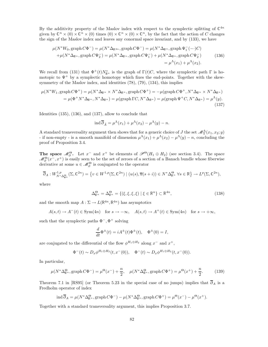By the additivity property of the Maslov index with respect to the symplectic splitting of  $\mathbb{C}^{4n}$ given by  $\mathbb{C}^n \times (0) \times \mathbb{C}^n \times (0)$  times  $(0) \times \mathbb{C}^n \times (0) \times \mathbb{C}^n$ , by the fact that the action of C changes the sign of the Maslov index and leaves any conormal space invariant, and by (133), we have

$$
\mu(N^*W_0, \text{graph}\,C\Phi^-) = \mu(N^*\Delta_{\mathbb{R}^{2n}}, \text{graph}\,C\Phi^-) = \mu(N^*\Delta_{\mathbb{R}^n}, \text{graph}\,\Psi_1^-(-\cdot)C)
$$

$$
+\mu(N^*\Delta_{\mathbb{R}^n}, \text{graph}\,C\Psi_2^-) = \mu(N^*\Delta_{\mathbb{R}^n}, \text{graph}\,C\Psi_1^-) + \mu(N^*\Delta_{\mathbb{R}^n}, \text{graph}\,C\Psi_2^-)
$$

$$
= \mu^{\Lambda}(x_1) + \mu^{\Lambda}(x_2).
$$
(136)

We recall from (131) that  $\Phi^+(t)N_{\mathbb{R}^n}^*$  is the graph of  $\Gamma(t)C$ , where the symplectic path  $\Gamma$  is homotopic to  $\Psi^+$  by a symplectic homotopy which fixes the end-points. Together with the skewsymmetry of the Maslov index, and identities  $(78)$ ,  $(79)$ ,  $(134)$ , this implies

$$
\mu(N^*W_1, \text{graph}\,C\Phi^+) = \mu(N^*\Delta_{\mathbb{R}^n} \times N^*\Delta_{\mathbb{R}^n}, \text{graph}\,C\Phi^+) = -\mu(\text{graph}\,C\Phi^+, N^*\Delta_{\mathbb{R}^n} \times N^*\Delta_{\mathbb{R}^n})
$$

$$
= \mu(\Phi^+N^*\Delta_{\mathbb{R}^n}, N^*\Delta_{\mathbb{R}^n}) = \mu(\text{graph}\,\Gamma C, N^*\Delta_{\mathbb{R}^n}) = \mu(\text{graph}\,\Psi^+C, N^*\Delta_{\mathbb{R}^n}) = \mu^{\Lambda}(y).
$$
(137)

Identities (135), (136), and (137), allow to conclude that

$$
\operatorname{ind} \overline{\partial}_{\tilde{A}} = \mu^{\Lambda}(x_1) + \mu^{\Lambda}(x_2) - \mu^{\Lambda}(y) - n.
$$

A standard transversality argument then shows that for a generic choice of  $J$  the set  $\mathscr{M}^{\Lambda}_{\Upsilon}(x_1, x_2; y)$ - if non-empty - is a smooth manifold of dimension  $\mu^{\Lambda}(x_1) + \mu^{\Lambda}(x_2) - \mu^{\Lambda}(y) - n$ , concluding the proof of Proposition 3.4.

The space  $\mathcal{M}_{\partial}^{\Theta}$ . Let  $x^-$  and  $x^+$  be elements of  $\mathscr{P}^{\Theta}(H_1 \oplus H_2)$  (see section 3.4). The space  $\mathscr{M}_{\partial}^{\Theta}(x^-,x^+)$  is easily seen to be the set of zeroes of a section of a Banach bundle whose fiberwise derivative at some  $u \in \mathcal{M}_{\partial}^{\Theta}$  is conjugated to the operator

$$
\overline{\partial}_A: W^{1,p}_{N^*\Delta_{\mathbb{R}^n}}(\Sigma,\mathbb{C}^{2n}) = \left\{ v \in W^{1,p}(\Sigma,\mathbb{C}^{2n}) \mid (u(s),\overline{u}(s+i)) \in N^*\Delta_{\mathbb{R}^n}^{\Theta} \,\forall s \in \mathbb{R} \right\} \to L^p(\Sigma,\mathbb{C}^{2n}),
$$

where

$$
\Delta_{\mathbb{R}^n}^{\Theta} = \Delta_{\mathbb{R}^n}^{\Theta} = \{ (\xi, \xi, \xi, \xi) \mid \xi \in \mathbb{R}^n \} \subset \mathbb{R}^{4n},\tag{138}
$$

and the smooth map  $A : \Sigma \to L(\mathbb{R}^{4n}, \mathbb{R}^{4n})$  has asymptotics

$$
A(s,t) \to A^-(t) \in \text{Sym}(4n) \quad \text{for } s \to -\infty, \quad A(s,t) \to A^+(t) \in \text{Sym}(4n) \quad \text{for } s \to +\infty,
$$

such that the symplectic paths  $\Phi^-$ ,  $\Phi^+$  solving

$$
\frac{d}{dt}\Phi^{\pm}(t) = iA^{\pm}(t)\Phi^{\pm}(t), \quad \Phi^{\pm}(0) = I,
$$

are conjugated to the differential of the flow  $\phi^{H_1 \oplus H_2}$  along  $x^-$  and  $x^+$ ,

$$
\Phi^-(t) \sim D_x \phi^{H_1 \oplus H_2}(t, x^-(0)), \quad \Phi^-(t) \sim D_x \phi^{H_1 \oplus H_2}(t, x^-(0)).
$$

In particular,

$$
\mu(N^* \Delta_{\mathbb{R}^n}^{\Theta}, \operatorname{graph} C\Phi^{-}) = \mu^{\Theta}(x^{-}) + \frac{n}{2}, \quad \mu(N^* \Delta_{\mathbb{R}^n}^{\Theta}, \operatorname{graph} C\Phi^{+}) = \mu^{\Theta}(x^{+}) + \frac{n}{2}.
$$
 (139)

Theorem 7.1 in [RS95] (or Theorem 5.23 in the special case of no jumps) implies that  $\overline{\partial}_A$  is a Fredholm operator of index

$$
\operatorname{ind} \overline{\partial}_A = \mu(N^* \Delta^{\Theta}_{\mathbb{R}^n}, \operatorname{graph} C\Phi^-) - \mu(N^* \Delta^{\Theta}_{\mathbb{R}^n}, \operatorname{graph} C\Phi^+) = \mu^{\Theta}(x^-) - \mu^{\Theta}(x^+).
$$

Together with a standard transversality argument, this implies Proposition 3.7.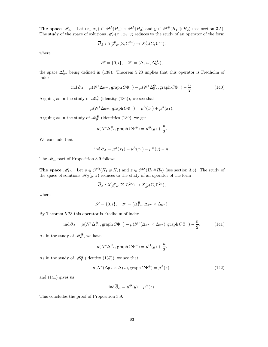**The space**  $\mathscr{M}_E$ . Let  $(x_1, x_2) \in \mathscr{P}^{\Lambda}(H_1) \times \mathscr{P}^{\Lambda}(H_2)$  and  $y \in \mathscr{P}^{\Theta}(H_1 \oplus H_2)$  (see section 3.5). The study of the space of solutions  $\mathscr{M}_E(x_1, x_2; y)$  reduces to the study of an operator of the form

$$
\overline{\partial}_A: X^{1,p}_{\mathscr{S},\mathscr{W}}(\Sigma,\mathbb{C}^{2n}) \to X^p_{\mathscr{S}}(\Sigma,\mathbb{C}^{2n}),
$$

where

$$
\mathscr{S} = \{0, i\}, \quad \mathscr{W} = (\Delta_{\mathbb{R}^{2n}}, \Delta_{\mathbb{R}^n}^{\Theta}),
$$

the space  $\Delta_{\mathbb{R}^n}^{\Theta}$  being defined in (138). Theorem 5.23 implies that this operator is Fredholm of index

$$
\operatorname{ind} \overline{\partial}_A = \mu(N^* \Delta_{\mathbb{R}^{2n}}, \operatorname{graph} C\Phi^-) - \mu(N^* \Delta_{\mathbb{R}^n}^{\Theta}, \operatorname{graph} C\Phi^+) - \frac{n}{2}.
$$
 (140)

Arguing as in the study of  $\mathcal{M}_{\Upsilon}^{\Lambda}$  (identity (136)), we see that

$$
\mu(N^*\Delta_{\mathbb{R}^{2n}},\mathrm{graph}\,C\Phi^-)=\mu^{\Lambda}(x_1)+\mu^{\Lambda}(x_1).
$$

Arguing as in the study of  $\mathcal{M}_{\partial}^{\Theta}$  (identities (139), we get

$$
\mu(N^* \Delta^{\Theta}_{\mathbb{R}^n}, \mathrm{graph}\, C\Phi^+) = \mu^{\Theta}(y) + \frac{n}{2}.
$$

We conclude that

$$
\operatorname{ind} \overline{\partial}_A = \mu^{\Lambda}(x_1) + \mu^{\Lambda}(x_1) - \mu^{\Theta}(y) - n.
$$

The  $\mathcal{M}_E$  part of Proposition 3.9 follows.

**The space**  $\mathcal{M}_G$ . Let  $y \in \mathcal{P}^{\Theta}(H_1 \oplus H_2)$  and  $z \in \mathcal{P}^{\Lambda}(H_1 \# H_2)$  (see section 3.5). The study of the space of solutions  $\mathcal{M}_G(y, z)$  reduces to the study of an operator of the form

$$
\overline{\partial}_A: X^{1,p}_{\mathscr{S},\mathscr{W}}(\Sigma,\mathbb{C}^{2n}) \to X^p_{\mathscr{S}}(\Sigma,\mathbb{C}^{2n}),
$$

where

$$
\mathscr{S} = \{0, i\}, \quad \mathscr{W} = (\Delta^{\Theta}_{\mathbb{R}^n}, \Delta_{\mathbb{R}^n} \times \Delta_{\mathbb{R}^n}).
$$

By Theorem 5.23 this operator is Fredholm of index

$$
\operatorname{ind} \overline{\partial}_A = \mu(N^* \Delta_{\mathbb{R}^n}^{\Theta}, \operatorname{graph} C\Phi^-) - \mu(N^* (\Delta_{\mathbb{R}^n} \times \Delta_{\mathbb{R}^n}), \operatorname{graph} C\Phi^+) - \frac{n}{2}.
$$
 (141)

As in the study of  $\mathscr{M}_{\partial}^{\Theta}$ , we have

$$
\mu(N^* \Delta^{\Theta}_{\mathbb{R}^n}, \mathrm{graph}\, C\Phi^-) = \mu^{\Theta}(y) + \frac{n}{2}.
$$

As in the study of  $\mathcal{M}_{\Upsilon}^{\Lambda}$  (identity (137)), we see that

$$
\mu(N^*(\Delta_{\mathbb{R}^n} \times \Delta_{\mathbb{R}^n}), \text{graph}\, C\Phi^+) = \mu^{\Lambda}(z),\tag{142}
$$

and (141) gives us

$$
\operatorname{ind} \overline{\partial}_A = \mu^{\Theta}(y) - \mu^{\Lambda}(z).
$$

This concludes the proof of Proposition 3.9.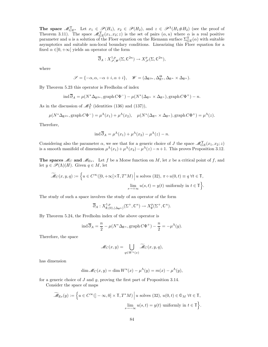The space  $\mathcal{M}_{GE}^{\Upsilon}$ . Let  $x_1 \in \mathcal{P}(H_1)$ ,  $x_2 \in \mathcal{P}(H_2)$ , and  $z \in \mathcal{P}^{\Lambda}(H_1 \# H_2)$  (see the proof of Theorem 3.11). The space  $\mathscr{M}_{GE}^{\Upsilon}(x_1, x_2; z)$  is the set of pairs  $(\alpha, u)$  where  $\alpha$  is a real positive parameter and u is a solution of the Floer equation on the Riemann surface  $\Sigma_{GE}^{\Upsilon(\alpha)}$  with suitable asymptotics and suitable non-local boundary conditions. Linearizing this Floer equation for a fixed  $\alpha \in ]0, +\infty[$  yields an operator of the form

$$
\overline{\partial}_A: X^{1,p}_{\mathscr{S},\mathscr{W}}(\Sigma,\mathbb{C}^{2n}) \to X^p_{\mathscr{S}}(\Sigma,\mathbb{C}^{2n}),
$$

where

$$
\mathscr{S} = \{-\alpha, \alpha, -\alpha + i, \alpha + i\}, \quad \mathscr{W} = (\Delta_{\mathbb{R}^{2n}}, \Delta_{\mathbb{R}^n}, \Delta_{\mathbb{R}^n} \times \Delta_{\mathbb{R}^n}).
$$

By Theorem 5.23 this operator is Fredholm of index

$$
\operatorname{ind} \overline{\partial}_A = \mu(N^* \Delta_{\mathbb{R}^{2n}}, \operatorname{graph} C\Phi^-) - \mu(N^* (\Delta_{\mathbb{R}^n} \times \Delta_{\mathbb{R}^n}), \operatorname{graph} C\Phi^+) - n.
$$

As in the discussion of  $\mathcal{M}_{\Upsilon}^{\Lambda}$  (identities (136) and (137)),

$$
\mu(N^*\Delta_{\mathbb{R}^{2n}},\mathrm{graph}\,C\Phi^-)=\mu^{\Lambda}(x_1)+\mu^{\Lambda}(x_2), \quad \mu(N^*(\Delta_{\mathbb{R}^n}\times\Delta_{\mathbb{R}^n}),\mathrm{graph}\,C\Phi^+)=\mu^{\Lambda}(z).
$$

Therefore,

$$
\operatorname{ind} \overline{\partial}_A = \mu^{\Lambda}(x_1) + \mu^{\Lambda}(x_2) - \mu^{\Lambda}(z) - n.
$$

Considering also the parameter  $\alpha$ , we see that for a generic choice of J the space  $\mathscr{M}_{GE}^{\Upsilon}(x_1, x_2; z)$ is a smooth manifold of dimension  $\mu^{\Lambda}(x_1) + \mu^{\Lambda}(x_2) - \mu^{\Lambda}(z) - n + 1$ . This proves Proposition 3.12.

**The spaces**  $\mathcal{M}_C$  and  $\mathcal{M}_{Ev}$ . Let f be a Morse function on M, let x be a critical point of f, and let  $y \in \mathscr{P}(\Lambda)(H)$ . Given  $q \in M$ , let

$$
\widetilde{\mathcal{M}}_C(x, y, q) := \left\{ u \in C^{\infty}([0, +\infty[\times \mathbb{T}, T^*M)] \, \middle| \, u \text{ solves (32), } \pi \circ u(0, t) \equiv q \,\forall t \in \mathbb{T}, \atop s \to +\infty} \lim_{(s, t) \to +\infty} u(s, t) = y(t) \text{ uniformly in } t \in \mathbb{T} \right\}.
$$

The study of such a space involves the study of an operator of the form

$$
\overline{\partial}_A: X^{1,p}_{\emptyset,(0),(\Delta_{\mathbb{R}^n})}(\Sigma^+,\mathbb{C}^n)\to X^p_{\emptyset}(\Sigma^+,\mathbb{C}^n).
$$

By Theorem 5.24, the Fredholm index of the above operator is

$$
\operatorname{ind} \overline{\partial}_A = \frac{n}{2} - \mu(N^* \Delta_{\mathbb{R}^n}, \operatorname{graph} C\Phi^+) - \frac{n}{2} = -\mu^{\Lambda}(y).
$$

Therefore, the space

$$
\mathscr{M}_C(x,y) = \bigcup_{q \in W^u(x)} \widetilde{\mathscr{M}}_C(x,y,q),
$$

has dimension

$$
\dim \mathcal{M}_C(x, y) = \dim W^u(x) - \mu^{\Lambda}(y) = m(x) - \mu^{\Lambda}(y),
$$

for a generic choice of  $J$  and  $g$ , proving the first part of Proposition 3.14.

Consider the space of maps

$$
\widetilde{\mathscr{M}}_{\text{Ev}}(y) := \left\{ u \in C^{\infty}([-\infty, 0] \times \mathbb{T}, T^*M) \, \middle| \, u \text{ solves (32), } u(0, t) \in \mathbb{O}_M \,\forall t \in \mathbb{T}, \atop s \to -\infty} u(s, t) = y(t) \text{ uniformly in } t \in \mathbb{T} \right\}.
$$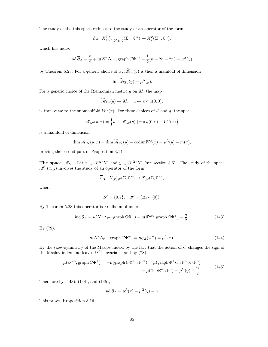The study of the this space reduces to the study of an operator of the form

$$
\overline{\partial}_A: X^{1,p}_{\emptyset,\mathbb{R}^n,(\Delta_{\mathbb{R}^n})}(\Sigma^-,\mathbb{C}^n)\to X^p_{\emptyset}(\Sigma^-,\mathbb{C}^n),
$$

which has index

$$
\operatorname{ind} \overline{\partial}_A = \frac{n}{2} + \mu(N^* \Delta_{\mathbb{R}^n}, \operatorname{graph} C\Phi^-) - \frac{1}{2}(n + 2n - 2n) = \mu^{\Lambda}(y),
$$

by Theorem 5.25. For a generic choice of J,  $\widetilde{\mathcal{M}}_{E_V}(y)$  is then a manifold of dimension

$$
\dim \widetilde{\mathscr{M}}_{\text{Ev}}(y) = \mu^{\Lambda}(y).
$$

For a generic choice of the Riemannian metric  $g$  on  $M$ , the map

$$
\widetilde{\mathscr{M}}_{\text{Ev}}(y) \to M, \quad u \mapsto \pi \circ u(0,0),
$$

is transverse to the submanifold  $W<sup>s</sup>(x)$ . For these choices of J and g, the space

$$
\mathscr{M}_{\text{Ev}}(y,x) = \left\{ u \in \widetilde{\mathscr{M}}_{\text{Ev}}(y) \mid \pi \circ u(0,0) \in W^s(x) \right\}
$$

is a manifold of dimension

$$
\dim \mathscr{M}_{\mathrm{Ev}}(y,x) = \dim \widetilde{\mathscr{M}}_{\mathrm{Ev}}(y) - \mathrm{codim} W^s(x) = \mu^{\Lambda}(y) - m(x),
$$

proving the second part of Proposition 3.14.

**The space**  $\mathcal{M}_{I_1}$ . Let  $x \in \mathcal{P}^{\Lambda}(H)$  and  $y \in \mathcal{P}^{\Omega}(H)$  (see section 3.6). The study of the space  $\mathcal{M}_{I_1}(x, y)$  involves the study of an operator of the form

$$
\overline{\partial}_A: X^{1,p}_{\mathscr{S},\mathscr{W}}(\Sigma,\mathbb{C}^n)\to X^p_{\mathscr{S}}(\Sigma,\mathbb{C}^n),
$$

where

$$
\mathscr{S}=\{0,i\},\quad \mathscr{W}=(\Delta_{\mathbb{R}^n},(0)).
$$

By Theorem 5.23 this operator is Fredholm of index

$$
\operatorname{ind} \overline{\partial}_A = \mu(N^* \Delta_{\mathbb{R}^n}, \operatorname{graph} C\Phi^-) - \mu(i\mathbb{R}^{2n}, \operatorname{graph} C\Phi^+) - \frac{n}{2}.\tag{143}
$$

By (79),

$$
\mu(N^* \Delta_{\mathbb{R}^n}, \text{graph}\, C\Phi^-) = \mu_{CZ}(\Phi^-) = \mu^{\Lambda}(x). \tag{144}
$$

By the skew-symmetry of the Maslov index, by the fact that the action of  $C$  changes the sign of the Maslov index and leaves  $i\mathbb{R}^{2n}$  invariant, and by (78),

$$
\mu(i\mathbb{R}^{2n}, \text{graph}\,C\Phi^+) = -\mu(\text{graph}\,C\Phi^+, i\mathbb{R}^{2n}) = \mu(\text{graph}\,\Phi^+C, i\mathbb{R}^n \times i\mathbb{R}^n)
$$

$$
= \mu(\Phi^+i\mathbb{R}^n, i\mathbb{R}^n) = \mu^{\Omega}(y) + \frac{n}{2}.
$$
(145)

Therefore by (143), (144), and (145),

$$
\operatorname{ind} \overline{\partial}_A = \mu^{\Lambda}(x) - \mu^{\Omega}(y) - n.
$$

This proves Proposition 3.16.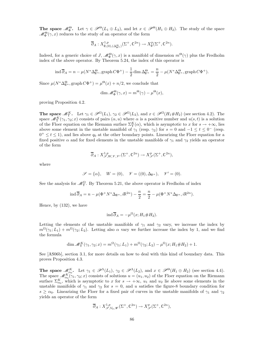**The space**  $\mathcal{M}_{\Phi}^{\Theta}$ . Let  $\gamma \in \mathcal{P}^{\Theta}(L_1 \oplus L_2)$ , and let  $x \in \mathcal{P}^{\Theta}(H_1 \oplus H_2)$ . The study of the space  $\mathscr{M}_{\Phi}^{\Theta}(\gamma,x)$  reduces to the study of an operator of the form

$$
\overline{\partial}_A: X^{1,p}_{\emptyset,(0),(\Delta^{\Theta}_{\mathbb{R}^n})}(\Sigma^+,\mathbb{C}^{2n}) \to X^p_{\emptyset}(\Sigma^+,\mathbb{C}^{2n}).
$$

Indeed, for a generic choice of  $J$ ,  $\mathscr{M}_{\Phi}^{\Theta}(\gamma, x)$  is a manifold of dimension  $m^{\Theta}(\gamma)$  plus the Fredholm index of the above operator. By Theorem 5.24, the index of this operator is

$$
\operatorname{ind} \overline{\partial}_A = n - \mu(N^* \Delta_{\mathbb{R}^n}^{\Theta}, \operatorname{graph} C\Phi^+) - \frac{1}{2} \operatorname{dim} \Delta_{\mathbb{R}^n}^{\Theta} = \frac{n}{2} - \mu(N^* \Delta_{\mathbb{R}^n}^{\Theta}, \operatorname{graph} C\Phi^+).
$$

Since  $\mu(N^*\Delta_{\mathbb{R}^n}^{\Theta},\mathrm{graph}\,C\Phi^+) = \mu^{\Theta}(x) + n/2$ , we conclude that

$$
\dim \mathcal{M}_{\Phi}^{\Theta}(\gamma, x) = m^{\Theta}(\gamma) - \mu^{\Theta}(x),
$$

proving Proposition 4.2.

**The space**  $\mathscr{M}_{\Upsilon}^K$ . Let  $\gamma_1 \in \mathscr{P}^{\Omega}(L_1)$ ,  $\gamma_2 \in \mathscr{P}^{\Omega}(L_2)$ , and  $x \in \mathscr{P}^{\Omega}(H_1 \# H_2)$  (see section 4.2). The space  $\mathscr{M}_{\Upsilon}^{K}(\gamma_{1}, \gamma_{2}; x)$  consists of pairs  $(\alpha, u)$  where  $\alpha$  is a positive number and  $u(s, t)$  is a solution of the Floer equation on the Riemann surface  $\Sigma^K_{\Upsilon}(\alpha)$ , which is asymptotic to x for  $s \to +\infty$ , lies above some element in the unstable manifold of  $\gamma_1$  (resp.  $\gamma_2$ ) for  $s = 0$  and  $-1 \le t \le 0^-$  (resp.  $0^+ \le t \le 1$ , and lies above  $q_0$  at the other boundary points. Linearizing the Floer equation for a fixed positive  $\alpha$  and for fixed elements in the unstable manifolds of  $\gamma_1$  and  $\gamma_2$  yields an operator of the form

$$
\overline{\partial}_A: X^{1,p}_{\mathscr{S},W,\mathscr{V},\mathscr{V}'}(\Sigma^+,\mathbb{C}^{2n}) \to X^p_{\mathscr{S}}(\Sigma^+,\mathbb{C}^{2n}),
$$

where

$$
\mathscr{S} = \{\alpha\}, \quad W = (0), \quad \mathscr{V} = ((0), \Delta_{\mathbb{R}^n}), \quad \mathscr{V}' = (0).
$$

See the analysis for  $\mathcal{M}_{\Upsilon}^{\Omega}$ . By Theorem 5.21, the above operator is Fredholm of index

$$
\operatorname{ind} \overline{\partial}_A = n - \mu(\Phi^+ N^* \Delta_{\mathbb{R}^n}, i\mathbb{R}^{2n}) - \frac{n}{2} = \frac{n}{2} - \mu(\Phi^+ N^* \Delta_{\mathbb{R}^n}, i\mathbb{R}^{2n}).
$$

Hence, by (132), we have

$$
\operatorname{ind} \overline{\partial}_A = -\mu^{\Omega}(x; H_1 \# H_2).
$$

Letting the elements of the unstable manifolds of  $\gamma_1$  and  $\gamma_2$  vary, we increase the index by  $m^{\Omega}(\gamma_1;L_1) + m^{\Omega}(\gamma_2;L_2)$ . Letting also  $\alpha$  vary we further increase the index by 1, and we find the formula

$$
\dim \mathcal{M}_{\Upsilon}^{K}(\gamma_{1}, \gamma_{2}; x) = m^{\Omega}(\gamma_{1}; L_{1}) + m^{\Omega}(\gamma_{2}; L_{2}) - \mu^{\Omega}(x; H_{1} \# H_{2}) + 1.
$$

See [AS06b], section 3.1, for more details on how to deal with this kind of boundary data. This proves Proposition 4.3.

The space  $\mathcal{M}_{\alpha_0}^K$ . Let  $\gamma_1 \in \mathcal{P}^{\Lambda}(L_1)$ ,  $\gamma_2 \in \mathcal{P}^{\Lambda}(L_2)$ , and  $x \in \mathcal{P}^{\Theta}(H_1 \oplus H_2)$  (see section 4.4). The space  $\mathscr{M}_{\alpha_0}^{K}(\gamma_1, \gamma_2; x)$  consists of solutions  $u = (u_1, u_2)$  of the Floer equation on the Riemann surface  $\Sigma_{\alpha_0}^K$ , which is asymptotic to x for  $s \to +\infty$ ,  $u_1$  and  $u_2$  lie above some elements in the unstable manifolds of  $\gamma_1$  and  $\gamma_2$  for  $s = 0$ , and u satisfies the figure-8 boundary condition for  $s \geq \alpha_0$ . Linearizing the Floer for a fixed pair of curves in the unstable manifolds of  $\gamma_1$  and  $\gamma_2$ yields an operator of the form

$$
\overline{\partial}_A: X^{1,p}_{\mathscr{S}, V_0, \mathscr{W}}(\Sigma^+, \mathbb{C}^{2n}) \to X^p_{\mathscr{S}}(\Sigma^+, \mathbb{C}^{2n}),
$$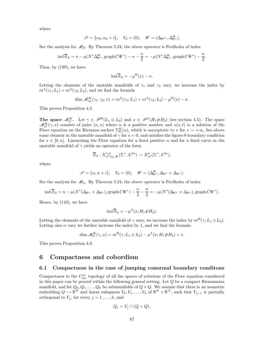where

$$
\mathscr{S} = \{\alpha_0, \alpha_0 + i\}, \quad V_0 = (0), \quad \mathscr{W} = (\Delta_{\mathbb{R}^{2n}}, \Delta_{\mathbb{R}^n}^\Theta).
$$

See the analysis for  $\mathscr{M}_E$ . By Theorem 5.24, the above operator is Fredholm of index

$$
\operatorname{ind} \overline{\partial}_A = n - \mu(N^* \Delta_{\mathbb{R}^n}^{\Theta}, \operatorname{graph} C\Phi^+) - n - \frac{n}{2} = -\mu(N^* \Delta_{\mathbb{R}^n}^{\Theta}, \operatorname{graph} C\Phi^+) - \frac{n}{2}.
$$

Then, by (139), we have

$$
\operatorname{ind} \overline{\partial}_A = -\mu^{\Theta}(x) - n.
$$

Letting the elements of the unstable manifolds of  $\gamma_1$  and  $\gamma_2$  vary, we increase the index by  $m^{\Lambda}(\gamma_1;L_1) + m^{\Lambda}(\gamma_2;L_2)$ , and we find the formula

$$
\dim \mathcal{M}_{\alpha_0}^K(\gamma_1, \gamma_2; x) = m^{\Lambda}(\gamma_1; L_1) + m^{\Lambda}(\gamma_2; L_2) - \mu^{\Theta}(x) - n.
$$

This proves Proposition 4.5.

**The space**  $\mathcal{M}_G^K$ . Let  $\gamma \in \mathcal{P}^{\Theta}(L_1 \oplus L_2)$  and  $x \in \mathcal{P}^{\Lambda}(H_1 \# H_2)$  (see section 4.5). The space  $\mathcal{M}_G^K(\gamma, x)$  consists of pairs  $(\alpha, u)$  where  $\alpha$  is a positive number and  $u(s, t)$  is a solution of the Floer equation on the Riemann surface  $\Sigma_G^K(\alpha)$ , which is asymptotic to x for  $s \to +\infty$ , lies above some element in the unstable manifold of  $\gamma$  for  $s = 0$ , and satisfies the figure-8 boundary condition for  $s \in [0, \alpha]$ . Linearizing the Floer equation for a fixed positive  $\alpha$  and for a fixed curve in the unstable manifold of  $\gamma$  yields an operator of the form

$$
\overline{\partial}_A: X^{1,p}_{\mathscr{S}, V_0, \mathscr{W}}(\Sigma^+, \mathbb{C}^{2n}) \to X^p_{\mathscr{S}}(\Sigma^+, \mathbb{C}^{2n}),
$$

where

$$
\mathscr{S} = \{\alpha, \alpha + i\}, \quad V_0 = (0), \quad \mathscr{W} = (\Delta_{\mathbb{R}^n}^{\Theta}, \Delta_{\mathbb{R}^n} \times \Delta_{\mathbb{R}^n}).
$$

See the analysis for  $\mathcal{M}_G$ . By Theorem 5.24, the above operator is Fredholm of index

$$
\operatorname{ind} \overline{\partial}_A = n - \mu(N^*(\Delta_{\mathbb{R}^n} \times \Delta_{\mathbb{R}^n}), \operatorname{graph} C\Phi^+) - \frac{n}{2} - \frac{n}{2} = -\mu(N^*(\Delta_{\mathbb{R}^n} \times \Delta_{\mathbb{R}^n}), \operatorname{graph} C\Phi^+).
$$

Hence, by (142), we have

$$
\operatorname{ind} \overline{\partial}_A = -\mu^{\Lambda}(x; H_1 \# H_2).
$$

Letting the elements of the unstable manifold of  $\gamma$  vary, we increase the index by  $m^{\Theta}(\gamma;L_1 \oplus L_2)$ . Letting also  $\alpha$  vary we further increase the index by 1, and we find the formula

$$
\dim \mathcal{M}_G^K(\gamma, x) = m^{\Theta}(\gamma; L_1 \oplus L_2) - \mu^{\Lambda}(x; H_1 \# H_2) + 1.
$$

This proves Proposition 4.8.

## 6 Compactness and cobordism

#### 6.1 Compactness in the case of jumping conormal boundary conditons

Compactness in the  $C^{\infty}_{loc}$  topology of all the spaces of solutions of the Floer equation considered in this paper can be proved within the following general setting. Let  $Q$  be a compact Riemannian manifold, and let  $Q_0, Q_1, \ldots, Q_k$  be submanifolds of  $Q \times Q$ . We assume that there is an isometric embedding  $Q \hookrightarrow \mathbb{R}^N$  and linear subspaces  $V_0, V_1, \ldots, V_k$  of  $\mathbb{R}^N \times \mathbb{R}^N$ , such that  $V_{j-1}$  is partially orthogonal to  $V_i$ , for every  $j = 1, \ldots, k$ , and

$$
Q_j = V_j \cap (Q \times Q).
$$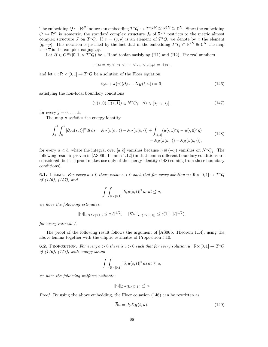The embedding  $Q \hookrightarrow \mathbb{R}^N$  induces an embedding  $T^*Q \hookrightarrow T^*\mathbb{R}^N \cong \mathbb{R}^{2N} \cong \mathbb{C}^N$ . Since the embedding  $Q \hookrightarrow \mathbb{R}^N$  is isometric, the standard complex structure  $J_0$  of  $\mathbb{R}^{2N}$  restricts to the metric almost complex structure J on  $T^*Q$ . If  $z = (q, p)$  is an element of  $T^*Q$ , we denote by  $\overline{z}$  the element  $(q, -p)$ . This notation is justified by the fact that in the embedding  $T^*Q \subset \mathbb{R}^{2N} \cong \mathbb{C}^N$  the map  $z\mapsto \overline{z}$  is the complex conjugacy.

Let  $H \in C^{\infty}([0,1] \times T^*Q)$  be a Hamiltonian satisfying (H1) and (H2). Fix real numbers

$$
-\infty = s_0 < s_1 < \dots < s_k < s_{k+1} = +\infty,
$$

and let  $u : \mathbb{R} \times [0,1] \to T^*Q$  be a solution of the Floer equation

$$
\partial_s u + J(u)(\partial_t u - X_H(t, u)) = 0,\t(146)
$$

satisfying the non-local boundary conditions

$$
(u(s,0), u(s,1)) \in N^*Q_j \quad \forall s \in [s_{j-1}, s_j],
$$
\n(147)

for every  $j = 0, \ldots, k$ .

The map  $u$  satisfies the energy identity

$$
\int_{a}^{b} \int_{0}^{1} |\partial_{s}u(s,t)|^{2} dt ds = \mathbb{A}_{H}(u(a,\cdot)) - \mathbb{A}_{H}(u(b,\cdot)) + \int_{[a,b]} (u(\cdot,1)^{*}\eta - u(\cdot,0)^{*}\eta)
$$
  
=  $\mathbb{A}_{H}(u(a,\cdot)) - \mathbb{A}_{H}(u(b,\cdot)),$  (148)

for every  $a < b$ , where the integral over [a, b] vanishes because  $\eta \oplus (-\eta)$  vanishes on  $N^*Q_i$ . The following result is proven in [AS06b, Lemma 1.12] (in that lemma different boundary conditions are considered, but the proof makes use only of the energy identity (148) coming from those boundary conditions).

**6.1.** LEMMA. For every  $a > 0$  there exists  $c > 0$  such that for every solution  $u : \mathbb{R} \times [0,1] \to T^*Q$ of (146), (147), and

$$
\int\int_{\mathbb{R}\times ]0,1[} |\partial_s u(s,t)|^2 \, ds\, dt\leq a,
$$

we have the following estimates:

$$
||u||_{L^2(I\times]0,1[)} \le c|I|^{1/2}, \quad ||\nabla u||_{L^2(I\times]0,1[)} \le c(1+|I|^{1/2}),
$$

for every interval I.

The proof of the following result follows the argument of [AS06b, Theorem 1.14], using the above lemma together with the elliptic estimates of Proposition 5.10.

**6.2.** PROPOSITION. For every  $a > 0$  there is  $c > 0$  such that for every solution  $u : \mathbb{R} \times [0, 1] \to T^*Q$ of  $(146)$ ,  $(147)$ , with energy bound

$$
\int\int_{\mathbb{R}\times ]0,1[} |\partial_s u(s,t)|^2 ds dt \leq a,
$$

we have the following uniform estimate:

$$
||u||_{L^{\infty}(\mathbb{R}\times]0,1[)} \leq c.
$$

*Proof.* By using the above embedding, the Floer equation  $(146)$  can be rewritten as

$$
\overline{\partial}u = J_0 X_H(t, u). \tag{149}
$$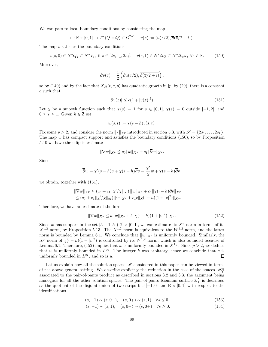We can pass to local boundary conditions by considering the map

$$
v : \mathbb{R} \times [0,1] \to T^*(Q \times Q) \subset \mathbb{C}^{2N}, \quad v(z) := (u(z/2), \overline{u}(\overline{z}/2 + i)).
$$

The map  $v$  satisfies the boundary conditions

$$
v(s,0) \in N^*Q_j \subset N^*V_j, \text{ if } s \in [2s_{j-1}, 2s_j], \quad v(s,1) \in N^*\Delta_Q \subset N^*\Delta_{\mathbb{R}^N}, \ \forall s \in \mathbb{R}.\tag{150}
$$

Moreover,

$$
\overline{\partial}v(z) = \frac{1}{2} \left( \overline{\partial}u(z/2), \overline{\overline{\partial}(\overline{z}/2 + i)} \right),
$$

so by (149) and by the fact that  $X_H(t, q, p)$  has quadratic growth in |p| by (29), there is a constant c such that

$$
|\overline{\partial}v(z)| \le c(1+|v(z)|^2). \tag{151}
$$

Let  $\chi$  be a smooth function such that  $\chi(s) = 1$  for  $s \in [0,1], \chi(s) = 0$  outside  $[-1,2],$  and  $0 \leq \chi \leq 1$ . Given  $h \in \mathbb{Z}$  set

$$
w(s,t) := \chi(s-h)v(s,t).
$$

Fix some  $p > 2$ , and consider the norm  $\|\cdot\|_{X^p}$  introduced in section 5.3, with  $\mathscr{S} = \{2s_1, \ldots, 2s_k\}.$ The map  $w$  has compact support and satisfies the boundary conditions (150), so by Proposition 5.10 we have the elliptic estimate

$$
\|\nabla w\|_{X^p}\leq c_0\|w\|_{X^p}+c_1\|\overline{\partial} w\|_{X^p}.
$$

Since

$$
\overline{\partial}w = \chi'(s-h)v + \chi(s-h)\overline{\partial}v = \frac{\chi'}{\chi}w + \chi(s-h)\overline{\partial}v,
$$

we obtain, together with (151),

$$
\|\nabla w\|_{X^p} \le (c_0 + c_1 \|\chi'/\chi\|_{\infty}) \|w\|_{X^p} + c_1 \|\chi(\cdot - h)\overline{\partial}v\|_{X^p} \le (c_0 + c_1 \|\chi'/\chi\|_{\infty}) \|w\|_{X^p} + c_1 c \|\chi(\cdot - h)(1 + |v|^2)\|_{X^p}.
$$

Therefore, we have an estimate of the form

$$
\|\nabla w\|_{X^p} \le a \|w\|_{X^p} + b \|\chi(\cdot - h)(1 + |v|^2)\|_{X^p}.
$$
\n(152)

Since w has support in the set  $[h-1, h+2] \times [0,1]$ , we can estimate its  $X^p$  norm in terms of its  $X^{1,2}$  norm, by Proposition 5.13. The  $X^{1,2}$  norm is equivalent to the  $W^{1,2}$  norm, and the latter norm is bounded by Lemma 6.1. We conclude that  $\|\hat{w}\|_{X^p}$  is uniformly bounded. Similarly, the  $X^p$  norm of  $\chi(\cdot - h)(1 + |v|^2)$  is controlled by its  $W^{1,2}$  norm, which is also bounded because of Lemma 6.1. Therefore, (152) implies that w is uniformly bounded in  $X^{1,p}$ . Since  $p > 2$ , we deduce that w is uniformly bounded in  $L^{\infty}$ . The integer h was arbitrary, hence we conclude that v is uniformly bounded in  $L^{\infty}$ , and so is u.  $\Box$ 

Let us explain how all the solution spaces  $\mathcal M$  considered in this paper can be viewed in terms of the above general setting. We describe explicitly the reduction in the case of the spaces  $\mathcal{M}_{\Upsilon}^{\Lambda}$ associated to the pair-of-pants product as described in sections 3.2 and 3.3, the argument being analogous for all the other solution spaces. The pair-of-pants Riemann surface  $\Sigma^{\Lambda}_{\Upsilon}$  is described as the quotient of the disjoint union of two strips  $\mathbb{R} \cup [-1,0]$  and  $\mathbb{R} \times [0,1]$  with respect to the identifications

$$
(s, -1) \sim (s, 0-), \quad (s, 0+) \sim (s, 1) \quad \forall s \le 0,
$$
\n
$$
(153)
$$

$$
(s, -1) \sim (s, 1), \quad (s, 0-) \sim (s, 0+) \quad \forall s \ge 0. \tag{154}
$$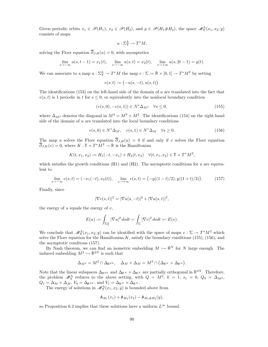Given periodic orbits  $x_1 \in \mathscr{P}(H_1)$ ,  $x_2 \in \mathscr{P}(H_2)$ , and  $y \in \mathscr{P}(H_1 \# H_2)$ , the space  $\mathscr{M}_{\Upsilon}^{\Lambda}(x_1, x_2; y)$ consists of maps

$$
u: \Sigma^{\Lambda}_{\Upsilon} \to T^*M,
$$

solving the Floer equation  $\overline{\partial}_{J,H}(u) = 0$ , with asymptotics

$$
\lim_{s \to -\infty} u(s, t - 1) = x_1(t), \quad \lim_{s \to -\infty} u(s, t) = x_2(t), \quad \lim_{s \to +\infty} u(s, 2t - 1) = y(t).
$$

We can associate to a map  $u : \Sigma^{\Lambda}_{\Upsilon} \to T^*M$  the map  $v : \Sigma := \mathbb{R} \times [0, 1] \to T^*M^2$  by setting

$$
v(s,t):=\bigl(-u(s,-t),u(s,t)\bigr).
$$

The identifications  $(153)$  on the left-hand side of the domain of u are translated into the fact that  $v(s,t)$  is 1 periodic in t for  $s \leq 0$ , or equivalently into the nonlocal boundary condition

$$
(v(s,0), -v(s,1)) \in N^* \Delta_{M^2} \quad \forall s \le 0,
$$
\n
$$
(155)
$$

where  $\Delta_{M^2}$  denotes the diagonal in  $M^4 = M^2 \times M^2$ . The identifications (154) on the right-hand side of the domain of  $u$  are translated into the local boundary conditions

$$
v(s,0) \in N^* \Delta_M, \quad v(s,1) \in N^* \Delta_M \quad \forall s \ge 0.
$$
 (156)

The map u solves the Floer equation  $\overline{\partial}_{J,H}(u) = 0$  if and only if v solves the Floer equation  $\overline{\partial}_{J,K}(v) = 0$ , where  $K : \mathbb{T} \times T^*M^2 \to \mathbb{R}$  is the Hamiltonian

$$
K(t, x_1, x_2) := H_1(-t, -x_1) + H_2(t, x_2) \quad \forall (t, x_1, x_2) \in \mathbb{T} \times T^*M^2,
$$

which satisfies the growth conditions  $(H1)$  and  $(H2)$ . The asymptotic conditions for u are equivalent to

$$
\lim_{s \to -\infty} v(s,t) = (-x_1(-t), x_2(t)), \quad \lim_{s \to +\infty} v(s,t) = (-y((1-t)/2), y((1+t)/2)). \tag{157}
$$

Finally, since

$$
|\nabla v(s,t)|^2 = |\nabla u(s,-t)|^2 + |\nabla u(s,t)|^2,
$$

the energy of  $u$  equals the energy of  $v$ ,

$$
E(u) := \int_{\Sigma_{\Upsilon}^{\Lambda}} |\nabla u|^2 \, ds dt = \int_{\Sigma} |\nabla v|^2 \, ds dt =: E(v).
$$

We conclude that  $\mathcal{M}_{\Upsilon}^{\Lambda}(x_1, x_2; y)$  can be identified with the space of maps  $v : \Sigma \to T^*M^2$  which solve the Floer equation for the Hamiltonian  $K$ , satisfy the boundary conditions (155), (156), and the asymptotic conditons (157).

By Nash theorem, we can find an isometric embedding  $M \hookrightarrow \mathbb{R}^N$  for N large enough. The induced embedding  $M^2 \hookrightarrow \mathbb{R}^{2N}$  is such that

$$
\Delta_{M^2}=M^2\cap \Delta_{\mathbb R^{2N}},\quad \Delta_M\times \Delta_M=M^2\cap \big(\Delta_{\mathbb R^N}\times \Delta_{\mathbb R^N}\big).
$$

Note that the linear subspaces  $\Delta_{\mathbb{R}^{2N}}$  and  $\Delta_{\mathbb{R}^N} \times \Delta_{\mathbb{R}^N}$  are partially orthogonal in  $\mathbb{R}^{4N}$ . Therefore, the problem  $\mathcal{M}_{\Upsilon}^{\Lambda}$  reduces to the above setting, with  $Q = M^2$ ,  $k = 1$ ,  $s_1 = 0$ ,  $Q_0 = \Delta_{M^2}$ ,  $Q_1 = \Delta_M \times \Delta_M$ ,  $V_0 = \Delta_{\mathbb{R}^{2N}}$ , and  $V_1 = \Delta_{\mathbb{R}^N} \times \Delta_{\mathbb{R}^N}$ .

The energy of solutions in  $\mathcal{M}_{\Upsilon}^{\Lambda}(x_1, x_2; y)$  is bounded above from

$$
\mathbb{A}_{H_1}(x_1) + \mathbb{A}_{H_2}(x_2) - \mathbb{A}_{H_1 \# H_2}(y),
$$

so Proposition 6.2 implies that these solutions have a uniform  $L^{\infty}$  bound.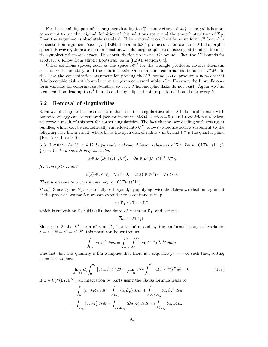For the remaining part of the argument leading to  $C^{\infty}_{loc}$  compactness of  $\mathscr{M}^{\Lambda}_{\Upsilon}(x_1, x_2; y)$  it is more convenient to use the original definition of this solutions space and the smooth structure of  $\Sigma^{\Lambda}_{\Upsilon}$ . Then the argument is absolutely standard: If by contradiction there is no uniform  $C<sup>1</sup>$  bound, a concentration argument (see e.g. [HZ94, Theorem 6.8]) produces a non-constant J-holomorphic sphere. However, there are no non-constant J-holomorphic spheres on cotangent bundles, because the symplectic form  $\omega$  is exact. This contradiction proves the  $C^1$  bound. Then the  $C^k$  bounds for arbitrary k follow from elliptic bootstrap, as in [HZ94, section 6.4].

Other solutions spaces, such as the space  $\mathcal{M}_{\Upsilon}^{\Omega}$  for the traingle products, involve Riemann surfaces with boundary, and the solutions take value on some conormal subbundle of  $T^*M$ . In this case the concentration argument for proving the  $C<sup>1</sup>$  bound could produce a non-constant J-holomorphic disk with boundary on the given conormal subbundle. However, the Liouville oneform vanishes on conormal subbundles, so such J-holomorphic disks do not exist. Again we find a contradition, leading to  $C^1$  bounds and - by elliptic bootstrap - to  $C^k$  bounds for every k.

## 6.2 Removal of singularities

Removal of singularities results state that isolated singularities of a J-holomorphic map with bounded energy can be removed (see for instance [MS04, section 4.5]). In Proposition 6.4 below, we prove a result of this sort for corner singularities. The fact that we are dealing with cotangent bundles, which can be isometrically embedded into  $\mathbb{C}^N$ , allows to reduce such a statement to the following easy linear result, where  $\mathbb{D}_r$  is the open disk of radius r in  $\mathbb{C}$ , and  $\mathbb{H}^+$  is the quarter plane  $\{Re\ z > 0, Im\ z > 0\}.$ 

**6.3.** LEMMA. Let  $V_0$  and  $V_1$  be partially orthogonal linear subspaces of  $\mathbb{R}^n$ . Let  $u : \mathrm{Cl}(\mathbb{D}_1 \cap \mathbb{H}^+) \setminus \mathbb{R}$  $\{0\} \to \mathbb{C}^n$  be a smooth map such that

$$
u \in L^p(\mathbb{D}_1 \cap \mathbb{H}^+, \mathbb{C}^n), \quad \overline{\partial}u \in L^p(\mathbb{D}_1 \cap \mathbb{H}^+, \mathbb{C}^n),
$$

for some  $p > 2$ , and

$$
u(s) \in N^*V_0 \quad \forall \ s > 0, \quad u(it) \in N^*V_1 \quad \forall \ t > 0.
$$

Then u extends to a continuous map on  $Cl(\mathbb{D}_1 \cap \mathbb{H}^+).$ 

*Proof.* Since  $V_0$  and  $V_1$  are partially orthogonal, by applying twice the Schwarz reflection argument of the proof of Lemma  $5.6$  we can extend  $u$  to a continuous map

$$
u:\mathbb{D}_1\setminus\{0\}\to\mathbb{C}^n,
$$

which is smooth on  $\mathbb{D}_1 \setminus (\mathbb{R} \cup i\mathbb{R})$ , has finite  $L^p$  norm on  $\mathbb{D}_1$ , and satisfies

$$
\overline{\partial} u \in L^p(\mathbb{D}_1).
$$

Since  $p > 2$ , the  $L^2$  norm of u on  $\mathbb{D}_1$  is also finite, and by the conformal change of variables  $z = s + it = e^{\zeta} = e^{\rho + i\theta}$ , this norm can be written as

$$
\int_{\mathbb{D}_1} |u(z)|^2 ds dt = \int_{-\infty}^0 \int_0^{2\pi} |u(e^{\rho + i\theta})|^2 e^{2\rho} d\theta d\rho.
$$

The fact that this quantity is finite implies that there is a sequence  $\rho_h \to -\infty$  such that, setting  $\epsilon_h := e^{\rho_h}$ , we have

$$
\lim_{h \to \infty} \epsilon_h^2 \int_0^{2\pi} |u(\epsilon_h e^{i\theta})|^2 d\theta = \lim_{h \to \infty} e^{2\rho_h} \int_0^{2\pi} |u(e^{\rho_h + i\theta})|^2 d\theta = 0.
$$
 (158)

If  $\varphi \in C_c^{\infty}(\mathbb{D}_1, \mathbb{C}^N)$ , an integration by parts using the Gauss formula leads to

$$
\int_{\mathbb{D}_1} \langle u, \partial \varphi \rangle \, dsdt = \int_{\mathbb{D}_{\epsilon_h}} \langle u, \partial \varphi \rangle \, dsdt + \int_{\mathbb{D}_1 \backslash \mathbb{D}_{\epsilon_h}} \langle u, \partial \varphi \rangle \, dsdt
$$
\n
$$
= \int_{\mathbb{D}_{\epsilon_h}} \langle u, \partial \varphi \rangle \, dsdt - \int_{\mathbb{D}_1 \backslash \mathbb{D}_{\epsilon_h}} \langle \overline{\partial} u, \varphi \rangle \, dsdt + i \int_{\partial \mathbb{D}_{\epsilon_h}} \langle u, \varphi \rangle \, dz.
$$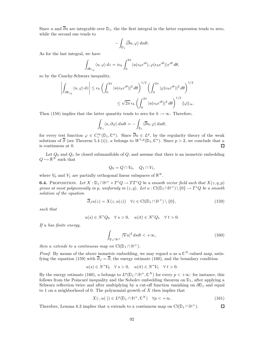Since u and  $\overline{\partial}u$  are integrable over  $\mathbb{D}_1$ , the the first integral in the latter expression tends to zero, while the second one tends to

$$
-\int_{{\mathbb D}_1} \langle \overline{\partial} u, \varphi \rangle \, dsdt.
$$

As for the last integral, we have

$$
\int_{\partial \mathbb{D}_{\epsilon_h}} \langle u, \varphi \rangle dz = i\epsilon_h \int_0^{2\pi} \langle u(\epsilon_h e^{i\theta}), \varphi(\epsilon_h e^{i\theta}) \rangle e^{i\theta} d\theta,
$$

so by the Cauchy-Schwarz inequality,

$$
\left| \int_{\partial \mathbb{D}_{\epsilon_h}} \langle u, \varphi \rangle dz \right| \le \epsilon_h \left( \int_0^{2\pi} |u(\epsilon_h e^{i\theta})|^2 d\theta \right)^{1/2} \left( \int_0^{2\pi} |\varphi(\epsilon_h e^{i\theta})|^2 d\theta \right)^{1/2} \le \sqrt{2\pi} \epsilon_h \left( \int_0^{2\pi} |u(\epsilon_h e^{i\theta})|^2 d\theta \right)^{1/2} ||\varphi||_{\infty}.
$$

Then (158) implies that the latter quantity tends to zero for  $h \to \infty$ . Therefore,

$$
\int_{\mathbb{D}_1} \langle u, \partial \varphi \rangle \, dsdt = - \int_{\mathbb{D}_1} \langle \overline{\partial} u, \varphi \rangle \, dsdt,
$$

for every test function  $\varphi \in C_c^{\infty}(\mathbb{D}_1, \mathbb{C}^n)$ . Since  $\overline{\partial} u \in L^p$ , by the regularity theory of the weak solutions of  $\overline{\partial}$  (see Theorem 5.4 (i)), u belongs to  $W^{1,p}(\mathbb{D}_1, \mathbb{C}^n)$ . Since  $p > 2$ , we conclude that u is continuous at 0. □

Let  $Q_0$  and  $Q_1$  be closed submanifolds of  $Q$ , and assume that there is an isometric embedding  $Q \hookrightarrow \mathbb{R}^N$  such that

$$
Q_0 = Q \cap V_0, \quad Q_1 \cap V_1,
$$

where  $V_0$  and  $V_1$  are partially orthogonal linear subspaces of  $\mathbb{R}^N$ .

**6.4.** PROPOSITION. Let  $X : \mathbb{D}_1 \cap \mathbb{H}^+ \times T^*Q \to TT^*Q$  be a smooth vector field such that  $X(z,q,p)$ grows at most polynomially in p, uniformly in  $(z, q)$ . Let  $u : \mathrm{Cl}(\mathbb{D}_1 \cap \mathbb{H}^+) \setminus \{0\} \to T^*Q$  be a smooth solution of the equation

$$
\overline{\partial}_J u(z) = X(z, u(z)) \quad \forall z \in \text{Cl}(\mathbb{D}_1 \cap \mathbb{H}^+) \setminus \{0\},\tag{159}
$$

such that

 $u(s) \in N^*Q_0 \quad \forall s > 0, \quad u(it) \in N^*Q_1 \quad \forall t > 0.$ 

If u has finite energy,

$$
\int_{\mathbb{D}_1 \cap \mathbb{H}^+} |\nabla u|^2 \, ds dt < +\infty,\tag{160}
$$

then u extends to a continuous map on  $Cl(\mathbb{D}_1 \cap \mathbb{H}^+)$ .

*Proof.* By means of the above isometric embedding, we may regard u as a  $\mathbb{C}^N$ -valued map, satisfying the equation (159) with  $\overline{\partial}_J = \overline{\partial}$ , the energy estimate (160), and the boundary condition

$$
u(s) \in N^*V_0 \quad \forall \ s > 0, \quad u(it) \in N^*V_1 \quad \forall \ t > 0.
$$

By the energy estimate (160), u belongs to  $L^p(\mathbb{D}_1 \cap \mathbb{H}^+, \mathbb{C}^N)$  for every  $p < +\infty$ : for instance, this follows from the Poincaré inequality and the Sobolev embedding theorem on  $\mathbb{D}_1$ , after applying a Schwarz reflection twice and after multiplying by a cut-off function vanishing on  $\partial D_1$  and equal to 1 on a neighborhood of 0. The polynomial growth of  $X$  then implies that

$$
X(\cdot, u(\cdot)) \in L^p(\mathbb{D}_1 \cap \mathbb{H}^+, \mathbb{C}^N) \quad \forall p < +\infty.
$$
 (161)

 $\Box$ 

Therefore, Lemma 6.3 implies that u extends to a continuous map on  $Cl(\mathbb{D}_1 \cap \mathbb{H}^+)$ .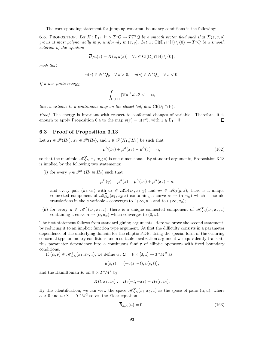The corresponding statement for jumping conormal boundary conditions is the following:

**6.5.** PROPOSITION. Let  $X : \mathbb{D}_1 \cap \mathbb{H} \times T^*Q \to TT^*Q$  be a smooth vector field such that  $X(z,q,p)$ grows at most polynomially in p, uniformly in  $(z, q)$ . Let  $u : \mathrm{Cl}(\mathbb{D}_1 \cap \mathbb{H}) \setminus \{0\} \to T^*Q$  be a smooth solution of the equation

$$
\overline{\partial}_J u(z)=X(z,u(z))\quad \forall z\in \mathrm{Cl}(\mathbb{D}_1\cap \mathbb{H})\setminus\{0\},
$$

such that

$$
u(s) \in N^*Q_0 \quad \forall \ s > 0, \quad u(s) \in N^*Q_1 \quad \forall \ s < 0.
$$

If u has finite energy,

$$
\int_{\mathbb{D}_1\cap\mathbb{H}}|\nabla u|^2\,dsdt<+\infty,
$$

then u extends to a continuous map on the closed half-disk  $Cl(\mathbb{D}_1 \cap \mathbb{H})$ .

Proof. The energy is invariant with respect to conformal changes of variable. Therefore, it is enough to apply Proposition 6.4 to the map  $v(z) = u(z^2)$ , with  $z \in \mathbb{D}_1 \cap \mathbb{H}^+$ .  $\Box$ 

#### 6.3 Proof of Proposition 3.13

Let  $x_1 \in \mathscr{P}(H_1)$ ,  $x_2 \in \mathscr{P}(H_2)$ , and  $z \in \mathscr{P}(H_1 \# H_2)$  be such that

$$
\mu^{\Lambda}(x_1) + \mu^{\Lambda}(x_2) - \mu^{\Lambda}(z) = n,
$$
\n(162)

so that the manifold  $\mathcal{M}_{GE}^{\Upsilon}(x_1, x_2; z)$  is one-dimensional. By standard arguments, Proposition 3.13 is implied by the following two statements:

(i) for every  $y \in \mathscr{P}^{\Theta}(H_1 \oplus H_2)$  such that

$$
\mu^{\Theta}(y) = \mu^{\Lambda}(z) = \mu^{\Lambda}(x_1) + \mu^{\Lambda}(x_2) - n,
$$

and every pair  $(u_1, u_2)$  with  $u_1 \in \mathcal{M}_E(x_1, x_2; y)$  and  $u_2 \in \mathcal{M}_G(y, z)$ , there is a unique connected component of  $\mathcal{M}_{GE}^{\Upsilon}(x_1, x_2; z)$  containing a curve  $\alpha \mapsto (\alpha, u_\alpha)$  which - modulo translations in the s variable - converges to  $(+\infty, u_1)$  and to  $(+\infty, u_2)$ ;

(ii) for every  $u \in \mathcal{M}_{\Upsilon}^{\Lambda}(x_1, x_2; z)$ , there is a unique connected component of  $\mathcal{M}_{GE}^{\Upsilon}(x_1, x_2; z)$ containing a curve  $\alpha \mapsto (\alpha, u_{\alpha})$  which converges to  $(0, u)$ .

The first statement follows from standard gluing arguments. Here we prove the second statement, by reducing it to an implicit function type argument. At first the difficulty consists in a parameter dependence of the underlying domain for the elliptic PDE. Using the special form of the occuring conormal type boundary conditions and a suitable localization argument we equivalently translate this parameter dependence into a continuous family of elliptic operators with fixed boundary conditions.

If 
$$
(\alpha, v) \in \mathcal{M}_{GE}^{\Upsilon}(x_1, x_2; z)
$$
, we define  $u : \Sigma = \mathbb{R} \times [0, 1] \to T^*M^2$  as

$$
u(s,t) := (-v(s,-t), v(s,t)),
$$

and the Hamiltonian  $K$  on  $\mathbb{T} \times T^*M^2$  by

$$
K(t, x_1, x_2) := H_1(-t, -x_1) + H_2(t, x_2).
$$

By this identification, we can view the space  $\mathscr{M}_{GE}^{\Upsilon}(x_1, x_2; z)$  as the space of pairs  $(\alpha, u)$ , where  $\alpha > 0$  and  $u : \Sigma \to T^*M^2$  solves the Floer equation

$$
\overline{\partial}_{J,K}(u) = 0,\tag{163}
$$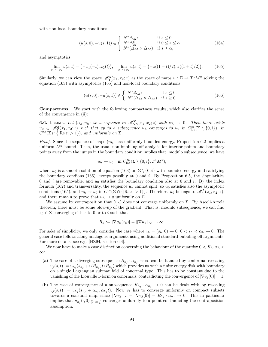with non-local boundary conditions

$$
(u(s,0), -u(s,1)) \in \begin{cases} N^* \Delta_{M^2} & \text{if } s \le 0, \\ N^* \Delta_M^{\Theta} & \text{if } 0 \le s \le \alpha, \\ N^*(\Delta_M \times \Delta_M) & \text{if } s \ge \alpha, \end{cases}
$$
(164)

and asymptotics

$$
\lim_{s \to -\infty} u(s,t) = \bigl(-x_1(-t), x_2(t)\bigr), \quad \lim_{s \to +\infty} u(s,t) = \bigl(-z((1-t)/2), z((1+t)/2)\bigr). \tag{165}
$$

Similarly, we can view the space  $\mathscr{M}^{\Lambda}_{\Upsilon}(x_1, x_2; z)$  as the space of maps  $u : \Sigma \to T^*M^2$  solving the equation (163) with asymptotics (165) and non-local boundary conditions

$$
(u(s,0), -u(s,1)) \in \begin{cases} N^* \Delta_{M^2} & \text{if } s \le 0, \\ N^* (\Delta_M \times \Delta_M) & \text{if } s \ge 0. \end{cases} \tag{166}
$$

Compactness. We start with the following compactness results, which also clarifies the sense of the convergence in (ii):

**6.6.** LEMMA. Let  $(\alpha_h, u_h)$  be a sequence in  $\mathscr{M}_{GE}^{\Upsilon}(x_1, x_2; z)$  with  $\alpha_h \to 0$ . Then there exists  $u_0 \in \mathscr{M}_{\Upsilon}^{\Lambda}(x_1,x_2;z)$  such that up to a subsequence  $u_h$  converges to  $u_0$  in  $C_{\text{loc}}^{\infty}(\Sigma \setminus \{0,i\}),$  in  $C^{\infty}(\Sigma \cap {\rm{Re}} z > 1)$ , and uniformly on  $\Sigma$ .

*Proof.* Since the sequence of maps  $(u_h)$  has uniformly bounded energy, Proposition 6.2 implies a uniform  $L^{\infty}$  bound. Then, the usual non-bubbling-off analysis for interior points and boundary points away from the jumps in the boundary condition implies that, modulo subsequence, we have

$$
u_h \to u_0
$$
 in  $C_{loc}^{\infty}(\Sigma \setminus \{0, i\}, T^*M^2)$ ,

where  $u_0$  is a smooth solution of equation (163) on  $\Sigma \setminus \{0, i\}$  with bounded energy and satisfying the boundary condions  $(166)$ , except possibly at 0 and i. By Proposition 6.5, the singularities 0 and i are removable, and  $u_0$  satisfies the boundary condition also at 0 and i. By the index formula (162) and transversality, the sequence  $u<sub>h</sub>$  cannot split, so  $u<sub>0</sub>$  satisfies also the asymptotic conditions (165), and  $u_h \to u_0$  in  $C^{\infty}(\Sigma \cap {\{|\text{Re } z| > 1\}})$ . Therefore,  $u_0$  belongs to  $\mathcal{M}_{\Upsilon}^{\Lambda}(x_1, x_2; z)$ , and there remain to prove that  $u_h \to u$  uniformly on  $\Sigma$ .

We assume by contraposition that  $(u_h)$  does not converge uniformly on  $\Sigma$ . By Ascoli-Arzelà theorem, there must be some blow-up of the gradient. That is, modulo subsequence, we can find  $z_h \in \Sigma$  converging either to 0 or to *i* such that

$$
R_h := |\nabla u_h(z_h)| = ||\nabla u_h||_{\infty} \to \infty.
$$

For sake of simplicity, we only consider the case where  $z_h = (s_h, 0) \rightarrow 0, 0 < s_h < \alpha_h \rightarrow 0$ . The general case follows along analogous arguments using additional standard bubbling-off arguments. For more details, see e.g. [HZ94, section 6.4].

We now have to make a case distinction concerning the behaviour of the quantity  $0 < R_h \cdot \alpha_h <$ ∞:

- (a) The case of a diverging subsequence  $R_{h_j} \cdot \alpha_{h_j} \to \infty$  can be handled by conformal rescaling  $v_j(s,t) := u_{h_j}(s_{h_j} + s/R_{h_j}, t/R_{h_j})$  which provides us with a finite energy disk with boundary on a single Lagrangian submanifold of conormal type. This has to be constant due to the vanishing of the Liouville 1-form on conormals, contradicting the convergence of  $|\nabla v_i(0)| = 1$ .
- (b) The case of convergence of a subsequence  $R_{h_j} \cdot \alpha_{h_j} \to 0$  can be dealt with by rescaling  $v_j(s,t) := u_{h_j}(s_{h_j} + \alpha_{h_j}, \alpha_{h_j}t)$ . Now  $v_k$  has to converge uniformly on compact subsets towards a constant map, since  $\|\nabla v_j\|_{\infty} = |\nabla v_j(0)| = R_{h_j} \cdot \alpha_{h_j} \to 0$ . This in particular implies that  $u_{h_j}(\cdot,0)_{|[0,\alpha_{h_j}]}$  converges uniformly to a point contradicting the contraposition assumption.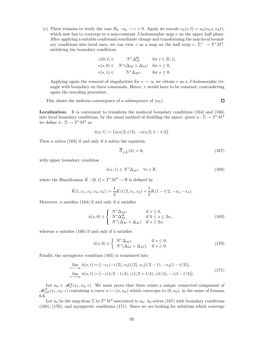(c) There remains to study the case  $R_h \cdot \alpha_h \to c > 0$ . Again we rescale  $v_h(s, t) = u_h(\alpha_h s, \alpha_h t)$ , which now has to converge to a non-constant  $J$ -holomorphic map  $v$  on the upper half plane. After applying a suitable conformal coordinate change and transforming the non-local boundary conditions into local ones, we can view v as a map on the half strip  $v: \Sigma^+ \to T^*M^4$ , satisfying the boundary conditions

$$
v(0,t) \in N^* \Delta_M^{\Theta} \quad \text{for } t \in [0,1],
$$
  
\n
$$
v(s,0) \in N^* (\Delta_M \times \Delta_M) \quad \text{for } s \ge 0,
$$
  
\n
$$
v(s,1) \in N^* \Delta_{M^2} \quad \text{for } s \ge 0.
$$

Applying again the removal of singularities for  $s \to \infty$  we obtain v as a J-holomorphic triangle with boundary on three conormals. Hence,  $v$  would have to be constant, contradicting again the rescaling procedure.

This shows the uniform convergence of a subsequence of  $(u_h)$ .

Localization. It is convenient to transform the nonlocal boundary conditions (164) and (166) into local boundary conditions, by the usual method of doubling the space: given  $u : \Sigma \to T^*M^2$ we define  $\tilde{u} : \Sigma \to T^*M^4$  as

$$
\tilde{u}(s,t) := \big(u(s/2,t/2), -u(s/2,1-t/2)\big).
$$

Then u solves (163) if and only if  $\tilde{u}$  solves the equation

$$
\overline{\partial}_{J,\tilde{K}}(\tilde{u}) = 0,\tag{167}
$$

with upper boundary condition

$$
\tilde{u}(s,1) \in N^* \Delta_{M^2} \quad \forall s \in \mathbb{R},\tag{168}
$$

where the Hamiltonian  $\tilde{K} : [0,1] \times T^*M^4 \to \mathbb{R}$  is defined by

$$
\tilde{K}(t, x_1, x_2, x_3, x_4) := \frac{1}{2} K(t/2, x_1, x_2) + \frac{1}{2} K(1 - t/2, -x_3, -x_4).
$$

Moreover, u satisfies (164) if and only if  $\tilde{u}$  satisfies

$$
\tilde{u}(s,0) \in \begin{cases}\nN^* \Delta_{M^2} & \text{if } s \le 0, \\
N^* \Delta_M^{\Theta} & \text{if } 0 \le s \le 2\alpha, \\
N^* (\Delta_M \times \Delta_M) & \text{if } s \ge 2\alpha,\n\end{cases}
$$
\n(169)

whereas u satisfies (166) if and only if  $\tilde{u}$  satisfies

$$
\tilde{u}(s,0) \in \begin{cases}\nN^* \Delta_{M^2} & \text{if } s \le 0, \\
N^* (\Delta_M \times \Delta_M), & \text{if } s \ge 0.\n\end{cases}\n\tag{170}
$$

Finally, the asymptotic condition (165) is translated into

$$
\lim_{s \to -\infty} \tilde{u}(s,t) = \left( -x_1(-t/2), x_2(t/2), x_1(t/2 - 1), -x_2(1 - t/2) \right),
$$
\n
$$
\lim_{s \to +\infty} \tilde{u}(s,t) = \left( -z(1/2 - t/4), z(1/2 + t/4), z(t/4), -z(1 - t/4) \right). \tag{171}
$$

Let  $u_0 \in \mathcal{M}_\Upsilon^\Lambda(x_1, x_2; z)$ . We must prove that there exists a unique connected component of  $\mathscr{M}_{GE}^{\Upsilon}(x_1, x_2; z)$  containing a curve  $\alpha \mapsto (\alpha, u_{\alpha})$  which converges to  $(0, u_0)$ , in the sense of Lemma 6.6.

Let  $\tilde{u}_0$  be the map from  $\Sigma$  to  $T^*M^4$  associated to  $u_0$ :  $\tilde{u}_0$  solves (167) with boundary conditions (168), (170), and asymptotic conditions (171). Since we are looking for solutions which converge

 $\Box$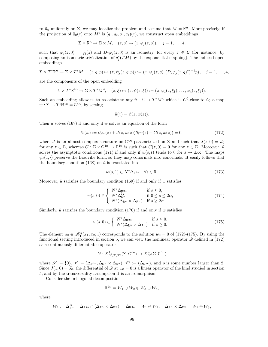to  $\tilde{u}_0$  uniformly on  $\Sigma$ , we may localize the problem and assume that  $M = \mathbb{R}^n$ . More precisely, if the projection of  $\tilde{u}_0(z)$  onto  $M^4$  is  $(q_1, q_2, q_3, q_4)(z)$ , we construct open embeddings

$$
\Sigma \times \mathbb{R}^n \to \Sigma \times M, \quad (z,q) \mapsto (z,\varphi_j(z,q)), \quad j=1,\ldots,4,
$$

such that  $\varphi_j(z,0) = q_j(z)$  and  $D_2\varphi_j(z,0)$  is an isometry, for every  $z \in \Sigma$  (for instance, by composing an isometric trivialization of  $q_j^*(TM)$  by the exponential mapping). The induced open embeddings

$$
\Sigma \times T^* \mathbb{R}^n \to \Sigma \times T^* M, \quad (z,q,p) \mapsto (z,\psi_j(z,q,p)) := (z,\varphi_j(z,q), (D_2 \varphi_j(z,q)^*)^{-1} p), \quad j=1,\ldots,4,
$$

are the components of the open embedding

$$
\Sigma \times T^* \mathbb{R}^{4n} \to \Sigma \times T^* M^4, \quad (z,\xi) \mapsto (z,\psi(z,\xi)) := (z,\psi_1(z,\xi_1),\ldots,\psi_4(z,\xi_4)).
$$

Such an embedding allow us to associate to any  $\tilde{u}: \Sigma \to T^*M^4$  which is  $C^0$ -close to  $\tilde{u}_0$  a map  $w: \Sigma \to T^* \mathbb{R}^{4n} = \mathbb{C}^{4n}$ , by setting

$$
\tilde{u}(z) = \psi(z, w(z)).
$$

Then  $\tilde{u}$  solves (167) if and only if w solves an equation of the form

$$
\mathscr{D}(w) := \partial_s w(z) + J(z, w(z))\partial_t w(z) + G(z, w(z)) = 0,
$$
\n(172)

where J is an almost complex structure on  $\mathbb{C}^{4n}$  parametrized on  $\Sigma$  and such that  $J(z, 0) = J_0$ for any  $z \in \Sigma$ , whereas  $G : \Sigma \times \mathbb{C}^{4n} \to \mathbb{C}^{4n}$  is such that  $G(z, 0) = 0$  for any  $z \in \Sigma$ . Moreover,  $\tilde{u}$ solves the asymptotic conditions (171) if and only if  $w(s,t)$  tends to 0 for  $s \to \pm \infty$ . The maps  $\psi_i(z, \cdot)$  preserve the Liouville form, so they map conormals into conormals. It easily follows that the boundary condition (168) on  $\tilde{u}$  is translated into

$$
w(s,1) \in N^* \Delta_{\mathbb{R}^{2n}} \quad \forall s \in \mathbb{R}.\tag{173}
$$

Moreover,  $\tilde{u}$  satisfies the boundary condition (169) if and only if w satisfies

$$
w(s,0) \in \begin{cases} N^* \Delta_{\mathbb{R}^{2n}} & \text{if } s \le 0, \\ N^* \Delta_{\mathbb{R}^n}^{\Theta} & \text{if } 0 \le s \le 2\alpha, \\ N^* (\Delta_{\mathbb{R}^n} \times \Delta_{\mathbb{R}^n}) & \text{if } s \ge 2\alpha. \end{cases}
$$
(174)

Similarly,  $\tilde{u}$  satisfies the boundary condition (170) if and only if w satisfies

$$
w(s,0) \in \begin{cases} N^* \Delta_{\mathbb{R}^{2n}} & \text{if } s \le 0, \\ N^* (\Delta_{\mathbb{R}^n} \times \Delta_{\mathbb{R}^n}) & \text{if } s \ge 0. \end{cases}
$$
 (175)

The element  $u_0 \in \mathcal{M}_{\Upsilon}^{\Lambda}(x_1, x_2; z)$  corresponds to the solution  $w_0 = 0$  of (172)-(175). By using the functional setting introduced in section 5, we can view the nonlinear operator  $\mathscr D$  defined in (172) as a continuously differentiable operator

$$
\mathscr{D}: X^{1,p}_{\mathscr{S},\mathscr{V},\mathscr{V}'}(\Sigma,\mathbb{C}^{4n}) \to X^{p}_{\mathscr{S}}(\Sigma,\mathbb{C}^{4n})
$$

where  $\mathscr{S} := \{0\}, \ \mathscr{V} := (\Delta_{\mathbb{R}^{2n}}, \Delta_{\mathbb{R}^n} \times \Delta_{\mathbb{R}^n}), \ \mathscr{V}' := (\Delta_{\mathbb{R}^{2n}})$ , and p is some number larger than 2. Since  $J(z, 0) = J_0$ , the differential of  $\mathscr{D}$  at  $w_0 = 0$  is a linear operator of the kind studied in section 5, and by the transversality assumption it is an isomorphism.

Consider the orthogonal decomposition

$$
\mathbb{R}^{4n} = W_1 \oplus W_2 \oplus W_3 \oplus W_4,
$$

where

$$
W_1 := \Delta_{\mathbb{R}^n}^{\Theta} = \Delta_{\mathbb{R}^{2n}} \cap (\Delta_{\mathbb{R}^n} \times \Delta_{\mathbb{R}^n}), \quad \Delta_{\mathbb{R}^{2n}} = W_1 \oplus W_2, \quad \Delta_{\mathbb{R}^n} \times \Delta_{\mathbb{R}^n} = W_1 \oplus W_3,
$$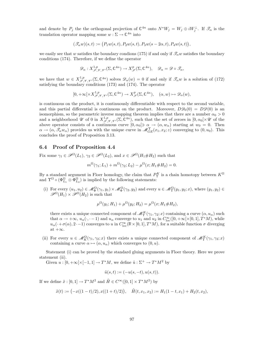and denote by  $P_j$  the the orthogonal projection of  $\mathbb{C}^{4n}$  onto  $N^*W_j = W_j \oplus iW_j^{\perp}$ . If  $\mathscr{T}_{\alpha}$  is the translation operator mapping some  $w : \Sigma \to \mathbb{C}^{4n}$  into

$$
(\mathscr{T}_{\alpha}w)(s,t):=\big(P_1w(s,t),P_2w(s,t),P_3w(s-2\alpha,t),P_4w(s,t)\big),
$$

we easily see that w satisfies the boundary condions (175) if and only if  $\mathscr{T}_{\alpha}w$  satisfies the boundary conditions (174). Therefore, if we define the operator

$$
\mathscr{D}_{\alpha}: X^{1,p}_{\mathscr{S},\mathscr{V},\mathscr{V}'}(\Sigma,\mathbb{C}^{4n}) \to X^{p}_{\mathscr{S}}(\Sigma,\mathbb{C}^{4n}), \quad \mathscr{D}_{\alpha} = \mathscr{D} \circ \mathscr{T}_{\alpha},
$$

we have that  $w \in X^{1,p}_{\mathscr{S},\mathscr{V},\mathscr{V}}(\Sigma,\mathbb{C}^{4n})$  solves  $\mathscr{D}_{\alpha}(w) = 0$  if and only if  $\mathscr{T}_{\alpha}w$  is a solution of (172) satisfying the boundary conditions (173) and (174). The operator

$$
[0, +\infty[\times X^{1,p}_{\mathscr{S}, \mathscr{V}, \mathscr{V}'}(\Sigma, \mathbb{C}^{4n}) \to X^{p}_{\mathscr{S}}(\Sigma, \mathbb{C}^{4n}), \quad (\alpha, w) \mapsto \mathscr{D}_{\alpha}(w),
$$

is continuous on the product, it is continuously differentiable with respect to the second variable, and this partial differential is continuous on the product. Moreover,  $D\mathscr{D}_0(0) = D\mathscr{D}(0)$  is an isomorphism, so the parametric inverse mapping theorem implies that there are a number  $\alpha_0 > 0$ and a neighborhood U of 0 in  $X^{1,p}_{\mathscr{S},\mathscr{V},\mathscr{V}'}(\Sigma,\mathbb{C}^{4n})$ , such that the set of zeroes in  $[0,\alpha_0[\times\mathscr{U}$  of the above operator consists of a continuous curve  $[0, \alpha_0] \ni \alpha \to (\alpha, w_\alpha)$  starting at  $w_0 = 0$ . Then  $\alpha \to (\alpha, \mathscr{T}_{\alpha} w_{\alpha})$  provides us with the unique curve in  $\mathscr{M}_{GE}^{\Upsilon}(x_1, x_2; z)$  converging to  $(0, u_0)$ . This concludes the proof of Proposition 3.13.

# 6.4 Proof of Proposition 4.4

Fix some  $\gamma_1 \in \mathscr{P}^{\Omega}(L_1)$ ,  $\gamma_2 \in \mathscr{P}^{\Omega}(L_2)$ , and  $x \in \mathscr{P}^{\Omega}(H_1 \# H_2)$  such that

$$
m^{\Omega}(\gamma_1; L_1) + m^{\Omega}(\gamma_2; L_2) - \mu^{\Omega}(x; H_1 \# H_2) = 0.
$$

By a standard argument in Floer homology, the claim that  $P_{\Upsilon}^{K}$  is a chain homotopy between  $K^{\Omega}$ and  $\Upsilon^{\Omega} \circ (\Phi_{L_1}^{\Omega} \otimes \Phi_{L_2}^{\Omega})$  is implied by the following statements:

(i) For every  $(u_1, u_2) \in \mathcal{M}_{\Phi}^{\Omega}(\gamma_1, y_1) \times \mathcal{M}_{\Phi}^{\Omega}(\gamma_2, y_2)$  and every  $u \in \mathcal{M}_{\Upsilon}^{\Omega}(y_1, y_2; x)$ , where  $(y_1, y_2) \in$  $\mathscr{P}^{\Omega}(H_1) \times \mathscr{P}^{\Omega}(H_2)$  is such that

$$
\mu^{\Omega}(y_1; H_1) + \mu^{\Omega}(y_2; H_2) = \mu^{\Omega}(x; H_1 \# H_2),
$$

there exists a unique connected component of  $\mathscr{M}_{\Upsilon}^{K}(\gamma_{1},\gamma_{2};x)$  containing a curve  $(\alpha, u_{\alpha})$  such that  $\alpha \to +\infty$ ,  $u_{\alpha}(\cdot, -1)$  and  $u_{\alpha}$  converge to  $u_1$  and  $u_2$  in  $C_{\text{loc}}^{\infty}([0, +\infty[\times[0, 1], T^*M])$ , while  $u_{\alpha}(\cdot+\sigma(\alpha),2\cdot-1)$  converges to u in  $C_{\text{loc}}^{\infty}(\mathbb{R}\times[0,1],T^*M)$ , for a suitable function  $\sigma$  diverging at  $+\infty$ .

(ii) For every  $u \in \mathcal{M}_K^{\Omega}(\gamma_1, \gamma_2; x)$  there exists a unique connected component of  $\mathcal{M}_\Upsilon^K(\gamma_1, \gamma_2; x)$ containing a curve  $\alpha \mapsto (\alpha, u_{\alpha})$  which converges to  $(0, u)$ .

Statement (i) can be proved by the standard gluing arguments in Floer theory. Here we prove statement (ii).

Given  $u : [0, +\infty[\times[-1, 1] \to T^*M$ , we define  $\tilde{u} : \Sigma^+ \to T^*M^2$  by

$$
\tilde{u}(s,t):=(-u(s,-t),u(s,t)).
$$

If we define  $\tilde{x} : [0,1] \to T^*M^2$  and  $\tilde{H} \in C^{\infty}([0,1] \times T^*M^2)$  by

$$
\tilde{x}(t) := (-x((1-t)/2), x((1+t)/2)), \quad \tilde{H}(t, x_1, x_2) := H_1(1-t, x_1) + H_2(t, x_2),
$$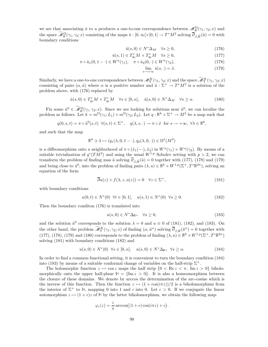we see that associating  $\tilde{u}$  to u produces a one-to-one correspondence between  $\mathscr{M}_{K}^{\Omega}(\gamma_{1},\gamma_{2};x)$  and the space  $\widetilde{\mathcal{M}}_K^{\Omega}(\gamma_1, \gamma_2; x)$  consisting of the maps  $\tilde{u}: [0, \infty[\times [0, 1] \to T^*M^2]$  solving  $\overline{\partial}_{J, \tilde{H}}(\tilde{u}) = 0$  with boundary conditions

$$
\tilde{u}(s,0) \in N^* \Delta_M \quad \forall s \ge 0,\tag{176}
$$

$$
\tilde{u}(s,1) \in T_{q_0}^* M \times T_{q_0}^* M \quad \forall s \ge 0,
$$
\n
$$
(177)
$$

$$
\pi \circ \tilde{u}_1(0, 1 - \cdot) \in W^u(\gamma_1), \quad \pi \circ \tilde{u}_2(0, \cdot) \in W^u(\gamma_2), \tag{178}
$$

$$
\lim_{s \to +\infty} \tilde{u}(s, \cdot) = \tilde{x}.\tag{179}
$$

Similarly, we have a one-to-one correspondence between  $\mathscr{M}_{\Upsilon}^{K}(\gamma_{1},\gamma_{2};x)$  and the space  $\mathscr{M}_{\Upsilon}^{K}(\gamma_{1},\gamma_{2};x)$ consisting of pairs  $(\alpha, \tilde{u})$  where  $\alpha$  is a positive number and  $\tilde{u}: \Sigma^+ \to T^*M^2$  is a solution of the problem above, with (176) replaced by

$$
\tilde{u}(s,0) \in T_{q_0}^* M \times T_{q_0}^* M \quad \forall s \in [0,\alpha], \quad \tilde{u}(s,0) \in N^* \Delta_M \quad \forall s \ge \alpha.
$$
\n(180)

Fix some  $\tilde{u}^0 \in \mathcal{M}_K^{\Omega}(\gamma_1, \gamma_2; x)$ . Since we are looking for solutions near  $\tilde{u}^0$ , we can localize the problem as follows. Let  $k = m^{\Omega}(\gamma_1; L_1) + m^{\Omega}(\gamma_2; L_2)$ . Let  $q : \mathbb{R}^k \times \Sigma^+ \to M^2$  be a map such that

$$
q(0, s, t) = \pi \circ \tilde{u}^0(s, t) \ \forall (s, t) \in \Sigma^+, \quad q(\lambda, s, \cdot) \to \pi \circ \tilde{x} \text{ for } s \to +\infty, \ \forall \lambda \in \mathbb{R}^k,
$$

and such that the map

$$
\mathbb{R}^k \ni \lambda \mapsto (q_1(\lambda, 0, 1 - \cdot), q_2(\lambda, 0, \cdot)) \in \Omega^1(M^2)
$$

is a diffeomorphism onto a neighborhood of  $\pi \circ (\tilde{x}_1(-), \tilde{x}_2)$  in  $W^u(\gamma_1) \times W^u(\gamma_2)$ . By means of a suitable trivialization of  $q^*(TM^2)$  and using the usual  $W^{1,p}$  Sobolev setting with  $p > 2$ , we can transform the problem of finding mas  $\tilde{u}$  solving  $\overline{\partial}_{J,\tilde{H}}(\tilde{u}) = 0$  together with (177), (178) and (179) and being close to  $\tilde{u}^0$ , into the problem of finding pairs  $(\lambda, u) \in \mathbb{R}^k \times W^{1,p}(\Sigma^+, T^*\mathbb{R}^{2n})$ , solving an equation of the form

$$
\overline{\partial}u(z) + f(\lambda, z, u(z)) = 0 \quad \forall z \in \Sigma^+, \tag{181}
$$

with boundary conditions

$$
u(0,t) \in N^*(0) \ \forall t \in [0,1], \quad u(s,1) \in N^*(0) \ \forall s \ge 0. \tag{182}
$$

Then the boundary conditon (176) is translated into

$$
u(s,0) \in N^* \Delta_{\mathbb{R}^n} \quad \forall s \ge 0,
$$
\n<sup>(183)</sup>

and the solution  $\tilde{u}^0$  corresponds to the solution  $\lambda = 0$  and  $u \equiv 0$  of (181), (182), and (183). On the other hand, the problem  $\widetilde{\mathcal{M}}_T^K(\gamma_1, \gamma_2; x)$  of finding  $(\alpha, \tilde{u}^\alpha)$  solving  $\overline{\partial}_{J, \tilde{H}}(\tilde{u}^\alpha) = 0$  together with (177), (178), (179) and (180) corresponds to the problem of finding  $(\lambda, u) \in \mathbb{R}^k \times W^{1,p}(\Sigma^+, T^*\mathbb{R}^{2n})$ solving (181) with boundary conditions (182) and

$$
u(s,0) \in N^*(0) \quad \forall s \in [0,\alpha], \quad u(s,0) \in N^* \Delta_{\mathbb{R}^n} \quad \forall s \ge \alpha.
$$
 (184)

In order to find a common functional setting, it is convenient to turn the boundary condition (184) into (183) by means of a suitable conformal change of variables on the half-strip  $\Sigma^+$ .

The holomorphic function  $z \mapsto \cos z$  maps the half strip  $\{0 \le \text{Re } z \le \pi, \text{ Im } z > 0\}$  biholomorphically onto the upper half-plane  $H = \{Im z > 0\}$ . It is also a homeomorphism between the closure of these domains. We denote by arccos the determination of the arc-cosine which is the inverse of this function. Then the function  $z \mapsto (1 + \cos(i\pi z))/2$  is a biholomorphism from the interior of  $\Sigma^+$  to H, mapping 0 into 1 and i into 0. Let  $\epsilon > 0$ . If we conjugate the linear automorphism  $z \mapsto (1 + \epsilon)z$  of H by the latter biholomorphism, we obtain the following map:

$$
\varphi_{\epsilon}(z) = \frac{i}{\pi} \arccos((1+\epsilon)\cos(i\pi z) + \epsilon).
$$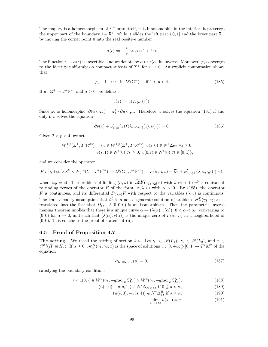The map  $\varphi_{\epsilon}$  is a homeomorphism of  $\Sigma^{+}$  onto itself, it is biholomophic in the interior, it preserves the upper part of the boundary  $i + \mathbb{R}^+$ , while it slides the left part  $i[0, 1]$  and the lower part  $\mathbb{R}^+$ by moving the corner point 0 into the real positive number

$$
\alpha(\epsilon) := -\frac{i}{\pi} \arccos(1 + 2\epsilon).
$$

The function  $\epsilon \mapsto \alpha(\epsilon)$  is invertible, and we denote by  $\alpha \mapsto \epsilon(\alpha)$  its inverse. Moreover,  $\varphi_{\epsilon}$  converges to the identity uniformly on compact subsets of  $\Sigma^+$  for  $\epsilon \to 0$ . An explicit computation shows that

$$
\varphi'_{\epsilon} - 1 \to 0 \quad \text{in } L^p(\Sigma^+), \quad \text{if } 1 < p < 4. \tag{185}
$$

If  $u : \Sigma^+ \to T^* \mathbb{R}^{2n}$  and  $\alpha > 0$ , we define

$$
v(z) := u(\varphi_{\epsilon(\alpha)}(z)).
$$

Since  $\varphi_{\epsilon}$  is holomorphic,  $\partial(u \circ \varphi_{\epsilon}) = \varphi'_{\epsilon} \cdot \partial u \circ \varphi_{\epsilon}$ . Therefore, u solves the equation (181) if and only if v solves the equation

$$
\overline{\partial}v(z) + \varphi'_{\epsilon(\alpha)}(z)f(\lambda, \varphi_{\epsilon(\alpha)}(z), v(z)) = 0.
$$
\n(186)

Given  $2 < p < 4$ , we set

$$
W_*^{1,p}(\Sigma^+, T^*\mathbb{R}^{2n}) = \left\{ v \in W^{1,p}(\Sigma^+, T^*\mathbb{R}^{2n}) \, | \, v(s,0) \in N^*\Delta_{\mathbb{R}^n} \, \forall s \ge 0, v(s,1) \in N^*(0) \, \forall s \ge 0, \, v(0,t) \in N^*(0) \, \forall t \in [0,1] \right\},
$$

and we consider the operator

$$
F: [0, +\infty[\times \mathbb{R}^k \times W^{1,p}_*(\Sigma^+, T^*\mathbb{R}^{2n}) \to L^p(\Sigma^+, T^*\mathbb{R}^{2n}), \quad F(\alpha, \lambda, v) = \overline{\partial}v + \varphi'_{\epsilon(\alpha)}f(\lambda, \varphi_{\epsilon(\alpha)}(\cdot), v),
$$

where  $\varphi_0 = id$ . The problem of finding  $(\alpha, \tilde{u})$  in  $\widetilde{\mathcal{M}}_1^K(\gamma_1, \gamma_2; x)$  with  $\tilde{u}$  close to  $\tilde{u}^0$  is equivalent to finding zeroes of the operator F of the form  $(\alpha, \lambda, v)$  with  $\alpha > 0$ . By (185), the operator F is continuous, and its differential  $D_{(\lambda,v)}F$  with respect to the variables  $(\lambda, v)$  is continuous. The transversality assumption that  $\tilde{u}^0$  is a non-degenerate solution of problem  $\widetilde{\mathcal{M}}_K^{\Omega}(\gamma_1, \gamma_2; x)$  is translated into the fact that  $D_{(\lambda,v)}F(0,0,0)$  is an isomorphism. Then the parametric inverse maping theorem implies that there is a unique curve  $\alpha \mapsto (\lambda(\alpha), v(\alpha)), 0 < \alpha < \alpha_0$ , converging to  $(0,0)$  for  $\alpha \to 0$ , and such that  $(\lambda(\alpha), v(\alpha))$  is the unique zero of  $F(\alpha, \cdot, \cdot)$  in a neighborhood of  $(0, 0)$ . This concludes the proof of statement (ii).

## 6.5 Proof of Proposition 4.7

The setting. We recall the setting of section 4.4. Let  $\gamma_1 \in \mathscr{P}(L_1)$ ,  $\gamma_2 \in \mathscr{P}(L_2)$ , and  $x \in$  $\mathscr{P}^{\Theta}(H_1 \oplus H_2)$ . If  $\alpha \geq 0$ ,  $\mathscr{M}_\alpha^K(\gamma_1, \gamma_2; x)$  is the space of solutions  $u : [0, +\infty[\times[0,1] \to T^*M^2]$  of the equation

$$
\overline{\partial}_{H_1 \oplus H_2, J}(u) = 0,\t\t(187)
$$

satisfying the boundary conditions

$$
\pi \circ u(0, \cdot) \in W^u(\gamma_1; -\text{grad }_{g_1} \mathbb{S}_{L_1}^{\Lambda}) \times W^u(\gamma_2; -\text{grad }_{g_2} \mathbb{S}_{L_2}^{\Lambda}), \tag{188}
$$

- $(u(s, 0), -u(s, 1)) \in N^* \Delta_{M \times M}$  if  $0 \le s < \alpha$ , (189)
	- $(u(s, 0), -u(s, 1)) \in N^* \Delta_M^{\Theta}$  if  $s \ge \alpha$ , (190)

$$
\lim_{s \to +\infty} u(s, \cdot) = x. \tag{191}
$$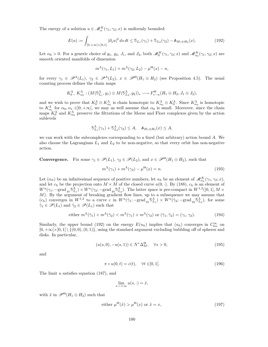The energy of a solution  $u \in \mathcal{M}_\alpha^K(\gamma_1, \gamma_2; x)$  is uniformly bounded:

$$
E(u) := \int_{]0, +\infty[\times]0, 1[} |\partial_s u|^2 ds dt \leq \mathfrak{S}_{L_1}(\gamma_1) + \mathfrak{S}_{L_2}(\gamma_2) - \mathbb{A}_{H_1 \oplus H_2}(x). \tag{192}
$$

Let  $\alpha_0 > 0$ . For a generic choice of  $g_1, g_2, J_1$ , and  $J_2$ , both  $\mathscr{M}_0^K(\gamma_1, \gamma_2; x)$  and  $\mathscr{M}_{\alpha_0}^K(\gamma_1, \gamma_2; x)$  are smooth oriented manifolds of dimension

$$
m^{\Lambda}(\gamma_1, L_1) + m^{\Lambda}(\gamma_2, L_2) - \mu^{\Theta}(x) - n,
$$

for every  $\gamma_1 \in \mathscr{P}^{\Lambda}(L_1)$ ,  $\gamma_2 \in \mathscr{P}^{\Lambda}(L_2)$ ,  $x \in \mathscr{P}^{\Theta}(H_1 \oplus H_2)$  (see Proposition 4.5). The usual counting process defines the chain maps

$$
K_0^{\Lambda}, K_{\alpha_0}^{\Lambda}: (M(\mathbb{S}_{L_1}^{\Lambda}, g_1) \otimes M(\mathbb{S}_{L_2}^{\Lambda}, g_2))_{*} \longrightarrow F_{*-n}^{\Theta}(H_1 \oplus H_2, J_1 \oplus J_2),
$$

and we wish to prove that  $K_0^{\Lambda} \otimes K_{\alpha_0}^{\Lambda}$  is chain homotopic to  $K_{\alpha_0}^{\Lambda} \otimes K_0^{\Lambda}$ . Since  $K_{\alpha_0}^{\Lambda}$  is homotopic to  $K^{\Lambda}_{\alpha_1}$  for  $\alpha_0, \alpha_1 \in ]0, +\infty[$ , we may as well assume that  $\alpha_0$  is small. Moreover, since the chain maps  $K_0^{\Lambda}$  and  $K_{\alpha_0}^{\Lambda}$  preserve the filtrations of the Morse and Floer complexes given by the action sublevels

$$
\mathbb{S}_{L_1}^{\Lambda}(\gamma_1) + \mathbb{S}_{L_2}^{\Lambda}(\gamma_2) \leq A, \quad \mathbb{A}_{H_1 \oplus H_2}(x) \leq A,
$$

we can work with the subcomplexes corresponding to a fixed (but arbitrary) action bound  $A$ . We also choose the Lagrangians  $L_1$  and  $L_2$  to be non-negative, so that every orbit has non-negative action.

**Convergence.** Fix some  $\gamma_1 \in \mathcal{P}(L_1)$ ,  $\gamma_2 \in \mathcal{P}(L_2)$ , and  $x \in \mathcal{P}^{\Theta}(H_1 \oplus H_2)$ , such that  $m^{\Lambda}(\gamma_1) + m^{\Lambda}(\gamma_2) - \mu^{\Theta}(x) = n.$  (193)

Let  $(\alpha_h)$  be an infinitesimal sequence of positive numbers, let  $u_h$  be an element of  $\mathscr{M}_{\alpha_h}^K(\gamma_1, \gamma_2; x)$ , and let  $c_h$  be the projection onto  $M \times M$  of the closed curve  $u(0, \cdot)$ . By (188),  $c_h$  is an element of  $W^u(\gamma_1; -\text{grad}_{g_1} \mathbb{S}_{L_1}^{\Lambda}) \times W^u(\gamma_2; -\text{grad}_{g_2} \mathbb{S}_{L_2}^{\Lambda}).$  The latter space is pre-compact in  $W^{1,2}([0,1], M \times$ M). By the argument of breaking gradient flow lines, up to a subsequence we may assume that  $(c_h)$  converges in  $W^{1,2}$  to a curve c in  $W^u(\tilde{\gamma}_1; -\text{grad}_{g_1} \mathbb{S}_{L_1}^{\Lambda}) \times W^u(\tilde{\gamma}_2; -\text{grad}_{g_2} \mathbb{S}_{L_2}^{\Lambda})$ , for some  $\tilde{\gamma}_1 \in \mathscr{P}(L_1)$  and  $\tilde{\gamma}_2 \in \mathscr{P}(L_1)$  such that

either 
$$
m^{\Lambda}(\tilde{\gamma}_1) + m^{\Lambda}(\tilde{\gamma}_2) < m^{\Lambda}(\gamma_1) + m^{\Lambda}(\gamma_2)
$$
 or  $(\tilde{\gamma}_1, \tilde{\gamma}_2) = (\gamma_1, \gamma_2)$ . (194)

Similarly, the upper bound (192) on the energy  $E(u_h)$  implies that  $(u_h)$  converges in  $C_{\text{loc}}^{\infty}$  on  $[0, +\infty[\times[0, 1] \setminus \{(0, 0), (0, 1)\}]$ , using the standard argument excluding bubbling off of spheres and disks. In particular,

$$
(u(s,0), -u(s,1)) \in N^* \Delta_M^{\Theta}, \quad \forall s > 0,
$$
\n
$$
(195)
$$

and

$$
\pi \circ u(0, t) = c(t), \quad \forall t \in ]0, 1[.
$$
\n
$$
(196)
$$

The limit  $u$  satisfies equation (187), and

$$
\lim_{s \to +\infty} u(s, \cdot) = \tilde{x},
$$

with  $\tilde{x}$  in  $\mathscr{P}^{\Theta}(H_1 \oplus H_2)$  such that

either 
$$
\mu^{\Theta}(\tilde{x}) > \mu^{\Theta}(x)
$$
 or  $\tilde{x} = x$ , (197)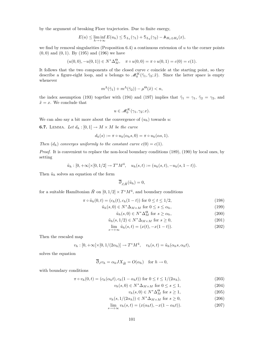by the argument of breaking Floer trajectories. Due to finite energy,

$$
E(u) \leq \liminf_{h \to +\infty} E(u_h) \leq \mathbb{S}_{L_1}(\gamma_1) + \mathbb{S}_{L_2}(\gamma_2) - \mathbb{A}_{H_1 \oplus H_2}(x),
$$

we find by removal singularities (Proposition 6.4) a continuous extension of  $u$  to the corner points  $(0, 0)$  and  $(0, 1)$ . By  $(195)$  and  $(196)$  we have

$$
(u(0,0), -u(0,1)) \in N^* \Delta_M^{\Theta}, \quad \pi \circ u(0,0) = \pi \circ u(0,1) = c(0) = c(1).
$$

It follows that the two components of the closed curve  $c$  coincide at the starting point, so they describe a figure-eight loop, and u belongs to  $\mathscr{M}_0^K(\tilde{\gamma}_1, \tilde{\gamma}_2; \tilde{x})$ . Since the latter space is empty whenever

$$
m^{\Lambda}(\tilde{\gamma}_1) + m^{\Lambda}(\tilde{\gamma}_2)) - \mu^{\Theta}(\tilde{x}) < n,
$$

the index assumption (193) together with (194) and (197) implies that  $\tilde{\gamma}_1 = \gamma_1$ ,  $\tilde{\gamma}_2 = \gamma_2$ , and  $\tilde{x} = x$ . We conclude that

$$
u \in \mathscr{M}_0^K(\gamma_1, \gamma_2; x).
$$

We can also say a bit more about the convergence of  $(u_h)$  towards u:

**6.7.** LEMMA. Let  $d_h: [0,1] \rightarrow M \times M$  be the curve

$$
d_h(s) := \pi \circ u_h(\alpha_h s, 0) = \pi \circ u_h(\alpha s, 1).
$$

Then  $(d_h)$  converges uniformly to the constant curve  $c(0) = c(1)$ .

Proof. It is convenient to replace the non-local boundary conditions (189), (190) by local ones, by setting

$$
\tilde{u}_h : [0, +\infty[\times[0, 1/2] \to T^*M^4, \quad u_h(s, t) := (u_h(s, t), -u_h(s, 1-t)).
$$

Then  $\tilde{u}_h$  solves an equation of the form

$$
\overline{\partial}_{J,\tilde{H}}(\tilde{u}_h)=0,
$$

for a suitable Hamiltonian  $\tilde{H}$  on  $[0, 1/2] \times T^*M^4$ , and boundary conditions

$$
\pi \circ \tilde{u}_h(0, t) = (c_h(t), c_h(1-t)) \text{ for } 0 \le t \le 1/2,
$$
\n(198)

$$
\tilde{u}_h(s,0) \in N^* \Delta_{M \times M} \text{ for } 0 \le s \le \alpha_h,\tag{199}
$$

$$
\tilde{u}_h(s,0) \in N^* \Delta_M^{\Theta} \text{ for } s \ge \alpha_h,\tag{200}
$$

$$
\tilde{u}_h(s, 1/2) \in N^* \Delta_{M \times M} \text{ for } s \ge 0,
$$
\n(201)

$$
\lim_{s \to +\infty} \tilde{u}_h(s, t) = (x(t), -x(1-t)).
$$
\n(202)

Then the rescaled map

$$
v_h: [0, +\infty[\times[0, 1/(2\alpha_h)] \to T^*M^4, \quad v_h(s, t) = \tilde{u}_h(\alpha_h s, \alpha_h t),
$$

solves the equation

$$
\overline{\partial}_J v_h = \alpha_h J X_{\tilde{H}} = O(\alpha_h) \quad \text{for } h \to 0,
$$

with boundary conditions

$$
\pi \circ v_h(0, t) = (c_h(\alpha_h t), c_h(1 - \alpha_h t)) \text{ for } 0 \le t \le 1/(2\alpha_h),
$$
\n(203)

- $v_h(s, 0) \in N^* \Delta_{M \times M}$  for  $0 \le s \le 1$ , (204)
	- $v_h(s,0) \in N^* \Delta_M^{\Theta}$  for  $s \ge 1$ , (205)
- $v_h(s, 1/(2\alpha_h)) \in N^* \Delta_{M \times M}$  for  $s \ge 0$ , (206)

$$
\lim_{s \to +\infty} v_h(s, t) = (x(\alpha_h t), -x(1 - \alpha_h t)). \tag{207}
$$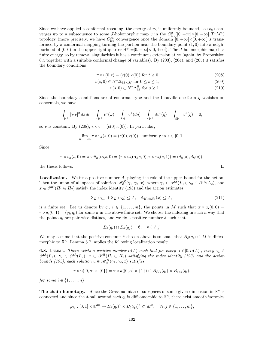Since we have applied a conformal rescaling, the energy of  $v_h$  is uniformly bounded, so  $(v_h)$  converges up to a subsequence to some J-holomorphic map v in the  $C^0_{loc}([0, +\infty[\times[0, +\infty[, T^*M^4$ topology (more precisely, we have  $C_{\text{loc}}^{\infty}$  convergence once the domain  $[0, +\infty[\times[0, +\infty[$  is transformed by a conformal mapping turning the portion near the boundary point  $(1,0)$  into a neighborhood of  $(0,0)$  in the upper-right quarter  $H^+ = [0, +\infty[\times]0, +\infty]$ . The *J*-holomorphic map has finite energy, so by removal singularities it has a continuous extension at  $\infty$  (again, by Proposition 6.4 together with a suitable conformal change of variables). By (203), (204), and (205) it satisfies the boundary conditions

$$
\pi \circ v(0, t) = (c(0), c(0)) \text{ for } t \ge 0,
$$
\n(208)

$$
v(s,0) \in N^* \Delta_{M \times M} \text{ for } 0 \le s \le 1,
$$
\n
$$
(209)
$$

$$
v(s,0) \in N^* \Delta_M^{\Theta} \text{ for } s \ge 1. \tag{210}
$$

Since the boundary conditions are of conormal type and the Liouville one-form  $\eta$  vanishes on conormals, we have

$$
\int_{\mathbb{H}^+} |\nabla v|^2 \, ds \, dt = \int_{\mathbb{H}^+} v^*(\omega) = \int_{\mathbb{H}^+} v^*(d\eta) = \int_{\mathbb{H}^+} dv^*(\eta) = \int_{\partial \mathbb{H}^+} v^*(\eta) = 0,
$$

so v is constant. By  $(208)$ ,  $\pi \circ v = (c(0), c(0))$ . In particular,

$$
\lim_{h \to +\infty} \pi \circ v_h(s,0) = (c(0), c(0)) \quad \text{uniformly in } s \in [0,1].
$$

Since

$$
\pi \circ v_h(s,0) = \pi \circ \tilde{u}_h(\alpha_h s,0) = (\pi \circ u_h(\alpha_h s,0), \pi \circ u_h(s,1)) = (d_h(s),d_h(s)),
$$

the thesis follows.

Localization. We fix a positive number A, playing the role of the upper bound for the action. Then the union of all spaces of solution  $\mathcal{M}_0^K(\gamma_1, \gamma_2; x)$ , where  $\gamma_1 \in \mathcal{P}^{\Lambda}(L_1)$ ,  $\gamma_2 \in \mathcal{P}^{\Lambda}(L_2)$ , and  $x \in \mathscr{P}^{\Theta}(H_1 \oplus H_2)$  satisfy the index identity (193) and the action estimates

$$
S_{L_1}(\gamma_1) + S_{L_2}(\gamma_2) \le A, \quad A_{H_1 \oplus H_2}(x) \le A,
$$
\n(211)

is a finite set. Let us denote by  $q_i, i \in \{1, ..., m\}$ , the points in M such that  $\pi \circ u_i(0, 0) =$  $\pi \circ u_i(0,1) = (q_i, q_i)$  for some u in the above finite set. We choose the indexing in such a way that the points  $q_i$  are pair-wise distinct, and we fix a positive number  $\delta$  such that

$$
B_{\delta}(q_i) \cap B_{\delta}(q_j) = \emptyset, \quad \forall \ i \neq j.
$$

We may assume that the positive constant  $\delta$  chosen above is so small that  $B_{\delta}(q_i) \subset M$  is diffeomorphic to  $\mathbb{R}^n$ . Lemma 6.7 implies the following localization result:

**6.8.** LEMMA. There exists a positive number  $\alpha(A)$  such that for every  $\alpha \in ]0, \alpha(A)]$ , every  $\gamma_1 \in$  $\mathscr{P}^{\Lambda}(L_1), \gamma_2 \in \mathscr{P}^{\Lambda}(L_2), x \in \mathscr{P}^{\Theta}(H_1 \oplus H_2)$  satisfying the index identity (193) and the action bounds (195), each solution  $u \in \mathcal{M}_\alpha^K(\gamma_1, \gamma_2; x)$  satisfies

$$
\pi \circ u([0,\alpha] \times \{0\}) = \pi \circ u([0,\alpha] \times \{1\}) \subset B_{\delta/2}(q_i) \times B_{\delta/2}(q_i),
$$

for some  $i \in \{1, \ldots, m\}$ .

**The chain homotopy.** Since the Grassmannian of subspaces of some given dimension in  $\mathbb{R}^n$  is connected and since the  $\delta$ -ball around each  $q_i$  is diffeomorphic to  $\mathbb{R}^n$ , there exist smooth isotopies

$$
\varphi_{ij}:[0,1]\times\mathbb{R}^{3n}\to B_{\delta}(q_i)^4\times B_{\delta}(q_j)^4\subset M^8, \quad \forall i,j\in\{1,\ldots,m\},\
$$

 $\Box$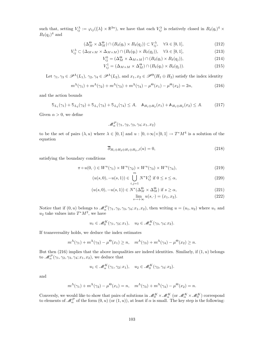such that, setting  $V_{ij}^{\lambda} := \varphi_{ij}(\{\lambda\} \times \mathbb{R}^{3n})$ , we have that each  $V_{ij}^{\lambda}$  is relatively closed in  $B_{\delta}(q_i)^4 \times$  $B_{\delta}(q_j)^4$  and

$$
(\Delta_M^{\Theta} \times \Delta_M^{\Theta}) \cap (B_{\delta}(q_i) \times B_{\delta}(q_j)) \subset V_{ij}^{\lambda}, \quad \forall \lambda \in [0,1],
$$
\n(212)

$$
V_{ij}^{\lambda} \subset (\Delta_{M \times M} \times \Delta_{M \times M}) \cap (B_{\delta}(q_i) \times B_{\delta}(q_j)), \quad \forall \lambda \in [0, 1],
$$
\n(213)

$$
V_{ij}^0 = (\Delta_M^{\Theta} \times \Delta_{M \times M}) \cap (B_{\delta}(q_i) \times B_{\delta}(q_j)), \tag{214}
$$

$$
V_{ij}^1 = (\Delta_{M \times M} \times \Delta_M^{\Theta}) \cap (B_{\delta}(q_i) \times B_{\delta}(q_j)).
$$
\n(215)

Let  $\gamma_1, \gamma_3 \in \mathscr{P}^{\Lambda}(L_1), \gamma_2, \gamma_4 \in \mathscr{P}^{\Lambda}(L_2)$ , and  $x_1, x_2 \in \mathscr{P}^{\Theta}(H_1 \oplus H_2)$  satisfy the index identity

$$
m^{\Lambda}(\gamma_1) + m^{\Lambda}(\gamma_2) + m^{\Lambda}(\gamma_3) + m^{\Lambda}(\gamma_4) - \mu^{\Theta}(x_1) - \mu^{\Theta}(x_2) = 2n, \qquad (216)
$$

and the action bounds

$$
S_{L_1}(\gamma_1) + S_{L_2}(\gamma_2) + S_{L_1}(\gamma_3) + S_{L_2}(\gamma_4) \le A, \quad \mathbb{A}_{H_1 \oplus H_2}(x_1) + \mathbb{A}_{H_1 \oplus H_2}(x_2) \le A. \tag{217}
$$

Given  $\alpha > 0$ , we define

$$
\mathcal{M}_{\alpha}^{P}(\gamma_1, \gamma_2, \gamma_3, \gamma_4; x_1, x_2)
$$

to be the set of pairs  $(\lambda, u)$  where  $\lambda \in [0, 1]$  and  $u : [0, +\infty[\times[0, 1] \to T^*M^4]$  is a solution of the equation

$$
\overline{\partial}_{H_1 \oplus H_2 \oplus H_1 \oplus H_2, J}(u) = 0, \tag{218}
$$

satisfying the boundary conditions

$$
\pi \circ u(0, \cdot) \in W^u(\gamma_1) \times W^u(\gamma_2) \times W^u(\gamma_3) \times W^u(\gamma_4), \tag{219}
$$

$$
(u(s,0), -u(s,1)) \in \bigcup_{i,j=1} N^* V_{ij}^{\lambda} \text{ if } 0 \le s \le \alpha,
$$
\n
$$
(220)
$$

$$
(u(s,0), -u(s,1)) \in N^*(\Delta_M^{\Theta} \times \Delta_M^{\Theta}) \text{ if } s \ge \alpha,
$$
\n(221)

$$
\lim_{s \to +\infty} u(s, \cdot) = (x_1, x_2). \tag{222}
$$

Notice that if  $(0, u)$  belongs to  $\mathcal{M}_{\alpha}^{P}(\gamma_1, \gamma_2, \gamma_3, \gamma_4; x_1, x_2)$ , then writing  $u = (u_1, u_2)$  where  $u_1$  and  $u_2$  take values into  $T^*M^2$ , we have

$$
u_1 \in \mathcal{M}_0^K(\gamma_1, \gamma_2; x_1), \quad u_2 \in \mathcal{M}_\alpha^K(\gamma_3, \gamma_4; x_2).
$$

If transversality holds, we deduce the index estimates

$$
m^{\Lambda}(\gamma_1) + m^{\Lambda}(\gamma_2) - \mu^{\Theta}(x_1) \ge n, \quad m^{\Lambda}(\gamma_3) + m^{\Lambda}(\gamma_4) - \mu^{\Theta}(x_2) \ge n.
$$

But then  $(216)$  implies that the above inequalities are indeed identities. Similarly, if  $(1, u)$  belongs to  $\mathscr{M}_{\alpha}^{P}(\gamma_1, \gamma_2, \gamma_3, \gamma_4; x_1, x_2)$ , we deduce that

$$
u_1 \in \mathcal{M}_\alpha^K(\gamma_1, \gamma_2; x_1), \quad u_2 \in \mathcal{M}_0^K(\gamma_3, \gamma_4; x_2).
$$

and

$$
m^{\Lambda}(\gamma_1) + m^{\Lambda}(\gamma_2) - \mu^{\Theta}(x_1) = n, \quad m^{\Lambda}(\gamma_3) + m^{\Lambda}(\gamma_4) - \mu^{\Theta}(x_2) = n.
$$

Conversly, we would like to show that pairs of solutions in  $\mathcal{M}_{0}^{K}\times\mathcal{M}_{\alpha}^{K}$  (or  $\mathcal{M}_{\alpha}^{K}\times\mathcal{M}_{0}^{K}$ ) correspond to elements of  $\mathscr{M}_{\alpha}^P$  of the form  $(0, u)$  (or  $(1, u)$ ), at least if  $\alpha$  is small. The key step is the following: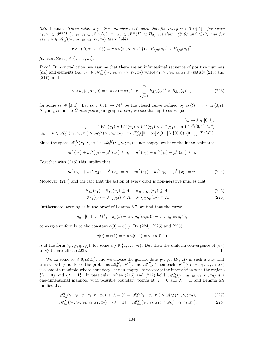**6.9.** LEMMA. There exists a positive number  $\alpha(A)$  such that for every  $\alpha \in ]0, \alpha(A)]$ , for every  $\gamma_1, \gamma_3 \in \mathscr{P}^{\Lambda}(L_1), \gamma_2, \gamma_4 \in \mathscr{P}^{\Lambda}(L_2), x_1, x_2 \in \mathscr{P}^{\Theta}(H_1 \oplus H_2)$  satisfying (216) and (217) and for every  $u \in \mathcal{M}_\alpha^P(\gamma_1, \gamma_2, \gamma_3, \gamma_4; x_1, x_2)$  there holds

$$
\pi \circ u([0,\alpha] \times \{0\}) = \pi \circ u([0,\alpha] \times \{1\}) \in B_{\delta/2}(q_i)^2 \times B_{\delta/2}(q_j)^2,
$$

for suitable  $i, j \in \{1, \ldots, m\}$ .

Proof. By contradiction, we assume that there are an infinitesimal sequence of positive numbers  $(\alpha_h)$  and elements  $(\lambda_h, u_h) \in \mathcal{M}_{\alpha_h}^P(\gamma_1, \gamma_2, \gamma_3, \gamma_4; x_1, x_2)$  where  $\gamma_1, \gamma_2, \gamma_3, \gamma_4, x_1, x_2$  satisfy (216) and (217), and

$$
\pi \circ u_h(s_h \alpha_h, 0) = \pi \circ u_h(s_h \alpha_h, 1) \notin \bigcup_{i,j=1}^m B_{\delta/2}(q_i)^2 \times B_{\delta/2}(q_j)^2,
$$
\n(223)

for some  $s_h \in [0,1]$ . Let  $c_h : [0,1] \to M^4$  be the closed curve defined by  $c_h(t) = \pi \circ u_h(0,t)$ . Arguing as in the Convergence paragraph above, we see that up to subsequences

$$
\lambda_h \to \lambda \in [0, 1],
$$
  
\n
$$
c_h \to c \in W^u(\gamma_1) \times W^u(\gamma_2) \times W^u(\gamma_3) \times W^u(\gamma_4) \text{ in } W^{1,2}([0, 1], M^4)
$$
  
\n
$$
u_h \to u \in \mathcal{M}_0^K(\gamma_1, \gamma_2; x_1) \times \mathcal{M}_0^K(\gamma_3, \gamma_4; x_2) \text{ in } C^{\infty}_{\text{loc}}([0, +\infty[\times[0, 1] \setminus \{(0, 0), (0, 1)\}, T^*M^4).
$$

Since the space  $\mathcal{M}_0^K(\gamma_1, \gamma_2; x_1) \times \mathcal{M}_0^K(\gamma_3, \gamma_4; x_2)$  is not empty, we have the index estimates

$$
m^{\Lambda}(\gamma_1) + m^{\Lambda}(\gamma_2) - \mu^{\Theta}(x_1) \ge n, \quad m^{\Lambda}(\gamma_3) + m^{\Lambda}(\gamma_4) - \mu^{\Theta}(x_2) \ge n.
$$

Together with (216) this implies that

$$
m^{\Lambda}(\gamma_1) + m^{\Lambda}(\gamma_2) - \mu^{\Theta}(x_1) = n, \quad m^{\Lambda}(\gamma_3) + m^{\Lambda}(\gamma_4) - \mu^{\Theta}(x_2) = n. \tag{224}
$$

Moreover, (217) and the fact that the action of every orbit is non-negative implies that

$$
S_{L_1}(\gamma_1) + S_{L_2}(\gamma_2) \le A, \quad A_{H_1 \oplus H_2}(x_1) \le A,\tag{225}
$$

$$
S_{L_1}(\gamma_3) + S_{L_2}(\gamma_4) \le A, \quad A_{H_1 \oplus H_2}(x_2) \le A.
$$
 (226)

Furthermore, arguing as in the proof of Lemma 6.7, we find that the curve

$$
d_h: [0,1] \times M^4, \quad d_h(s) = \pi \circ u_h(\alpha_h s, 0) = \pi \circ u_h(\alpha_h s, 1),
$$

converges uniformly to the constant  $c(0) = c(1)$ . By (224), (225) and (226),

$$
c(0) = c(1) = \pi \circ u(0,0) = \pi \circ u(0,1)
$$

is of the form  $(q_i, q_i, q_j, q_j)$ , for some  $i, j \in \{1, ..., m\}$ . But then the uniform convergence of  $(d_h)$ to  $c(0)$  contradicts (223).

We fix some  $\alpha_0 \in ]0, \alpha(A)]$ , and we choose the generic data  $g_1, g_2, H_1, H_2$  in such a way that transversality holds for the problems  $\mathcal{M}_0^K$ ,  $\mathcal{M}_{\alpha_0}^K$ , and  $\mathcal{M}_{\alpha_0}^P$ . Then each  $\mathcal{M}_{\alpha_0}^P(\gamma_1, \gamma_2, \gamma_3, \gamma_4; x_1, x_2)$ is a smooth manifold whose boundary - if non-empty - is precisely the intersection with the regions  $\{\lambda = 0\}$  and  $\{\lambda = 1\}$ . In particular, when (216) and (217) hold,  $\mathcal{M}_{\alpha_0}^K(\gamma_1, \gamma_2, \gamma_3, \gamma_4; x_1, x_2)$  is a one-dimensional manifold with possible boundary points at  $\lambda = 0$  and  $\lambda = 1$ , and Lemma 6.9 implies that

$$
\mathcal{M}_{\alpha_0}^P(\gamma_1, \gamma_2, \gamma_3, \gamma_4; x_1, x_2) \cap \{\lambda = 0\} = \mathcal{M}_0^K(\gamma_1, \gamma_2; x_1) \times \mathcal{M}_{\alpha_0}^K(\gamma_3, \gamma_4; x_2),
$$
\n(227)

$$
\mathcal{M}_{\alpha_0}^P(\gamma_1, \gamma_2, \gamma_3, \gamma_4; x_1, x_2) \cap \{\lambda = 1\} = \mathcal{M}_{\alpha_0}^K(\gamma_1, \gamma_2; x_1) \times \mathcal{M}_0^K(\gamma_3, \gamma_4; x_2).
$$
 (228)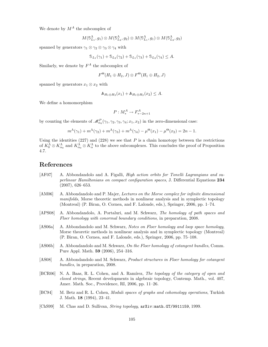We denote by  $M^A$  the subcomplex of

$$
M(\mathbb{S}^{\Lambda}_{L_1},g_1)\otimes M(\mathbb{S}^{\Lambda}_{L_2},g_2)\otimes M(\mathbb{S}^{\Lambda}_{L_1},g_1)\otimes M(\mathbb{S}^{\Lambda}_{L_2},g_2)
$$

spanned by generators  $\gamma_1 \otimes \gamma_2 \otimes \gamma_3 \otimes \gamma_4$  with

$$
S_{L_1}(\gamma_1) + S_{L_2}(\gamma_2) + S_{L_1}(\gamma_3) + S_{L_2}(\gamma_4) \le A.
$$

Similarly, we denote by  $F^A$  the subcomplex of

$$
F^{\Theta}(H_1 \oplus H_2, J) \otimes F^{\Theta}(H_1 \oplus H_2, J)
$$

spanned by generators  $x_1 \otimes x_2$  with

$$
\mathbb{A}_{H_1\oplus H_2}(x_1)+\mathbb{A}_{H_1\oplus H_2}(x_2)\leq A.
$$

We define a homomorphism

$$
P: M_*^A \to F_{*-2n+1}^A
$$

by counting the elements of  $\mathcal{M}_{\alpha_0}^P(\gamma_1, \gamma_2, \gamma_3, \gamma_4; x_1, x_2)$  in the zero-dimensional case:

$$
m^{\Lambda}(\gamma_1) + m^{\Lambda}(\gamma_2) + m^{\Lambda}(\gamma_3) + m^{\Lambda}(\gamma_4) - \mu^{\Theta}(x_1) - \mu^{\Theta}(x_2) = 2n - 1.
$$

Using the identities  $(227)$  and  $(228)$  we see that P is a chain homotopy between the restrictions of  $K_0^{\Lambda} \otimes K_{\alpha_0}^{\Lambda}$  and  $K_{\alpha_0}^{\Lambda} \otimes K_{\alpha}^{\Lambda}$  to the above subcomplexes. This concludes the proof of Proposition 4.7.

# References

- [AF07] A. Abbondandolo and A. Figalli, High action orbits for Tonelli Lagrangians and superlinear Hamiltonians on compact configuration spaces, J. Differential Equations 234 (2007), 626–653.
- [AM06] A. Abbondandolo and P. Majer, Lectures on the Morse complex for infinite dimensional manifolds, Morse theoretic methods in nonlinear analysis and in symplectic topology (Montreal) (P. Biran, O. Cornea, and F. Lalonde, eds.), Springer, 2006, pp. 1–74.
- [APS08] A. Abbondandolo, A. Portaluri, and M. Schwarz, The homology of path spaces and Floer homology with conormal boundary conditions, in preparation, 2008.
- [AS06a] A. Abbondandolo and M. Schwarz, Notes on Floer homology and loop space homology, Morse theoretic methods in nonlinear analysis and in symplectic topology (Montreal) (P. Biran, O. Cornea, and F. Lalonde, eds.), Springer, 2006, pp. 75–108.
- [AS06b] A. Abbondandolo and M. Schwarz, On the Floer homology of cotangent bundles, Comm. Pure Appl. Math. 59 (2006), 254–316.
- [AS08] A. Abbondandolo and M. Schwarz, Product structures in Floer homology for cotangent bundles, in preparation, 2008.
- [BCR06] N. A. Baas, R. L. Cohen, and A. Ramírez, The topology of the category of open and closed strings, Recent developments in algebraic topology, Contemp. Math., vol. 407, Amer. Math. Soc., Providence, RI, 2006, pp. 11–26.
- [BC94] M. Betz and R. L. Cohen, Moduli spaces of graphs and cohomology operations, Turkish J. Math. 18 (1994), 23–41.
- [ChS99] M. Chas and D. Sullivan, String topology, arXiv:math.GT/9911159, 1999.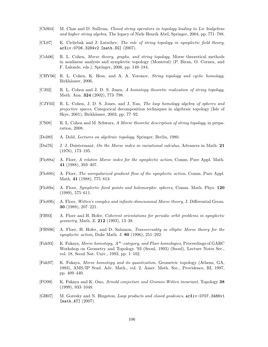- [ChS04] M. Chas and D. Sullivan, Closed string operators in topology leading to Lie bialgebras and higher string algebra, The legacy of Niels Henrik Abel, Springer, 2004, pp. 771–788.
- [CL07] K. Cieliebak and J. Latschev, The role of string topology in symplectic field theory, arXiv:0706.3284v2 [math.SG] (2007).
- [Coh06] R. L. Cohen, Morse theory, graphs, and string topology, Morse theoretical methods in nonlinear analysis and symplectic topology (Montreal) (P. Biran, O. Cornea, and F. Lalonde, eds.), Springer, 2006, pp. 149–184.
- [CHV06] R. L. Cohen, K. Hess, and A. A. Voronov, String topology and cyclic homology, Birkhäuser, 2006.
- [CJ02] R. L. Cohen and J. D. S. Jones, A homotopy theoretic realization of string topology, Math. Ann. 324 (2002), 773–798.
- [CJY03] R. L. Cohen, J. D. S. Jones, and J. Yan, The loop homology algebra of spheres and projective spaces, Categorical decomposition techniques in algebraic topology (Isle of Skye, 2001), Birkhäuser, 2003, pp. 77–92.
- [CS08] R. L. Cohen and M. Schwarz, A Morse theoretic description of string topology, in preparation, 2008.
- [Dol80] A. Dold, Lectures on algebraic topology, Springer, Berlin, 1980.
- [Dui76] J. J. Duistermaat, On the Morse index in variational calculus, Advances in Math. 21 (1976), 173–195.
- [Flo88a] A. Floer, A relative Morse index for the symplectic action, Comm. Pure Appl. Math. 41 (1988), 393–407.
- [Flo88b] A. Floer, The unregularized gradient flow of the symplectic action, Comm. Pure Appl. Math. 41 (1988), 775–813.
- [Flo89a] A. Floer, Symplectic fixed points and holomorphic spheres, Comm. Math. Phys. 120 (1989), 575–611.
- [Flo89b] A. Floer, Witten's complex and infinite-dimensional Morse theory, J. Differential Geom. 30 (1989), 207–221.
- [FH93] A. Floer and H. Hofer, Coherent orientations for periodic orbit problems in symplectic geometry, Math. Z. 212 (1993), 13–38.
- [FHS96] A. Floer, H. Hofer, and D. Salamon, Transversality in elliptic Morse theory for the symplectic action, Duke Math. J. 80 (1996), 251–292.
- [Fuk93] K. Fukaya, Morse homotopy,  $A^{\infty}$ -category, and Floer homologies, Proceedings of GARC Workshop on Geometry and Topology '93 (Seoul, 1993) (Seoul), Lecture Notes Ser., vol. 18, Seoul Nat. Univ., 1993, pp. 1–102.
- [Fuk97] K. Fukaya, Morse homotopy and its quantization, Geometric topology (Athens, GA, 1993), AMS/IP Stud. Adv. Math., vol. 2, Amer. Math. Soc., Providence, RI, 1997, pp. 409–440.
- [FO99] K. Fukaya and K. Ono, Arnold conjecture and Gromov-Witten invariant, Topology 38 (1999), 933–1048.
- [GH07] M. Goresky and N. Hingston, Loop products and closed geodesics, arXiv:0707.3486v1 [math.AT]  $(2007)$ .